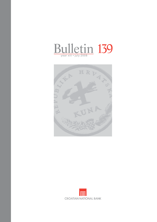



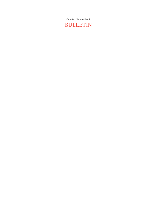Croatian National Bank BULLETIN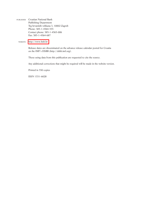PUBLISHER Croatian National Bank Publishing Department Trg hrvatskih velikana 3, 10002 Zagreb Phone: 385-1-4564-555 Contact phone: 385-1-4565-006 Fax: 385-1-4564-687

WEBSITE <http://www.hnb.hr>

 Release dates are disseminated on the advance release calendar posted for Croatia on the IMF's DSBB (http://dsbb.imf.org).

Those using data from this publication are requested to cite the source.

Any additional corrections that might be required will be made in the website version.

Printed in 550 copies

ISSN 1331–6028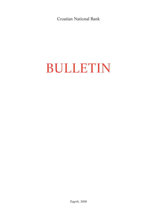Croatian National Bank

# BULLETIN

Zagreb, 2008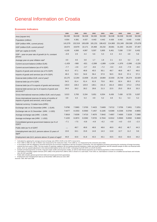# General Information on Croatia

#### **Economic Indicators**

|                                                                                                    | 1999     | 2000    | 2001    | 2002     | 2003     | 2004     | 2005     | 2006     | 2007     |
|----------------------------------------------------------------------------------------------------|----------|---------|---------|----------|----------|----------|----------|----------|----------|
| Area (square km)                                                                                   | 56,538   | 56,538  | 56,538  | 56,538   | 56,538   | 56,538   | 56,538   | 56,538   | 56,538   |
| Population (million)                                                                               | 4.554    | 4.381   | 4.437   | 4.443    | 4.442    | 4.439    | 4.442    | 4.440    | 4.436    |
| GDP (million HRK, current prices)                                                                  | 141,579  | 152,519 | 165,639 | 181,231  | 198,422  | 214,983  | 231,349  | 250,590  | 275,078  |
| GDP (million EUR, current prices) <sup>a</sup>                                                     | 18,674   | 19,979  | 22,171  | 24,468   | 26,232   | 28,681   | 31,263   | 34,220   | 37,497   |
| GDP per capita (in EUR)                                                                            | 4,100    | 4,560   | 4,997   | 5,507    | 5,905    | 6,461    | 7,038    | 7,707    | 8,452    |
| GDP – year-on-year rate of growth (in %, constant<br>prices)                                       | $-0.9$   | 2.9     | 4.4     | 5.6      | 5.3      | 4.3      | 4.3      | 4.8      | 5.6      |
| Average year-on-year inflation rate <sup>b</sup>                                                   | 4.0      | 4.6     | 3.8     | 1.7      | 1.8      | 2.1      | 3.3      | 3.2      | 2.9      |
| Current account balance (million EUR)                                                              | $-1,429$ | $-568$  | $-821$  | $-2,099$ | $-1,889$ | $-1,434$ | $-1,976$ | $-2,696$ | $-3,226$ |
| Current account balance (as of % GDP)                                                              | $-7.7$   | $-2.8$  | $-3.7$  | $-8.6$   | $-7.2$   | $-5.0$   | $-6.3$   | $-7.9$   | $-8.6$   |
| Exports of goods and services (as of % GDP)                                                        | 41.0     | 47.1    | 48.8    | 45.5     | 50.1     | 49.7     | 48.9     | 49.7     | 49.0     |
| Imports of goods and services (as of % GDP)                                                        | 49.3     | 52.3    | 54.6    | 56.4     | 57.9     | 56.5     | 55.9     | 57.4     | 57.3     |
| External debt (million EUR, end of year) <sup>c</sup>                                              | 10,175   | 12,264  | 13,609  | 15,143   | 19,884   | 22,933   | 25,748   | 29,274   | 32,929   |
| External debt (as of % GDP)                                                                        | 54.5     | 61.4    | 61.4    | 61.9     | 75.8     | 80.0     | 82.4     | 85.5     | 87.8     |
| External debt (as of % exports of goods and services)                                              | 133.0    | 130.2   | 125.9   | 136.1    | 151.3    | 161.0    | 168.6    | 172.2    | 179.3    |
| External debt service (as % of exports of goods and<br>services) <sup>c,d</sup>                    | 24.6     | 26.2    | 28.2    | 29.8     | 21.3     | 22.5     | 25.0     | 35.8     | 33.3     |
| Gross international reserves (million EUR, end of year)                                            | 3,013    | 3,783   | 5,334   | 5,651    | 6,554    | 6,436    | 7,438    | 8,725    | 9,307    |
| Gross international reserves (in terms of months of<br>imports of goods and services, end of year) | 3.9      | 4.3     | 5.3     | 4.9      | 5.2      | 4.8      | 5.1      | 5.3      | 5.2      |
| National currency: Croatian kuna (HRK)                                                             |          |         |         |          |          |          |          |          |          |
| Exchange rate on 31 December (HRK: 1 EUR)                                                          | 7.6790   | 7.5983  | 7.3700  | 7.4423   | 7.6469   | 7.6712   | 7.3756   | 7.3451   | 7.3251   |
| Exchange rate on 31 December (HRK: 1 USD)                                                          | 7.6477   | 8.1553  | 8.3560  | 7.1457   | 6.1185   | 5.6369   | 6.2336   | 5.5784   | 4.9855   |
| Average exchange rate (HRK : 1 EUR)                                                                | 7.5818   | 7.6339  | 7.4710  | 7.4070   | 7.5642   | 7.4957   | 7.4000   | 7.3228   | 7.3360   |
| Average exchange rate (HRK : 1 USD)                                                                | 7.1220   | 8.2874  | 8.3392  | 7.8725   | 6.7044   | 6.0312   | 5.9500   | 5.8392   | 5.3660   |
| Consolidated general government balance (as % of<br>$GDP)$ <sup>e</sup>                            | $-7.1$   | $-7.5$  | $-6.8$  | $-4.9$   | $-6.2$   | $-4.8$   | $-4.0$   | $-3.0$   | $-2.3$   |
| Public debt (as % of GDP) <sup>f</sup>                                                             | ,,,,     | 48.7    | 49.8    | 48.8     | 48.6     | 48.9     | 49.2     | 46.7     | 44.3     |
| Unemployment rate (ILO, persons above 15 years of<br>age)9                                         | 13.6     | 16.1    | 15.8    | 14.8     | 14.3     | 13.8     | 12.7     | 11.2     | 9.6      |
| Employment rate (ILO, persons above 15 years of age) <sup>g</sup>                                  | 44.8     | 42.6    | 41.8    | 43.3     | 43.1     | 43.5     | 43.3     | 43.6     | 44.2     |

a<br>
Calculated by applying the average annual exchange rate (HRK/1 EUR) to the GDP in kuna terms.<br>
b From 1998 the rate of inflation was measured by the consumer price index.<br>
C From 1998 of the action was measured by the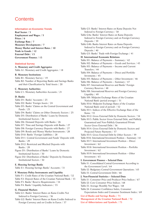# **Contents**

## **Information on Economic Trends**

**Real Sector / 3 Employment and Wages / 5 Prices / 6 Exchange Rate / 7 Monetary Developments / 7 Money Market and Interest Rates / 10 Trade in Goods / 12 External Debt / 13 Government Finance / 13**

## **Statistical Survey**

**A. Monetary and Credit Aggregates** Table A1: Monetary and Credit Aggregates / 18

# **B. Monetary Institutions**

Table B1: Monetary Survey / 19 Table B2: Number of Reporting Banks and Savings Banks and their Classification by Total Assets / 20

## **C. Monetary Authorities**

Table C1: Monetary Authorities Accounts / 21

#### **D. Banks**

- Table D1: Banks' Accounts / 23
- Table D2: Banks' Foreign Assets / 24
- Table D3: Banks' Claims on the Central Government and Funds / 25
- Table D4: Banks' Claims on Other Domestic Sectors / 25
- Table D5: Distribution of Banks' Loans by Domestic Institutional Sectors / 26
- Table D6: Demand Deposits with Banks / 26
- Table D7: Time and Savings Deposits with Banks / 27
- Table D8: Foreign Currency Deposits with Banks / 27
- Table D9: Bonds and Money Market Instruments / 28
- Table D10: Banks' Foreign Liabilities / 28
- Table D11: Central Government and Funds' Deposits with Banks / 29
- Table D12: Restricted and Blocked Deposits with Banks / 29
- Figure D1: Distribution of Banks' Loans by Domestic Institutional Sectors / 30

Figure D2: Distribution of Banks' Deposits by Domestic Institutional Sectors / 30

## **E. Housing Savings Banks**

Table E1: Housing Savings Banks' Accounts / 31

## **F. Monetary Policy Instruments and Liquidity**

Table F1: Credit Rates of the Croatian National Bank / 32 Table F2: Deposit Rates of the Croatian National Bank / 33 Table F3: Banks' Reserve Requirements / 34 Table F4: Banks' Liquidity Indicators / 35

## **G. Financial Markets**

- Table G1: Banks' Interest Rates on Kuna Credits Not Indexed to Foreign Currency / 36
- Table G2: Banks' Interest Rates on Kuna Credits Indexed to Foreign Currency and on Credits in Euros / 37

Table G3: Banks' Interest Rates on Kuna Deposits Not Indexed to Foreign Currency / 38 Table G4a: Banks' Interest Rates on Kuna Deposits Indexed to Foreign Currency and on Foreign Currency Deposits / 39 Table G4b: Banks Interest Rates on Kuna Deposits Indexed to Foreign Currency and on Foreign Currency Deposits / 40 Table G5: Banks' Trade with Foreign Exchange / 41 **H. International Economic Relations** Table H1: Balance of Payments – Summary / 42 Table H2: Balance of Payments – Goods and Services / 43 Table H3: Balance of Payments – Income and Current Transfers / 44 Table H4: Balance of Payments – Direct and Portfolio Invstments / 45 Table H5: Balance of Payments – Other Investment / 46 Table H6: Balance of Payments – Summary / 47 Table H7: International Reserves and Banks' Foreign Currency Reserves / 48 Table H8: International Reserves and Foreign Currency Liquidity / 49 Table H9: Midpoint Exchange Rates of the Croatian National Bank (period average) / 51 Table H10: Midpoint Exchange Rates of the Croatian National Bank (end of period) / 52 Table H11: Indices of the Effective Exchange Rate of the Kuna / 53 Table H12: Gross External Debt by Domestic Sectors / 54 Table H13: Public Sector Gross External Debt, and Publicly Guaranteed and Non-Publicly Guaranteed Private Sector Gross External Debt / 56 Table H14: Gross External Debt by Domestic Sectors and Projected Future Payments / 57 Table H15: Gross External Debt by Other Sectors / 59 Table H16: International Investment Position – Summary / 61 Table H17: International Investment Position – Direct Investment / 62 Table H18: International Investment Position – Portfolio Investment / 62 Table H19: International Investment Position – Other Investment / 63 **I. Government Finance – Selected Data** Table I1: Consolidated Central Government According to the Government Level / 64 Table I2: Budgetary Central Government Operations / 65 Table I3: Central Government Debt / 66 **J. Non-Financial Statistics – Selected Data** Table J1: Consumer Price and Producer Price Indices / 67 Table J2: Core Consumer Price Indices / 68 Table J3: Average Monthly Net Wages / 68 Table J4: Consumer Confidence Index, Consumer Expectations Index and Consumer Sentiment Index / 69

**List of Banks and Savings Banks / 71**

**Management of the Croatian National Bank / 72 List of Abbreviations and Symbols / 73**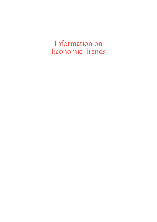Information on Economic Trends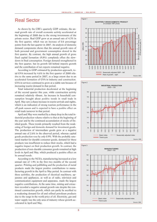# Real Sector

As shown by the CBS's quarterly GDP estimate, the annual growth rate of overall economic activity accelerated at the beginning of 2008 due to the strong investments of the private sector. Real GDP grew at an annual rate of 4.3% in the first quarter, which was an increase of 0.6 percentage points from the last quarter in 2007. An analysis of domestic demand components shows that the annual growth rates of both personal and government consumption slowed in the first quarter. By contrast, the high annual growth of gross fixed capital formation (9.8%) completely offset the slowdown in final consumption. Foreign demand strengthened in the first quarter, but its growth fell behind imports growth and the contribution of net exports remained negative.

According to GDP estimated by production approach, total GVA increased by 4.6% in the first quarter of 2008 relative to the same period in 2007, to a large extent due to an accelerated formation of GVA in industry and construction. GVA in services continued to grow at a stable rate because of increasing tourist demand in that period.

Total industrial production decelerated at the beginning of the second quarter this year, while construction activity remained relatively vibrant. An increase in household consumption brought about positive trends in retail trade in April. May saw a sharp increase in tourist arrivals and nights, which is an indication of strong tourism performance in the off-peak season and is expected to have a positive effect on retail trade turnover in that period.

April and May were marked by a sharp drop in the total industrial production volume relative to that at the beginning of the year and by the continued accumulation of stocks of finished goods. These trends primarily resulted from the weakening of foreign and domestic demand for investment goods. The production of intermediate goods grew at a negative annual rate of 2.6% in the observed period, whereas capital goods production rose by only 0.9%. With the probably saturated market for durable consumer goods, demand for these products was insufficient to reduce their stocks, which had a negative impact on their production growth. In contrast, the production of non-durable consumer goods remained at high levels in April and May, which produced a positive effect on its annual trends.

According to the NCEA, manufacturing increased at a low annual rate of 1.9% in the first two months of the second quarter. Printing and publishing and the production of metal products made the largest positive contributions to manufacturing growth in the April to May period. In contrast with these activities, the production of electrical machinery, apparatus and appliances, as well as of radio, television and communication equipment and apparatus, made the largest negative contributions. At the same time, mining and extraction recorded a negative annual growth rate despite the continued construction growth, which can partly be ascribed to a weakening demand for oil and refined petroleum products due to the surge in the world price of oil. Electricity, gas and water supply was the only area of industry whose growth accelerated in April and May.





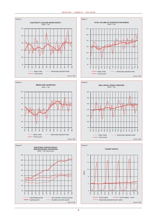









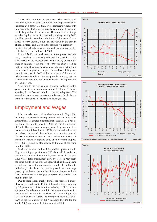Construction continued to grow at a brisk pace in April and employment in that sector rose. Building construction increased at a faster rate than civil engineering works, with non-residential buildings apparently continuing to account for the largest share in the increase. However, in view of negative leading indicators of construction activity in early 2008 (building permits issued and the index of the value of construction work orders), a constant slowdown in the growth of housing loans and a drop in the planned real estate investments of households, construction works volume is expected to decline in the second half of 2008.

In April 2008, real retail trade turnover growth accelerated, according to seasonally adjusted data, relative to the same period in the previous year. The recovery of real retail trade in relation to the end of the previous quarter can be partly explained by a rise in consumer optimism. Retail trade turnover of food products dropped due to Easter falling earlier this year than in 2007 and also because of the marked price increase for this product category. In contrast, real car sales trended upwards, to a great extent due to car purchases by legal persons.

According to the original data, tourist arrivals and nights grew cumulatively at an annual rate of 2.1% and 1.4% respectively in the first two months of the second quarter. The annual increase in tourism volume indicators should be attributed to the effects of movable holidays (Easter).

# Employment and Wages

Labour market saw positive developments in May 2008, including a decrease in unemployment and an increase in employment. Registered unemployment stood at 232,768 at the end of the month, down by 12,437 (5.1%) from the end of April. The registered unemployment drop was due to a decrease in the inflow into the CES register and a decrease in outflow, which could be attributed to a growing demand for season workers in tourism, trade and manufacturing. As shown by seasonally adjusted data, unemployment dropped by 31,000 (11.6%) in May relative to the end of the same month in 2007.

Total employment continued the positive upward trend in May. According to preliminary CBS data, which tended to considerably underestimate employment growth in the previous years, total employment grew by 1.1% in May from the same month in the previous year, which is the same rate as that recorded in the previous two months. In addition to preliminary CBS data, employment growth was also suggested by the data on the number of persons insured with the CPIA, which decelerated slightly compared with the first four months this year.

Due to these labour market trends, the registered unemployment rate reduced to 13.2% at the end of May, dropping by 0.7 percentage points from the end of April (1.6 percentage points from the same month in the previous year), which was a record low for this rate since 1997. According to the latest Labour Force Survey, the unemployment rate stood at 9.7% in the last quarter of 2007, reducing to 9.6% for the whole 2007, down from 11.2% recorded in 2006.





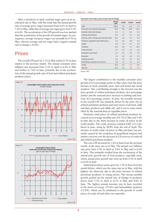After a slowdown in April, nominal wages grew at an accelerated rate in May, with the result that the annual growth rate of average gross wages increased from 6.2% in April to 7.2% in May, while that of average net wages grew from 5.3% to 6.0%. The acceleration of the CPI growth was less marked than the acceleration of the growth of nominal wages. In consequence, average real gross wages rose annually by 0.7% in May, whereas average real net wages had a negative annual rate of change  $(-0.4\%)$ .

# Prices

The overall CPI grew by 1.1% in May and by 0.7% in June relative to the previous month. The annual consumer price inflation rate increased from 5.7% in April to 6.4% in May and further to 7.6% in June, primarily due to the acceleration of the annual growth rate of food and refined petroleum products prices.





#### **Consumer Price Index, year-on-year rate of change**

|                                             | Weight<br>2008 | 4/2008 | 5/2008 | 6/2008 |
|---------------------------------------------|----------------|--------|--------|--------|
| Total                                       | 100.0          | 5.7    | 6.4    | 7.6    |
| Food and non-alcoholic beverages            | 31.8           | 9.6    | 10.9   | 13.1   |
| Alcoholic drinks and tobacco                | 5.5            | 7.1    | 5.4    | 5.3    |
| Clothing and footwear                       | 8.4            | 3.2    | 3.1    | 2.8    |
| Housing, water, energy, gas and other fuels | 14.2           | 4.6    | 5.3    | 5.9    |
| Furniture, equipment and maintenance        | 5.3            | 4.5    | 4.8    | 5.3    |
| Health                                      | 2.8            | 5.5    | 5.7    | 5.5    |
| Transport                                   | 11.4           | 5.0    | 7.0    | 10.0   |
| Communication                               | 4.2            | $-1.3$ | $-1.3$ | $-1.3$ |
| Recreation and culture                      | 6.1            | 0.2    | 0.3    | 1.9    |
| Education                                   | 1.0            | 2.8    | 2.8    | 2.6    |
| Catering services                           | 3.5            | 5.2    | 6.2    | 6.6    |
| Miscellaneous goods and services            | 5.8            | 4.4    | 4.1    | 4.3    |
| Goods                                       | 76.9           | 6.2    | 7.1    | 8.5    |
| <b>Services</b>                             | 23.1           | 4.0    | 4.1    | 4.7    |

Source: CBS.

The largest contribution to the monthly consumer price growth of 0.5 percentage points in May came from the price increase in food, primarily meat, fruit and bread and cereal products. Also contributing strongly to the increase was the price growth of refined petroleum products (0.4 percentage points) and the seasonal price increase in clothing and footwear (0.2 percentage points). In June, the monthly increase in the overall CPI was primarily driven by the price rise in refined petroleum products and food (most of all meat, milk and diary products and edible oil), and it was to some extent offset by the seasonal drop in vegetable prices.

Domestic retail prices of refined petroleum products increased at an average monthly rate of 6.7% in May and 5.4% in June due to the sharp increase in crude oil prices in the world market. The crude oil prices reached USD 131.5 per barrel in June, rising by 20.9% from the end of April. The increase in world crude oil prices in May and June was primarily caused by the escalation of geopolitical tensions and market concerns over the decrease in US reserves of crude oil and refined petroleum products.

The core CPI increased by 1.0% in June from the previous month, at the same rate as in May. The annual core inflation rate grew from 5.3% in April to 5.6% in May and to 6.5% in June. This primarily resulted from the acceleration of the annual price growth rate of food products, especially meat, whose annual price growth rate went up from 2.3% in April to 8.5% in June.

Industrial producer prices grew by 1.3% in June from the month before, which was the same rate as in May, with the highest rise observed, due to the price increase in refined petroleum products, in energy prices. The strong monthly growth pushed up the annual rate of change in producer prices from 7.7% in April to 8.7% in May and 9.6% in June. The highest annual increase was in June recorded in the prices of energy (13.4%) and intermediate products (12.9%), which can be attributed to the growth of world prices of crude oil and other raw materials.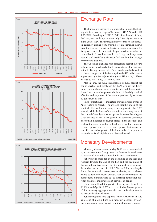





# Exchange Rate

The kuna/euro exchange rate was stable in June, fluctuating within a narrow range of between HRK 7.24 and HRK 7.25/EUR. Standing at HRK 7.25/EUR at the end of June, the kuna/euro exchange rate was only 0.1% higher than that at the end of May. The appreciation pressures on the domestic currency, arising from growing foreign exchange inflows from tourism, were offset by the rise in corporate demand for foreign exchange. In June, as in the previous four months, the central bank did not intervene in the foreign exchange market and banks satisfied their needs for kuna liquidity through reverse repo auctions.

The US dollar exchange rate depreciated against the euro in June, which was largely due to expectations of an increase in the ECB's key interest rate. These trends also had an effect on the exchange rate of the kuna against the US dollar, which appreciated by 1.8% in June, rising from HRK 4.68/USD on 31 May to HRK 4.59/USD on 30 June.

Also in June, the kuna strengthened by 1.1% against the pound sterling and weakened by 1.2% against the Swiss franc. Due to these exchange rate trends, and the appreciation of the kuna exchange rate, the index of the daily nominal effective exchange rate of the kuna appreciated by 0.5% on 30 June from 31 May.

Price competitiveness indicators showed diverse trends in April relative to March. The average monthly index of the nominal effective kuna exchange rate appreciated by 0.5% in April, while the index of the real effective exchange rate of the kuna deflated by consumer prices increased by a higher 0.9% because of the faster growth in domestic consumer prices than in foreign consumer prices (in the eurozone and US). At the same time, due to the slower growth of domestic producer prices than foreign producer prices, the index of the real effective exchange rate of the kuna deflated by producer prices depreciated slightly in the observed period.

# Monetary Developments

Monetary developments in May 2008 were characterised by an increase in net foreign assets, a decrease in net domestic assets and a resulting stagnation in total liquid assets.

Following its sharp fall at the beginning of the year and recovery towards the end of the first and the beginning of the second quarter, money (M1) continued to grow steadily in May. Its increase of HRK 0.5bn, or 0.9%, was largely due to the increase in currency outside banks, and to a lesser extent, to demand deposits growth. Such developments in the components of money were due to the rising demand for currency and more moderate credit activities of banks.

On an annual level, the growth of money was down from 10.2% at end-April to 9.3% at the end of May. Slower growth of this monetary aggregate was also seen in developments in its seasonally adjusted value.

Total savings and time deposits fell by HRK 0.5bn in May as a result of a fall in kuna non-monetary deposits. By contrast, foreign currency deposits continued to grow sharply.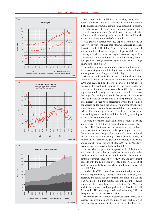





Kuna deposits fell by HRK 1.1bn in May, mainly due to corporate deposits outflows associated with the mid-month T-HT dividend payout. Household kuna deposits held steady, with only deposits of other banking and non-banking financial institutions increasing. The fall in total kuna deposits also influenced their annual growth rate, which fell additionally and stood at 8.4% at the end of the month.

Fast growth of foreign currency deposits from the end of the previous year continued into May, when foreign currency deposits grew by HRK 0.8bn. Their growth was the result of a growth in household and corporate deposits while foreign currency deposits of other banking and non-banking institutions shrank. In line with their fast monthly growth, the annual growth of foreign currency deposits held steady at a high 16.6% at the end of May.

Such developments in money and savings and time deposits caused a stagnation in total liquid assets (M4), with their annual growth rate falling to 12.3% in May.

Moderate credit activities of banks continued into May. Cumulative growth of placements in the first five months of 2008 was 3.2% and on the system level it did not exceed the 5% central bank restriction set for the period under the Decision on the purchase of compulsory CNB bills. Looking at banks individually, several banks exceeded, or were on the verge of exceeding the permissible growth of placements towards the end of the first and at the beginning of the second quarter. To keep their placements within the permitted boundaries, and to avoid the obligatory purchase of CNB bills in case of an excess, the banks slowed down their credit activities. The annual growth rate of bank placements to the non-banking sector declined additionally in May, standing at 10.7% at the end of the month.

Looking by sectors, household loans accounted for the largest share (HRK 0.9bn) of the total May increase in placements (HRK 1.3bn). As usual, the increase was seen in housing loans, credit card loans and other general purpose loans. On an annual level, the growth of household loans continued to slow down steadily, reaching 14.8% at the end of May. A sharper fall was seen in the growth of corporate loans whose annual growth rate at the end of May 2008 was 6.5%, a twofold decrease compared with the end of 2007.

In mid-May the government agreed an EUR 760m loan with domestic banks, but no withdrawals were made under this loan until the end of the month. Banks' claims on the central government thus fell by HRK 0.8bn, and government deposits with the banks rose by HRK 0.4bn. As a result of such developments, banks' net claims on the government fell by HRK 0.4bn.

In May, the CNB loosened its minimum foreign currency liquidity requirement by cutting it from 32% to 28.5%, thus liberating the funds for government loan financing. As the loan was not used in that month, the banks used these funds temporarily to reduce their foreign liabilities. Thus May saw a fall in foreign assets and foreign liabilities of banks of HRK 3.1bn and HRK 2.8bn, respectively, and a resulting fall in net foreign assets of banks of HRK 0.3bn.

The monetary environment in June was characterised by a seasonal upsurge in demand for kuna, as seen particularly in the growth of currency outside banks. The central bank cre-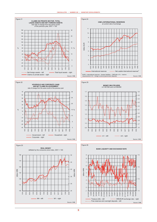









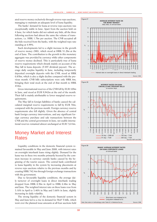ated reserve money exclusively through reverse repo auctions, managing to maintain an adequate level of kuna liquidity.

The banks' demand for kuna at reverse repo auctions was exceptionally stable in June. Apart from the auction held on 4 June, for which banks did not submit any bids, all the three following auctions had almost the same the volume of transactions, i.e. HRK 1.7bn per auction. The CNB accepted all the bids received from the banks, with the weighted repo rate standing at 4.99%.

Such developments led to a slight increase in the growth of reserve money (M0), which stood at HRK 51.2bn at the end of June. The contribution to the growth in this monetary aggregate was provided by currency while other components of reserve money declined. This is particularly true of kuna reserve requirements which shrank mainly on account of the May fall in kuna deposits (T-HT dividend payout). The average daily surplus liquidity in June, including temporarily deposited overnight deposits with the CNB, stood at HRK 0.85bn, which is also a slight decline compared with the previous month. CNB bills subscriptions were only HRK 6m, bringing their total stock at the end of that month to HRK 434m.

Gross international reserves of the CNB fell by EUR 109m in June, and stood at EUR 9,942m at the end of the month. Their fall is mainly attributable to lower marginal reserve requirements.

The May fall in foreign liabilities of banks caused the calculated marginal reserve requirements to fall by EUR 70m, compared with the previous month. Foreign currency reserve requirements also fell slightly. Given the absence of central bank foreign currency interventions, and any significant foreign currency purchase and sale transactions between the CNB and the central government in June, net usable international reserves remained almost unchanged at EUR 7,614m.

# Money Market and Interest Rates

Liquidity conditions in the domestic financial system remained favourable in May and June 2008, with interest rates on overnight interbank loans rising slightly. Demand for the kuna was in these two months primarily boosted by the common increase in currency outside banks caused by the beginning of the tourist season. The central bank contributed to kuna liquidity in the system by increasing placements at reverse repo auctions relative to the previous months and by creating HRK 742.4m through foreign exchange transactions with the government.

Due to favourable liquidity conditions, the average daily turnover of overnight loans in direct interbank trading dropped from HRK 0.5bn in April to HRK 0.4bn in May and June. The weighted interest rate on these loans rose from 3.10% in April to 3.40% in May and 3.60% in June, slightly increasing its daily volatility.

The strong liquidity of the domestic financial system in May and June led to a rise in demand for MoF T-bills, which went over the planned issue amounts at all four auctions held





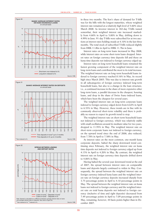







in these two months. The lion's share of demand for T-bills was for the bills with the longest maturities, whose weighted interest rate remained at a relatively high level of 5.60% since March 2008. As investor interest in 182-day T-bills waned somewhat, their weighted interest rate increased markedly from 4.60% in April to 5.00% in May, drifting down to 4.99% in June. 91-day T-bills were subscribed for at two auctions at interest rates holding steady at 4.10% in the last three months. The total stock of subscribed T-bills reduced slightly from HRK 11.8bn in April to HRK 11.7bn in June.

Interest rates on long-term loans increased in May 2008, while interest rates on some short-term loans dropped. Interest rates on foreign currency time deposits fell and those on kuna time deposits not indexed to foreign currency edged up.

Interest rates on long-term household loans remained the fastest growing component of the weighted interest rate on long-term loans and contributed the most to its total increase. The weighted interest rate on long-term household loans indexed to foreign currency reached 8.16% in May, its record high since March 2005. This was due to interest rate growth in all subcategories of foreign currency indexed long-term household loans, but also to a change in the loan structure, i.e., a continued increase in the share of more expensive other long-term loans, a parallel decrease in the cheapest, housing loans, and drop in the share of Swiss franc-indexed loans, which have been the cheapest for several years.

The weighted interest rate on long-term corporate loans indexed to foreign currency edged down from 6.62% in April to 6.53% in May. However, these trends are in line with its commonly observed short-term volatility and there is probably no reason to expect its growth trend to stop.

The weighted interest rate on short-term household loans not indexed to foreign currency, which was relatively stable with small oscillations around its medium value for two years, dropped to 11.93% in May. The weighted interest rate on short-term corporate loans not indexed to foreign currency, on the upward trend since the end of 2006, also reduced, from 7.78% in April to 7.58% in May.

As interest rates on the most common, one-month kuna corporate deposits, halted the sharp downward trend continuing since February, the weighted interest rate on kuna time deposits not indexed to foreign currency edged up from 4.13% in April to 4.20% in May. By contrast, the weighted interest rate on foreign currency time deposits drifted down to 4.06% in May.

Having halted the several-year downward trend at the end of 2007, the spread between interest rates on comparable loans and deposits largely continued to widen in May. Consequently, the spread between the weighted interest rate on foreign currency indexed kuna loans and the weighted interest rate on foreign currency deposits increased sharply from 3.75 percentage points in April to 4.10 percentage points in May. The spread between the weighted interest rate on kuna loans not indexed to foreign currency and the weighted interest rate on total kuna deposits not indexed to foreign currency (inclusive of time and sight deposits) decreased from 7.49 percentage points in April to 7.09 percentage points in May, remaining, however, 44 basis points higher than in December 2007.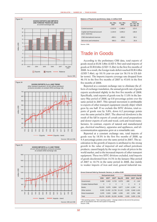





#### **Balance of Payments (preliminary data), in million EUR**

|                                                   | Jan.-Mar.<br>2007 | Jan.-Mar.<br>2008 | Indices<br>Jan.-Mar. 08/<br>Jan.-Mar. 07 |
|---------------------------------------------------|-------------------|-------------------|------------------------------------------|
| Current account                                   | $-2.022.8$        | $-2.488.4$        | 123.0                                    |
| Capital and financial account<br>(excl. reserves) | 2.164.6           | 3.005.2           | 138.8                                    |
| CNB international reserves                        | $-808.1$          | $-696.0$          | 86.1                                     |
| Net errors and omissions                          | 666.3             | 179.1             | 26.9                                     |

Source: CNB.

# Trade in Goods

According to the preliminary CBS data, total exports of goods stood at EUR 3.8bn (USD 5.7bn) and total imports of goods at EUR 8.6bn (USD 13.2bn) in the first five months of 2008. As a result, the foreign trade deficit reached EUR 4.8bn (USD 7.4bn), up 18.1% year-on-year (or 36.1% in US dollar terms). The imports/exports coverage rate dropped from 46.1% in the first five months of 2007 to 43.6% in the first five months of 2008.

Reported at a constant exchange rate to eliminate the effects of exchange translation, the annual growth rate of goods exports accelerated slightly in the first five months of 2008. Specifically, total exports of goods rose by 11.0% in the January-May period of 2008, up 0.8 percentage points over the same period in 2007. This upward movement is attributable to exports of other transport equipment (mostly ships) which grew by one half. If we exclude this SITC division, total exports of goods rose by 5.8%, down 6.2 percentage points over the same period in 2007. The observed slowdown is the result of the fall in exports of cereals and cereal preparations and slower exports of cork and wood, cork and wood manufactures. In contrast, exports of natural and manufactured gas, electrical machinery, apparatus and appliances, and telecommunication apparatus grew at a remarkable rate.

Reported at a constant exchange rate, total imports of goods rose by 18.5% in the first five months of 2008, up 4.4 percentage points over the same period in 2007. The acceleration in the growth of imports is attributed to the strong growth in the value of imported oil and refined petroleum products, caused largely by the surge in crude oil prices in the world market, and to the increased imports of other transport equipment. These two SITC divisions excluded, total imports of goods decelerated from 14.3% in the January-May period of 2007 to 10.7% in the same period in 2008, due mainly to weaker imports of iron and steel, general industrial ma-

#### **Gross External Debt by Domestic Sectors, in million EUR**

|                               |        | <b>End-period stock</b> |                   | Absolute annual change |          |                     |             |  |
|-------------------------------|--------|-------------------------|-------------------|------------------------|----------|---------------------|-------------|--|
|                               | 2006   | 2007 <sup>a</sup>       | 2007 <sup>b</sup> | May 08                 | 2006     | $2007$ <sup>a</sup> | May $08c$   |  |
| Government                    | 6.668  | 6.663                   | 6.723             | 6.579                  | $-380$   |                     | $-5$ $-144$ |  |
| <b>Croatian National Bank</b> | 3      | $\overline{2}$          | $\overline{2}$    | $\overline{2}$         | $\Omega$ | $\Omega$            | $\mathbf 0$ |  |
| <b>Banks</b>                  | 10.223 | 8.879                   | 8.884             | 8.877                  |          | $1.244 - 1.344$     | $-8$        |  |
| Other sectors                 | 9.503  |                         | 13.452 13.726     | 15.142                 | 2.239    | 3.949 1.416         |             |  |
| Direct investment             | 2.878  | 3.933                   | 3.890             | 4.356                  | 423      | 1.054               | 466         |  |
| Total                         | 29.274 | 32.929                  | 33.226            | 34.956                 | 3.526    | 3.655 1.730         |             |  |

Old reporting system. <sup>b</sup> New reporting system. <sup>c</sup> Change relative to the end of the previous ar (in accordance with the new system of reporting). Source: CNB.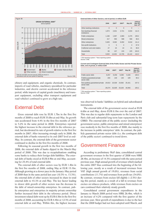

chinery and equipment, and organic chemicals. In contrast, imports of road vehicles, machinery specialised for particular industries, and electric current accelerated in the reference period, while imports of capital goods (machinery and transport equipment, excluding other transport equipment and road vehicles) continued to grow at a high rate.

# External Debt

Gross external debt rose by EUR 1.7bn in the first five months of 2008 to reach EUR 35.0bn at end-May. Its growth rate accelerated from 4.4% in the first five months of 2007 to 5.2% in the same period in 2008. Enterprises reported the highest increase in the external debt in the reference period, but decelerated its rate of growth relative to the first five months in 2007. After increasing strongly early in 2008, the external debt of banks returned to its end-2007 level at end-May. In contrast, the external debt of the government sector continued to decline in the first five months of 2008.

Following its seasonal growth in the first two months of 2008, the external debt of banks dipped in the March-May period of 2008. This was due to recapitalisations enabling some banks to reduce their foreign debt liabilities. The external debt of banks stood at EUR 8.9bn at end-May, accounting for 25.4% of total external debt.

The external debt of other sectors rose by EUR 1.4bn in the first five months of 2008, ending May at EUR 15.1bn. Although growing at a slower pace in the January-May period of 2008 than in the same period last year (10.3% vs. 13.3%), the external debt of other sectors increased its share in total external debt to 43.3% at end-May. The key factor leading to slower debt growth of other sectors was the decrease in the debt of mixed-ownership enterprises. In contrast, public enterprises and enterprises in majority private ownership further increased their debt in the reference period. Direct investment related debt went up by EUR 0.5bn in the first five months of 2008, accounting for EUR 4.4bn or 12.5% of total external debt at end-May. Within this, the highest increase

#### **External Debt of Other Sectors, end of period, in million EUR**

|                                       | 2006     | 2007 <sup>a</sup> | 2007 <sup>b</sup> | May 08   | <b>Indices</b><br>May 08/<br>Dec. $07b$ |
|---------------------------------------|----------|-------------------|-------------------|----------|-----------------------------------------|
| Other banking institutions            | $\Omega$ | $\Omega$          | $\Omega$          | $\Omega$ |                                         |
| Non-banking financial<br>institutions | 1.874    | 2.631             | 2.721             | 3,034    | 111.5                                   |
| Public enterprises                    | 1.168    | 1.997             | 2.083             | 2,275    | 109.2                                   |
| Mixed enterprises                     | 417      | 595               | 588               | 568      | 96.5                                    |
| Other enterprises                     | 5.929    | 8.062             | 8.092             | 9.016    | 111.4                                   |
| Non-profit institutions               | 5        | 5                 | 3                 | 3        | 97.9                                    |
| Craftsmen and sole traders            | 27       | 24                | 24                | 21       | 86.9                                    |
| Households                            | 83       | 137               | 215               | 225      | 104.5                                   |
| Total                                 | 9.503    | 13,452            | 13.726            | 15,142   | 110.3                                   |

<sup>a</sup> Old reporting system. <sup>b</sup> New reporting system.<br>Source: CNB.

**Current and Contingent External Debt of the Public Sector and the Private Sector Debt, end of period, in million EUR**

|                                                | 2006   | 2007 <sup>a</sup> | 2007 <sup>b</sup> | May 08 | Indices<br>May 08/<br>Dec. $07b$ |
|------------------------------------------------|--------|-------------------|-------------------|--------|----------------------------------|
| Public sector debt                             | 8.257  | 9.259             | 9.399             | 9.426  | 100.3                            |
| Publicly quaranteed private<br>sector debt     | 204    | 140               | 136               | 109    | 80.2                             |
| Non-publicly guaranteed private<br>sector debt | 20.813 | 23.530            | 23.692            | 25.421 | 107.3                            |
| Total                                          | 29.274 | 32.929            | 33.226            | 34.956 | 105.2                            |

a Old reporting system. **b** New reporting system

Source: CNB

was observed in banks' liabilities on hybrid and subordinated instruments.

The external debt of the government sector stood at EUR 6.6bn at end-May, down EUR 0.1bn over the end of 2007. This was due to regular debt repayments to the London and Paris club and substantial long-term loan repayments by the CBRD. The external debt of the public sector (including the government sector, public enterprises and mixed enterprises) rose modestly in the first five months of 2008, due mainly to the increase in public enterprises' debt. In contrast, the publicly guaranteed private sector debt (i.e. the contingent debt of the public sector) continued to trend down.

# Government Finance

According to preliminary MoF data, consolidated central government revenues in the first quarter of 2008 were HRK 28.4bn, an increase of 14.5% compared with the same period previous year. High annual growth of revenues which marked the entire 2007 thus continued into the beginning of the following year, mostly as a result of increased revenues from VAT (high annual growth of 19.0%), revenues from social contributions (11.7%) and revenues from profit tax (34.0%). By contrast, revenues from excises fell slightly  $(-2.5\%)$  during this period, mainly as a result of a fall in revenues from excises on tobacco products, while revenues from excises on cars continued their relatively steady growth.

Consolidated central government expenditures in the January to March 2008 period were HRK 26.4bn, which is an increase of 4.2% compared with the first quarter of the previous year. Slow growth of expenditures is due to the fact that the 2008 budget had not been adopted until March, and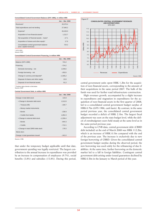#### **Consolidated Central Government Balance (GFS 1986), in million HRK**

|                                                                     | Jan. - Mar. 2008 |  |  |  |
|---------------------------------------------------------------------|------------------|--|--|--|
| Revenues <sup>a</sup>                                               | 28.370.4         |  |  |  |
| Total expenditures and net lending                                  | 27.646.2         |  |  |  |
| Expense <sup>a</sup>                                                | 26.433.0         |  |  |  |
| Acquisition of non-financial assets <sup>a</sup>                    | 1.212.7          |  |  |  |
| Net acquisition of financial assets - loans <sup>a</sup>            | $-17.1$          |  |  |  |
| Acquisition of shares and other equity <sup>a</sup>                 | 17.6             |  |  |  |
| Consolidated central government balance<br>(excl. capital revenues) | 724.2            |  |  |  |

<sup>a</sup> GFS 2001. Source: MoF.

#### **Consolidated Central Government Financing, in million HRK**

|                                              | Jan. - Mar. 2008 |
|----------------------------------------------|------------------|
| Balance (GFS 1986)                           | 724.2            |
| Financing                                    | $-724.2$         |
| Domestic borrowing - net                     | 1.049.5          |
| Foreign borrowing - net                      | $-292.6$         |
| Change in currency and deposits <sup>a</sup> | $-1.595.2$       |
| Disposal of shares and other equity          | 22,8             |
| Disposal of non-financial assets             | 91.3             |

a Positive signs denote a decrease. Source: MoF.

#### **Central Government Debt, in million HRK**

|                                   | Jan. - Mar. 2008 |
|-----------------------------------|------------------|
| Change in total debt stock        | 134.8            |
| • Change in domestic debt stock   | 1,512.8          |
| - Treasury bills                  | $-100.7$         |
| - Money market instruments        |                  |
| - Bonds                           | $-238.9$         |
| $-$ Credits from banks            | 1,852.3          |
| • Change in external debt stock   | $-1,556.4$       |
| - Bonds                           | $-844.3$         |
| $-$ Credits                       | $-712.1$         |
| • Change in total CBRD debt stock | 178.3            |
| Memo item:                        |                  |
| Change in total guarantees issued | $-341.0$         |

Source: CNB.

that under the temporary budget applicable until that date, government spending was legally restricted. The largest contribution to the annual increase in expenditures was provided by an increase in compensation of employees (9.7%), social benefits (3.8%) and subsidies (13.8%). During this period,



central government units spent HRK 1.2bn for the acquisition of non-financial assets, corresponding to the amount of their acquisitions in the same period 2007. The bulk of the funds was used for further road infrastructure construction.

High revenues growth, accompanied by a slight increase in expenditures and stagnation in expenditures for the acquisition of non-financial assets in the first quarter of 2008, led to a consolidated central government budget surplus of HRK 0.7bn (GFS 1986, cash basis). By contrast, in the same period previous year, the consolidated central government budget recorded a deficit of HRK 2.1bn. The largest fiscal adjustment was seen on the state budget level, while the deficit of extrabudgetary users held steady at the same level as in the same period previous year.

According to CNB data, central government debt (CBRD debt included) at the end of March 2008 was HRK 112.2bn, which is an increase of HRK 0.1bn compared with the end of the previous year. The increase is exclusively due to new foreign borrowing of CBRD. Given the consolidated central government budget surplus during the observed period, the new borrowing was used solely for the refinancing of due liabilities. At the same time, further borrowing on the domestic market led to a fall in foreign liabilities. Contingent central government debt arising under issued guarantees declined by HRK 0.3bn in the January to March period of this year.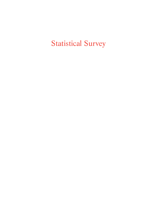Statistical Survey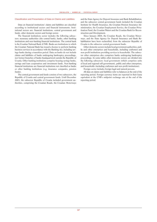#### Classification and Presentation of Data on Claims and Liabilities

Data on financial institutions' claims and liabilities are classified according to institutional sectors and financial instruments. Institutional sectors are: financial institutions, central government and funds, other domestic sectors and foreign sector.

The financial institutions sector includes the following subsectors: monetary authorities (the central bank), banks, other banking institutions and non-banking financial institutions. The central bank is the Croatian National Bank (CNB). Banks are institutions to which the Croatian National Bank has issued a license to perform banking business services in accordance with the Banking Act, including savings banks during a transition period. Data on banks do not include claims and liabilities of banks undergoing bankruptcy proceedings, nor former branches of banks headquartered outside the Republic of Croatia. Other banking institutions comprise housing savings banks, savings and loan cooperatives and investment funds. Non-banking financial institutions are financial institutions not classified as banks or other banking institutions (e.g. insurance companies, pension funds).

The central government and funds consists of two subsectors, the Republic of Croatia and central government funds. Until December 2003, the subsector Republic of Croatia included government authorities, comprising the Croatian Roads, the Croatian Motorways

and the State Agency for Deposit Insurance and Bank Rehabilitation, and the subsector central government funds included the Croatian Institute for Health Insurance, the Croatian Pension Insurance Administration, the Croatian Employment Service, the Croatian Privatisation Fund, the Croatian Waters and the Croatian Bank for Reconstruction and Development.

Since January 2004, the Croatian Roads, the Croatian Motorways, and the State Agency for Deposit Insurance and Bank Rehabilitation have been reclassified, from the subsector Republic of Croatia to the subsector central government funds.

Other domestic sectors include local government authorities, public and other enterprises and households, including craftsmen and non-profit institutions providing services to households. The subsector other enterprises also comprises banks undergoing bankruptcy proceedings. In some tables other domestic sectors are divided into the following subsectors: local government (which comprises units of local and regional self-government), public and other enterprises, and households (including craftsmen and non-profit institutions).

Foreign sector includes foreign legal and natural persons.

All data on claims and liabilities refer to balances at the end of the reporting period. Foreign currency items are reported in their kuna equivalent at the CNB's midpoint exchange rate at the end of the reporting period.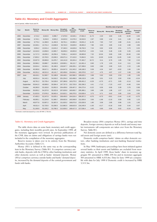#### **Table A1: Monetary and Credit Aggregates**

end of period, million kuna and %

|      |                       |                         |          |                    |                             |                                  |                           |                  |                 | Monthly rates of growth |                             |                                  |                           |  |
|------|-----------------------|-------------------------|----------|--------------------|-----------------------------|----------------------------------|---------------------------|------------------|-----------------|-------------------------|-----------------------------|----------------------------------|---------------------------|--|
| Year | Month                 | <b>Reserve</b><br>money |          | Money M1 Money M1a | <b>Broadest</b><br>money M4 | <b>Net</b><br>domestic<br>assets | <b>Domestic</b><br>credit | Reserve<br>money | <b>Money M1</b> | <b>Money M1a</b>        | <b>Broadest</b><br>money M4 | <b>Net</b><br>domestic<br>assets | <b>Domestic</b><br>credit |  |
| 1994 | December              | 4,714.2                 | 6,642.6  | 6,996.7            | 17,679.9                    | 16,540.1                         | 27,661.5                  | 11.73            | 2.20            | 3.83                    | 2.26                        | 11.84                            | 3.45                      |  |
| 1995 | December              | 6,744.1                 | 8.234.9  | 8,503.2            | 24,623.0                    | 21,576.3                         | 32,819.5                  | 2.97             | 0.89            | 1.54                    | 3.41                        | 1.00                             | 1.88                      |  |
| 1996 | December              | 8,770.4                 | 11,368.9 | 11,494.9           | 36,701.1                    | 24,960.4                         | 33,831.2                  | 11.35            | 7.83            | 7.67                    | 4.88                        | $-5.41$                          | $-11.61$                  |  |
| 1997 | December              | 10,346.1                | 13,731.4 | 13,848.8           | 50,742.0                    | 33,829.0                         | 48,863.4                  | 7.86             | 3.93            | 3.85                    | 2.16                        | 4.98                             | 4.96                      |  |
| 1998 | December              | 9,954.2                 | 13,531.4 | 13,615.2           | 57,340.3                    | 44,626.8                         | 59,792.0                  | 7.24             | 6.92            | 6.59                    | 2.51                        | 3.73                             | 0.25                      |  |
| 1999 | December <sup>a</sup> | 10,310.0                | 13,858.9 | 13,965.7           | 56,659.3                    | 40,003.8                         | 55,875.8                  | 4.53             | 5.46            | 5.48                    | 2.28                        | 0.35                             | $-4.58$                   |  |
| 2000 | December              | 11,717.3                | 18,030.3 | 18,256.4           | 73,061.1                    | 44,043.9                         | 60,883.8                  | 7.32             | 10.04           | 9.89                    | 3.66                        | 10.46                            | 2.66                      |  |
| 2001 | December              | 17,803.2                | 23,703.5 | 23,936.5           | 106,071.4                   | 57,410.0                         | 74,964.5                  | 8.01             | 13.00           | 11.96                   | 11.65                       | 3.40                             | 1.16                      |  |
| 2002 | December              | 23,027.9                | 30,869.8 | 31,876.7           | 116,141.8                   | 83,324.4                         | 97,463.7                  | 10.72            | 6.11            | 6.79                    | 1.65                        | 7.92                             | 2.15                      |  |
| 2003 | December              | 30,586.2                | 33,888.7 | 34,630.9           | 128,893.1                   | 96,121.7                         | 111,661.4                 | 8.90             | 1.78            | 1.93                    | 0.14                        | 3.11                             | 0.66                      |  |
| 2004 | December              | 33,924.4                | 34,562.1 | 35,186.5           | 139,947.7                   | 108,205.1                        | 127,308.6                 | 8.69             | 2.86            | 2.68                    | 0.23                        | 2.15                             | 1.99                      |  |
| 2005 | December              | 40,390.8                | 38.817.1 | 39.855.4           | 154,647.0                   | 131,343.2                        | 149.168.3                 | 9.38             | 4.34            | 3.87                    | $-0.02$                     | 1.84                             | 1.94                      |  |
| 2006 | December              | 46,331.2                | 48,521.0 | 49,141.7           | 182,458.6                   | 154,844.1                        | 183,379.5                 | 3.17             | 4.75            | 4.07                    | 1.57                        | 3.38                             | 2.99                      |  |
| 2007 | June                  | 48,416.1                | 51,560.7 | 52,188.8           | 194,446.1                   | 162,586.3                        | 199,620.1                 | 3.98             | 5.92            | 5.80                    | 2.53                        | 1.95                             | 1.56                      |  |
|      | July                  | 48,931.4                | 54,142.1 | 54,918.2           | 201,254.3                   | 163,498.0                        | 199,132.8                 | 1.06             | 5.01            | 5.23                    | 3.50                        | 0.56                             | $-0.24$                   |  |
|      | August                | 48,791.2                | 53,735.4 | 54,528.0           | 207,386.8                   | 163,275.5                        | 200,401.2                 | $-0.29$          | $-0.75$         | $-0.71$                 | 3.05                        | $-0.14$                          | 0.64                      |  |
|      | September             | 50,941.0                | 49,909.0 | 50,584.4           | 197,707.5                   | 152,725.9                        | 202,290.3                 | 4.41             | $-7.12$         | $-7.23$                 | $-4.67$                     | $-6.46$                          | 0.94                      |  |
|      | October               | 48,280.0                | 53,183.8 | 53.952.0           | 204,409.6                   | 158.467.2                        | 204,273.4                 | $-5.22$          | 6.56            | 6.66                    | 3.39                        | 3.76                             | 0.98                      |  |
|      | November              | 50,055.2                | 54,237.8 | 55,022.9           | 207,629.0                   | 160,693.7                        | 205,380.1                 | 3.68             | 1.98            | 1.98                    | 1.57                        | 1.41                             | 0.54                      |  |
|      | December              | 51,923.9                | 57,878.3 | 58,663.4           | 215,822.1                   | 166,375.5                        | 210,828.4                 | 3.73             | 6.71            | 6.62                    | 3.95                        | 3.54                             | 2.65                      |  |
| 2008 | January               | 47,405.3                | 52,247.9 | 53,025.1           | 208,400.5                   | 164,016.4                        | 209,357.2                 | $-8.70$          | $-9.73$         | $-9.61$                 | $-3.44$                     | $-1.42$                          | $-0.70$                   |  |
|      | February              | 49,095.1                | 51.224.9 | 51.909.7           | 209,602.6                   | 165,568.9                        | 211,926.6                 | 3.56             | $-1.96$         | $-2.10$                 | 0.58                        | 0.95                             | 1.23                      |  |
|      | March                 | 49,977.8                | 52,807.2 | 53,387.0           | 211,620.2                   | 168,073.0                        | 215,026.9                 | 1.80             | 3.09            | 2.85                    | 0.96                        | 1.51                             | 1.46                      |  |
|      | April                 | 49,011.4                | 52,720.0 | 53,290.5           | 212,882.5                   | 168,815.9                        | 216,245.9                 | $-1.93$          | $-0.17$         | $-0.18$                 | 0.60                        | 0.44                             | 0.57                      |  |
|      | May                   | 51,169.9                | 53,193.2 | 53,789.3           | 212,929.3                   | 168,417.3                        | 217,536.4                 | 4.40             | 0.90            | 0.94                    | 0.02                        | $-0.24$                          | 0.60                      |  |

a Domestic credit decreased by a one-off HRK 2,759.4m.

#### Table A1: Monetary and Credit Aggregates

The table shows data on some basic monetary and credit aggregates, including their monthly growth rates. In September 1999, all the monetary aggregates were revised. In previous publications of the CNB, data on claims and obligations of savings banks were not included in the compilation of the monetary aggregates.

Reserve money is taken over in its entirety from the Monetary Authorities Accounts (Table C1).

Money (M1) is defined in the same way as the corresponding item in the Monetary Survey (Table B1). It comprises currency outside banks, deposits with the CNB by other banking institutions and other domestic sectors as well as banks' demand deposits. Money (M1a) comprises currency outside banks and banks' demand deposits, increased by the demand deposits of the central government and funds with banks.

Broadest money (M4) comprises Money (M1), savings and time deposits, foreign currency deposits as well as bonds and money market instruments (all components are taken over from the Monetary Survey, Table B1).

Net domestic assets are defined as a difference between total liquid assets and foreign assets (net).

Domestic credit comprises banks' claims on other domestic sectors, other banking institutions and non-banking financial institutions.

In May 1999, bankruptcy proceedings have been initiated against several banks so their assets and liabilities are excluded from monetary statistics. In April 1999, those banks' share in monetary aggregate M1 amounted to HRK 259.3m and in monetary aggregate M4 amounted to HRK 4,035.8m. Data for June 1999 are comparable with data for July 1999 if Domestic credit is increased by HRK 3,513.5m.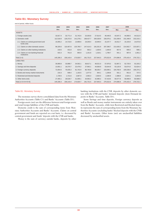# **Table B1: Monetary Survey**

end of period, million kuna

|                                                             | 2002      | 2003      | 2004      | 2005      | 2006      | 2007      | 2008      |           |           |  |
|-------------------------------------------------------------|-----------|-----------|-----------|-----------|-----------|-----------|-----------|-----------|-----------|--|
|                                                             | Dec.      | Dec.      | Dec.      | Dec.      | Dec.      | Dec.      | Mar.      | Apr.      | May       |  |
| <b>ASSETS</b>                                               |           |           |           |           |           |           |           |           |           |  |
| 1. Foreign assets (net)                                     | 32,817.4  | 32,771.4  | 31,742.6  | 23,303.8  | 27,614.5  | 49,446.5  | 43,547.2  | 44,066.5  | 44,512.0  |  |
| 2. Domestic credit                                          | 112.518.9 | 126,372.0 | 141.278.1 | 168,427.7 | 200.328.9 | 226.076.1 | 231.039.6 | 231.348.9 | 232,210.1 |  |
| 2.1. Claims on central government and<br>funds (net)        | 15,055.2  | 14,710.6  | 13,969.6  | 19,259.4  | 16,949.4  | 15,247.7  | 16,012.7  | 15,103.0  | 14,673.6  |  |
| 2.2. Claims on other domestic sectors                       | 96,329.0  | 110,467.8 | 125,790.7 | 147,414.3 | 181,031.9 | 207,398.7 | 213,428.2 | 214,562.7 | 215,937.1 |  |
| 2.3. Claims on other banking institutions                   | 219.5     | 431.8     | 624.0     | 592.2     | 1.029.5   | 1,640.0   | 657.6     | 695.5     | 598.1     |  |
| 2.4. Claims on non-banking financial<br><i>institutions</i> | 915.3     | 761.8     | 893.9     | 1.161.8   | 1,318.1   | 1,789.7   | 941.1     | 987.8     | 1,001.2   |  |
| Total $(1+2)$                                               | 145,336.3 | 159,143.4 | 173.020.7 | 191,731.5 | 227,943.3 | 275,522.6 | 274,586.8 | 275.415.4 | 276,722.1 |  |
| <b>LIABILITIES</b>                                          |           |           |           |           |           |           |           |           |           |  |
| 1. Money                                                    | 30.869.8  | 33.888.7  | 34.562.1  | 38.817.1  | 48,521.0  | 57,878.3  | 52.807.2  | 52,720.0  | 53,193.2  |  |
| 2. Savings and time deposits                                | 13,001.1  | 18,370.7  | 22,479.2  | 27,992.1  | 44,836.8  | 53,644.9  | 53,120.9  | 53,674.0  | 52,624.4  |  |
| 3. Foreign currency deposits                                | 72.054.6  | 76.035.3  | 81.742.9  | 86.760.8  | 88,256.7  | 103,090.1 | 104.760.9 | 105,536.8 | 106,374.2 |  |
| 4. Bonds and money market instruments                       | 216.3     | 598.4     | 1,163.5   | 1,077.0   | 844.1     | 1,208.8   | 931.1     | 951.6     | 737.5     |  |
| 5. Restricted and blocked deposits                          | 1,729.5   | 1.721.6   | 2,067.0   | 2,092.3   | 2,504.5   | 2,280.9   | 2,388.8   | 2,624.1   | 3,204.8   |  |
| 6. Other items (net)                                        | 27.465.1  | 28.528.7  | 31,006.1  | 34.992.2  | 42.980.2  | 57,419.6  | 60.577.8  | 59.908.9  | 60,588.0  |  |
| Total (1+2+3+4+5+6)                                         | 145.336.3 | 159,143.4 | 173,020.7 | 191,731.5 | 227.943.3 | 275,522.6 | 274,586.8 | 275.415.4 | 276,722.1 |  |

#### Table B1: Monetary Survey

The monetary survey shows consolidated data from the Monetary Authorities Accounts (Table C1) and Banks' Accounts (Table D1).

Foreign assets (net) are the difference between total foreign assets and total foreign liabilities of the CNB and banks.

Domestic credit is the sum of corresponding items from Monetary Authorities Accounts and Banks' Accounts. Claims on central government and funds are reported on a net basis, i.e. decreased by central government and funds' deposits with the CNB and banks.

Money is the sum of currency outside banks, deposits by other

banking institutions with the CNB, deposits by other domestic sectors with the CNB and banks' demand deposits (item Demand deposits in Banks' Accounts, Table D1).

Items Savings and time deposits, Foreign currency deposits as well as Bonds and money market instruments are entirely taken over from the Banks' Accounts, while item Restricted and blocked deposits represents the sum of corresponding items from the Monetary Authorities Accounts (excluding banks' blocked deposits with the CNB) and Banks' Accounts. Other items (net) are unclassified liabilities decreased by unclassified assets.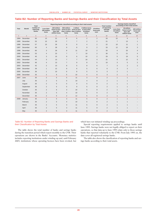|                |                | <b>Total</b>                    |                                  | Reporting banks classified according to their total assets |                     |                                                                                              | <b>Total number</b>                  | Savings banks classified<br>according to their total assets |                                  |                                 |                                                        |                                 |
|----------------|----------------|---------------------------------|----------------------------------|------------------------------------------------------------|---------------------|----------------------------------------------------------------------------------------------|--------------------------------------|-------------------------------------------------------------|----------------------------------|---------------------------------|--------------------------------------------------------|---------------------------------|
| Year           | <b>Month</b>   | number of<br>reporting<br>banks | Less than<br>100 million<br>kuna | 100 million<br>kuna to less<br>than 500<br>million kuna    | 500 million<br>kuna | 1 billion<br>kuna to less kuna to less to less than<br>than 1 billion than 2 billion<br>kuna | 2 billion kuna<br>10 billion<br>kuna | 10 billion<br>kuna and<br>over                              | of reporting<br>savings<br>banks | Less than<br>10 million<br>kuna | 10 million<br>kuna to less<br>than 100<br>million kuna | 100 million<br>kuna and<br>over |
| $\overline{1}$ | $\overline{2}$ | 3                               | $\overline{4}$                   | 5                                                          | 6                   | $\overline{7}$                                                                               | 8                                    | 9                                                           | 10                               | 11                              | 12                                                     | 13                              |
| 1994           | December       | 50                              | 13                               | 21                                                         | 6                   | 6                                                                                            | $\overline{2}$                       | 2                                                           | 33                               | 22                              | 9                                                      | 2                               |
| 1995           | December       | 53                              | 15                               | 20                                                         | $\overline{7}$      | $\overline{7}$                                                                               | $\overline{2}$                       | $\overline{2}$                                              | 21                               | $\overline{7}$                  | 13                                                     | $\mathbf{1}$                    |
| 1996           | December       | 57                              | 10                               | 26                                                         | 6                   | $9\,$                                                                                        | $\overline{4}$                       | $\overline{2}$                                              | 22                               | 10                              | 11                                                     | $\mathbf{1}$                    |
| 1997           | December       | 60                              | 4                                | 28                                                         | 9                   | 8                                                                                            | 9                                    | 2                                                           | 33                               | 12                              | 18                                                     | 3                               |
| 1998           | December       | 60                              | 3                                | 26                                                         | 8                   | 11                                                                                           | 10                                   | 2                                                           | 33                               | $\overline{4}$                  | 25                                                     | $\overline{4}$                  |
| 1999           | December       | 53                              | 4                                | 23                                                         | $\overline{7}$      | $\overline{7}$                                                                               | 10                                   | 2                                                           | 30                               | 5                               | 21                                                     | $\overline{4}$                  |
| 2000           | December       | 45                              | 3                                | 15                                                         | 9                   | 6                                                                                            | 10                                   | 2                                                           | 29                               | 5                               | 19                                                     | 5                               |
| 2001           | December       | 44                              | 3                                | 13                                                         | $\overline{7}$      | $\overline{7}$                                                                               | 10                                   | $\overline{4}$                                              | 21                               | 4                               | 12                                                     | 5                               |
| 2002           | December       | 46                              | 4                                | 13                                                         | $\overline{7}$      | 9                                                                                            | 8                                    | 5                                                           | 10                               | 3                               | 5                                                      | $\overline{2}$                  |
| 2003           | December       | 42                              | $\overline{2}$                   | 13                                                         | 8                   | 5                                                                                            | 8                                    | 6                                                           | $\overline{7}$                   | 3                               | $\overline{2}$                                         | $\overline{2}$                  |
| 2004           | December       | 39                              | $\mathbf{1}$                     | 12                                                         | $\overline{9}$      | 6                                                                                            | 5                                    | 6                                                           | $6\phantom{1}$                   | 3                               | 3                                                      |                                 |
| 2005           | December       | 36                              | $\mathbf{1}$                     | 10                                                         | 6                   | 8                                                                                            | 5                                    | 6                                                           | 3                                | $\overline{2}$                  | 1                                                      |                                 |
| 2006           | December       | 35                              | $\overline{2}$                   | 6                                                          | 5                   | 10                                                                                           | $\overline{4}$                       | 8                                                           | 3                                | $\overline{2}$                  | $\mathbf{1}$                                           |                                 |
| 2007           | June           | 35                              | $\overline{2}$                   | 5                                                          | 5                   | 11                                                                                           | 3                                    | $9\,$                                                       | $\overline{2}$                   | $\mathbf{1}$                    | $\mathbf{1}$                                           |                                 |
|                | July           | 35                              | $\overline{2}$                   | 5                                                          | 5                   | 10                                                                                           | $\overline{4}$                       | 9                                                           | 2                                | $\mathbf{1}$                    | $\mathbf{1}$                                           |                                 |
|                | August         | 35                              | $\overline{2}$                   | 5                                                          | 5                   | 9                                                                                            | 5                                    | 9                                                           | $\overline{2}$                   | $\mathbf{1}$                    | $\mathbf{1}$                                           |                                 |
|                | September      | 35                              | $\overline{2}$                   | 5                                                          | 5                   | 9                                                                                            | 5                                    | 9                                                           | $\overline{2}$                   | $\mathbf{1}$                    | 1                                                      |                                 |
|                | October        | 35                              | $\overline{2}$                   | 6                                                          | 3                   | 10                                                                                           | 5                                    | $9\,$                                                       | $\overline{2}$                   | $\mathbf{1}$                    | $\mathbf{1}$                                           |                                 |
|                | November       | 35                              | $\overline{2}$                   | 5                                                          | $\overline{4}$      | 10                                                                                           | 5                                    | $9\,$                                                       | $\overline{2}$                   | $\mathbf{1}$                    | $\mathbf 1$                                            |                                 |
|                | December       | 35                              | $\overline{2}$                   | 5                                                          | $\overline{2}$      | 12                                                                                           | 5                                    | $9\,$                                                       | $\overline{2}$                   | $\mathbf{1}$                    | $\mathbf{1}$                                           | $\overline{\phantom{0}}$        |
| 2008           | January        | 35                              | $\overline{2}$                   | 5                                                          | 3                   | 11                                                                                           | 5                                    | $\overline{9}$                                              | $\overline{2}$                   | $\mathbf{1}$                    | $\mathbf{1}$                                           |                                 |
|                | February       | 35                              | $\overline{2}$                   | 5                                                          | $\overline{4}$      | 10                                                                                           | 5                                    | 9                                                           | 2                                | $\mathbf{1}$                    | $\mathbf{1}$                                           |                                 |
|                | March          | 35                              | $\overline{2}$                   | 5                                                          | 3                   | 11                                                                                           | 5                                    | $9\,$                                                       | $\overline{2}$                   | $\mathbf{1}$                    | $\mathbf 1$                                            |                                 |
|                | April          | 35                              | $\overline{2}$                   | 5                                                          | 3                   | 11                                                                                           | 5                                    | 9                                                           | $\overline{2}$                   | $\mathbf{1}$                    | 1                                                      |                                 |
|                | May            | 35                              | $\overline{2}$                   | 5                                                          | 3                   | 11                                                                                           | 5                                    | 9                                                           | $\overline{2}$                   | $\mathbf{1}$                    | $\mathbf{1}$                                           |                                 |

## **Table B2: Number of Reporting Banks and Savings Banks and their Classification by Total Assets**

#### Table B2: Number of Reporting Banks and Savings Banks and their Classification by Total Assets

The table shows the total number of banks and savings banks during the transition period which report monthly to the CNB. Their operations are shown in the Banks' Accounts. Monetary statistics includes reporting institutions under winding-up and, until February 2005, institutions whose operating licences have been revoked, but which have not initiated winding-up proceedings.

Special reporting requirements applied to savings banks until June 1995. Savings banks were not legally obliged to report on their operations, so that data up to June 1995 relate only to those savings banks that reported voluntarily to the CNB. From July 1995 on, the data cover all registered savings banks.

The table also shows the classification of reporting banks and savings banks according to their total assets.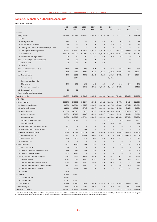# **Table C1: Monetary Authorities Accounts**

end of period, million kuna

|                                                      | 2002                     | 2003                     | 2004                     | 2005                     | 2006                     | 2007                     |                          | 2008                     |          |
|------------------------------------------------------|--------------------------|--------------------------|--------------------------|--------------------------|--------------------------|--------------------------|--------------------------|--------------------------|----------|
|                                                      | Dec.                     | Dec.                     | Dec.                     | Dec.                     | Dec.                     | Dec.                     | Mar.                     | Apr.                     | May      |
| <b>ASSETS</b>                                        |                          |                          |                          |                          |                          |                          |                          |                          |          |
| 1. Foreign assets                                    | 42,058.8                 | 50,118.6                 | 49,373.4                 | 54,862.5                 | 64,088.2                 | 68,177.8                 | 71,417.7                 | 72,118.4                 | 72,875.9 |
| 1.1. Gold                                            |                          |                          |                          |                          |                          |                          |                          |                          |          |
| 1.2. Holdings of SDRs                                | 17.4                     | 5.0                      | 4.8                      | 6.3                      | 5.3                      | 5.6                      | 8.3                      | 8.3                      | 6.0      |
| 1.3. Reserve position in the IMF                     | 1.6                      | 1.5                      | 1.4                      | 1.4                      | 1.3                      | 1.3                      | 1.2                      | 1.3                      | 1.2      |
| 1.4. Currency and demand deposits with foreign banks | 6.4                      | 5.8                      | 5.7                      | 7.7                      | 7.2                      | 7.2                      | 9.3                      | 9.2                      | 6.4      |
| 1.5. Time deposits with foreign banks                | 28,183.2                 | 25,580.7                 | 24,337.7                 | 28,274.1                 | 33,243.0                 | 33,204.4                 | 35,943.9                 | 35,984.8                 | 32,127.8 |
| 1.6. Securities in f/c                               | 13.850.0                 | 24,525.5                 | 25,023.7                 | 26,573.0                 | 30,831.2                 | 34,959.3                 | 35.454.9                 | 36,114.7                 | 40,734.4 |
| 1.7. Non-convertible foreign exchange                | 0.0                      | 0.0                      | 0.0                      | 0.0                      | 0.0                      | 0.0                      | 0.0                      | 0.0                      | 0.0      |
| 2. Claims on central government and funds            | 0.5                      | 1.4                      | 3.3                      | 1.4                      | 0.9                      |                          | $\equiv$                 | 0.0                      |          |
| 2.1. Claims in kuna                                  | 0.5                      | 1.4                      | 3.3                      | 1.4                      | 0.9                      |                          |                          | 0.0                      |          |
| 2.2. Claims in f/c                                   | $\equiv$                 | $\overline{\phantom{m}}$ | $\overline{\phantom{a}}$ | $\overline{\phantom{m}}$ | $\overline{\phantom{a}}$ |                          | $\qquad \qquad -$        | $\overline{\phantom{0}}$ |          |
| 3. Claims on other domestic sectors                  | 110.6                    | 93.6                     | 82.9                     | 73.4                     | 64.0                     | 67.9                     | 67.8                     | 67.8                     | 65.3     |
| 4. Claims on banks                                   | 17.9                     | 972.0                    | 408.9                    | 4,215.6                  | 3,911.5                  | 4,178.3                  | 1,538.0                  | 14.4                     | 1,627.4  |
| 4.1. Credits to banks                                | 17.6                     | 968.9                    | 408.9                    | 4,215.6                  | 3,911.5                  | 4,178.3                  | 1,538.0                  | 14.4                     | 1,627.4  |
| Lombard credits                                      |                          | 954.4                    |                          |                          |                          | 1,349.1                  |                          |                          |          |
| Short-term liquidity credits                         |                          | $\overline{\phantom{0}}$ |                          |                          |                          |                          |                          |                          |          |
| Other credits                                        | 17.6                     | 14.5                     | 15.0                     | 14.5                     | 14.5                     | 14.7                     | 14.4                     | 14.4                     | 14.2     |
| Reverse repo transactions                            | $\overline{\phantom{a}}$ | $\overline{\phantom{a}}$ | 394.0                    | 4,201.1                  | 3,897.0                  | 2,814.5                  | 1,523.6                  | $\equiv$                 | 1,613.2  |
| 4.2. Overdue claims                                  | 0.3                      | 3.1                      |                          |                          |                          |                          |                          |                          |          |
| 5. Claims on other banking institutions              |                          |                          |                          |                          |                          |                          |                          |                          |          |
| Total (1+2+3+4+5)                                    | 42,187.7                 | 51,185.6                 | 49,868.5                 | 59,153.0                 | 68,064.6                 | 72,424.1                 | 73,023.5                 | 72,200.5                 | 74,568.5 |
| <b>LIABILITIES</b>                                   |                          |                          |                          |                          |                          |                          |                          |                          |          |
| 1. Reserve money                                     | 23,027.9                 | 30,586.2                 | 33,924.4                 | 40,390.8                 | 46,331.2                 | 51,923.9                 | 49,977.8                 | 49,011.4                 | 51,169.9 |
| 1.1. Currency outside banks                          | 9,680.9                  | 10,573.1                 | 10,955.6                 | 12,163.8                 | 14,609.3                 | 16,007.5                 | 15,336.6                 | 15,787.5                 | 16,197.4 |
| 1.2. Banks' cash in vaults                           | 1,214.8                  | 1,683.2                  | 1,871.0                  | 2,210.7                  | 2,698.0                  | 3,305.8                  | 2,959.3                  | 2,825.5                  | 3,036.8  |
| 1.3. Banks' deposits                                 | 12,109.4                 | 18,329.3                 | 21,082.6                 | 26,016.3                 | 29,023.9                 | 32,610.6                 | 31,681.9                 | 30,398.4                 | 31,935.7 |
| Settlement accounts                                  | 3,923.4                  | 5,616.0                  | 6,408.2                  | 8,411.1                  | 8,535.7                  | 7,553.9                  | 8,913.8                  | 7,237.0                  | 8,467.4  |
| Statutory reserves                                   | 8,186.0                  | 12,603.9                 | 14,674.4                 | 17,605.2                 | 20,478.2                 | 22,275.6                 | 22,623.7                 | 22,780.0                 | 23,022.2 |
| CNB bills on obligatory basis                        |                          | 109.4                    |                          |                          | $\qquad \qquad -$        | 1,991.1                  | 0.3                      | 381.5                    | 429.1    |
| Overnight deposits                                   |                          |                          |                          |                          | 10.0                     | 790.0                    | 144.0                    |                          | 17.0     |
| 1.4. Deposits of other banking institutions          | 19.1                     | $\overline{\phantom{0}}$ |                          |                          |                          |                          |                          |                          |          |
| 1.5. Deposits of other domestic sectors <sup>b</sup> | 3.5                      | 0.6                      | 15.1                     | $\overline{\phantom{0}}$ |                          |                          |                          |                          |          |
| 2. Restricted and blocked deposits                   | 7,091.2                  | 6,699.2                  | 10,777.1                 | 13,551.8                 | 16,633.5                 | 14,286.0                 | 17,056.6                 | 17,548.6                 | 17,613.2 |
| 2.1. Statutory reserve in f/c                        | 7,042.3                  | 6,686.6                  | 10,764.7                 | 13,495.9                 | 16,576.7                 | 14,257.5                 | 17,001.4                 | 17,495.0                 | 17,556.0 |
| 2.2. Restricted deposits                             | 49.0                     | 12.6                     | 12.4                     | 55.9                     | 56.9                     | 28.6                     | 55.2                     | 53.6                     | 57.2     |
| 2.3. Escrow deposits                                 |                          |                          |                          |                          |                          |                          |                          |                          |          |
| 3. Foreign liabilities                               | 195.7                    | 2,798.0                  | 18.1                     | 18.9                     | 18.9                     | 17.2                     | 12.6                     | 11.5                     | 16.8     |
| 3.1. Use of IMF credit                               | 2.8                      | 0.0                      |                          |                          |                          |                          |                          |                          |          |
| 3.2. Liabilities to international organisations      | 12.6                     | 19.6                     | 18.1                     | 18.9                     | 18.9                     | 17.2                     | 12.6                     | 11.5                     | 16.8     |
| 3.3. Liabilities to foreign banks <sup>a</sup>       | 180.2                    | 2,778.5                  | $\overline{\phantom{a}}$ | $\overline{\phantom{a}}$ | $\overline{\phantom{m}}$ | $\overline{\phantom{m}}$ | $\overline{\phantom{m}}$ | $\overline{\phantom{m}}$ |          |
| 4. Central government and funds' deposits            | 768.1                    | 1,551.1                  | 263.2                    | 332.2                    | 188.0                    | 199.1                    | 307.7                    | 321.9                    | 524.5    |
| 4.1. Demand deposits                                 | 608.3                    | 600.2                    | 228.0                    | 319.0                    | 174.5                    | 125.8                    | 266.1                    | 285.8                    | 505.2    |
| Central government demand deposits                   | 569.5                    | 548.5                    | 123.0                    | 246.3                    | 138.6                    | 100.3                    | 120.4                    | 135.3                    | 127.4    |
| Central government funds' demand deposits            | 38.7                     | 51.7                     | 105.0                    | 72.7                     | 35.9                     | 25.4                     | 145.6                    | 150.5                    | 377.8    |
| 4.2. Central government f/c deposits                 |                          | 950.9                    | 35.2                     | 13.2                     | 13.5                     | 73.3                     | 41.6                     | 36.1                     | 19.3     |
|                                                      |                          |                          |                          |                          |                          |                          |                          |                          |          |
| 4.3. CNB bills<br>5. CNB bills                       | 159.9                    | 4,920.2                  |                          | $\overline{\phantom{0}}$ |                          |                          |                          |                          |          |
| 5.1. CNB bills in kuna                               | 6,212.4                  |                          |                          |                          |                          |                          |                          |                          |          |
|                                                      | 4,986.2                  |                          |                          |                          |                          |                          |                          |                          |          |
| 5.2. CNB bills in f/c                                | 1,226.3                  | 4,920.2                  |                          |                          |                          |                          |                          |                          |          |
| 6. Capital accounts                                  | 5,353.5                  | 5,039.0                  | 5,096.5                  | 5,357.4                  | 5,408.8                  | 6,674.8                  | 6,250.5                  | 5,994.5                  | 5,930.1  |
| 7. Other items (net)                                 | $-461.1$                 | $-408.1$                 | $-210.8$                 | $-498.2$                 | $-515.8$                 | $-676.9$                 | $-581.7$                 | $-687.4$                 | $-686.0$ |
| Total (1+2+3+4+5+6+7)                                | 42,187.7                 | 51,185.6                 | 49,868.5                 | 59,153.0                 | 68,064.6                 | 72,424.1                 | 73,023.5                 | 72,200.5                 | 74,568.5 |

a From October 2001 to May 2003, Liabilities to foreign banks include also liabilities based on CNB bills subscribed by non-residents. <sup>b</sup> In December 2002, CDA accounts with the CNB for the gross<br>and net settlement of pur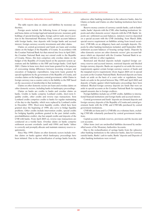#### Table C1: Monetary Authorities Accounts

The table reports data on claims and liabilities by monetary authorities.

Foreign assets include the following forms of foreign currency and kuna claims on foreign legal and natural persons: monetary gold, holdings of special drawing rights, foreign cash in vault, reserve position in the International Monetary Fund, current account balances with foreign banks, time deposits with foreign banks and accrued interest, foreign currency security investments and other claims.

Claims on central government and funds are loans and overdue claims on the budget of the Republic of Croatia. In accordance with the Croatian National Bank Act that entered into force in April 2001, the Croatian National Bank may not extend credit to the Republic of Croatia. Hence, this item comprises only overdue claims on the budget of the Republic of Croatia based on the payment system operations and the liabilities to the IMF and foreign banks. Until April 2001, Claims in kuna were short-term loans granted for the purpose of overcoming timing differences between incoming revenues and execution of budgetary expenditures, long-term loans granted by special regulations by the government of the Republic of Croatia, and overdue claims on the budgetary central government, while Claims in foreign currency was a counter-entry to the liability to the IMF based on the succession of membership in that institution.

Claims on other domestic sectors are loans and overdue claims on other domestic sectors, including banks in bankruptcy proceedings.

Claims on banks are credits to banks and overdue claims on banks. Credits to banks comprise Lombard credits, short-term liquidity credits, other credits and reverse repo transactions. Item Lombard credits comprises credits to banks for regular maintaining of the day-to-day liquidity, which were replaced by Lombard credits in December 1994. Short-term liquidity credits, which have been granted since the beginning of 1999, also serve to bridge liquidity problems. Other credits include intervention credits, special credits for bridging liquidity problems granted in the past (initial credits, prerehabilitation credits), due but unpaid credits and deposits of the CNB with banks. From April 2005 on, reverse repo transactions are conducted on a weekly basis. Overdue claims on banks comprise settlement account overdrafts (until mid-1994) and banks' failure to correctly and promptly allocate and maintain statutory reserve requirements.

Since May 1999, Claims on other domestic sectors include overdue claims on banks against which bankruptcy proceedings have been initiated. Due to the reclassification of savings banks from the subsector other banking institutions to the subsector banks, data for Claims on banks and Claims on other banking institutions have been revised.

Reserve money consists of currency outside banks, cash in banks' vaults, banks' deposits with the CNB, other banking institutions' deposits and other domestic sectors' deposits with the CNB. Banks' deposits are: settlement account balances, statutory reserves deposited on a special account with the CNB (including, from March 2006, special reserve requirement on liabilities arising from issued securities), CNB bills on an obligatory basis and overnight deposits. Deposits by other banking institutions included, until September 2003, settlement account balances of housing savings banks. Deposits by other domestic sectors are other domestic sectors' giro account balances which are deposited with the Croatian National Bank in accordance with law or other regulation.

Restricted and blocked deposits include required foreign currency reserves and accrued interest, restricted deposits and blocked foreign currency deposits. Banks are required to set aside the reserve requirements against certain foreign currency sources of funds and the marginal reserve requirements (from August 2004 on) in special accounts at the Croatian National Bank. Restricted deposits are kuna funds set aside on the basis of a court order or regulations, kuna funds set aside in the period between May 1999 and April 2002 and deposits of banks against which bankruptcy proceedings have been initiated. Blocked foreign currency deposits are funds that were set aside in special accounts at the Croatian National Bank for repaying unpaid amounts due to foreign creditors.

Foreign liabilities include use of IMF credits, liabilities to international financial institutions and foreign banks and accrued interest.

Central government and funds' deposits are demand deposits and foreign currency deposits of the Republic of Croatia and central government funds with the CNB, and CNB bills purchased by central government institutions.

CNB bills are kuna and f/c CNB bills on a voluntary basis, excluding CNB bills voluntarily purchased by central government institutions.

Capital accounts include reserves, provisions and the income and cost accounts.

Other items (net) are unclassified liabilities decreased by unclassified assets of the Monetary Authorities Accounts.

Due to the reclassification of savings banks from the subsector other banking institutions to the subsector banks, data for Currency outside banks, Banks' cash in vaults, Banks' deposits and Deposits of other banking institutions were revised.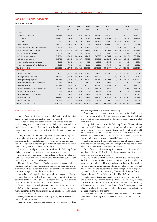# **Table D1: Banks' Accounts**

end of period, million kuna

|                                                | 2002       | 2003       | 2004       | 2005       | 2006       | 2007       | 2008       |            |            |
|------------------------------------------------|------------|------------|------------|------------|------------|------------|------------|------------|------------|
|                                                | Dec.       | Dec.       | Dec.       | Dec.       | Dec.       | Dec.       | Mar.       | Apr.       | May        |
| <b>ASSETS</b>                                  |            |            |            |            |            |            |            |            |            |
| 1. Reserves with the CNB                       | 20,373.5   | 26,783.7   | 33,718.2   | 41,775.2   | 48,384.7   | 50,178.9   | 51,640.1   | 50,717.4   | 52,530.1   |
| 1.1. In kuna                                   | 13,340.0   | 20,103.4   | 22,962.9   | 28,283.1   | 31,814.1   | 35,929.1   | 34,645.7   | 33,229.6   | 34,979.4   |
| 1.2. In $f/c$                                  | 7,033.5    | 6.680.2    | 10,755.3   | 13,492.1   | 16,570.6   | 14,249.8   | 16,994.4   | 17,487.7   | 17,550.7   |
| 2. Foreign assets                              | 25,977.8   | 35,382.9   | 43,551.0   | 35,572.5   | 39,621.2   | 46,438.5   | 41,544.2   | 40,137.1   | 37,082.4   |
| 3. Claims on central government and funds      | 21,917.7   | 21.543.6   | 21,051.3   | 28,877.2   | 27,936.8   | 28,971.5   | 29,984.5   | 29,620.7   | 28,788.1   |
| 4. Claims on other domestic sectors            | 96,218.4   | 110,374.3  | 125,707.9  | 147,340.9  | 180,967.8  | 207,330.7  | 213,360.3  | 214,494.9  | 215,871.9  |
| 4.1. Claims on local government                | 1,422.4    | 1,563.1    | 1,787.9    | 1,767.2    | 1,892.0    | 2,140.8    | 2,029.2    | 2,067.4    | 2,035.6    |
| 4.2. Claims on enterprises                     | 51,723.4   | 53,809.8   | 58,643.3   | 67,017.9   | 83,386.5   | 92,265.1   | 94,325.3   | 94,718.4   | 95,177.8   |
| 4.3. Claims on households                      | 43,072.6   | 55,001.4   | 65,276.7   | 78,555.7   | 95,689.3   | 112,924.9  | 117,005.8  | 117,709.1  | 118,658.5  |
| 5. Claims on other banking institutions        | 219.5      | 431.8      | 624.0      | 592.2      | 1,029.5    | 1,640.0    | 657.6      | 695.5      | 598.1      |
| 6. Claims on non-banking financial instituions | 915.3      | 761.8      | 893.9      | 1,161.8    | 1,318.1    | 1,789.7    | 941.1      | 987.8      | 1,001.2    |
| Total $(1+2+3+4+5+6)$                          | 165,622.2  | 195,278.0  | 225,546.2  | 255,319.8  | 299,258.1  | 336,349.4  | 338,127.9  | 336,653.3  | 335,871.8  |
| <b>LIABILITIES</b>                             |            |            |            |            |            |            |            |            |            |
| 1. Demand deposits                             | 21,166.2   | 23,315.0   | 23,591.3   | 26,653.3   | 33,911.7   | 41,870.8   | 37,470.7   | 36,932.5   | 36,995.9   |
| 2. Savings and time deposits                   | 13,001.1   | 18,370.7   | 22,479.2   | 27,992.1   | 44,836.8   | 53,644.9   | 53,120.9   | 53,674.0   | 52,624.4   |
| 3. Foreign currency deposits                   | 72.054.6   | 76.035.3   | 81.742.9   | 86.760.8   | 88,256.7   | 103,090.1  | 104,760.9  | 105,536.8  | 106,374.2  |
| 4. Bonds and money market instruments          | 216.3      | 598.4      | 1,163.5    | 1,077.0    | 844.1      | 1,208.8    | 931.1      | 951.6      | 737.5      |
| 5. Foreign liabilities                         | 35,023.5   | 49,932.0   | 61,163.7   | 67,112.3   | 76,076.0   | 65,152.6   | 69,402.1   | 68.177.4   | 65,429.4   |
| 6. Central government and funds' deposits      | 6,094.9    | 5,283.3    | 6,821.8    | 9,287.0    | 10,800.4   | 13,525.8   | 13,664.1   | 14,195.8   | 13,590.0   |
| 7. Credit from central bank                    | 17.6       | 968.9      | 408.9      | 4,215.6    | 3,911.4    | 4,178.3    | 1,538.0    | 14.4       | 1,627.4    |
| 8. Restricted and blocked deposits             | 1,680.5    | 1,709.0    | 2,054.6    | 2,036.4    | 2,447.6    | 2,252.3    | 2,333.7    | 2,570.5    | 3,147.7    |
| 9. Capital accounts                            | 26,323.2   | 27,389.5   | 28,666.4   | 32,665.7   | 40,805.1   | 53,178.9   | 56,451.5   | 56,761.9   | 57,271.9   |
| 10. Other items (net)                          | $-9,955.6$ | $-8,324.2$ | $-2,546.3$ | $-2,480.4$ | $-2,631.7$ | $-1,753.2$ | $-1,545.1$ | $-2,161.7$ | $-1,926.5$ |
| Total (1+2+3+4+5+6+7+8+9+10)                   | 165,622.2  | 195,278.0  | 225,546.2  | 255,319.8  | 299,258.1  | 336,349.4  | 338,127.9  | 336,653.3  | 335,871.8  |

#### Table D1: Banks' Accounts

Banks' Accounts include data on banks' claims and liabilities. Banks' mutual claims and liabilities are consolidated.

Required reserves held at the central bank include kuna and foreign currency reserves. Kuna reserves include vault cash and kuna funds held in accounts at the central bank. Foreign currency reserves include foreign currency held in the CNB's foreign currency accounts.

Foreign assets are the following forms of kuna and foreign currency claims on foreign legal and natural persons: foreign cash in vaults, current account balances with foreign banks and time deposits with foreign banks (including loro letters of credit and other forms of collateral), securities, loans, and equities.

Claims on central government and funds are the following forms of claims in kuna and foreign currency: securities and loans.

Claims on other domestic sectors include the following claims in kuna and foreign currency: money market instruments, bonds, loans (including acceptances), and equities.

The same forms of kuna and foreign currency claims are included in claims on other banking institutions and non-banking financial institutions, with one difference: Claims on other banking institutions also include deposits with those institutions.

Items Demand deposits, Savings and time deposits, Foreign currency deposits as well as Bonds and money market instruments comprise banks' liabilities to other domestic sectors, other banking institutions and non-banking financial institutions.

Demand deposits include giro and current accounts balances and banks' obligations arising from kuna payment instruments issued, minus currency in the payment system, i.e. checks in banks' vaults and checks in collection.

Savings and time deposits are kuna sight deposits as well as kuna time and notice deposits.

Foreign currency deposits are foreign currency sight deposits as

well as foreign currency time and notice deposits.

Bonds and money market instruments are banks' liabilities for securities issued (net) and loans received. Issued subordinated and hybrid instruments, purchased by foreign investors, are excluded from this item.

Foreign liabilities comprise the following forms of kuna and foreign currency liabilities to foreign legal and natural persons: giro and current accounts, savings deposits (including loro letters of credit and other forms of collateral), time deposits, loans received and liabilities due. Issued subordinate and hybrid instruments, purchased by foreign investors, are also included in loans received.

Central government and funds' deposits are all forms of banks' kuna and foreign currency liabilities (except restricted and blocked deposits) to the central government and funds.

Credit from central bank comprises loans received from the CNB and deposits by the CNB with banks. Repurchase of securities is also considered and treated as a loan.

Restricted and blocked deposits comprise the following banks' liabilities: kuna and foreign currency restricted deposits by other domestic sectors, other banking institutions, non-banking financial institutions, central government and funds as well as foreign legal and natural persons, and households' blocked foreign currency deposits, regulated by the Act on Converting Households' Foreign Currency Deposits into the Public Debt of the Republic of Croatia.

Capital accounts are share capital, profit or loss for the previous and current year, retained earnings (loss), legal reserves, reserves provided for by the articles of association and other capital reserves, hedging reserves, unrealised gains (losses) from financial assets classified as available-for-sale assets, value adjustments and collectively assessed impairment provisions.

Other items (net) are unclassified liabilities decreased by unclassified assets, including the fair value of derivative financial instruments.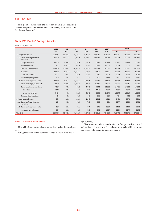## Tables: D2 – D12

This group of tables (with the exception of Table D5) provides a detailed analysis of the relevant asset and liability items from Table D1 (Banks' Accounts).

# **Table D2: Banks' Foreign Assets**

end of period, million kuna

|                                                  | 2002     | 2003     | 2004     | 2005     | 2006     | 2007     |          | 2008     |          |
|--------------------------------------------------|----------|----------|----------|----------|----------|----------|----------|----------|----------|
|                                                  | Dec.     | Dec.     | Dec.     | Dec.     | Dec.     | Dec.     | Mar.     | Apr.     | May      |
| 1. Foreign assets in f/c                         | 25,924.4 | 35,261.9 | 43,428.1 | 35,457.9 | 39,454.5 | 45,837.2 | 40,997.4 | 39,779.2 | 36,722.3 |
| 1.1. Claims on foreign financial<br>institutions | 21,333.5 | 31,877.6 | 35,911.0 | 27,228.5 | 30,404.1 | 37,824.9 | 33,070.0 | 31,768.8 | 28,849.4 |
| Foreign currencies                               | 1.019.8  | 1,268.6  | 1,190.0  | 1,136.1  | 1,232.1  | 1,245.5  | 1,254.3  | 1,168.8  | 1,222.9  |
| Demand deposits                                  | 757.7    | 1,057.0  | 906.2    | 860.2    | 870.1    | 1,305.2  | 879.0    | 805.2    | 919.3    |
| Time and notice deposits                         | 17,569.8 | 27,969.4 | 30,943.7 | 20,874.6 | 23,509.4 | 31,726.1 | 27,877.8 | 26,752.1 | 24,265.8 |
| Securities                                       | 1,690.2  | 1,364.2  | 2,674.1  | 4,197.0  | 4,441.5  | 3,210.4  | 2,739.2  | 2,696.7  | 2,084.6  |
| Loans and advances                               | 278.7    | 203.1    | 189.0    | 152.9    | 339.2    | 195.9    | 179.0    | 173.0    | 183.5    |
| Shares and participations                        | 17.2     | 15.4     | 8.1      | 7.8      | 11.8     | 141.9    | 140.7    | 172.9    | 173.3    |
| 1.2. Claims on foreign non-banks                 | 4,590.8  | 3,384.4  | 7,517.1  | 8,229.4  | 9,050.4  | 8,012.3  | 7,927.3  | 8,010.5  | 7,872.9  |
| Claims on foreign governments                    | 3,855.5  | 2,905.0  | 7,066.6  | 7,735.7  | 8,217.0  | 6,696.1  | 6,436.7  | 6,474.4  | 6,359.3  |
| Claims on other non-residents                    | 733.7    | 478.9    | 450.2    | 493.1    | 798.1    | 1,295.2  | 1,448.1  | 1,456.9  | 1,433.0  |
| <b>Securities</b>                                | 191.3    | 32.1     | 77.4     | 68.0     | 141.5    | 180.9    | 193.7    | 205.1    | 233.0    |
| Loans and advances                               | 542.4    | 446.8    | 372.8    | 425.2    | 656.6    | 1,114.3  | 1,254.5  | 1,251.7  | 1,200.0  |
| Shares and participations                        | 1.6      | 0.4      | 0.3      | 0.5      | 35.3     | 20.9     | 42.4     | 79.2     | 80.6     |
| 2. Foreign assets in kuna                        | 53.4     | 120.9    | 122.9    | 114.6    | 166.7    | 601.3    | 546.8    | 357.9    | 360.1    |
| 2.1. Claims on foreign financial<br>institutions | 19.6     | 99.1     | 77.8     | 71.3     | 96.9     | 408.1    | 327.7    | 139.6    | 145.1    |
| 2.2. Claims on foreign non-banks                 | 33.8     | 21.9     | 45.1     | 43.4     | 69.8     | 193.3    | 219.2    | 218.3    | 215.1    |
| o/w: Loans and advances                          | 33.0     | 21.0     | 44.3     | 42.6     | 69.2     | 192.7    | 218.6    | 217.7    | 214.5    |
| Total $(1+2)$                                    | 25,977.8 | 35,382.9 | 43,551.0 | 35,572.5 | 39,621.2 | 46,438.5 | 41,544.2 | 40,137.1 | 37,082.4 |

## Table D2: Banks' Foreign Assets

This table shows banks' claims on foreign legal and natural persons.

Foreign assets of banks' comprise foreign assets in kuna and for-

#### eign currency.

Claims on foreign banks and Claims on foreign non-banks (total and by financial instruments) are shown separately within both foreign assets in kuna and in foreign currency.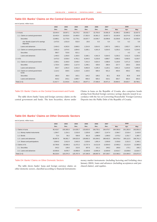# **Table D3: Banks' Claims on the Central Government and Funds**

end of period, million kuna

|               |                                                | 2002     | 2003     | 2004     | 2005                     | 2006     | 2007     |                          | 2008     |          |
|---------------|------------------------------------------------|----------|----------|----------|--------------------------|----------|----------|--------------------------|----------|----------|
|               |                                                | Dec.     | Dec.     | Dec.     | Dec.                     | Dec.     | Dec.     | Mar.                     | Apr.     | May      |
| 1. In kuna    |                                                | 18,444.4 | 18,007.1 | 16,270.2 | 20,532.7                 | 22,703.0 | 24,081.8 | 24,396.2                 | 23,690.2 | 22,637.5 |
|               | 1.1. Claims on central government              | 16,443.4 | 16,032.6 | 14,465.6 | 17,352.6                 | 18,361.2 | 19,057.3 | 19,160.9                 | 18,274.6 | 17,402.9 |
|               | <b>Securities</b>                              | 13,989.1 | 11.770.0 | 11.779.1 | 16,037.7                 | 14,546.7 | 16,099.8 | 15,258.8                 | 15,341.9 | 14,535.4 |
|               | o/w: Bonds (c'part to f/c savings<br>deposits) | 2,473.5  | 1,531.9  | 532.0    | 20.6                     | 8.3      | 6.4      | 5.3                      | 6.2      | 5.9      |
|               | Loans and advances                             | 2,454.3  | 4,262.6  | 2,686.5  | 1,314.9                  | 3.814.5  | 2,957.5  | 3,902.1                  | 2,932.7  | 2,867.6  |
|               | 1.2. Claims on central government funds        | 2.001.0  | 1.974.5  | 1,804.6  | 3,180.1                  | 4,341.9  | 5,024.5  | 5,235.2                  | 5,415.6  | 5,234.5  |
|               | <b>Securities</b>                              | 560.7    | 723.6    | 621.1    | $\overline{\phantom{m}}$ |          |          | $\overline{\phantom{m}}$ | 4.2      | 4.2      |
|               | Loans and advances                             | 1.440.3  | 1,250.9  | 1.183.5  | 3.180.1                  | 4.341.9  | 5.024.5  | 5.235.2                  | 5.411.5  | 5,230.3  |
| 2. In $f/c$   |                                                | 3,473.3  | 3,536.4  | 4,781.1  | 8,344.5                  | 5,233.8  | 4.889.7  | 5,588.3                  | 5,930.5  | 6,150.7  |
|               | 2.1. Claims on central government              | 2.359.1  | 3.196.9  | 3,548.4  | 7.241.0                  | 4,624.4  | 4.388.6  | 5.128.9                  | 5.471.3  | 5,692.4  |
|               | Securities                                     | 1.733.4  | 1,805.4  | 1.117.0  | 1,248.1                  | 429.0    | 268.4    | 227.7                    | 228.3    | 226.6    |
|               | Loans and advances                             | 625.7    | 1,391.5  | 2.431.3  | 5,992.8                  | 4,195.4  | 4,120.1  | 4.901.2                  | 5.243.0  | 5,465.9  |
|               | 2.2. Claims on central government<br>funds     | 1,114.2  | 339.5    | 1,232.8  | 1,103.5                  | 609.4    | 501.2    | 459.4                    | 459.2    | 458.2    |
|               | <b>Securities</b>                              | 195.0    | 96.4     | 163.1    | 144.2                    | 109.2    | 82.1     | 65.8                     | 65.8     | 64.9     |
|               | Loans and advances                             | 919.2    | 243.1    | 1.069.7  | 959.3                    | 500.2    | 419.1    | 393.7                    | 393.4    | 393.3    |
| Total $(1+2)$ |                                                | 21,917.7 | 21,543.6 | 21,051.3 | 28,877.2                 | 27,936.8 | 28,971.5 | 29,984.5                 | 29,620.7 | 28,788.1 |

#### Table D3: Banks' Claims on the Central Government and Funds

The table shows banks' kuna and foreign currency claims on the central government and funds. The item Securities, shown under Claims in kuna on the Republic of Croatia, also comprises bonds arising from blocked foreign currency savings deposits issued in accordance with the Act on Converting Households' Foreign Currency Deposits into the Public Debt of the Republic of Croatia.

# **Table D4: Banks' Claims on Other Domestic Sectors**

end of period, million kuna

|                                | 2002     | 2003<br>2005<br>2006<br>2004 |           | 2007      |           | 2008      |           |           |           |
|--------------------------------|----------|------------------------------|-----------|-----------|-----------|-----------|-----------|-----------|-----------|
|                                | Dec.     | Dec.                         | Dec.      | Dec.      | Dec.      | Dec.      | Mar.      | Apr.      | May       |
| 1. Claims in kuna              | 85,418.7 | 100,365.0                    | 114,635.7 | 133,603.5 | 166,755.1 | 194,476.7 | 200.365,0 | 201,282.0 | 202,891.0 |
| 1.1. Money market instruments  | 1,394.7  | 1,314.1                      | 2,510.0   | 2,329.9   | 1,980.7   | 2.147.4   | 2.384,7   | 2,516.4   | 2,419.9   |
| 1.2. Bonds                     | 72.4     | 56.2                         | 559.8     | 361.6     | 1.088.8   | 1,366.0   | 1.575.2   | 1,331.7   | 1,360.7   |
| 1.3. Loans and advances        | 80.887.6 | 96,081.7                     | 109.523.9 | 128.882.3 | 161.694.2 | 188.462.5 | 194.078.4 | 195.112.5 | 196,761.3 |
| 1.4. Shares and participations | 3.064.0  | 2,912.9                      | 2,042.0   | 2,029.6   | 1,991.4   | 2,500.8   | 2.326,8   | 2,321.5   | 2,349.1   |
| 2. Claims in f/c.              | 10.799.8 | 10,009.3                     | 11,072.2  | 13.737.4  | 14.212.8  | 12,854.0  | 12.995,3  | 13,212.9  | 12,980.9  |
| 2.1. Securities                | 243.2    | 130.6                        | 213.5     | 307.6     | 221.1     | 249.2     | 180,6     | 173.1     | 166.2     |
| 2.2. Loans and advances        | 10.556.6 | 9,878.7                      | 10,858.6  | 13,429.8  | 13,991.6  | 12.604.9  | 12.814.7  | 13,039.8  | 12,814.7  |
| Total $(1+2)$                  | 96.218.4 | 110.374.3                    | 125,707.9 | 147.340.9 | 180.967.8 | 207.330.7 | 213.360.3 | 214.494.9 | 215,871.9 |

#### Table D4: Banks' Claims on Other Domestic Sectors

The table shows banks' kuna and foreign currency claims on other domestic sectors, classified according to financial instruments: money market instruments (including factoring and forfaiting since January 2004), loans and advances (including acceptances and purchased claims), and equities.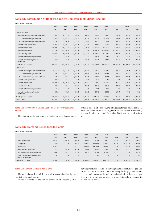## **Table D5: Distribution of Banks' Loans by Domestic Institutional Sectors**

end of period, million kuna

|                                                   | 2002     | 2003<br>2004<br>2005<br>2006 |           | 2007      |           | 2008      |           |           |           |
|---------------------------------------------------|----------|------------------------------|-----------|-----------|-----------|-----------|-----------|-----------|-----------|
|                                                   | Dec.     | Dec.                         | Dec.      | Dec.      | Dec.      | Dec.      | Mar.      | Apr.      | May       |
| <b>LOANS IN KUNA</b>                              |          |                              |           |           |           |           |           |           |           |
| 1. Loans to central government and funds          | 3.894.6  | 5.513.5                      | 3.870.0   | 4.495.0   | 8.156.4   | 7.982.0   | 9.137.3   | 8.344.1   | 8.097.9   |
| 1.1. Loans to central government                  | 2,454.3  | 4,262.6                      | 2,686.5   | 1.314.9   | 3.814.5   | 2,957.5   | 3,902.1   | 2,932.7   | 2,867.6   |
| 1.2. Loans to central government funds            | 1,440.3  | 1,250.9                      | 1.183.5   | 3.180.1   | 4.341.9   | 5.024.5   | 5.235.2   | 5.411.5   | 5.230.3   |
| 2. Loans to local government                      | 1,202.9  | 1,485.1                      | 1.701.9   | 1.613.9   | 1,720.3   | 1,867.5   | 1.776.6   | 1.778.4   | 1.748.7   |
| 3. Loans to enterprises                           | 36.708.1 | 39.777.4                     | 42.844.7  | 49.105.9  | 64,666.3  | 74,001.7  | 75,635.8  | 75,963.8  | 76,691.7  |
| 4. Loans to households                            | 42.976.6 | 54.819.3                     | 64.977.2  | 78.162.4  | 95,307.6  | 112,593.3 | 116.666.0 | 117.370.4 | 118,320.9 |
| o/w: Housing loans                                | 12,363.4 | 16,896.2                     | 21,397.9  | 27,571.1  | 36,927.3  | 45,218.6  | 47,476.4  | 47,345.7  | 47,532.1  |
| 5. Loans to other banking institutions            | 17.6     | 82.3                         | 154.5     | 46.5      | 304.4     | 213.6     | 95.2      | 141.1     | 45.3      |
| 6. Loans to non-banking financial<br>institutions | 521.3    | 427.9                        | 558.0     | 591.8     | 854.4     | 947.6     | 654.5     | 712.1     | 735.9     |
| A. Total (1+2+3+4+5+6)                            | 85.321.1 | 102,105.4                    | 114,106.4 | 134,015.6 | 171.009.4 | 197,605.7 | 203,965.4 | 204,309.8 | 205,640.4 |
| <b>LOANS IN F/C</b>                               |          |                              |           |           |           |           |           |           |           |
| 1. Loans to central government and funds          | 1.544.9  | 1.634.7                      | 3.501.0   | 6.952.1   | 4.695.6   | 4.539.2   | 5.294.8   | 5.636.4   | 5.859.2   |
| 1.1. Loans to central government                  | 625.7    | 1,391.5                      | 2.431.3   | 5.992.8   | 4,195.4   | 4,120.1   | 4.901.2   | 5,243.0   | 5.465.9   |
| 1.2. Loans to central government funds            | 919.2    | 243.1                        | 1,069.7   | 959.3     | 500.2     | 419.1     | 393.7     | 393.4     | 393.3     |
| 2. Loans to local government                      | 152.3    | 47.1                         | 31.9      | 63.0      | 11.3      | 8.7       | 7.4       | 7.4       | 7.4       |
| 3. Loans to enterprises                           | 10,308.3 | 9,649.4                      | 10,527.3  | 12,973.5  | 13,598.5  | 12,264.5  | 12,467.5  | 12,693.7  | 12,469.7  |
| 4. Loans to households                            | 96.0     | 182.1                        | 299.5     | 393.3     | 381.8     | 331.6     | 339.8     | 338.7     | 337.6     |
| 5. Loans to other banking institutions            | 1.2      | 174.3                        | 52.9      | 19.9      | 68.1      | 74.0      | 0.0       | 10.9      | 62.4      |
| 6. Loans to non-banking financial<br>institutions | 28.3     | 58.8                         | 255.3     | 512.3     | 360.5     | 668.0     | 104.4     | 98.1      | 87.1      |
| B. Total (1+2+3+4+5+6)                            | 12.131.0 | 11.746.4                     | 14,667.8  | 20.914.1  | 19.115.9  | 17,886.0  | 18.214.0  | 18.785.2  | 18,823.3  |
| TOTAL (A+B)                                       | 97,452.1 | 113,851.8                    | 128,774.2 | 154,929.7 | 190,125.3 | 215,491.7 | 222,179.4 | 223,095.0 | 224,463.7 |

Table D5: Distribution of Banks' Loans by Domestic Institutional **Sectors** 

The table shows data on kuna and foreign currency loans granted

by banks to domestic sectors, including acceptances, financial leases, payments made on the basis of guarantees and similar instruments, purchased claims, and until December 2003 factoring and forfaiting.

## **Table D6: Demand Deposits with Banks**

end of period, million kuna

|                                                            | 2002     | 2003     | 2004     | 2005     | 2006     | 2007     |          | 2008     |          |
|------------------------------------------------------------|----------|----------|----------|----------|----------|----------|----------|----------|----------|
|                                                            | Dec.     | Dec.     | Dec.     | Dec.     | Dec.     | Dec.     | Mar.     | Apr.     | May      |
| 1. Local government                                        | 1.910.4  | 2,006.2  | 2,020.7  | 1.688.7  | 1,803.8  | 2.689.4  | 1.974.4  | 1,992.5  | 1,992.9  |
| 2. Enterprises                                             | 12.344.5 | 12.872.9 | 12.036.9 | 13.344.2 | 16.668.6 | 19.599.3 | 16.179.8 | 15.552.8 | 15.479.5 |
| 3. Households                                              | 6.307.4  | 7.873.1  | 8,773.0  | 10.728.3 | 14.257.8 | 17.896.7 | 17.418.4 | 17.597.3 | 17.559.2 |
| 4. Other banking institutions                              | 42.1     | 98.9     | 245.4    | 322.1    | 485.1    | 481.1    | 556.9    | 661.1    | 409.7    |
| 5. Non-banking financial institutions                      | 568.1    | 468.1    | 517.5    | 571.3    | 697.6    | 1,205.2  | 1.342.1  | 1,133.2  | 1,555.3  |
| 6. Less: Checks of other banks and<br>checks in collection | $-6.4$   | $-4.2$   | $-2.2$   | $-1.3$   | $-1.2$   | $-0.9$   | $-0.9$   | $-4.4$   | $-0.8$   |
| Total $(1+2+3+4+5+6)$                                      | 21.166.2 | 23.315.0 | 23.591.3 | 26.653.3 | 33.911.7 | 41.870.8 | 37,470.7 | 36.932.5 | 36.995.9 |

#### Table D6: Demand Deposits with Banks

The table shows demand deposits with banks, classified by domestic institutional sectors.

Demand deposits are the sum of other domestic sectors', other

banking institutions' and non-banking financial institutions' giro and current accounts balances, minus currency in the payment system (i.e. checks in banks' vaults and checks in collection). Banks' obligations arising from kuna payment instruments issued are included in the household sector.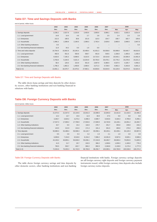# **Table D7: Time and Savings Deposits with Banks**

end of period, million kuna

|                                         | 2002     | 2003              | 2004              | 2005     | 2006     | 2007     |          | 2008     |          |
|-----------------------------------------|----------|-------------------|-------------------|----------|----------|----------|----------|----------|----------|
|                                         | Dec.     | Dec.              | Dec.              | Dec.     | Dec.     | Dec.     | Mar.     | Apr.     | May      |
| 1. Savings deposits                     | 2,236.2  | 2,527.9           | 2,233.9           | 2,493.6  | 2,905.6  | 3,086.1  | 3,022.1  | 3,033.3  | 3,014.4  |
| 1.1. Local government                   | 14.8     | 14.4              | 4.6               | 2.7      | 2.8      | 2.5      | 2.4      | 2.0      | 2.0      |
| 1.2. Enterprises                        | 213.3    | 190.5             | 38.8              | 101.6    | 110.3    | 154.7    | 158.7    | 182.7    | 159.6    |
| 1.3. Households                         | 1,996.3  | 2,288.8           | 2,190.5           | 2,388.3  | 2,792.4  | 2,929.0  | 2,860.9  | 2,848.5  | 2,847.8  |
| 1.4. Other banking institutions         | 0.0      | $\qquad \qquad -$ | $\qquad \qquad -$ |          |          |          |          | -        | 5.0      |
| 1.5. Non-banking financial institutions | 11.8     | 34.2              | 0.0               | 1.0      | 0.0      | -        |          |          |          |
| 2. Time and notice deposits             | 10,764.9 | 15,842.9          | 20,245.4          | 25,498.4 | 41,931.3 | 50,558.8 | 50,098.8 | 50,640.7 | 49,610.0 |
| 2.1. Local government                   | 482.8    | 551.6             | 550.8             | 508.7    | 491.8    | 549.5    | 1,336.8  | 1,405.6  | 1,439.4  |
| 2.2. Enterprises                        | 4,633.6  | 7,165.3           | 8,698.5           | 8,222.5  | 14,715.4 | 18,414.8 | 16,543.1 | 16,506.9 | 14,491.9 |
| 2.3. Households                         | 3,793.8  | 6,194.5           | 9,321.4           | 13,254.9 | 20,755.0 | 20,479.1 | 22,779.2 | 23,278.6 | 23,221.2 |
| 2.4. Other banking institutions         | 58.4     | 129.3             | 215.9             | 931.9    | 2,697.9  | 6,386.5  | 4,537.5  | 4,105.7  | 4,456.2  |
| 2.5. Non-banking financial institutions | 1,796.3  | 1,802.2           | 1,458.8           | 2,580.4  | 3,271.3  | 4,728.9  | 4,902.2  | 5,343.8  | 6,001.2  |
| Total $(1+2)$                           | 13.001.1 | 18,370.7          | 22.479.2          | 27,992.1 | 44,836.8 | 53.644.9 | 53,120.9 | 53.674.0 | 52,624.4 |

#### Table D7: Time and Savings Deposits with Banks

The table shows kuna savings and time deposits by other domestic sectors, other banking institutions and non-banking financial institutions with banks.

# **Table D8: Foreign Currency Deposits with Banks**

end of period, million kuna

|                                         | 2002     | 2003     | 2004     | 2005     | 2006     | 2007      |           | 2008      |           |
|-----------------------------------------|----------|----------|----------|----------|----------|-----------|-----------|-----------|-----------|
|                                         | Dec.     | Dec.     | Dec.     | Dec.     | Dec.     | Dec.      | Mar.      | Apr.      | May       |
| 1. Savings deposits                     | 21,074.4 | 21,547.0 | 22,144.6 | 22,641.0 | 22,698.6 | 22,845.0  | 22,321.8  | 21,416.5  | 22,406.3  |
| 1.1. Local government                   | 12.2     | 14.7     | 15.6     | 11.9     | 30.8     | 27.5      | 9.8       | 9.8       | 9.8       |
| 1.2. Enterprises                        | 3,346.7  | 3,620.2  | 4,273.2  | 4,408.3  | 4,589.7  | 5,543.6   | 5,326.3   | 4,795.8   | 5,459.1   |
| 1.3. Households                         | 17,537.3 | 17,690.2 | 17,708.9 | 17,933.6 | 17,609.9 | 16,720.8  | 16,139.1  | 16,091.2  | 16,404.7  |
| 1.4. Other banking institutions         | 34.7     | 9.0      | 15.4     | 116.0    | 276.7    | 251.7     | 355.8     | 249.8     | 242.2     |
| 1.5. Non-banking financial institutions | 143.5    | 212.9    | 131.6    | 171.3    | 191.4    | 301.5     | 490.8     | 270.0     | 290.6     |
| 2. Time deposits                        | 50,980.3 | 54,488.4 | 59,598.3 | 64,119.7 | 65,558.1 | 80,245.1  | 82,439.1  | 84,120.3  | 83,967.9  |
| 2.1. Local government                   | 9.5      | 3.8      | 0.3      | 3.2      | 1.9      | 2.1       | 1.9       | 3.9       | 3.9       |
| 2.2. Enterprises                        | 6,009.6  | 7,154.0  | 8,518.6  | 8,154.2  | 7,086.2  | 10,391.9  | 9,597.6   | 9,929.1   | 9,589.6   |
| 2.3. Households                         | 44,159.2 | 46,805.1 | 50,636.0 | 55,036.1 | 57,210.8 | 66,465.7  | 69,660.4  | 70,853.9  | 71,820.5  |
| 2.4. Other banking institutions         | 41.5     | 21.7     | 20.7     | 242.0    | 366.2    | 1,038.6   | 1,039.3   | 1,160.0   | 776.3     |
| 2.5. Non-banking financial institutions | 760.5    | 503.7    | 422.7    | 684.2    | 892.9    | 2,346.8   | 2,139.9   | 2,173.4   | 1,777.5   |
| Total $(1+2)$                           | 72,054.6 | 76,035.3 | 81,742.9 | 86,760.8 | 88,256.7 | 103,090.1 | 104,760.9 | 105,536.8 | 106,374.2 |

#### Table D8: Foreign Currency Deposits with Banks

The table shows foreign currency savings and time deposits by other domestic sectors, other banking institutions and non-banking financial institutions with banks. Foreign currency savings deposits are all foreign currency sight deposits and foreign currency payment instruments issued, while foreign currency time deposits also include foreign currency notice deposits.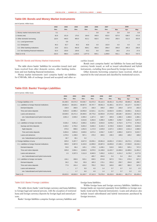## **Table D9: Bonds and Money Market Instruments**

end of period, million kuna

|                                         | 2002              | 2003              | 2004              | 2005    | 2006  | 2007    |       | 2008  |       |
|-----------------------------------------|-------------------|-------------------|-------------------|---------|-------|---------|-------|-------|-------|
|                                         | Dec.              | Dec.              | Dec.              | Dec.    | Dec.  | Dec.    | Mar.  | Apr.  | May   |
| 1. Money market instruments (net)       | 5.1               | $\qquad \qquad -$ | $\qquad \qquad -$ | $-$     | 0.8   | 0.8     | 0.8   | 0.8   | 0.8   |
| 2. Bonds (net)                          | 92.8              | 151.9             | 170.5             | 164.9   | 340.9 | 632.0   | 637.8 | 638.5 | 472.9 |
| 3. Other domestic borrowing             | 118.4             | 446.5             | 993.0             | 912.1   | 502.5 | 576.0   | 292.5 | 312.3 | 263.8 |
| 3.1. Local government                   | $\qquad \qquad -$ | 0.9               | $-$               | -       |       |         |       |       |       |
| 3.2. Enterprises                        | 46.3              | 92.7              | 40.3              | 40.8    | 0.0   | 152.9   | 0.0   | 0.0   | 0.0   |
| 3.3. Other banking institutions         | 10.0              | 222.1             | 842.8             | 828.1   | 492.8 | 266.4   | 265.8 | 285.3 | 236.8 |
| 3.4. Non-banking financial institutions | 62.0              | 130.9             | 109.9             | 43.2    | 9.6   | 156.6   | 26.6  | 27.0  | 27.0  |
| Total $(1+2+3)$                         | 216.3             | 598.4             | 1,163.5           | 1,077.0 | 844.1 | 1,208.8 | 931.1 | 951.6 | 737.5 |

#### Table D9: Bonds and Money Market Instruments

The table shows banks' liabilities for securities issued (net) and loans received from other domestic sectors, other banking institutions and non-banking financial institutions.

Money market instruments (net) comprise banks' net liabilities for CNB bills, bills of exchange (issued and accepted) and other securities issued.

Bonds (net) comprise banks' net liabilities for kuna and foreign currency bonds issued, as well as issued subordinated and hybrid instruments, excluding those purchased by foreign investors.

Other domestic borrowing comprises loans received, which are reported in the total amount and classified by institutional sectors.

# **Table D10: Banks' Foreign Liabilities**

#### end of period, million kuna

|                                                    | 2002                     | 2003     | 2004              | 2005                     | 2006     | 2007     |          | 2008     |          |
|----------------------------------------------------|--------------------------|----------|-------------------|--------------------------|----------|----------|----------|----------|----------|
|                                                    | Dec.                     | Dec.     | Dec.              | Dec.                     | Dec.     | Dec.     | May      | Apr.     | May      |
| 1. Foreign liabilities in f/c                      | 34,198.5                 | 44,574.3 | 54,536.7          | 52,073.3                 | 55,114.3 | 48,461.3 | 51,479.8 | 49,905.3 | 48,386.1 |
| 1.1. Liabilities to foreign financial institutions | 28,662.3                 | 38,623.1 | 48,967.5          | 45,747.7                 | 48,561.3 | 41,483.1 | 44,727.4 | 43,127.7 | 41,592.7 |
| Demand deposits                                    | 130.9                    | 266.6    | 127.6             | 156.3                    | 195.0    | 258.8    | 245.8    | 227.8    | 202.3    |
| Time and notice deposits                           | 9.002.9                  | 12,885.2 | 16,056.8          | 12,523.1                 | 12,174.1 | 10,562.9 | 12,694.1 | 10,093.1 | 9,341.5  |
| Loans and advances                                 | 19,528.5                 | 25,471.4 | 29,369.5          | 29,775.6                 | 32,903.9 | 27,373.0 | 28,528.7 | 29,544.4 | 28,791.9 |
| o/w: Subordinated and hybrid instruments           | 2,801.4                  | 2,949.2  | 2,399.4           | 1.167.4                  | 820.7    | 405.9    | 1,396.3  | 1,368.6  | 1,366.1  |
| <b>Bonds</b>                                       |                          |          | 3,413.6           | 3,292.6                  | 3,288.3  | 3,288.4  | 3,258.7  | 3,262.4  | 3,257.0  |
| 1.2. Liabilities to foreign non-banks              | 5.536.2                  | 5,951.2  | 5,569.2           | 6,325.6                  | 6,553.0  | 6,978.2  | 6,752.5  | 6,777.6  | 6,793.4  |
| Savings and time deposits                          | 4,160.2                  | 4,753.2  | 5,002.2           | 5,846.3                  | 6,192.4  | 6,729.9  | 6,562.9  | 6,588.4  | 6,604.6  |
| Sight deposits                                     | 875.6                    | 898.6    | 1,052.5           | 1,172.9                  | 1,635.8  | 1,537.2  | 1,582.6  | 1,541.4  | 1,588.9  |
| Time and notice deposits                           | 3,284.6                  | 3,854.6  | 3,949.6           | 4,673.4                  | 4,556.7  | 5,192.7  | 4,980.2  | 5,047.0  | 5,015.7  |
| Loans and advances                                 | 1,376.0                  | 1,198.0  | 567.1             | 479.3                    | 360.5    | 248.3    | 189.6    | 189.2    | 188.8    |
| o/w: Subordinated and hybrid instruments           | 39.7                     | 39.1     | 0.2               | $\overline{\phantom{m}}$ |          |          |          |          |          |
| 2. Foreign liabilities in kuna                     | 825.0                    | 5.357.7  | 6,627.0           | 15.039.1                 | 20,961.8 | 16,691.3 | 17.922.2 | 18,272.1 | 17.043.3 |
| 2.1. Liabilities to foreign financial institutions | 690.9                    | 5,087.8  | 6,103.9           | 14,099.6                 | 20,087.0 | 16,093.8 | 17,198.1 | 17,592.8 | 16,416.1 |
| Demand deposits                                    | 53.6                     | 86.4     | 145.1             | 179.6                    | 1,438.1  | 519.0    | 640.3    | 925.1    | 747.2    |
| Time and notice deposits                           | 635.8                    | 2.664.1  | 2,846.9           | 6,979.5                  | 11,198.8 | 11,423.7 | 12,406.6 | 12,489.6 | 11,491.2 |
| Loans and advances                                 | 1.5                      | 2,337.3  | 3,111.9           | 6,940.5                  | 7,450.2  | 4,151.2  | 4,151.2  | 4,178.2  | 4,177.8  |
| o/w: Subordinated and hybrid instruments           |                          |          | $\qquad \qquad -$ | 405.7                    | 404.0    | 0.4      | 0.4      | 29.4     | 29.0     |
| 2.2. Liabilities to foreign non-banks              | 134.1                    | 269.9    | 523.1             | 939.5                    | 874.8    | 597.5    | 724.1    | 679.3    | 627.2    |
| Demand deposits                                    | 56.2                     | 76.8     | 95.9              | 180.3                    | 170.1    | 253.2    | 250.7    | 294.9    | 298.7    |
| Time and notice deposits                           | 77.9                     | 191.4    | 419.2             | 755.2                    | 703.3    | 340.6    | 469.7    | 382.2    | 327.0    |
| Loans and advances                                 | $\overline{\phantom{0}}$ | 1.7      | 8.0               | 4.0                      | 1.4      | 3.7      | 3.7      | 2.2      | 1.5      |
| o/w: Subordinated and hybrid instruments           | $\cdots$                 | 1.7      | 8.0               | 4.0                      | 1.4      | 3.7      | 3.7      | 2.2      | 1.5      |
| Total $(1+2)$                                      | 35,023.5                 | 49,932.0 | 61,163.7          | 67,112.3                 | 76.076.0 | 65,152.6 | 69,402.1 | 68.177.4 | 65,429.4 |

#### Table D10: Banks' Foreign Liabilities

The table shows banks' total foreign currency and kuna liabilities to foreign legal and natural persons, with the exception of restricted kuna and foreign currency deposits by foreign legal and natural persons.

Banks' foreign liabilities comprise foreign currency liabilities and

foreign kuna liabilities.

Within foreign kuna and foreign currency liabilities, liabilities to foreign banks are reported separately from liabilities to foreign nonbanks (total and by financial instruments). Loans and advances also include issued subordinated and hybrid instruments purchased by foreign investors.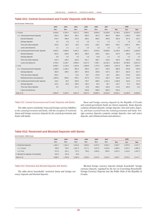## **Table D11: Central Government and Funds' Deposits with Banks**

end of period, million kuna

|                                         | 2002    | 2003                     | 2004    | 2005    | 2006     | 2007     |          | 2008     |          |
|-----------------------------------------|---------|--------------------------|---------|---------|----------|----------|----------|----------|----------|
|                                         | Dec.    | Dec.                     | Dec.    | Dec.    | Dec.     | Dec.     | Mar.     | Apr.     | May      |
| 1. In kuna                              | 4,036.8 | 4,104.4                  | 5,627.2 | 7,596.1 | 9,030.0  | 11,535.0 | 11,746.5 | 13,203.4 | 12,535.2 |
| 1.1. Central government deposits        | 634.3   | 506.4                    | 445.1   | 605.0   | 497.5    | 666.4    | 590.0    | 1,706.9  | 709.4    |
| Demand deposits                         | 476.4   | 448.0                    | 373.3   | 458.1   | 366.2    | 454.9    | 352.8    | 337.6    | 222.7    |
| Savings deposits                        | 3.3     | 3.0                      | 4.2     | 1.8     | 2.1      | 1.2      | 1.1      | 1.0      | 0.9      |
| Time and notice deposits                | 153.6   | 54.2                     | 66.5    | 144.0   | 128.1    | 209.3    | 235.1    | 1,367.4  | 484.7    |
| Loans and advances                      | 1.1     | 1.1                      | 1.1     | 1.0     | 1.0      | 1.0      | 1.0      | 1.0      | 1.0      |
| 1.2. Central government funds' deposits | 3,402.5 | 3,598.0                  | 5.182.2 | 6.991.1 | 8.532.6  | 10,868.6 | 11.156.5 | 11.496.4 | 11.825.9 |
| Demand deposits                         | 553.2   | 294.8                    | 266.3   | 580.2   | 254.6    | 330.1    | 227.0    | 232.9    | 373.4    |
| Savings deposits                        | 0.0     | 0.3                      | 3.5     | 1.9     | 14.6     | 2.4      | 2.2      | 2.2      | 2.2      |
| Time and notice deposits                | 144.3   | 156.2                    | 262.3   | 251.7   | 496.7    | 413.6    | 481.9    | 462.8    | 578.4    |
| Loans and advances                      | 2.705.0 | 3.146.7                  | 4.650.0 | 6.157.3 | 7.766.7  | 10.122.4 | 10.445.5 | 10.798.5 | 10.871.9 |
| 2. In $f/c$                             | 2,058.1 | 1,178.9                  | 1,194.6 | 1,690.9 | 1,770.4  | 1,990.8  | 1,917.6  | 992.4    | 1,054.7  |
| 2.1. Central government deposits        | 1,938.9 | 1,158.2                  | 891.0   | 906.2   | 811.7    | 759.4    | 686.8    | 678.9    | 876.9    |
| Savings deposits                        | 263.0   | 198.5                    | 189.7   | 340.6   | 264.8    | 527.4    | 264.7    | 262.8    | 321.7    |
| Time and notice deposits                | 293.1   |                          | 23.2    | 38.7    | 275.0    | 49.7     | 282.1    | 273.9    | 412.6    |
| Refinanced loans and advances           | 1.382.8 | 959.6                    | 678.1   | 527.0   | 271.9    | 182.3    | 140.0    | 142.2    | 142.6    |
| 2.2. Central government funds' deposits | 119.2   | 20.8                     | 303.6   | 784.7   | 958.6    | 1,231.4  | 1,230.8  | 313.5    | 177.8    |
| Savings deposits                        | 114.1   | 20.8                     | 156.5   | 139.4   | 93.4     | 85.7     | 125.7    | 71.3     | 163.3    |
| Time and notice deposits                | 5.0     | $\overline{\phantom{m}}$ | 147.1   | 25.8    | 356.2    | 153.8    | 174.2    | 242.2    | 14.5     |
| Loans and advances                      |         |                          |         | 619.6   | 509.0    | 991.8    | 931.0    |          |          |
| Total $(1+2)$                           | 6.094.9 | 5.283.3                  | 6,821.8 | 9,287.0 | 10,800.4 | 13,525.8 | 13,664.1 | 14.195.8 | 13.590.0 |

## Table D11: Central Government and Funds' Deposits with Banks

The table reports total banks' kuna and foreign currency liabilities to the central government and funds, with the exception of restricted (kuna and foreign currency) deposits by the central government and funds with banks.

Kuna and foreign currency deposits by the Republic of Croatia and central government funds are shown separately. Kuna deposits comprise demand deposits, savings deposits, time and notice deposits, and loans received from the central government and funds. Foreign currency deposits comprise savings deposits, time and notice deposits, and refinanced loans and advances.

## **Table D12: Restricted and Blocked Deposits with Banks**

end of period, million kuna

|                                      | 2002    | 2003    | 2004    | 2005    | 2006                     | 2007              | 2008                     |         |                   |  |
|--------------------------------------|---------|---------|---------|---------|--------------------------|-------------------|--------------------------|---------|-------------------|--|
|                                      | Dec.    | Dec.    | Dec.    | Dec.    | Dec.                     | Dec.              | Mar.                     | Apr.    | May               |  |
| 1. Restricted deposits               | 1.361.2 | 1.541.2 | 2.014.6 | 2,036.4 | 2.447.6                  | 2,252.3           | 2,333.7                  | 2,570.5 | 3,147.7           |  |
| $1.1.$ In kuna                       | 789.6   | 730.1   | 1.267.4 | 1.277.1 | 1.427.0                  | 1.322.8           | 1.296.2                  | 1.457.5 | 1,690.2           |  |
| 1.2. In $f/c$                        | 571.6   | 811.1   | 747.2   | 759.3   | 1.020.5                  | 929.5             | 1.037.5                  | 1.113.0 | 1,457.5           |  |
| 2. Blocked f/c deposits of housholds | 319.3   | 167.8   | 40.0    | $-$     | $\overline{\phantom{0}}$ | $\qquad \qquad -$ | $\overline{\phantom{0}}$ | -       | $\qquad \qquad -$ |  |
| Total $(1+2)$                        | 1.680.5 | 1.709.0 | 2.054.6 | 2,036.4 | 2.447.6                  | 2,252.3           | 2.333.7                  | 2.570.5 | 3,147.7           |  |

## Table D12: Restricted and Blocked Deposits with Banks

The table shows households' restricted (kuna and foreign currency) deposits and blocked deposits.

Blocked foreign currency deposits include households' foreign currency deposits, regulated by the Act on Converting Households' Foreign Currency Deposits into the Public Debt of the Republic of Croatia.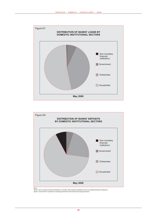



Note:<br>Sector "Non-monetary financial institutions" includes other banking institutions and non-banking financial institutions.<br>Sector "Government" includes the central government and funds and local government.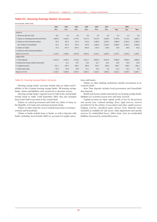## **Table E1: Housing Savings Banks' Accounts**

end of period, million kuna

|                                           | 2002<br>2003<br>2004<br>2005<br>2006 |         | 2007    |         | 2008    |         |         |         |         |
|-------------------------------------------|--------------------------------------|---------|---------|---------|---------|---------|---------|---------|---------|
|                                           | Dec.                                 | Dec.    | Dec.    | Dec.    | Dec.    | Dec.    | Mar.    | Apr.    | May     |
| <b>ASSETS</b>                             |                                      |         |         |         |         |         |         |         |         |
| 1. Reserves with the CNB                  | 19.1                                 | 0.0     | 0.0     | 0.0     | 0.0     | 0.0     | 0.0     | 0.0     | 0.0     |
| 2. Claims on central government and funds | 1,983.9                              | 3,033.5 | 3,779.1 | 4,274.3 | 4,674.8 | 4,036.5 | 3,750.6 | 3,712.5 | 3,664.3 |
| 3. Claims on other domestic sectors       | 93.3                                 | 187.9   | 373.2   | 575.5   | 1,296.0 | 2,220.4 | 2,389.9 | 2,454.3 | 2,490.5 |
| o/w: Claims on households                 | 91.3                                 | 187.9   | 373.2   | 575.5   | 1,296.0 | 2,220.4 | 2,389.9 | 2,454.3 | 2,490.5 |
| 4. Claims on banks                        | 37.2                                 | 247.2   | 824.2   | 994.4   | 181.4   | 133.6   | 78.6    | 68.8    | 93.9    |
| 5. Claims on other banking institutions   |                                      |         |         |         |         |         |         |         |         |
| Total $(1+2+3+4+5)$                       | 2,133.6                              | 3,468.6 | 4,976.6 | 5,844.2 | 6,152.3 | 6,390.5 | 6,219.1 | 6,235.6 | 6,248.7 |
| <b>LIABILITIES</b>                        |                                      |         |         |         |         |         |         |         |         |
| 1. Time deposits                          | 2,012.9                              | 3,265.2 | 4,728.2 | 5,514.7 | 5,803.6 | 6,037.9 | 5,886.8 | 5,900.5 | 5,895.0 |
| 2. Bonds and money market instruments     | $\overline{\phantom{m}}$             | 11.1    | 10.7    | 10.3    | 61.7    | 40.1    | 44.8    | 44.9    | 44.8    |
| 3. Capital accounts                       | 141.1                                | 159.7   | 206.7   | 258.0   | 244.7   | 303.0   | 298.7   | 309.5   | 299.1   |
| 4. Other items (net)                      | $-20.4$                              | 32.6    | 30.8    | 61.1    | 42.2    | 9.6     | $-11.2$ | $-19.3$ | 9.9     |
| Total $(1+2+3+4)$                         | 2,133.6                              | 3,468.6 | 4,976.6 | 5,844.2 | 6,152.3 | 6,390.5 | 6,219.1 | 6,235.6 | 6,248.7 |

#### Table E1: Housing Savings Banks' Accounts

Housing savings banks' accounts include data on claims and liabilities of the Croatian housing savings banks. All housing savings banks' claims and liabilities refer exclusively to domestic sectors.

Housing savings banks' required reserves held at the central bank include funds in vaults. Until September 2003, they also included kuna funds held in accounts at the central bank.

Claims on central government and funds are claims in kuna on the Republic of Croatia and central government funds.

Claims on other domestic sectors include kuna loans to local government and households.

Claims on banks include loans to banks, as well as deposits with banks, including, from October 2003 on, accounts for regular operations with banks.

Claims on other banking institutions include investments in investment funds.

Item Time deposits includes local government and households' time deposits.

Bonds and money market instruments are housing savings banks' liabilities for securities issued (net) and loans received.

Capital accounts are share capital, profit or loss for the previous and current year, retained earnings (loss), legal reserves, reserves provided for by the articles of association and other capital reserves, hedging reserves, unrealised gains (losses) from financial assets classified as available-for-sale assets, value adjustments and specific reserves for unidentified losses. Other items (net) are unclassified liabilities decreased by unclassified assets.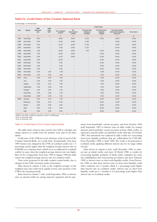## **Table F1: Credit Rates of the Croatian National Bank**

in percentage, on annual basis

|              |                | <b>CNB</b>        | <b>Credit rates</b><br><b>CNB</b> |                        |                               |                                        |                                       |                                                                  |            |
|--------------|----------------|-------------------|-----------------------------------|------------------------|-------------------------------|----------------------------------------|---------------------------------------|------------------------------------------------------------------|------------|
| Year         | <b>Month</b>   | discount<br>rate  | repo<br>rate <sup>a</sup>         | On Lombard<br>creditsb | On<br>intervention<br>credits | On intra-day<br>refinance<br>facilityb | On short-term<br>liquidity<br>credits | On inaccurately<br>calculated statutory<br>reserves <sup>b</sup> | On arrears |
| $\mathbf{1}$ | $\overline{2}$ | 3                 | $\overline{4}$                    | 5                      | 6                             | $\overline{7}$                         | 8                                     | $\mathsf g$                                                      | 10         |
| 1994         | December       | 8.50              | $\overline{\phantom{0}}$          | 18.00                  | 19.00                         | 17.00                                  | 14.00                                 | 19.00                                                            | 22.00      |
| 1995         | December       | 8.50              | $\overline{\phantom{0}}$          | 25.49                  | 19.00                         | 17.00                                  | $\overline{\phantom{m}}$              | 19.00                                                            | 22.00      |
| 1996         | December       | 6.50              | $\qquad \qquad -$                 | 11.00                  | 19.00                         | 17.00                                  | $\qquad \qquad -$                     | 19.00                                                            | 18.00      |
| 1997         | December       | 5.90              | $\qquad \qquad -$                 | 9.50                   | 19.00                         | 17.00                                  | $\qquad \qquad -$                     | 19.00                                                            | 18.00      |
| 1998         | December       | 5.90              | $\overline{\phantom{0}}$          | 12.00                  | 19.00                         | 7.00                                   | 14.00                                 | 19.00                                                            | 18.00      |
| 1999         | December       | 7.90              | $\qquad \qquad -$                 | 13.00                  | 19.00                         | $\overline{\phantom{m}}$               | 14.00                                 | 19.00                                                            | 18.00      |
| 2000         | December       | 5.90              | $\qquad \qquad -$                 | 12.00                  | 18.00                         | $\qquad \qquad -$                      | 13.00                                 | 18.00                                                            | 18.00      |
| 2001         | December       | 5.90              | $\overline{\phantom{a}}$          | 10.00                  | $\overline{\phantom{0}}$      | $\overline{\phantom{m}}$               | 11.00                                 | 15.00                                                            | 18.00      |
| 2002         | December       | 4.50              | $\qquad \qquad -$                 | 9.50                   | -                             | $\qquad \qquad -$                      | 10.50                                 | 15.00                                                            | 15.00      |
| 2003         | December       | 4.50              | -                                 | 9.50                   | -                             | $\qquad \qquad -$                      | 10.50                                 | 15.00                                                            | 15.00      |
| 2004         | December       | 4.50              | $\qquad \qquad -$                 | 9.50                   | -                             | $\qquad \qquad -$                      | 10.50                                 | 15.00                                                            | 15.00      |
| 2005         | December       | 4.50              | 3.50                              | 7.50 <sup>c</sup>      |                               | $\qquad \qquad -$                      | 8.50 <sup>c</sup>                     | 15.00                                                            | 15.00      |
| 2006         | December       | 4.50              | 3.50                              | 7.50                   | $\qquad \qquad -$             | $\qquad \qquad -$                      | 8.50                                  | 15.00                                                            | 15.00      |
| 2007         | June           | 4.50              | 3.50                              | 7.50                   | $\qquad \qquad -$             | $\overline{\phantom{m}}$               | 8.50                                  | 15.00                                                            | 15.00      |
|              | July           | 4.50              | 3.50                              | 7.50                   | $\overline{\phantom{0}}$      | $\qquad \qquad -$                      | 8.50                                  | 15.00                                                            | 15.00      |
|              | August         | 4.50              | 3.50                              | 7.50                   | -                             | $\qquad \qquad -$                      | 8.50                                  | 15.00                                                            | 15.00      |
|              | September      | 4.50              | 3.50                              | 7.50                   | -                             | $\qquad \qquad -$                      | 8.50                                  | 15.00                                                            | 15.00      |
|              | October        | 4.50              | 3.51                              | 7.50                   | -                             | $\qquad \qquad -$                      | 8.50                                  | 15.00                                                            | 15.00      |
|              | November       | 4.50              | 3.86                              | 7.50                   | $\overline{\phantom{0}}$      | $\qquad \qquad -$                      | 8.50                                  | 15.00                                                            | 15.00      |
|              | December       | 9.00 <sup>d</sup> | 4.06                              | 7.50                   | $\overline{\phantom{0}}$      | $\qquad \qquad -$                      | 8.50                                  | 15.00                                                            | 15.00      |
| 2008         | January        | 9.00              | 4.13                              | 7.50                   | $\overline{\phantom{0}}$      | $\overline{\phantom{m}}$               | 10.00                                 | 15.00                                                            | 15.00      |
|              | February       | 9.00              | 4.63                              | 9.00                   | -                             | $\overline{\phantom{m}}$               | 10.00                                 | 15.00                                                            | 15.00      |
|              | March          | 9.00              | 4.96                              | 9.00                   | -                             | $\overline{\phantom{m}}$               | 10.00                                 | 15.00                                                            | 15.00      |
|              | April          | 9.00              | 4.95                              | 9.00                   |                               |                                        | 10.00                                 | 15.00                                                            | 15.00      |
|              | May            | 9.00              | 5.05                              | 9.00                   | $\overline{\phantom{0}}$      | $\qquad \qquad -$                      | 10.00                                 | 15.00                                                            | 15.00      |

<sup>a</sup> Weighted averages of weighted repo rates achieved at regular reverse repo auctions of the CNB in the reporting month.

Breaks in the series of data are explained in notes on methodology c Since 14 December 2005.

d Since 31 December 2007

#### Table F1: Credit Rates of the Croatian National Bank

The table shows interest rates used by the CNB to calculate and charge interest on credits from the primary issue and on all other claims.

Credit rates of the CNB are set by decisions of the Council of the Croatian National Bank, on a yearly basis. Exceptionally, from June 1995 interest rate charged by the CNB on Lombard credits was 1.5 percentage points higher than the weighted average interest rate on CNB bills on a voluntary basis (which serve as collateral for Lombard credits) in cases when the weighted average interest rate was higher than 16.5%. Congruently, from June 1995 to August 1996 the table reports the weighted average interest rate on Lombard credits.

Time series presented in the table contain certain breaks, due to changes in the CNB's monetary policy instruments.

Data shown in column 4 refer to the weighted averages of the weighted repo rates achieved at regular reverse repo auctions of the CNB in the reporting month.

Data shown in column 7 refer, until September 1994, to interest rates on special credits for savings deposits' payments and for payments from households' current accounts, and from October 1994 until September 1997 to interest rates on daily credits for savings deposits and households' current accounts in kuna. Daily credits, as opposed to special credits, are paid back on the same day. In October 1997, this instrument was replaced by daily credits for overcoming short-term liquidity problems that are collateralised by CNB bills. From December 1998 to April 1999, this credit is incorporated in Lombard credit, applying different interest rate for its usage within one day.

Data shown in column 8 refer, until December 1994, to interest rate on initial credits, and since 18 March 1998, to credits for overcoming liquidity problems of banks under evaluation for entry into rehabilitation and restructuring procedures and since February 1999, to interest rates on short-term liquidity credits. From December 1999 on, data show interest rates on short-term liquidity credit with a maturity over 3 months which is 1 percentage point higher than interest rate on Lombard credits. Interest rate on short-term liquidity credit up to 3 months is 0.5 percentage point higher than interest rate on Lombard credits.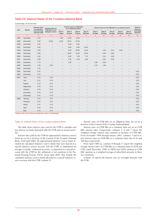### **Table F2: Deposit Rates of the Croatian National Bank**

in percentage, on annual basis

|              |                | <b>Interest rates</b><br>on statutory |                                     | Interest rates on        |                          | <b>Interest rates on CNB bills</b><br>on a voluntary basis <sup>a</sup> |                          |                          |                          |                          |                          | Interest rates on f/c CNB bills on a voluntary basis |                       | Interest<br>rates on |
|--------------|----------------|---------------------------------------|-------------------------------------|--------------------------|--------------------------|-------------------------------------------------------------------------|--------------------------|--------------------------|--------------------------|--------------------------|--------------------------|------------------------------------------------------|-----------------------|----------------------|
| Year         | <b>Month</b>   | reserves dep.<br>with the CNB         | CNB bills on an<br>obligatory basis | Due in<br>7 days         | Due in<br>35 days        | Due in<br>70 days                                                       | Due in<br>105 days       | Due in<br>35 days        | Due in<br>63 days        | Due in<br>91 days        | Due in<br>182 days       | Due in<br>364 days                                   | overnight<br>deposits |                      |
| $\mathbf{1}$ | $\overline{2}$ | 3                                     | $\overline{4}$                      | 5                        | $6\phantom{1}$           | $\overline{7}$                                                          | 8                        | 9                        | 10                       | 11                       | 12                       | 13                                                   | 14                    |                      |
| 1994         | December       | 5.15                                  | $\overline{\phantom{0}}$            | 9.00                     | 12.00                    | 14.00                                                                   | $\qquad \qquad -$        | $\overline{\phantom{0}}$ |                          | ۳                        |                          | $\overline{\phantom{0}}$                             |                       |                      |
| 1995         | December       | 5.50                                  | 16.50                               | 12.00                    | 25.54                    | 27.00                                                                   |                          |                          |                          |                          |                          |                                                      |                       |                      |
| 1996         | December       | 5.50                                  | $\qquad \qquad -$                   | $\overline{\phantom{m}}$ | 8.00                     | 9.50                                                                    | $\overline{\phantom{m}}$ |                          |                          |                          |                          |                                                      |                       |                      |
| 1997         | December       | 4.50                                  | -                                   | $\overline{\phantom{m}}$ | 8.00                     | 9.00                                                                    | 10.00                    | $\qquad \qquad -$        | $\overline{\phantom{m}}$ | $\qquad \qquad -$        | $\overline{\phantom{0}}$ |                                                      |                       |                      |
| 1998         | December       | 5.90                                  |                                     | $\qquad \qquad -$        | 9.50                     | 10.50                                                                   | 11.00                    | $\overline{\phantom{m}}$ | 4.60                     | 3.12                     | 3.08                     |                                                      |                       |                      |
| 1999         | December       | 5.90                                  | $\overline{\phantom{0}}$            | $\overline{\phantom{m}}$ | 10.50                    | 11.55                                                                   | 12.50                    | $\qquad \qquad -$        | 4.83                     | 3.56                     | $\overline{\phantom{0}}$ |                                                      |                       |                      |
| 2000         | December       | 4.50                                  | $\overline{\phantom{0}}$            | $\overline{\phantom{m}}$ | 6.65                     | 7.00                                                                    | 7.70                     | $\qquad \qquad -$        | 5.51                     | 4.83                     |                          |                                                      |                       |                      |
| 2001         | December       | 2.00                                  | $\overline{\phantom{0}}$            | $\qquad \qquad -$        | 3.36                     | 4.26                                                                    | 4.85                     | $\qquad \qquad -$        | 2.62                     | 3.06                     |                          |                                                      |                       |                      |
| 2002         | December       | 1.75                                  | $\overline{\phantom{0}}$            | $\overline{\phantom{m}}$ | 2.08                     | $\overline{\phantom{0}}$                                                | $\overline{\phantom{m}}$ | 2.30                     | 2.68                     | $\overline{\phantom{0}}$ |                          |                                                      |                       |                      |
| 2003         | December       | 1.25                                  | 0.50                                | $\equiv$                 | $=$                      |                                                                         | $\overline{\phantom{a}}$ | 1.75                     | 1.48                     | $\overline{\phantom{a}}$ |                          |                                                      |                       |                      |
| 2004         | December       | 1.25                                  | $\qquad \qquad -$                   | $\overline{\phantom{0}}$ | $\overline{\phantom{m}}$ | $\overline{\phantom{0}}$                                                | $\overline{\phantom{m}}$ | $\overline{\phantom{0}}$ | $\overline{\phantom{0}}$ | -                        | $\overline{\phantom{0}}$ | $\overline{\phantom{0}}$                             |                       |                      |
| 2005         | December       | 0.75                                  | $\overline{\phantom{0}}$            |                          |                          |                                                                         |                          |                          |                          |                          |                          | $\overline{\phantom{0}}$                             | 0.50                  |                      |
| 2006         | December       | 0.75                                  | $\qquad \qquad -$                   | $\qquad \qquad -$        | $\overline{\phantom{m}}$ | $\qquad \qquad -$                                                       | $\overline{\phantom{m}}$ | $\qquad \qquad -$        | $\overline{\phantom{m}}$ | $\overline{\phantom{m}}$ | $\overline{\phantom{0}}$ | $\overline{\phantom{m}}$                             | 0.50                  |                      |
| 2007         | June           | 0.75                                  | 0.75                                | $\overline{\phantom{0}}$ | $\overline{\phantom{m}}$ | $\qquad \qquad -$                                                       | $\qquad \qquad -$        | $\qquad \qquad -$        | $\overline{\phantom{m}}$ | $\qquad \qquad -$        | $\qquad \qquad -$        | $\overline{\phantom{m}}$                             | 0.50                  |                      |
|              | July           | 0.75                                  | 0.75                                |                          |                          |                                                                         |                          |                          |                          |                          |                          | $\overline{\phantom{0}}$                             | 0.50                  |                      |
|              | August         | 0.75                                  | 0.75                                | $\overline{\phantom{0}}$ | $\qquad \qquad -$        |                                                                         |                          | $\overline{\phantom{0}}$ |                          |                          |                          | $\overline{\phantom{m}}$                             | 0.50                  |                      |
|              | September      | 0.75                                  | 0.75                                |                          | -                        |                                                                         |                          |                          |                          |                          |                          | $\overline{\phantom{0}}$                             | 0.50                  |                      |
|              | October        | 0.75                                  | 0.75                                |                          | -                        |                                                                         |                          |                          |                          |                          |                          | $\overline{\phantom{m}}$                             | 0.50                  |                      |
|              | November       | 0.75                                  | 0.75                                |                          |                          |                                                                         |                          |                          |                          |                          |                          | —                                                    | 0.50                  |                      |
|              | December       | 0.75                                  | 0.75                                | $\overline{\phantom{0}}$ | $\overline{\phantom{0}}$ | $\overline{\phantom{0}}$                                                | $\overline{\phantom{m}}$ | $\qquad \qquad -$        | $\equiv$                 | $\overline{\phantom{0}}$ | $\overline{\phantom{0}}$ | $\overline{\phantom{0}}$                             | 0.50                  |                      |
| 2008         | January        | 0.75                                  | 0.75                                | $\overline{\phantom{0}}$ | $\overline{\phantom{a}}$ | $-$                                                                     | $\qquad \qquad -$        | $\qquad \qquad -$        | $\qquad \qquad -$        | $\qquad \qquad -$        | $\overline{\phantom{m}}$ | $\overline{\phantom{m}}$                             | 0.50                  |                      |
|              | February       | 0.75                                  | 0.75                                |                          |                          |                                                                         |                          |                          |                          |                          |                          | $\overline{\phantom{0}}$                             | 0.50                  |                      |
|              | March          | 0.75                                  | 0.75                                | $\overline{\phantom{0}}$ | $\overline{\phantom{0}}$ |                                                                         | $\overline{\phantom{a}}$ | $\overline{\phantom{0}}$ | $-$                      |                          | $\overline{\phantom{0}}$ | $\overline{\phantom{m}}$                             | 0.50                  |                      |
|              | April          | 0.75                                  | 0.75                                |                          |                          |                                                                         |                          |                          |                          |                          |                          | $\qquad \qquad -$                                    | 0.50                  |                      |
|              | May            | 0.75                                  | 0.75                                |                          | $\qquad \qquad -$        |                                                                         | $\overline{\phantom{m}}$ | $\qquad \qquad -$        | $\qquad \qquad -$        | $\overline{\phantom{0}}$ | $\overline{\phantom{0}}$ | $\overline{\phantom{0}}$                             | 0.50                  |                      |

a Breaks in the series of data are explained in notes on methodology.

#### Table F2: Deposit Rates of the Croatian National Bank

The table shows interest rates used by the CNB to calculate and pay interest on funds deposited with the CNB and on issued securities.

Interest rates paid by the CNB for appropriated statutory reserve funds are set by a decision of the Council of the Croatian National Bank. Until April 2005, the appropriated statutory reserve funds included the calculated statutory reserve funds that were deposit in a special statutory reserve account with the CNB, or maintained (in average) in banks' settlement accounts, or deposited in a special account with the CNB for the settlement of net positions in the National Clearing System (NCS). From April 2005, they include the calculated statutory reserve funds allocated to a special statutory reserve account with the CNB (column 3).

Interest rates on CNB bills on an obligatory basis are set by a decision of the Council of the Croatian National Bank.

Interest rates on CNB bills on a voluntary basis are set at CNB bills' auction sales. Congruently, columns 5, 6 and 7 report the weighted average interest rates attained at auctions of CNB bills. From November 1994 through January 2001, columns 7 and 8 report interest rates on CNB bills on a voluntary basis due in 91 and 182 days respectively.

From April 1998 on, columns 9 through 13 report the weighted average interest rates on CNB bills on a voluntary basis in EUR and USD (until December 1998, in DEM and USD) attained at CNB bills' auctions as a weighted average of subscribed amounts in those two currencies.

Column 14 reports the interest rate on overnight deposits with the CNB.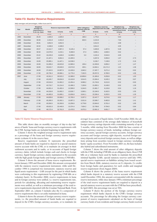## **Table F3: Banks' Reserve Requirements**

|  | daily averages and percentages, million kuna and % |  |  |
|--|----------------------------------------------------|--|--|
|  |                                                    |  |  |

| Year         | Month          | Weighted<br>average res.         |             | Reserve requirement (RR) |                   | Other obligatory<br>deposits with the |          | <b>Statutory reserves</b><br>deposited with the CNB | Weighted avg.<br>remuneration rate on remuneration rate | Weighted avg.                |
|--------------|----------------|----------------------------------|-------------|--------------------------|-------------------|---------------------------------------|----------|-----------------------------------------------------|---------------------------------------------------------|------------------------------|
|              |                | requirement in<br>% on res. base | Total       | In kuna                  | In $f/c$          | <b>CNB</b>                            | In kuna  | In $f/c$                                            | immobilised funds<br>in kuna                            | on allocated funds<br>in f/c |
| $\mathbf{1}$ | $\overline{2}$ | 3                                | $4 = 5 + 6$ | 5                        | 6                 | $\overline{7}$                        | 8        | $\overline{9}$                                      | 10                                                      | 11                           |
| 1994         | December       | 26.20                            | 1,826.0     | 1,826.0                  | $\qquad \qquad -$ | 188.3                                 | 1,779.2  | $\overline{\phantom{m}}$                            | 5.63                                                    | $\overline{\phantom{0}}$     |
| 1995         | December       | 30.90                            | 2,431.8     | 2,431.8                  | $\qquad \qquad -$ | 826.5                                 | 2,215.9  | $\overline{\phantom{m}}$                            | 7.93                                                    |                              |
| 1996         | December       | 35.91                            | 3,652.9     | 3,652.9                  |                   | $\overline{\phantom{m}}$              | 3,312.0  | $\qquad \qquad -$                                   | 4.99                                                    |                              |
| 1997         | December       | 32.02                            | 4,348.8     | 4,348.8                  |                   | $\qquad \qquad -$                     | 3,914.2  | $\overline{\phantom{m}}$                            | 4.05                                                    | $\overline{\phantom{0}}$     |
| 1998         | December       | 29.57                            | 13.112.7    | 3.967.2                  | 9.145.4           | 57.4                                  | 3,469.8  | 1.467.6                                             | 5.28                                                    |                              |
| 1999         | December       | 30.50                            | 13,579.0    | 4,210.1                  | 9,368.9           | 37.3                                  | 3,695.1  | 4,606.5                                             | 5.62                                                    |                              |
| 2000         | December       | 23.22                            | 16.245.8    | 4,646.8                  | 11,599.0          | 5.0                                   | 4.191.6  | 5,544.6                                             | 4.05                                                    |                              |
| 2001         | December       | 19.67                            | 21,187.1    | 8,691.5                  | 12,495.5          | $\qquad \qquad -$                     | 6,287.8  | 5,950.0                                             | 1.97                                                    | 2.73                         |
| 2002         | December       | 19.00                            | 25,985.1    | 11,447.1                 | 14,538.0          |                                       | 8,156.7  | 7,139.9                                             | 1.72                                                    | 2.16                         |
| 2003         | December       | 19.00                            | 31,009.4    | 18,023.8                 | 12,985.6          | 109.4                                 | 12,459.8 | 6.850.2                                             | 1.17                                                    | 1.47                         |
| 2004         | December       | 18.00                            | 33,615.7    | 20,040.9                 | 13,574.8          | 430.1                                 | 14,664.1 | 10,171.3                                            | 1.22                                                    | 1.36                         |
| 2005         | December       | 18.00                            | 37,424.5    | 24,997.9                 | 12,426.6          | 3,940.2                               | 17,497.7 | 9.271.4                                             | 0.52                                                    | 0.92                         |
| 2006         | December       | 17.00                            | 40,736.4    | 28,966.1                 | 11,770.4          | 7,332.5                               | 20,257.0 | 8,780.9                                             | 0.52                                                    | 1.06                         |
| 2007         | June           | 17.00                            | 42,911.2    | 30,522.2                 | 12,389.0          | 10,858.6                              | 21,365.6 | 9,250.8                                             | 0.52                                                    | 1.03                         |
|              | July           | 17.00                            | 43,245.7    | 30.834.9                 | 12.410.8          | 9.914.5                               | 21,584.4 | 9.245.3                                             | 0.52                                                    | 0.97                         |
|              | August         | 17.00                            | 43,516.6    | 31,062.2                 | 12,454.4          | 9,068.2                               | 21,743.6 | 9,212.6                                             | 0.52                                                    | 0.93                         |
|              | September      | 17.00                            | 43.710.7    | 31,214.4                 | 12,496.3          | 7,230.6                               | 21,850.1 | 9,149.0                                             | 0.52                                                    | 1.30                         |
|              | October        | 17.00                            | 44,001.4    | 31,402.4                 | 12,599.0          | 5,244.5                               | 21,981.7 | 9,133.8                                             | 0.53                                                    | 1.19                         |
|              | November       | 17.00                            | 44,318.8    | 31,692.2                 | 12,626.7          | 5,500.1                               | 22,184.5 | 9,162.5                                             | 0.53                                                    | 1.55                         |
|              | December       | 17.00                            | 44.465.9    | 31.809.1                 | 12,656.8          | 6.641.1                               | 22,266.4 | 9.203.5                                             | 0.53                                                    | 1.29                         |
| 2008         | January        | 17.00                            | 44,828.6    | 32,068.2                 | 12,760.4          | 5,207.2                               | 22,447.7 | 9,274.6                                             | 0.52                                                    | 1.17                         |
|              | February       | 17.00                            | 45.269.3    | 32.262.1                 | 13.007.2          | 5.521.6                               | 22.580.7 | 9.482.8                                             | 0.52                                                    | 1.41                         |
|              | March          | 17.00                            | 45,550.5    | 32,293.9                 | 13,256.6          | 6,778.8                               | 22,604.0 | 9,701.4                                             | 0.52                                                    | 1.05                         |
|              | April          | 17.00                            | 45.815.3    | 32.440.9                 | 13.374.4          | 7.654.2                               | 22.708.6 | 9.794.0                                             | 0.52                                                    | 0.84                         |
|              | May            | 17.00                            | 46.172.4    | 32.701.9                 | 13.470.5          | 8.075.3                               | 22.891.3 | 9.851.7                                             | 0.52                                                    | 1.00                         |

#### Table F3: Banks' Reserve Requirements

This table shows data on monthly averages of day-to-day balances of banks' kuna and foreign currency reserve requirements with the CNB. Savings banks are included beginning in July 1999.

Column 3 shows the weighted average reserve requirement ratio as a percentage of the kuna and foreign currency reserve requirements (column 4) in the reserve base.

Reserve requirement (column 4) represents the prescribed amount of funds banks are required to deposit in a special statutory reserve account with the CNB, or to maintain (in average) in their settlement accounts and in vaults, or in accounts of liquid foreign currency claims (which include foreign cash and checks in foreign currency, liquid foreign currency claims maintained in the accounts with the high-grade foreign banks and foreign currency CNB bills).

Column 5 shows the amount of kuna reserve requirements. Between January 1995 and December 2000, this amount corresponded with the statutory reserve requirement instrument, while until December 1994 it comprised two instruments: statutory reserves and liquid assets requirement – LAR (except for the part in which banks were conforming to this requirement by registering CNB bills on a voluntary basis). In December 2000, reserve requirements in kuna and in foreign currency were unified, i.e. reserve requirements rate, periods for calculating, allocating and maintaining reserve requirements were unified, as well as a minimum percentage of the total reserve requirements deposited with the Croatian National Bank. From September 2001 on, column 5 includes also the f/c component of reserve requirements that is set aside/maintained in kuna.

Column 6 shows the amount of foreign currency reserve requirements, i.e. the prescribed amount of funds banks are required to deposit in the CNB's foreign currency accounts, or to maintain (in average) in accounts of liquid claims. Until November 2000, the calculation base consisted of the average daily balances of household foreign currency savings deposits with a remaining maturity of up to 3 months, while starting from December 2000 the base consists of foreign currency sources of funds, including: ordinary foreign currency accounts, special foreign currency accounts, foreign currency accounts and foreign currency sight deposits, received foreign currency deposits and received foreign currency loans, as well as obligations arising from securities issued in foreign currency (excluding banks' equity securities). From November 2001 on, the base includes also hybrid and subordinated instruments.

Column 7 shows the total amount of other obligatory deposits with the CNB, including CNB bills on an obligatory basis, those CNB bills on a voluntary basis used by banks to maintain the prescribed minimal liquidity (LAR), special statutory reserves until July 1995, special reserve requirement on liabilities arising from issued securities from March 2006, statutory reserves on f/c deposits, f/c credits from foreign banks and guarantees for such credits and marginal reserve requirement (from August 2004).

Column 8 shows the portion of the kuna reserve requirement which banks deposit in a statutory reserve account with the CNB (until December 1994, this amount corresponded with the statutory reserve instrument, while since January 1995 a minimum percentage of the total reserve requirement banks are required to deposit in a special statutory reserve account with the CNB has been prescribed). In April 2005, this percentage was set at 70%.

Column 9 shows the portion of the foreign currency reserve requirement which banks deposit in the CNB's foreign currency accounts. The percentage for allocating the foreign currency component of reserve requirements calculated on the basis of foreign currency funds of non-residents and foreign currency funds received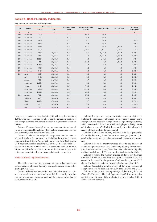## **Table F4: Banks' Liquidity Indicators**

daily averages and percentages, million kuna and %

| Year | Month          |              | <b>Free reserves</b> | <b>Primary liquidity</b> | <b>Secondary liquidity</b> | Kuna CNB bills | F/c CNB bills | <b>Kuna MoF</b> |
|------|----------------|--------------|----------------------|--------------------------|----------------------------|----------------|---------------|-----------------|
|      |                | In kuna      | In f/c               | ratio                    | sources                    |                |               | treasury bills  |
| 1    | $\overline{2}$ | $\mathbf{3}$ | $\overline{4}$       | $5\overline{5}$          | 6                          | $\overline{7}$ | 8             | $\overline{9}$  |
| 1994 | December       | 119.5        |                      | 1.72                     | 393.7                      | 210.2          |               |                 |
| 1995 | December       | 49.4         |                      | 0.63                     | 199.4                      | 218.7          |               |                 |
| 1996 | December       | 267.9        | $\cdots$             | 2.63                     | 98.5                       | 780.9          |               | 183.8           |
| 1997 | December       | 396.3        |                      | 2.92                     | 32.7                       | 728.9          |               | 260.7           |
| 1998 | December       | 221.9        |                      | 1.65                     | 445.5                      | 850.4          | 1,377.4       | 141.3           |
| 1999 | December       | 179.6        | $\cdots$             | 1.30                     | 1,183.6                    | 1,311.1        | 1,507.6       | 373.9           |
| 2000 | December       | 638.8        | 10,721.4             | 3.32                     | 80.1                       | 2,485.3        | 1,692.7       | 2,006.5         |
| 2001 | December       | 794.4        | 17,247.4             | 3.23                     | 2.6                        | 2,656.2        | 2,630.8       | 3,360.9         |
| 2002 | December       | 1,225.0      | 10,398.0             | 3.53                     | 0.6                        | 4,965.5        | 1,273.9       | 4,279.5         |
| 2003 | December       | 451.6        | 20,561.4             | 0.98                     | 501.6                      | 0.0            | 4,316.0       | 3,073.2         |
| 2004 | December       | 1,495.5      | 26,126.1             | 2.64                     | 0.0                        | 0.0            | 0.0           | 4,581.7         |
| 2005 | December       | 672.5        | 20,493.4             | 0.96                     | 0.2                        | 0.0            | 0.0           | 4,163.3         |
| 2006 | December       | 840.8        | 20,239.1             | 0.83                     | 0.0                        | 0.0            | 0.0           | 5,993.7         |
| 2007 | June           | 862.0        | 20,836.6             | 0.81                     | 30.6                       | 0.0            | 0.0           | 3,629.0         |
|      | July           | 948.2        | 22,189.3             | 0.87                     | 61.0                       | 0.0            | 0.0           | 2,502.7         |
|      | August         | 756.4        | 24,793.4             | 0.69                     | 5.7                        | 0.0            | 0.0           | 3,766.6         |
|      | September      | 1,253.9      | 26,547.4             | 1.14                     | 93.3                       | 0.0            | 0.0           | 3,999.5         |
|      | October        | 847.6        | 28,521.0             | 0.77                     | 708.6                      | 0.0            | 0.0           | 5,542.9         |
|      | November       | 694.8        | 29,523.2             | 0.62                     | 1,195.3                    | 0.0            | 0.0           | 6,642.4         |
|      | December       | 1,161.5      | 30,412.6             | 1.03                     | 330.4                      | 0.0            | 0.0           | 4,449.4         |
| 2008 | January        | 791.6        | 29,493.9             | 0.70                     | 670.3                      | 0.0            | 0.0           | 7,990.6         |
|      | February       | 866.1        | 28,898.6             | 0.76                     | 251.0                      | 0.0            | 0.0           | 7,100.2         |
|      | March          | 1,209.2      | 27,133.6             | 1.08                     | 1.7                        | 0.0            | 0.0           | 6,771.8         |
|      | April          | 970.7        | 24,928.8             | 0.87                     | 0.0                        | 0.0            | 0.0           | 6,934.5         |
|      | May            | 799.1        | 23,353.8             | 0.71                     | 0.0                        | 0.0            | 0.0           | 6,463.4         |

from legal persons in a special relationship with a bank amounts to 100%, while the percentage for allocating the remaining portion of the foreign currency component of reserve requirements amounts to 60%.

Column 10 shows the weighted average remuneration rate on all forms of immobilised kuna funds which include reserve requirements and other obligatory deposits with the CNB.

Column 11 shows the weighted average remuneration rate on allocated funds in foreign currency, including the marginal reserve requirement funds (from August 2004 on). From June 2005 on, the CNB pays remuneration equalling 50% of the US Federal Funds Target Rate for the funds allocated in US dollars and 50% of the ECB Minimum Bid Refinance Rate for the funds allocated in euros. In both cases the rate in effect on the day of allocation is applied.

#### Table F4: Banks' Liquidity Indicators

The table reports monthly averages of day-to-day balances of some indicators of banks' liquidity. Savings banks are included beginning in July 1999.

Column 3 shows free reserves in kuna, defined as bank's total reserves (in settlement accounts and in vaults) decreased by the minimal average settlement account and vault balance, as prescribed by instruments of the CNB.

Column 4 shows free reserves in foreign currency, defined as funds for the maintenance of foreign currency reserve requirements (foreign cash and checks in foreign currency, liquid foreign currency claims maintained in the accounts with the high-grade foreign banks and foreign currency CNB bills) decreased by the minimal required balance of these funds in the same period.

Column 5 shows the primary liquidity ratio as a percentage of monthly day-to-day kuna free reserves averages (column 3) in monthly day-to-day averages of deposits which constitute the reserve base.

Column 6 shows the monthly average of day-to-day balances of secondary liquidity sources used. Secondary liquidity sources comprise: Lombard credits (since December 1994), short-term liquidity credits (since February 1999) and overdue liabilities to the CNB.

Column 7 reports the monthly average of day-to-day balances of kuna CNB bills on a voluntary basis (until December 1994, this amount is decreased by the portion of voluntarily registered CNB bills used by banks to maintain the prescribed minimal liquidity).

Column 8 reports the monthly average of day-to-day balances of foreign currency CNB bills on a voluntary basis (in EUR and USD).

Column 9 reports the monthly average of day-to-day balances of kuna MoF treasury bills. Until September 2002, it shows the discounted value of treasury bills, while starting from October 2002, it shows their nominal value.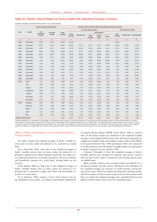## **Table G1: Banks' Interest Rates on Kuna Credits Not Indexed to Foreign Currency**

| weighted averages of monthly interest rates, in % on annual basis |  |
|-------------------------------------------------------------------|--|
|                                                                   |  |

|                                    |                | Money market interest rates |                   | Interest rates on kuna credits not indexed to foreign currency |                  |                    |                       |                   |       |                         |                      |                               |
|------------------------------------|----------------|-----------------------------|-------------------|----------------------------------------------------------------|------------------|--------------------|-----------------------|-------------------|-------|-------------------------|----------------------|-------------------------------|
|                                    |                |                             |                   |                                                                |                  |                    | On short-term credits |                   |       |                         | On long-term credits |                               |
| Year                               | Month          | On<br>overnight             | On other          | Total                                                          |                  |                    |                       | <b>Households</b> |       |                         |                      |                               |
|                                    |                | credits                     | credits           | average                                                        | Total<br>average | <b>Enterprises</b> | Total<br>average      | Credit<br>lines   | Other | <b>Total</b><br>average |                      | <b>Enterprises Households</b> |
| $\overline{1}$                     | $\overline{2}$ | $\mathbf{3}$                | $\overline{4}$    | $\,$ 5 $\,$                                                    | $\,6$            | $\overline{7}$     | $\,$ 8 $\,$           | $\overline{9}$    | 10    | 11                      | 12                   | 13                            |
| 1994                               | December       | 8.50                        | 17.76             | 15.39                                                          | 15.43            |                    | $\cdots$              |                   |       | 13.82                   | $\cdots$             |                               |
| 1995                               | December       | 27.26                       | 27.15             | 22.32                                                          | 22.56            | 22.23              | 23.81                 | 23.75             | 25.58 | 13.48                   | 13.39                | 14.38                         |
| 1996                               | December       | 9.66                        | 10.72             | 18.46                                                          | 19.35            | 19.18              | 20.18                 | 19.90             | 23.12 | 11.51                   | 11.29                | 14.28                         |
| 1997                               | December       | 8.46                        | 9.49              | 14.06                                                          | 14.12            | 13.17              | 19.26                 | 19.34             | 18.11 | 13.24                   | 12.98                | 13.75                         |
| 1998                               | December       | 10.00                       | 15.91             | 16.06                                                          | 16.22            | 14.89              | 20.77                 | 20.80             | 19.92 | 11.73                   | 11.48                | 13.16                         |
| 1999                               | December       | 9.92                        | 12.78             | 13.54                                                          | 13.52            | 10.55              | 20.83                 | 20.84             | 20.39 | 15.14                   | 15.31                | 14.16                         |
| 2000                               | December       | 2.39                        | 4.45              | 10.45                                                          | 10.45            | 6.81               | 20.30                 | 20.33             | 19.05 | 9.90                    | 9.64                 | 12.97                         |
| 2001                               | December       | 2.49                        | 2.18              | 9.51                                                           | 9.49             | 5.43               | 18.81                 | 18.85             | 14.88 | 11.42                   | 10.06                | 13.14                         |
| 2002                               | December       | 1.58                        | 1.89              | 10.91                                                          | 11.24            | 7.44               | 15.16                 | 15.28             | 9.84  | 7.32                    | 6.48                 | 7.88                          |
| 2003                               | December       | 5.47                        | 7.02              | 11.45                                                          | 11.80            | 8.02               | 14.89                 | 15.01             | 12.38 | 8.51                    | 6.14                 | 10.69                         |
| 2004                               | December       | 3.55                        | 6.02              | 11.44                                                          | 11.71            | 8.33               | 14.19                 | 14.27             | 12.29 | 9.31                    | 6.90                 | 11.16                         |
| 2005                               | December       | 2.29                        | 3.61              | 9.91                                                           | 9.99             | 7.71               | 11.26                 | 13.18             | 5.35  | 8.75                    | 6.48                 | 10.35                         |
| 2006                               | December       | 2.02                        | 3.52              | 9.07                                                           | 9.37             | 6.75               | 11.84                 | 13.21             | 4.67  | 7.53                    | 5.86                 | 9.44                          |
| 2007                               | June           | 5.11                        | 5.54              | 9.28                                                           | 9.69             | 7.03               | 12.29                 | 13.18             | 5.12  | 7.84                    | 6.52                 | 8.77                          |
|                                    | July           | 4.87                        | 6.50              | 9.13                                                           | 9.51             | 6.77               | 12.30                 | 13.17             | 5.34  | 7.75                    | 6.64                 | 8.45                          |
|                                    | August         | 2.85                        | 4.25              | 9.46                                                           | 10.02            | 7.12               | 12.16                 | 13.23             | 4.95  | 7.42                    | 6.53                 | 7.95                          |
|                                    | September      | 4.05                        | 5.27              | 9.53                                                           | 10.06            | 7.04               | 12.27                 | 13.22             | 5.72  | 7.80                    | 6.53                 | 8.17                          |
|                                    | October        | 6.25                        | 7.75              | 9.02                                                           | 9.33             | 7.23               | 10.80                 | 13.22             | 4.55  | 7.60                    | 6.84                 | 7.87                          |
|                                    | November       | 6.41                        | 7.47              | 9.52                                                           | 10.00            | 7.24               | 12.36                 | 13.22             | 4.97  | 7.43                    | 6.83                 | 7.74                          |
|                                    | December       | 5.33                        | 6.71              | 9.32                                                           | 9.74             | 7.39               | 12.34                 | 13.19             | 4.95  | 7.50                    | 6.66                 | 8.01                          |
| 2008                               | January        | 6.67                        | 6.97              | 9.90                                                           | 10.21            | 7.81               | 12.17                 | 12.89             | 4.91  | 8.16                    | 7.40                 | 8.42                          |
|                                    | February       | 4.07                        | 6.42              | 9.95                                                           | 10.27            | 7.62               | 12.18                 | 12.92             | 5.29  | 8.43                    | 7.55                 | 8.99                          |
|                                    | March          | 2.69                        | 5.78              | 9.69                                                           | 9.92             | 7.36               | 12.15                 | 12.90             | 4.92  | 8.40                    | 7.20                 | 9.02                          |
|                                    | April          | 2.44                        | 5.85              | 10.11                                                          | 10.45            | 7.78               | 12.59                 | 13.42             | 5.66  | 8.43                    | 7.30                 | 9.03                          |
|                                    | May            | 2.66                        | 5.20              | 9.66                                                           | 9.90             | 7.58               | 11.93                 | 12.72             | 5.36  | 8.36                    | 7.17                 | 9.28                          |
| Relative significance <sup>a</sup> |                | $\overline{\phantom{0}}$    | $\qquad \qquad -$ | 79.34                                                          | 67.07            | 31.37              | 35.70                 | 31.91             | 3.79  | 12.28                   | 5.37                 | 6.91                          |

a Relative significance is calculated as a percentage of corresponding credit category in total credits disbursed in the reporting month (according to data for the last period included in the table) Note: A break in the time series occurred due to changes in the methodology used in interest rate statistics as of 1 January 2001. This especially refers to interest rates shown in columns 5, 6 and 7. Interbank credits, which bear relatively low interest rates, were, among others, excluded from short-term credits to enterprises. The increase in interest rates was also caused by the weighting<br>method: all categories ar

#### Table G1: Banks' Interest Rates on Kuna Credits Not Indexed to Foreign Currency

The table contains the weighted averages of banks' monthly interest rates on kuna credits not indexed to f/c, reported on a yearly basis.

Up to December 2001, data refer to the weighted averages of banks' monthly interest rates on kuna credits not indexed to f/c granted to legal persons (which included enterprises, the public sector, financial institutions, non-profit institutions and non-residents) and households, reported on a yearly basis. Savings banks are not covered.

From January 2002 on, data refer to the weighted averages of banks' monthly interest rates on kuna credits not indexed to f/c granted only to enterprises (public and other) and households, reported on a yearly basis.

Up to February 1996, columns 3 and 4 show interest rates on the interbank money market, according to information published by

the Zagreb Money Market (ZMM). From March 1996 on, interest rates on the money market are calculated as the weighted monthly averages of the weighted daily interest rates and shown separately for trading in overnight credits and trading in other credits on the ZMM. In the period between May 1998 and January 2001, the repayment of credits granted on the interbank overnight market was guaranteed by banks' required reserves with the CNB.

Columns 5 through 13 show the weighted averages of banks' monthly interest rates classified by maturity and sectors. Interest rates on short-term credits to enterprises also include interest rates on callable loans.

Data on banks' interest rates on kuna credits not indexed to f/c are based on banks' periodic reports. The basis for the calculation of the weighted averages are amounts of credits bearing corresponding interest rates, which were disbursed during the reporting month, with the exception of interest rates on giro and current account credit lines, for which the weighted averages were calculated based on the balance of these loans at the end of the reporting month.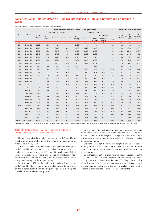## **Table G2: Banks' Interest Rates on Kuna Credits Indexed to Foreign Currency and on Credits in Euros**

weighted averages of monthly interest rates, in % on annual basis

|                                    |                |         |                  |                       |            | Interest rates on kuna credits indexed to foreign currency |                    |                      |                    |          | Interest rates on credits in euros |                            |          |  |
|------------------------------------|----------------|---------|------------------|-----------------------|------------|------------------------------------------------------------|--------------------|----------------------|--------------------|----------|------------------------------------|----------------------------|----------|--|
|                                    |                |         |                  | On short-term credits |            |                                                            |                    | On long-term credits |                    |          |                                    |                            |          |  |
| Year                               | Month          | Total   |                  |                       |            |                                                            |                    |                      | <b>Households</b>  |          | Total                              | On<br>short-term long-term | On       |  |
|                                    |                | average | Total<br>average | <b>Enterprises</b>    | Households | Total<br>average                                           | <b>Enterprises</b> | Total<br>average     | Housing<br>credits | Other    | average                            | credits                    | credits  |  |
| $\mathbf{1}$                       | $\overline{2}$ | 3       | $\sqrt{4}$       | 5                     | 6          | $\overline{7}$                                             | 8                  | $\mathsf g$          | $10$               | 11       | 12                                 | 13                         | 14       |  |
| 1994                               | December       | 11.99   | 12.38            | $\cdots$              | $\cdots$   | 11.65                                                      | $\cdots$           | $\cdots$             |                    | $\cdots$ |                                    | $\cdots$                   | $\cdots$ |  |
| 1995                               | December       | 19.56   | 21.62            | 21.09                 | 18.10      | 14.33                                                      | 15.79              | 10.48                |                    |          | 17.18                              | 19.06                      | 12.27    |  |
| 1996                               | December       | 18.97   | 22.56            | 22.40                 | 27.00      | 12.12                                                      | 13.15              | 11.30                |                    |          | 19.50                              | 21.46                      | 10.77    |  |
| 1997                               | December       | 14.40   | 16.92            | 17.00                 | 14.02      | 12.25                                                      | 13.00              | 11.02                |                    |          | 13.61                              | 14.95                      | 9.71     |  |
| 1998                               | December       | 13.04   | 14.28            | 14.25                 | 13.64      | 11.15                                                      | 10.55              | 12.12                |                    |          | 6.95                               | 8.37                       | 5.71     |  |
| 1999                               | December       | 12.53   | 13.66            | 13.54                 | 17.21      | 10.81                                                      | 10.46              | 11.65                | .                  |          | 6.75                               | 7.43                       | 6.07     |  |
| 2000                               | December       | 10.74   | 11.17            | 11.10                 | 13.59      | 10.52                                                      | 9.41               | 11.64                |                    |          | 7.70                               | 7.49                       | 8.05     |  |
| 2001                               | December       | 9.29    | 9.45             | 9.45                  | 11.30      | 9.20                                                       | 7.52               | 10.79                |                    | $\cdots$ | 5.94                               | 5.70                       | 7.27     |  |
| 2002                               | December       | 8.25    | 9.34             | 8.72                  | 11.37      | 7.98                                                       | 6.37               | 9.50                 | 7.42               | 10.11    | 5.91                               | 6.66                       | 5.44     |  |
| 2003                               | December       | 7.07    | 7.21             | 7.00                  | 8.66       | 7.03                                                       | 5.76               | 8.04                 | 6.02               | 9.70     | 5.62                               | 6.22                       | 5.18     |  |
| 2004                               | December       | 6.89    | 7.25             | 7.09                  | 8.47       | 6.77                                                       | 5.55               | 7.73                 | 5.71               | 8.79     | 5.34                               | 5.92                       | 4.83     |  |
| 2005                               | December       | 6.18    | 6.52             | 6.34                  | 7.91       | 6.07                                                       | 5.18               | 6.98                 | 4.95               | 8.10     | 5.29                               | 5.28                       | 5.30     |  |
| 2006                               | December       | 6.30    | 6.56             | 6.29                  | 8.33       | 6.22                                                       | 6.21               | 6.22                 | 4.75               | 7.57     | 5.65                               | 6.19                       | 5.34     |  |
| 2007                               | June           | 5.98    | 6.54             | 6.53                  | 6.59       | 5.89                                                       | 5.81               | 5.97                 | 4.86               | 7.11     | 6.32                               | 6.32                       | 6.32     |  |
|                                    | July           | 6.11    | 6.33             | 6.20                  | 7.17       | 6.05                                                       | 5.96               | 6.15                 | 4.92               | 7.26     | 6.52                               | 6.58                       | 6.44     |  |
|                                    | August         | 6.46    | 6.86             | 6.96                  | 6.19       | 6.37                                                       | 6.28               | 6.46                 | 4.92               | 7.71     | 6.71                               | 6.82                       | 6.40     |  |
|                                    | September      | 6.86    | 6.74             | 6.80                  | 6.55       | 6.89                                                       | 6.56               | 7.07                 | 4.96               | 8.16     | 6.73                               | 6.74                       | 6.69     |  |
|                                    | October        | 6.64    | 6.80             | 6.82                  | 6.69       | 6.60                                                       | 6.04               | 7.15                 | 5.13               | 8.36     | 6.81                               | 6.66                       | 7.10     |  |
|                                    | November       | 6.37    | 5.85             | 5.84                  | 6.19       | 6.88                                                       | 6.37               | 7.23                 | 5.23               | 8.59     | 6.63                               | 6.96                       | 6.34     |  |
|                                    | December       | 6.73    | 6.86             | 6.86                  | 6.84       | 6.66                                                       | 6.51               | 6.80                 | 5.12               | 8.24     | 6.79                               | 6.59                       | 7.10     |  |
| 2008                               | January        | 6.86    | 6.99             | 7.01                  | 6.92       | 6.83                                                       | 6.75               | 6.87                 | 4.82               | 8.47     | 6.51                               | 6.83                       | 6.23     |  |
|                                    | February       | 6.97    | 6.98             | 7.09                  | 6.15       | 6.97                                                       | 6.35               | 7.45                 | 5.44               | 8.65     | 7.11                               | 7.23                       | 6.82     |  |
|                                    | March          | 7.16    | 6.83             | 6.91                  | 6.46       | 7.26                                                       | 6.39               | 7.75                 | 5.65               | 8.79     | 6.83                               | 7.00                       | 6.63     |  |
|                                    | April          | 7.31    | 7.21             | 7.06                  | 8.35       | 7.34                                                       | 6.62               | 7.90                 | 5.75               | 8.92     | 6.96                               | 7.06                       | 6.82     |  |
|                                    | May            | 7.60    | 7.32             | 7.21                  | 8.26       | 7.68                                                       | 6.53               | 8.16                 | 5.84               | 9.23     | 6.77                               | 7.05                       | 6.37     |  |
| Relative significance <sup>a</sup> |                | 17.36   | 3.51             | 3.14                  | 0.37       | 13.85                                                      | 4.09               | 9.76                 | 3.10               | 6.66     | 3.29                               | 1.95                       | 1.34     |  |

a Relative significance is calculated as a percentage of corresponding credit category in total credits disbursed in the reporting month (according to data for the last period included in the table).

#### Table G2: Banks' Interest Rates on Kuna Credits Indexed to Foreign Currency and on Credits in Euros

The table contains the weighted averages of banks' monthly interest rates on kuna credits indexed to f/c and on credits in euros, reported on a yearly basis.

Up to December 2001, data refer to the weighted averages of banks' monthly interest rates on kuna credits indexed to f/c and on credits in euros (or German marks) granted to legal persons (which included enterprises, the public sector, financial institutions, nonprofit institutions and non-residents) and households, reported on a yearly basis. Savings banks are not covered.

From January 2002 on, data refer to the weighted averages of banks' monthly interest rates on kuna credits indexed to f/c and on credits in euros granted only to enterprises (public and other) and households, reported on a yearly basis.

Data on banks' interest rates on kuna credits indexed to f/c and on credits in euros are based on banks' periodic reports. The basis for the calculation of the weighted averages are amounts of credits bearing corresponding interest rates, which were disbursed during the reporting month.

Columns 3 through 11 show the weighted averages of banks' monthly interest rates classified by maturity and sectors. Interest rates on short-term credits to enterprises also include interest rates on callable loans.

Up to December 2001, interest rates on credits in euros (columns 12, 13 and 14) refer to credits released in German marks in the reporting month, and starting from January 2002, they refer to credits released in euros, while the weighted averages are calculated based on their kuna equivalent using the current exchange rate. Credits released in other currencies are not included in this table.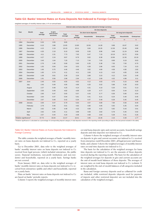#### **Table G3: Banks' Interest Rates on Kuna Deposits Not Indexed to Foreign Currency**

weighted averages of monthly interest rates, in % on annual basis

|                                    |                |              |                        |                  |                  |                        | Interest rates on kuna deposits not indexed to foreign currency |                  |                       |                    |
|------------------------------------|----------------|--------------|------------------------|------------------|------------------|------------------------|-----------------------------------------------------------------|------------------|-----------------------|--------------------|
|                                    |                |              |                        |                  |                  |                        | On time deposits                                                |                  |                       |                    |
| Year                               | Month          | Total        | In giro<br>and current |                  |                  | On short-term deposits |                                                                 |                  | On long-term deposits |                    |
|                                    |                | average      | accounts               | Total<br>average | Total<br>average | <b>Households</b>      | <b>Enterprises</b>                                              | Total<br>average | <b>Households</b>     | <b>Enterprises</b> |
| 1                                  | $\overline{c}$ | $\mathbf{3}$ | $\overline{4}$         | $\overline{5}$   | 6                | $\overline{7}$         | $\bf8$                                                          | $\overline{9}$   | 10                    | 11                 |
| 1994                               | December       | 5.03         | 3.55                   | 9.65             |                  |                        |                                                                 |                  |                       | $\cdots$           |
| 1995                               | December       | 6.10         | 3.88                   | 13.65            | 13.80            | 10.56                  | 14.28                                                           | 9.88             | 10.67                 | 9.62               |
| 1996                               | December       | 4.15         | 2.19                   | 10.19            | 10.11            | 9.84                   | 10.26                                                           | 12.36            | 15.49                 | 9.88               |
| 1997                               | December       | 4.35         | 2.19                   | 9.10             | 9.08             | 9.30                   | 8.96                                                            | 9.48             | 11.24                 | 8.06               |
| 1998                               | December       | 4.11         | 2.31                   | 7.73             | 7.63             | 9.47                   | 7.15                                                            | 10.19            | 10.72                 | 9.56               |
| 1999                               | December       | 4.27         | 2.24                   | 8.87             | 8.79             | 9.62                   | 8.38                                                            | 10.96            | 11.56                 | 10.18              |
| 2000                               | December       | 3.40         | 1.64                   | 7.20             | 7.13             | 7.44                   | 7.03                                                            | 8.89             | 9.19                  | 8.63               |
| 2001                               | December       | 2.76         | 1.40                   | 5.68             | 5.60             | 6.35                   | 5.38                                                            | 7.35             | 7.93                  | 6.70               |
| 2002                               | December       | 1.55         | 0.94                   | 3.64             | 3.53             | 4.39                   | 2.86                                                            | 6.05             | 7.24                  | 3.23               |
| 2003                               | December       | 1.66         | 0.75                   | 4.46             | 4.46             | 3.62                   | 4.69                                                            | 4.58             | 4.90                  | 2.82               |
| 2004                               | December       | 1.83         | 0.74                   | 4.11             | 4.11             | 3.93                   | 4.13                                                            | 4.10             | 4.65                  | 3.30               |
| 2005                               | December       | 1.58         | 0.61                   | 3.36             | 3.34             | 3.89                   | 3.23                                                            | 4.12             | 5.04                  | 3.49               |
| 2006                               | December       | 1.91         | 0.56                   | 2.98             | 2.94             | 4.10                   | 2.69                                                            | 4.32             | 4.98                  | 3.11               |
| 2007                               | June           | 2.40         | 0.55                   | 4.55             | 4.52             | 4.12                   | 4.63                                                            | 4.75             | 5.15                  | 4.68               |
|                                    | July           | 2.45         | 0.49                   | 4.95             | 4.86             | 4.20                   | 5.02                                                            | 5.88             | 5.30                  | 6.03               |
|                                    | August         | 2.37         | 0.48                   | 4.25             | 4.14             | 4.31                   | 4.10                                                            | 5.20             | 5.51                  | 5.13               |
|                                    | September      | 2.50         | 0.49                   | 4.82             | 4.69             | 4.29                   | 4.77                                                            | 6.04             | 5.44                  | 6.23               |
|                                    | October        | 2.60         | 0.47                   | 5.65             | 5.57             | 4.43                   | 5.77                                                            | 6.36             | 5.66                  | 6.54               |
|                                    | November       | 2.64         | 0.47                   | 5.94             | 5.91             | 4.41                   | 6.21                                                            | 6.24             | 5.40                  | 6.45               |
|                                    | December       | 2.67         | 0.49                   | 5.42             | 5.34             | 4.47                   | 5.48                                                            | 6.28             | 5.45                  | 6.45               |
| 2008                               | January        | 3.00         | 0.47                   | 5.79             | 5.63             | 4.57                   | 5.80                                                            | 7.84             | 5.56                  | 8.49               |
|                                    | February       | 2.79         | 0.46                   | 5.01             | 4.92             | 4.80                   | 4.95                                                            | 5.92             | 5.35                  | 6.04               |
|                                    | March          | 2.62         | 0.46                   | 4.48             | 4.32             | 4.69                   | 4.22                                                            | 5.82             | 5.43                  | 5.91               |
|                                    | April          | 2.62         | 0.45                   | 4.11             | 3.98             | 4.69                   | 3.82                                                            | 5.78             | 5.45                  | 5.92               |
|                                    | May            | 2.57         | 0.44                   | 4.20             | 4.08             | 4.68                   | 3.93                                                            | 5.28             | 5.41                  | 5.26               |
| Relative significance <sup>a</sup> |                | 57.75        | 33.04                  | 21.57            | 19.41            | 3.95                   | 15.46                                                           | 2.16             | 0.39                  | 1.77               |

a Relative significance is calculated as a percentage of corresponding deposit category in total deposits received in the reporting month (according to data for the last period included in the table).

#### Table G3: Banks' Interest Rates on Kuna Deposits Not Indexed to Foreign Currency

on total kuna deposits (giro and current accounts, household savings deposits and time deposits) not indexed to f/c.

The table contains the weighted averages of banks' monthly interest rates on kuna deposits not indexed to f/c, reported on a yearly basis.

Up to December 2001, data refer to the weighted averages of banks' monthly interest rates on kuna deposits not indexed to f/c received from legal persons (which included enterprises, the public sector, financial institutions, non-profit institutions and non-residents) and households, reported on a yearly basis. Savings banks are not covered.

From January 2002 on, data refer to the weighted averages of banks' monthly interest rates on kuna deposits not indexed to f/c received from enterprises (public and other) and households, reported on a yearly basis.

Data on banks' interest rates on kuna deposits not indexed to f/c are based on banks' periodic reports.

Column 3 reports the weighted averages of monthly interest rates

Column 4 shows the weighted averages of monthly interest rates on deposits in giro and current accounts not indexed to f/c received from enterprises (until December 2001, all legal persons) and households, and column 5 shows the weighted averages of monthly interest rates on total time deposits not indexed to f/c.

The basis for the calculation of the weighted averages for kuna time deposits not indexed to f/c are the amounts of those deposits received during the reporting month. The basis for the calculation of the weighted averages for deposits in giro and current accounts are the end-of-month book balances of those deposits. The averages of interest rates on total kuna deposits not indexed to f/c (column 3) are weighted by the end-of-month balances of all categories included in the calculation.

Kuna and foreign currency deposits used as collateral for credit are included, while restricted deposits (deposits used for payment of imports and other restricted deposits) are not included into the calculation of the weighted averages.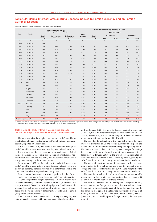## **Table G4a: Banks' Interest Rates on Kuna Deposits Indexed to Foreign Currency and on Foreign Currency Deposits**

weighted averages of monthly interest rates, in % on annual basis

|                                    | Interest rates on savings<br>and time deposits indexed to f/c<br>Year<br><b>Month</b><br><b>Total</b><br>On short-term |                   |                |              |                         | Interest rates on foreign currency deposits |            |                         |                    |            |
|------------------------------------|------------------------------------------------------------------------------------------------------------------------|-------------------|----------------|--------------|-------------------------|---------------------------------------------|------------|-------------------------|--------------------|------------|
|                                    |                                                                                                                        |                   |                |              |                         |                                             |            | <b>Savings deposits</b> |                    |            |
|                                    |                                                                                                                        |                   |                | On long-term | <b>Total</b><br>average | Total                                       |            | <b>Households</b>       | <b>Enterprises</b> |            |
|                                    |                                                                                                                        | average           | deposits       | deposits     |                         | average                                     | <b>EUR</b> | <b>USD</b>              | <b>EUR</b>         | <b>USD</b> |
| $\mathbf{1}$                       | $\overline{c}$                                                                                                         | 3                 | $\overline{4}$ | $\,$ 5 $\,$  | 6                       | $\overline{7}$                              | 8          | 9                       | 10                 | 11         |
| 1994                               | December                                                                                                               | 6.95              | $\cdots$       | $\cdots$     |                         | $\cdots$                                    | $\cdots$   | $\cdots$                | $\cdots$           |            |
| 1995                               | December                                                                                                               | 12.69             | 11.46          | 19.36        | 4.57                    | 2.82                                        | 3.53       | 4.20                    | 1.10               | 1.53       |
| 1996                               | December                                                                                                               | 9.46              | 9.56           | 8.80         | 5.09                    | 1.44                                        | 1.32       | 1.95                    | 1.47               | 1.39       |
| 1997                               | December                                                                                                               | 7.63              | 7.24           | 11.77        | 4.77                    | 1.75                                        | 1.89       | 2.43                    | 0.83               | 1.40       |
| 1998                               | December                                                                                                               | 7.47              | 7.67           | 5.58         | 3.98                    | 2.09                                        | 2.38       | 2.40                    | 0.72               | 0.74       |
| 1999                               | December                                                                                                               | 6.62              | 6.91           | 1.10         | 4.23                    | 1.80                                        | 1.95       | 2.04                    | 0.78               | 1.30       |
| 2000                               | December                                                                                                               | 5.54              | 5.94           | 2.16         | 3.47                    | 1.03                                        | 0.99       | 1.23                    | 0.65               | 1.29       |
| 2001                               | December                                                                                                               | 4.58              | 4.92           | 2.56         | 2.60                    | 0.71                                        | 0.71       | 0.81                    | 0.82               | 0.40       |
| 2002                               | December                                                                                                               | 2.92              | 3.45           | 1.48         | 2.55                    | 0.50                                        | 0.52       | 0.41                    | 0.52               | 0.38       |
| 2003                               | December                                                                                                               | 3.48              | 3.74           | 5.55         | 2.22                    | 0.31                                        | 0.35       | 0.23                    | 0.23               | 0.15       |
| 2004                               | December                                                                                                               | 4.17              | 3.61           | 5.19         | 2.65                    | 0.31                                        | 0.34       | 0.22                    | 0.22               | 0.21       |
| 2005                               | December                                                                                                               | 3.99              | 3.63           | 4.77         | 2.61                    | 0.27                                        | 0.27       | 0.17                    | 0.27               | 0.76       |
| 2006                               | December                                                                                                               | 3.67              | 3.30           | 4.07         | 2.94                    | 0.25                                        | 0.23       | 0.17                    | 0.32               | 0.44       |
| 2007                               | June                                                                                                                   | 3.89              | 3.74           | 4.58         | 3.08                    | 0.26                                        | 0.24       | 0.17                    | 0.35               | 0.59       |
|                                    | July                                                                                                                   | 3.68              | 3.89           | 4.76         | 3.22                    | 0.25                                        | 0.23       | 0.17                    | 0.34               | 0.48       |
|                                    | August                                                                                                                 | 3.96              | 3.79           | 4.74         | 3.33                    | 0.26                                        | 0.23       | 0.17                    | 0.33               | 0.60       |
|                                    | September                                                                                                              | 4.12              | 3.74           | 4.64         | 3.28                    | 0.25                                        | 0.23       | 0.16                    | 0.32               | 0.58       |
|                                    | October                                                                                                                | 4.13              | 3.80           | 4.56         | 3.38                    | 0.25                                        | 0.23       | 0.16                    | 0.32               | 0.63       |
|                                    | November                                                                                                               | 3.85              | 4.18           | 4.30         | 3.41                    | 0.27                                        | 0.22       | 0.15                    | 0.41               | 0.65       |
|                                    | December                                                                                                               | 3.98              | 3.76           | 4.35         | 3.44                    | 0.25                                        | 0.22       | 0.15                    | 0.36               | 0.43       |
| 2008                               | January                                                                                                                | 4.00              | 3.66           | 4.47         | 3.36                    | 0.26                                        | 0.22       | 0.15                    | 0.38               | 0.36       |
|                                    | February                                                                                                               | 4.25              | 3.91           | 5.36         | 3.49                    | 0.25                                        | 0.23       | 0.15                    | 0.36               | 0.49       |
|                                    | March                                                                                                                  | 4.12              | 3.84           | 4.57         | 3.46                    | 0.27                                        | 0.22       | 0.16                    | 0.43               | 0.36       |
|                                    | April                                                                                                                  | 3.89              | 4.27           | 4.34         | 3.56                    | 0.25                                        | 0.22       | 0.15                    | 0.38               | 0.32       |
|                                    | May                                                                                                                    | 4.03 <sup>b</sup> | 3.98           | 5.15         | 3.50                    | 0.25                                        | 0.21       | 0.15                    | 0.41               | 0.28       |
| Relative significance <sup>a</sup> |                                                                                                                        | 0.75              | 0.60           | 0.14         | 41.50                   | 21.29                                       | 14.52      | 1.59                    | 4.71               | 0.47       |

<sup>a</sup> Relative significance is calculated as a percentage of corresponding deposit category in total deposits received in the reporting month (according to data for the last period included in the table).<br><sup>b</sup> Of the total am

### Table G4a and b: Banks' Interest Rates on Kuna Deposits Indexed to Foreign Currency and on Foreign Currency Deposits

The table contains the weighted averages of banks' monthly interest rates on kuna deposits indexed to f/c and on foreign currency deposits, reported on a yearly basis.

Up to December 2001, data refer to the weighted averages of banks' monthly interest rates on kuna deposits indexed to f/c and on foreign currency deposits received from legal persons (which included enterprises, the public sector, financial institutions, nonprofit institutions and non-residents) and households, reported on a yearly basis. Savings banks are not covered.

From January 2002 on, data refer to the weighted averages of banks' monthly interest rates on kuna deposits indexed to f/c and on foreign currency deposits received from enterprises (public and other) and households, reported on a yearly basis.

Data on banks' interest rates on kuna deposits indexed to f/c and on foreign currency deposits are based on banks' periodic reports.

Column 3 reports the weighted averages of monthly interest rates on total kuna savings and time deposits indexed to f/c received from enterprises (until December 2001, all legal persons) and households, whereas the weighted averages of monthly interest rates on time deposits are shown in column 4 (short-term deposits) and column 5 (long-term deposits) respectively.

Up to December 2001, interest rates on foreign currency deposits refer to deposits received in German marks or US dollars, and start-

ing from January 2002, they refer to deposits received in euros and US dollars, while the weighted averages are calculated based on their kuna equivalent using the current exchange rate. Deposits received in other currencies are not included in this table.

The basis for the calculation of the weighted averages for kuna time deposits indexed to f/c and foreign currency time deposits are the amounts of those deposits received during the reporting month. The basis for the calculation of the weighted averages for savings deposits indexed to f/c are the end-of-month book balances of those deposits. From January 2002 on, the averages of interest rates on total kuna deposits indexed to f/c (column 3) are weighted by the end-of-month balances of all categories included in the calculation.

The average interest rate on total foreign currency deposits (column 6) refers to the weighted average of monthly interest rates on savings and time deposits indexed to f/c, which are weighted by the end-of-month balances of all categories included in the calculation.

The basis for the calculation of the weighted averages of monthly interest rates on total foreign currency savings deposits (column 7) are the end-of-month balances of those deposits.

The basis for the calculation of the weighted averages of monthly interest rates on total foreign currency time deposits (column 12) are the amounts of those deposits received during the reporting month. The same basis is applied in calculating the weighted averages of monthly interest rates on total short-term foreign currency deposits (column 13) and on total long-term foreign currency deposits (column 18).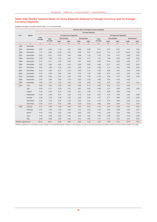## **Table G4b: Banks' Interest Rates on Kuna Deposits Indexed to Foreign Currency and on Foreign Currency Deposits**

weighted averages of monthly interest rates, in % on annual basis

|                                    |                |                  |          |                   |                        |            |                    | Interest rates on foreign currency deposits |            |                       |            |                    |
|------------------------------------|----------------|------------------|----------|-------------------|------------------------|------------|--------------------|---------------------------------------------|------------|-----------------------|------------|--------------------|
|                                    |                |                  |          |                   |                        |            | On time deposits   |                                             |            |                       |            |                    |
| Year                               | Month          |                  |          |                   | On short-term deposits |            |                    |                                             |            | On long-term deposits |            |                    |
|                                    |                | Total<br>average | Total    | <b>Households</b> |                        |            | <b>Enterprises</b> | Total                                       |            | <b>Households</b>     |            | <b>Enterprises</b> |
|                                    |                |                  | average  | <b>EUR</b>        | <b>USD</b>             | <b>EUR</b> | <b>USD</b>         | average                                     | <b>EUR</b> | <b>USD</b>            | <b>EUR</b> | <b>USD</b>         |
| $\mathbf{1}$                       | $\overline{2}$ | 12               | 13       | 14                | 15                     | 16         | 17                 | 18                                          | 19         | 20                    | 21         | 22                 |
| 1994                               | December       | $\cdots$         | $\cdots$ |                   |                        | $\cdots$   | $\cdots$           | $\cdots$                                    | $\cdots$   | $\cdots$              | $\cdots$   | $\cdots$           |
| 1995                               | December       | 6.83             | 6.66     | 7.10              | 6.97                   | 5.86       | 6.68               | 8.73                                        | 8.78       | 8.81                  | 3.27       | 4.50               |
| 1996                               | December       | 7.77             | 6.95     | 5.65              | 6.21                   | 9.86       | 5.47               | 12.24                                       | 7.71       | 7.97                  | 19.92      | 1.50               |
| 1997                               | December       | 6.36             | 6.07     | 6.03              | 6.42                   | 5.09       | 7.10               | 7.32                                        | 7.87       | 8.71                  | 5.09       | 6.76               |
| 1998                               | December       | 4.89             | 4.49     | 5.42              | 6.16                   | 2.84       | 5.37               | 7.29                                        | 7.68       | 8.59                  | 4.93       | 6.92               |
| 1999                               | December       | 5.43             | 5.17     | 4.93              | 6.39                   | 3.97       | 6.00               | 6.59                                        | 6.64       | 8.09                  | 3.66       | 6.77               |
| 2000                               | December       | 4.57             | 4.36     | 3.65              | 5.15                   | 4.59       | 6.62               | 5.56                                        | 5.17       | 6.61                  | 5.97       | 8.53               |
| 2001                               | December       | 3.54             | 3.35     | 3.42              | 3.23                   | 3.60       | 2.44               | 4.59                                        | 4.72       | 4.42                  | 4.58       | 0.23               |
| 2002                               | December       | 3.13             | 2.96     | 3.27              | 2.21                   | 2.89       | 1.43               | 4.59                                        | 4.69       | 3.84                  | 3.46       | 2.30               |
| 2003                               | December       | 2.64             | 2.46     | 2.83              | 1.65                   | 2.29       | 1.08               | 3.69                                        | 4.71       | 3.13                  | 2.85       | 1.64               |
| 2004                               | December       | 2.85             | 2.65     | 3.01              | 1.69                   | 2.46       | 2.28               | 4.20                                        | 4.85       | 3.13                  | 3.61       | 2.65               |
| 2005                               | December       | 3.07             | 2.94     | 2.99              | 1.76                   | 2.63       | 4.34               | 3.69                                        | 4.25       | 0.48                  | 4.39       |                    |
| 2006                               | December       | 3.82             | 3.76     | 3.16              | 2.05                   | 4.24       | 5.84               | 4.25                                        | 4.47       | 2.26                  | 4.79       | 4.61               |
| 2007                               | June           | 4.05             | 4.02     | 3.20              | 2.16                   | 4.80       | 5.72               | 4.30                                        | 4.31       | 3.71                  | 4.94       |                    |
|                                    | July           | 4.23             | 4.17     | 3.28              | 2.11                   | 4.87       | 6.02               | 4.69                                        | 4.71       | 3.84                  | 5.25       | 2.96               |
|                                    | August         | 4.16             | 4.05     | 3.43              | 2.24                   | 4.67       | 5.89               | 4.79                                        | 4.80       | 3.90                  | 5.49       |                    |
|                                    | September      | 4.16             | 4.09     | 3.37              | 2.16                   | 4.76       | 5.92               | 4.67                                        | 4.72       | 3.48                  | 4.85       | 4.85               |
|                                    | October        | 4.30             | 4.25     | 3.39              | 2.52                   | 4.95       | 5.95               | 4.72                                        | 4.77       | 3.80                  | 4.92       | 0.00               |
|                                    | November       | 4.34             | 4.28     | 3.50              | 2.49                   | 5.00       | 5.61               | 4.74                                        | 4.79       | 3.58                  | 4.84       | 3.11               |
|                                    | December       | 4.32             | 4.25     | 3.47              | 2.60                   | 5.10       | 5.33               | 4.80                                        | 4.83       | 3.84                  | 5.13       | 2.19               |
| 2008                               | January        | 4.17             | 4.09     | 3.45              | 2.60                   | 4.83       | 5.01               | 4.70                                        | 4.75       | 3.69                  | 4.31       | 5.92               |
|                                    | February       | 4.32             | 4.25     | 3.53              | 2.60                   | 5.11       | 4.34               | 4.79                                        | 4.84       | 3.88                  | 4.52       | 4.87               |
|                                    | March          | 4.18             | 4.10     | 3.51              | 2.53                   | 4.93       | 3.97               | 4.73                                        | 4.78       | 3.46                  | 4.99       | 2.70               |
|                                    | April          | 4.15             | 4.06     | 3.62              | 2.56                   | 4.64       | 3.81               | 4.83                                        | 4.88       | 3.82                  | 4.22       | 2.29               |
|                                    | May            | 4.06             | 3.98     | 3.63              | 2.56                   | 4.51       | 3.55               | 4.71                                        | 4.72       | 3.96                  | 5.61       | 3.01               |
| Relative significance <sup>a</sup> |                | 20.21            | 18.12    | 8.36              | 0.49                   | 8.06       | 1.20               | 2.10                                        | 1.89       | 0.11                  | 0.08       | 0.01               |

a Relative significance is calculated as a percentage of corresponding deposit category in total deposits received in the reporting month (according to data for the last period included in the table).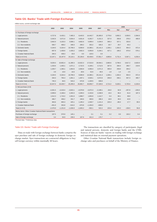# **Table G5: Banks' Trade with Foreign Exchange**

million euros, current exchange rate

|                                                       | 2002       | 2003       | 2004       | 2005       | 2006       | 2007       |         |         | 2008                     |          |
|-------------------------------------------------------|------------|------------|------------|------------|------------|------------|---------|---------|--------------------------|----------|
|                                                       |            |            |            |            |            |            | Mar.    | Apr.    | Maya                     | Jun.b    |
| A. Purchase of foreign exchange                       |            |            |            |            |            |            |         |         |                          |          |
| 1. Legal persons                                      | 4.727.8    | 6,433.1    | 7,465.3    | 8,443.5    | 14,442.7   | 26,365.0   | 2,776.6 | 3,892.2 | 3,559.5                  | 2.394.9  |
| 2. Natural persons                                    | 3.342.6    | 3.571.6    | 3,934.4    | 4,931.8    | 6,262.7    | 6,151.3    | 327.0   | 356.8   | 378.3                    | 406.9    |
| 2.1. Residents                                        | 2,842.0    | 3,103.3    | 3,586.1    | 4,662.6    | 5,909.4    | 3,184.0    | 306.3   | 327.1   | 333.0                    |          |
| 2.2. Non-residents                                    | 500.7      | 468.2      | 348.3      | 269.2      | 353.2      | 326.3      | 20.7    | 29.7    | 45.3                     |          |
| 3. Domestic banks                                     | 4,104.5    | 6,324.4    | 10,799.3   | 9,069.9    | 14,380.1   | 20,141.3   | 1,339.1 | 1,302.2 | 954.3                    | 872.4    |
| 4. Foreign banks                                      | 697.9      | 1.430.6    | 1,426.2    | 2,602.3    | 5,056.8    | 5.194.1    | 427.1   | 180.2   | 675.0                    | 576.1    |
| 5. Croatian National Bank                             | 294.3      | 438.3      | 33.0       | 0.0        | 125.5      | 0.0        |         |         |                          |          |
| Total (1+2+3+4)                                       | 13,167.1   | 18,197.9   | 24,110.1   | 25,106.0   | 40,439.5   | 57,851.7   | 4,869.8 | 5,731.4 | 5,567.1                  | 4,250.4  |
| B. Sale of foreign exchange                           |            |            |            |            |            |            |         |         |                          |          |
| 1. Legal persons                                      | 9,029.3    | 10,852.4   | 11,280.3   | 13,022.3   | 17,515.0   | 28,564.1   | 2,860.6 | 3,799.3 | 3,817.2                  | 2,620.9  |
| 2. Natural persons                                    | 1,333.6    | 1,403.1    | 1,671.1    | 2,722.5    | 4,109.1    | 3,712.5    | 307.6   | 260.4   | 296.7                    | 219.6    |
| 2.1. Residents                                        | 1,329.7    | 1,393.1    | 1,654.5    | 2,693.9    | 4,056.4    | 2,071.3    | 305.9   | 259.0   | 294.2                    |          |
| 2.2. Non-residents                                    | 3.9        | 10.0       | 16.6       | 28.6       | 52.6       | 40.0       | 1.8     | 1.4     | 2.5                      |          |
| 3. Domestic banks                                     | 4,104.5    | 6,324.4    | 10,799.3   | 9,069.9    | 14,380.1   | 20,141.3   | 1,339.1 | 1,302.2 | 954.3                    | 872.4    |
| 4. Foreign banks                                      | 334.3      | 765.3      | 1,001.1    | 1,407.1    | 3,526.1    | 4,072.6    | 206.9   | 266.1   | 657.3                    | 480.7    |
| 5. Croatian National Bank                             | 745.3      | 84.5       | 543.2      | 670.8      | 1,329.5    | 839.0      |         |         |                          |          |
| Total $(1+2+3+4)$                                     | 15,547.0   | 19,429.7   | 25,295.0   | 26,892.7   | 40,859.7   | 57,329.5   | 4,714.2 | 5,628.1 | 5,725.6                  | 4,193.6  |
| C. Net purchase (A-B)                                 |            |            |            |            |            |            |         |         |                          |          |
| 1. Legal persons                                      | $-4,301.5$ | $-4,419.4$ | $-3,815.1$ | $-4,578.8$ | $-3,072.3$ | $-2,199.1$ | $-84.0$ | 92.9    | $-257.8$                 | $-226.0$ |
| 2. Natural persons                                    | 2,009.0    | 2,168.4    | 2,263.3    | 2,209.3    | 2,153.6    | 2,438.9    | 19.4    | 96.4    | 81.6                     | 187.3    |
| 2.1. Residents                                        | 1.512.3    | 1,710.2    | 1,931.6    | 1,968.7    | 1,853.0    | 1.112.7    | 0.4     | 68.1    | 38.8                     |          |
| 2.2. Non-residents                                    | 496.7      | 458.2      | 331.7      | 240.6      | 300.6      | 286.3      | 18.9    | 28.3    | 42.8                     |          |
| 3. Foreign banks                                      | 363.6      | 665.3      | 425.1      | 1,195.2    | 1,530.7    | 1,121.4    | 220.3   | $-86.0$ | 17.7                     | 95.5     |
| 4. Croatian National Bank                             | $-451.0$   | 353.8      | $-510.2$   | $-670.8$   | $-1,204.0$ | $-839.0$   |         |         | $\overline{\phantom{0}}$ |          |
| Total $(1+2+3)$                                       | $-2,379.9$ | $-1,231.8$ | $-1,636.9$ | $-1,845.2$ | $-592.1$   | 522.2      | 155.6   | 103.3   | $-158.5$                 | 56.8     |
| Memo items: Other Croatian National Bank transactions |            |            |            |            |            |            |         |         |                          |          |
| Purchase of foreign exchange                          | 197.5      | 570.9      | 145.1      |            | 3.1        | 5.1        | 0.2     | 0.9     | 102.2                    | 0.4      |
| Sale of foreign exchange                              | 3.4        | 94.9       | 239.3      | 167.6      | 441.3      | 176.7      |         |         |                          |          |

a Revised data. **b** Preliminary data.

#### Table G5: Banks' Trade with Foreign Exchange

Data on trade with foreign exchange between banks comprise the spot purchase and sale of foreign exchange in domestic foreign exchange market. Spot transactions are contracted obligations to buy/ sell foreign currency within maximally 48 hours.

The transactions are classified by category of participants (legal and natural persons, domestic and foreign banks and the CNB). Sources of data are banks' reports on trading with foreign exchange and statistical data on external payment operations.

Other Croatian National Bank transactions include foreign exchange sales and purchases on behalf of the Ministry of Finance.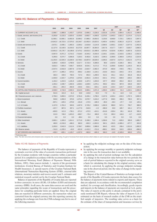## **Table H1: Balance of Payments – Summary**

million euros

|                                         | 2002        | 2003                                | 2004                    | 2005                    | 2006        | 2007        |                |            | 2007           |                | 2008            |
|-----------------------------------------|-------------|-------------------------------------|-------------------------|-------------------------|-------------|-------------|----------------|------------|----------------|----------------|-----------------|
|                                         |             |                                     |                         |                         |             |             | Q <sub>1</sub> | Q2         | Q <sub>3</sub> | Q <sub>4</sub> | Q1 <sup>a</sup> |
| A. CURRENT ACCOUNT (1+6)                | $-2,098.7$  | $-1.888.8$                          | $-1,433.7$              | $-1,975.6$              | $-2,696.3$  | $-3,226.0$  | $-2,022.8$     | $-1,375.5$ | 2.084.4        | $-1,912.2$     | $-2,488.4$      |
| 1. Goods, services, and income (2+5)    | $-3,250.8$  | $-3,133.3$                          | $-2,625.5$              | $-3,159.5$              | $-3,803.7$  | $-4,269.0$  | $-2,270.5$     | $-1,645.3$ | 1,821.2        | $-2,174.4$     | $-2,712.2$      |
| 1.1. Credit                             | 11,590.1    | 13,590.1                            | 14,952.8                | 15,990.2                | 17,889.2    | 19,654.5    | 3,129.9        | 4,848.8    | 7,723.1        | 3,952.5        | 3,397.5         |
| 1.2. Debit                              | $-14,841.0$ | $-16,723.5$                         | $-17,578.3$ $-19,149.7$ |                         | $-21,692.9$ | $-23,923.5$ | $-5,400.4$     | $-6,494.2$ | $-5,901.9$     | $-6,127.0$     | $-6,109.7$      |
| 2. Goods and services (3+4)             | $-2,673.1$  | $-2,038.1$                          | $-1,955.3$              | $-2,200.2$              | $-2,633.8$  | $-3,124.9$  | $-2,060.5$     | $-1,003.1$ | 2,015.7        | $-2,077.0$     | $-2,452.8$      |
| 2.1. Credit                             | 11,127.9    | 13,140.6                            | 14,243.5                | 15,272.9                | 16,997.7    | 18,364.0    | 2,817.8        | 4,517.7    | 7,407.7        | 3,620.7        | 3,066.5         |
| 2.2. Debit                              | $-13,801.0$ | $-15,178.7$ $-16,198.8$ $-17,473.2$ |                         |                         | $-19,631.5$ | $-21,488.9$ | $-4,878.4$     | $-5,520.8$ | $-5,392.0$     | $-5,697.8$     | $-5,519.3$      |
| 3. Goods                                | $-5,957.9$  | $-6,971.2$                          | $-6,724.2$              | $-7,518.0$              | $-8,344.2$  | $-9,434.0$  | $-2,159.1$     | $-2,528.1$ | $-2,310.6$     | $-2,436.2$     | $-2,552.3$      |
| 3.1. Credit                             | 5,295.6     | 5.574.7                             | 6,606.8                 | 7,220.3                 | 8,463.6     | 9.192.5     | 2,046.3        | 2,308.9    | 2,360.8        | 2,476.5        | 2,224.9         |
| 3.2. Debit                              | $-11,253.5$ | $-12,545.9$                         |                         | $-13,330.9$ $-14,738.3$ | $-16,807.8$ | $-18,626.5$ | $-4,205.5$     | $-4,837.0$ | $-4,671.4$     | $-4,912.6$     | $-4,777.2$      |
| 4. Services                             | 3,284.8     | 4,933.0                             | 4,768.9                 | 5,317.7                 | 5,710.4     | 6,309.0     | 98.6           | 1,525.0    | 4,326.3        | 359.1          | 99.5            |
| 4.1. Credit                             | 5,832.3     | 7,565.9                             | 7,636.7                 | 8,052.6                 | 8,534.1     | 9,171.5     | 771.5          | 2,208.8    | 5,046.9        | 1,144.3        | 841.6           |
| 4.2. Debit                              | $-2.547.5$  | $-2.632.8$                          | $-2,867.8$              | $-2,734.9$              | $-2,823.7$  | $-2,862.4$  | $-672.9$       | $-683.8$   | $-720.6$       | $-785.1$       | $-742.1$        |
| 5. Income                               | $-577.7$    | $-1,095.2$                          | $-670.2$                | $-959.2$                | $-1,169.9$  | $-1,144.1$  | $-210.0$       | $-642.2$   | $-194.5$       | $-97.4$        | $-259.4$        |
| 5.1. Credit                             | 462.3       | 449.5                               | 709.3                   | 717.3                   | 891.5       | 1,290.5     | 312.1          | 331.1      | 315.4          | 331.8          | 331.0           |
| 5.2. Debit                              | $-1,040.0$  | $-1.544.7$                          | $-1,379.6$              | $-1,676.5$              | $-2,061.5$  | $-2,434.5$  | $-522.1$       | $-973.3$   | $-509.9$       | $-429.2$       | $-590.4$        |
| 6. Current transfers                    | 1,152.2     | 1,244.5                             | 1,191.8                 | 1,183.8                 | 1,107.4     | 1,043.0     | 247.7          | 269.8      | 263.2          | 262.3          | 223.9           |
| 6.1. Credit                             | 1,453.2     | 1,538.7                             | 1,584.6                 | 1,628.4                 | 1,639.5     | 1,576.1     | 358.2          | 403.2      | 387.9          | 426.8          | 349.7           |
| 6.2. Debit                              | $-301.1$    | $-294.2$                            | $-392.8$                | $-444.6$                | $-532.1$    | $-533.1$    | $-110.6$       | $-133.4$   | $-124.7$       | $-164.5$       | $-125.9$        |
| <b>B. CAPITAL AND FINANCIAL ACCOUNT</b> | 2,538.0     | 2,716.9                             | 2,560.4                 | 3,013.5                 | 3,680.1     | 4,071.3     | 1,356.5        | 1,390.4    | 81.3           | 1,243.1        | 2,309.2         |
| <b>B1. Capital account</b>              | 521.6       | 101.9                               | 31.4                    | 53.8                    | $-133.8$    | 34.5        | 7.0            | 9.1        | 12.8           | 5.6            | 4.8             |
| B2. Financial account, excl. reserves   | 2,758.3     | 3,850.5                             | 2,572.0                 | 3,781.6                 | 5,226.1     | 4,758.4     | 2,157.6        | 1,045.4    | $-242.0$       | 1,797.4        | 3,000.3         |
| 1. Direct investment                    | 530.8       | 1,656.9                             | 670.8                   | 1,276.1                 | 2,570.7     | 3,416.2     | 1,277.9        | 938.5      | 499.3          | 700.5          | 837.1           |
| 1.1. Abroad                             | $-607.1$    | $-105.5$                            | $-278.8$                | $-191.8$                | $-174.5$    | $-180.3$    | $-85.0$        | $-48.4$    | $-37.7$        | $-9.2$         | 149.1           |
| 1.2. In Croatia                         | 1,137.9     | 1,762.4                             | 949.6                   | 1.467.9                 | 2.745.2     | 3,596.6     | 1,362.9        | 986.9      | 537.1          | 709.7          | 688.0           |
| 2. Portfolio investment                 | $-437.7$    | 867.6                               | 287.1                   | $-1,177.9$              | $-542.8$    | $-4.3$      | $-386.9$       | 35.9       | 185.7          | 161.1          | 477.5           |
| 2.1. Assets                             | $-650.5$    | 121.6                               | $-736.1$                | $-571.2$                | $-472.5$    | $-413.1$    | $-314.6$       | $-329.4$   | 69.1           | 161.8          | 595.4           |
| 2.2. Liabilities                        | 212.9       | 746.0                               | 1,023.2                 | $-606.7$                | $-70.4$     | 408.8       | $-72.3$        | 365.3      | 116.6          | $-0.7$         | $-118.0$        |
| 3. Financial derivatives                | 0.0         | 0.0                                 | 0.0                     | $-88.4$                 | 0.0         | 0.0         | 0.0            | 0.0        | 0.0            | 0.0            | 0.0             |
| 4. Other investment                     | 2,665.1     | 1,326.0                             | 1,614.1                 | 3,771.8                 | 3,198.3     | 1,346.4     | 1,266.6        | 71.0       | $-926.9$       | 935.8          | 1,685.7         |
| 4.1. Assets                             | 460.0       | $-2,216.9$                          | $-498.3$                | 982.0                   | $-692.3$    | $-1,653.5$  | 362.1          | $-352.5$   | $-1,085.4$     | $-577.7$       | 603.8           |
| 4.2. Liabilities                        | 2,205.0     | 3,542.9                             | 2,112.4                 | 2,789.7                 | 3,890.6     | 2,999.9     | 904.5          | 423.5      | 158.4          | 1,513.4        | 1,082.0         |
| <b>B3. Reserve assets</b>               | $-741.9$    | $-1,235.5$                          | $-43.0$                 | $-821.8$                | $-1,412.2$  | $-721.6$    | $-808.1$       | 335.9      | 310.5          | $-559.8$       | $-696.0$        |
| C. NET ERRORS AND OMISSIONS             | $-439.3$    | $-828.1$                            | $-1,126.7$              | $-1,037.9$              | $-983.8$    | $-845.3$    | 666.3          | $-14.9$    | $-2,165.8$     | 669.0          | 179.1           |

a Preliminary data.

Note: The item net errors and omissions also comprises the counter-entry of a part of revenues from travel services which relates to such revenues not stated in the banks' records.

#### Table: H1-H6: Balance of Payments

The balance of payments of the Republic of Croatia represents a systematic overview of the value of economic transactions performed by the Croatian residents with foreign countries within a particular period. It is compiled in accordance with the recommendations of the International Monetary Fund (Balance of Payments Manual, Fifth Edition, 1993). Data sources include: 1. reports of the government institutions (Central Bureau of Statistics and Croatian Institute for Health Insurance), 2. special reports of the Croatian National Bank (International Transaction Reporting System (ITRS), external debt relations, monetary statistics and reserve assets) and 3. estimates and statistical research carried out by the Croatian National Bank.

Balance of payments of the Republic of Croatia data are reported in three currencies: in euros (EUR), US dollars (USD) and domestic currency (HRK). In all cases, the same data sources are used and the same principles regarding the scope of transactions and the procedures for compiling particular items are applied. Since the original data are reported in different currencies, the transaction values are converted from the original currency into the reporting currency by applying the exchange rate from the CNB exchange rate list in one of the following manners:

- by applying the midpoint exchange rate on the date of the transaction;
- by applying the average monthly or quarterly midpoint exchange rate in the case the transaction date is not available;
- by applying the end-of-period exchange rate for the calculation of a change in the transaction value between the two periods; the end-of-period balances reported in the original currency serve as a basis for calculating the change in the original currency value, which is converted, by applying the average midpoint exchange rate in the observed period, into the value of change in the reporting currency.

The Report of the Central Bureau of Statistics on foreign trade in goods of the Republic of Croatia represents the basic data source for the balance of payments items related to exports and imports. These data are adjusted, in accordance with the recommended compilation method, for coverage and classification. Accordingly, goods exports and imports in the balance of payments are reported at f.o.b. parity. The value of exports at this parity is already contained in the previously mentioned CBS Report, whereas the value of imports f.o.b. is estimated on the basis of research studies of the CNB on the stratified sample of importers. The resulting value serves as a basis for the estimate of the share of transportation and insurance services by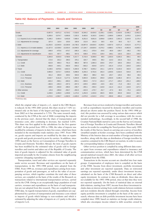## **Table H2: Balance of Payments – Goods and Services**

million euros

|                                           | 2002        | 2003        | 2004        | 2005        | 2006        | 2007        |                |            | 2007           |                | 2008            |
|-------------------------------------------|-------------|-------------|-------------|-------------|-------------|-------------|----------------|------------|----------------|----------------|-----------------|
|                                           |             |             |             |             |             |             | Q <sub>1</sub> | Q2         | Q <sub>3</sub> | Q <sub>4</sub> | Q1 <sup>a</sup> |
| Goods                                     | $-5.957.9$  | $-6,971.2$  | $-6,724.2$  | $-7.518.0$  | $-8,344.2$  | $-9,434.0$  | $-2,159.1$     | $-2,528.1$ | $-2,310.6$     | $-2,436.2$     | $-2,552.3$      |
| 1. Credit                                 | 5,295.6     | 5,574.7     | 6,606.8     | 7,220.3     | 8,463.6     | 9,192.5     | 2,046.3        | 2,308.9    | 2,360.8        | 2,476.5        | 2,224.9         |
| 1.1. Exports (f.o.b.) in trade statistics | 5,188.2     | 5,464.4     | 6,453.8     | 7,069.4     | 8,251.6     | 9,001.6     | 2,009.8        | 2,265.5    | 2,301.5        | 2,424.8        | 2,175.4         |
| 1.2. Adjustments for coverage             | 107.4       | 110.4       | 153.0       | 150.9       | 212.0       | 191.0       | 36.5           | 43.4       | 59.3           | 51.7           | 49.5            |
| 2. Debit                                  | $-11,253.5$ | $-12,545.9$ | $-13,330.9$ | $-14,738.3$ | $-16,807.8$ | $-18,626.5$ | $-4,205.5$     | $-4,837.0$ | $-4,671.4$     | $-4,912.6$     | $-4,777.2$      |
| 2.1. Imports (c.i.f.) in trade statistics | $-11.327.0$ | $-12.538.0$ | $-13,354.4$ | $-14,949.5$ | $-17,104.7$ | $-18.826.6$ | $-4.270.2$     | $-4.888.2$ | $-4,704.3$     | $-4,963.9$     | $-4,845.5$      |
| 2.2. Adjustments for coverage             | $-348.9$    | $-475.6$    | $-474.7$    | $-346.4$    | $-341.1$    | $-370.4$    | $-64.6$        | $-96.9$    | $-109.7$       | $-99.2$        | $-78.5$         |
| 2.3. Adjustments for classification       | 422.5       | 467.7       | 498.1       | 557.6       | 638.0       | 570.4       | 129.4          | 148.1      | 142.5          | 150.4          | 146.8           |
| <b>Services</b>                           | 3,284.8     | 4,933.0     | 4,768.9     | 5.317.7     | 5,710.4     | 6,309.0     | 98.6           | 1,525.0    | 4,326.3        | 359.1          | 99.5            |
| 1. Transportation                         | 172.0       | 252.2       | 299.3       | 376.1       | 424.7       | 449.5       | 89.2           | 114.3      | 154.4          | 91.6           | 96.5            |
| 1.1. Credit                               | 622.8       | 696.3       | 791.3       | 880.3       | 987.9       | 1,084.3     | 226.6          | 275.7      | 326.5          | 255.6          | 242.1           |
| 1.2. Debit                                | $-450.8$    | $-444.1$    | $-492.0$    | $-504.2$    | $-563.2$    | $-634.8$    | $-137.4$       | $-161.4$   | $-172.0$       | $-164.0$       | $-145.6$        |
| 2. Travel                                 | 3,138.6     | 4,976.6     | 4,822.3     | 5,394.9     | 5,708.7     | 6,035.2     | 101.1          | 1,457.9    | 4,133.3        | 342.9          | 118.9           |
| 2.1. Credit                               | 3,960.8     | 5,572.7     | 5,505.6     | 5,998.9     | 6,293.3     | 6,752.6     | 262.4          | 1,629.6    | 4,316.5        | 544.0          | 307.8           |
| 2.1.1. Business                           | 341.2       | 260.9       | 328.2       | 504.0       | 388.4       | 389.2       | 56.5           | 125.7      | 120.2          | 86.6           | 46.6            |
| 2.1.2. Personal                           | 3,619.7     | 5,311.8     | 5,177.4     | 5,494.9     | 5,904.9     | 6,363.4     | 205.9          | 1,503.9    | 4,196.3        | 457.4          | 261.3           |
| 2.2. Debit                                | $-822.2$    | $-596.1$    | $-683.3$    | $-604.1$    | $-584.6$    | $-717.3$    | $-161.3$       | $-171.7$   | $-183.2$       | $-201.2$       | $-189.0$        |
| 2.2.1. Business                           | $-482.6$    | $-292.3$    | $-297.3$    | $-267.4$    | $-229.5$    | $-266.9$    | $-44.5$        | $-60.2$    | $-71.9$        | $-90.3$        | $-61.7$         |
| 2.2.2. Personal                           | $-339.6$    | $-303.8$    | $-386.0$    | $-336.7$    | $-355.1$    | $-450.4$    | $-116.8$       | $-111.4$   | $-111.2$       | $-110.8$       | $-127.2$        |
| 3. Other services                         | $-25.9$     | $-295.8$    | $-352.7$    | $-453.3$    | $-422.9$    | $-175.7$    | $-91.7$        | $-47.3$    | 38.5           | $-75.3$        | $-115.9$        |
| 3.1. Credit                               | 1,248.6     | 1,296.9     | 1,339.8     | 1,173.4     | 1,252.9     | 1,334.6     | 282.5          | 303.5      | 403.9          | 344.6          | 291.7           |
| 3.2. Debit                                | $-1,274.5$  | $-1,592.7$  | $-1,692.5$  | $-1,626.6$  | $-1,675.8$  | $-1,510.3$  | $-374.2$       | $-350.8$   | $-365.4$       | $-419.9$       | $-407.5$        |

<sup>a</sup> Preliminary data

which the original value of imports c.i.f., stated in the CBS Report, is reduced. In the 1993-2001 period, this share stood at 7.10% (estimated only on the basis of the largest and large importers), while from 2002 on it has amounted to 3.73%. The same research study, conducted by the CNB at the end of 2006 (comprising the imports in the previous year), showed that the share of transportation and insurance costs, after continuing to decrease, has reached 3.03%. This share was first applied in the calculations for the first quarter of 2007. In the period from 1993 to 1996, the value of imports was modified by estimates of imports in duty free zones, which have been included in the merchandise trade statistics since 1997. From 1996 on, goods exports and imports are modified by the data on repairs on goods and goods procured in ports by carriers. In addition, since 1999, based on the Survey on Consumption of Foreign Travellers in Croatia and Domestic Travellers Abroad, the item of goods exports has been modified by the estimated value of goods sold to foreign travellers and tourists and taken out of the Republic of Croatia. The item of goods imports is adjusted for the estimated value of goods imported personally by the Croatian citizens from the neighbouring countries (shopping expenditures).

Transportation, travel and other services are reported separately under service account. Revenues and expenditures on the basis of transportation, in the 1993-1998 period, were adopted from the ITRS. From 1999 on, revenues and expenditures arising from transportation of goods and passengers, as well as the value of accompanying services, which together constitute the total value of these services, are compiled on the basis of the results of the Research on transactions related to international transportation services, carried out by the CNB. Owing to an exceptionally large population of road carriers, revenues and expenditures on the basis of road transportation are not adopted from this research. They are compiled by using ITRS data. As regards transportation of goods, expenditures are supplemented by a portion of transportation and insurance costs related to imports of goods which belongs to non-residents and which is estimated by adjusting the value of imports at c.i.f. parity to the value of imports f.o.b.

Revenues from services rendered to foreign travellers and tourists, as well as expenditures incurred by domestic travellers and tourists abroad are shown under the position Travel. In the 1993-1998 period, this position was assessed by using various data sources which did not provide for a full coverage in accordance with the recommended methodology. Accordingly, in the second half of 1998, the Croatian National Bank started to carry out the Survey on Consumption of Foreign Travellers in Croatia and Domestic Travellers Abroad and use its results for compiling the Travel position. Since early 1999, the results of this Survey, based on carrying out a survey of travellers (stratified sample) at border crossings, have been combined with the Ministry of the Interior data on total number of foreign and domestic travellers, along with the data on distribution of foreign travellers by countries contained in the CBS Report on tourism, in order to assess the corresponding balance of payment items.

Other services position is complied by using different data sources: apart from revenues and expenditures related to insurance and communication services, which have been determined by the CNB special statistical research since 2001, the values of all other services are adopted from the ITRS.

Transactions in the income account are classified into four main groups. Compensation of employees item is compiled on the basis of the ITRS. Income from direct investment, portfolio investment and other investment are reported separately. Data on reinvested earnings are reported separately, under direct investment income, calculated on the basis of the CNB Research on direct and other equity investment. In contrast to data on dividends, these data are not available for the 1993-1996 period, since at that time they were not reported separately. On the basis of statistical data on external debt relations, starting from 1997, income from direct investment includes data on interest arising from credit relations between residents and non-residents directly related through ownership. Income from equity portfolio investment is compiled on the basis of the same research, whereas data on debt portfolio investment income have been compiled since 1999, based on statistics on foreign credit relations, which also encompass income related to debt securities owned by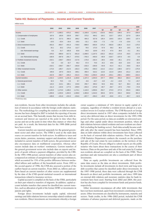#### **Table H3: Balance of Payments – Income and Current Transfers**

million euros

|                                | 2002     | 2003       | 2004     | 2005     | 2006       | 2007       |                |          | 2007     |                | 2008            |
|--------------------------------|----------|------------|----------|----------|------------|------------|----------------|----------|----------|----------------|-----------------|
|                                |          |            |          |          |            |            | Q <sub>1</sub> | Q2       | Q3       | Q <sub>4</sub> | Q1 <sup>a</sup> |
| Income                         | $-577.7$ | $-1,095.2$ | $-670.2$ | $-959.2$ | $-1,169.9$ | $-1,144.1$ | $-210.0$       | $-642.2$ | $-194.5$ | $-97.4$        | $-259.4$        |
| 1. Compensation of employees   | 167.6    | 183.9      | 233.9    | 259.7    | 373.2      | 494.2      | 118.1          | 122.7    | 125.5    | 127.9          | 130.4           |
| 1.1. Credit                    | 187.2    | 217.3      | 268.3    | 289.2    | 404.3      | 527.8      | 125.4          | 130.5    | 133.4    | 138.5          | 137.4           |
| 1.2. Debit                     | $-19.5$  | $-33.4$    | $-34.4$  | $-29.5$  | $-31.1$    | $-33.6$    | $-7.3$         | $-7.8$   | $-7.9$   | $-10.6$        | $-7.0$          |
| 2. Direct investment income    | $-353.3$ | $-854.7$   | $-441.6$ | $-739.0$ | $-989.0$   | $-935.6$   | $-175.3$       | $-592.9$ | $-136.4$ | $-31.0$        | $-175.5$        |
| 2.1. Credit                    | 25.1     | 35.2       | 175.6    | 112.7    | 79.5       | 172.0      | 57.9           | 58.2     | 36.4     | 19.5           | 42.4            |
| o/w: Reinvested earnings       | 8.3      | 31.7       | 165.8    | 63.8     | 64.0       | 119.9      | 47.0           | 47.5     | 28.6     | $-3.1$         | 29.1            |
| 2.2. Debit                     | $-378.5$ | $-889.9$   | $-617.3$ | $-851.8$ | $-1,068.5$ | $-1,107.5$ | $-233.2$       | $-651.0$ | $-172.8$ | $-50.5$        | $-217.9$        |
| o/w: Reinvested earnings       | $-160.9$ | $-587.9$   | $-291.7$ | $-570.5$ | $-703.3$   | $-493.0$   | $-60.9$        | $-316.7$ | $-107.0$ | $-8.5$         | 4.9             |
| 3. Portfolio investment income | $-219.1$ | $-238.7$   | $-250.0$ | $-217.6$ | $-175.9$   | $-162.4$   | $-39.5$        | $-40.8$  | $-45.1$  | $-37.0$        | $-38.5$         |
| 3.1. Credit                    | 0.0      | 0.0        | 32.7     | 46.2     | 57.4       | 74.5       | 15.2           | 20.6     | 16.0     | 22.6           | 16.9            |
| 3.2. Debit                     | $-219.1$ | $-238.7$   | $-282.7$ | $-263.8$ | $-233.3$   | $-236.9$   | $-54.8$        | $-61.4$  | $-61.1$  | $-59.6$        | $-55.4$         |
| 4. Other investment income     | $-173.0$ | $-185.7$   | $-212.5$ | $-262.3$ | $-378.2$   | $-540.3$   | $-113.2$       | $-131.2$ | $-138.5$ | $-157.3$       | $-175.9$        |
| 4.1. Credit                    | 249.9    | 197.0      | 232.6    | 269.1    | 350.4      | 516.2      | 113.6          | 121.9    | 129.6    | 151.2          | 134.3           |
| 4.2. Debit                     | $-422.9$ | $-382.7$   | $-445.2$ | $-531.5$ | $-728.6$   | $-1,056.5$ | $-226.8$       | $-253.1$ | $-268.1$ | $-308.5$       | $-310.2$        |
| <b>Current transfers</b>       | 1,152.2  | 1,244.5    | 1,191.8  | 1,183.8  | 1,107.4    | 1,043.0    | 247.7          | 269.8    | 263.2    | 262.3          | 223.9           |
| 1. General government          | 32.2     | 70.5       | 2.6      | 9.7      | $-8.6$     | $-16.7$    | $-6.0$         | $-4.2$   | $-13.8$  | 7.4            | $-24.7$         |
| 1.1. Credit                    | 143.4    | 213.1      | 180.1    | 219.6    | 255.7      | 260.2      | 54.6           | 65.6     | 53.7     | 86.3           | 48.3            |
| 1.2. Debit                     | $-111.2$ | $-142.6$   | $-177.5$ | $-209.9$ | $-264.4$   | $-276.8$   | $-60.7$        | $-69.7$  | $-67.5$  | $-78.9$        | $-72.9$         |
| 2. Other sectors               | 1.120.0  | 1,174.0    | 1.189.2  | 1.174.1  | 1.116.0    | 1,059.6    | 253.7          | 274.0    | 277.0    | 254.9          | 248.6           |
| 2.1. Credit                    | 1,309.8  | 1,325.6    | 1,404.5  | 1,408.8  | 1,383.8    | 1,316.0    | 303.6          | 337.6    | 334.2    | 340.6          | 301.5           |
| 2.2. Debit                     | $-189.8$ | $-151.6$   | $-215.3$ | $-234.6$ | $-267.7$   | $-256.3$   | $-49.9$        | $-63.6$  | $-57.1$  | $-85.7$        | $-52.9$         |

a Preliminary data

non-residents. Income from other investments includes the calculation of interest in accordance with the foreign credit relations statistics. The methodology for compiling the statistics on debt investment income has been changed in 2007 to include the reporting of income on an accrual basis. This basically means that income from debt investment and interest are reported at the point in time when they accrue and not at the point in time when they mature or when they are paid. As a result, the historical data for the 1999-2006 period have been revised.

Current transfers are reported separately for the general government sector and other sectors. The ITRS is used as the main data source on current transfers for both sectors. In addition to taxes and excise duties, pensions, monetary support and donations, which are included in current transfers of both sectors, the government sector also encompasses data on multilateral cooperation, whereas other sectors include data on workers' remittances. Current transfers of the general government sector also include data on exports and imports of goods without a payment obligation, provided by the CBS. In the 1993-1998 period, current transfers of other sectors also encompassed an estimate of unregistered foreign currency remittances, which accounted for 15% of the positive difference between unclassified inflows and outflows of the household sector. From 1993 to the second quarter of 1996, the CNB also assessed a portion of the outflow based on current transfers. From 2002 on, inflows and outflows based on current transfers of other sectors are supplemented by the data of the CNB special statistical research on international transactions related to insurance services.

Capital account is compiled on the basis of the ITRS, particularly on their part related to transfers of migrants. In addition, capital account includes transfers that cannot be classified into current transfers, such as allocation of gold of the former SFRY or investments in patents and rights.

Foreign direct investments include equity capital, reinvested earnings and debt relations between ownership-related residents and non-residents. Direct investments are investments whereby a foreign owner acquires a minimum of 10% interest in equity capital of a company, regardless of whether a resident invests abroad or a nonresident invests in Croatian residents. The CNB Research on foreign direct investments started in 1997 when companies included in the survey also delivered data on direct investments for the 1993-1996 period. For the same period, no data are available on reinvested earnings and other capital under direct investment position, where all debt relations between related residents and non-residents are classified (excluding the banking sector). Such data actually became available only after the stated research has been launched. Since 1999, data on debt relations within direct investments have been collected on the basis of external debt relations statistics. From 2007 on, the CNB Statistics Department conducts the research on the purchase and sale of the real estate by non-residents on the territory of the Republic of Croatia. Persons obliged to submit reports are the public notaries who learn about these transactions in the course of their business. Data on the purchase and sale of the real estate by Croatian non-residents abroad are compiled on the basis of the ITRS. These purchase and sale transactions are also a constituent part of direct investments.

Data on equity portfolio investments are collected from the same data source as the data on direct investments. Debt portfolio investments include all investments in short-term and long-term debt securities that cannot be classified under direct investments. In the 1997-1998 period, these data were collected through the CNB Research on direct and portfolio investments, and since 1999 data on external debt relations and monetary statistics data for bank investment have been used. Starting from 2002 and 2004, this position has also been compiled for investment funds and pension funds, respectively.

Other investment encompasses all other debt investments that have not been mentioned, apart from investment constituting reserve assets. Other investments are classified by instruments, maturity and sectors. Trade credits, in the 1996–2002 period, included the CNB estimates of advance payment and deferred payments, made on the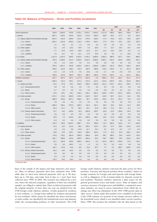## **Table H4: Balance of Payments – Direct and Portfolio Invstments**

million euros

|                                             | 2002     | 2003     | 2004     | 2005       | 2006     | 2007     |                |          | 2007           |                | 2008            |
|---------------------------------------------|----------|----------|----------|------------|----------|----------|----------------|----------|----------------|----------------|-----------------|
|                                             |          |          |          |            |          |          | Q <sub>1</sub> | Q2       | Q <sub>3</sub> | Q <sub>4</sub> | Q1 <sup>a</sup> |
| Direct investment                           | 530.8    | 1,656.9  | 670.8    | 1,276.1    | 2,570.7  | 3,416.2  | 1,277.9        | 938.5    | 499.3          | 700.5          | 837.1           |
| 1. Abroad                                   | $-607.1$ | $-105.5$ | $-278.8$ | $-191.8$   | $-174.5$ | $-180.3$ | $-85.0$        | $-48.4$  | $-37.7$        | $-9.2$         | 149.1           |
| 1.1. Equity capital and reinvested earnings | $-601.0$ | $-101.9$ | $-259.6$ | $-121.0$   | $-179.0$ | $-236.9$ | $-77.3$        | $-70.6$  | $-63.1$        | $-26.0$        | 138.7           |
| 1.1.1. Claims                               | $-603.1$ | $-101.9$ | $-260.0$ | $-122.2$   | $-179.0$ | $-240.1$ | $-77.3$        | $-70.6$  | $-63.1$        | $-29.2$        | 138.7           |
| 1.1.2. Liabilities                          | 2.1      | 0.0      | 0.4      | 1.3        | 0.0      | 3.2      | 0.0            | 0.0      | 0.0            | 3.2            | 0.0             |
| 1.2. Other capital                          | $-6.1$   | $-3.6$   | $-19.2$  | $-70.9$    | 4.4      | 56.6     | $-7.7$         | 22.2     | 25.4           | 16.7           | 10.4            |
| 1.1.1. Claims                               | $-7.7$   | $-15.3$  | $-23.6$  | $-59.8$    | $-13.2$  | 22.7     | $-11.5$        | 18.2     | 24.3           | $-8.3$         | 7.1             |
| 1.2.2. Liabilities                          | 1.6      | 11.7     | 4.4      | $-11.1$    | 17.6     | 33.9     | 3.8            | 4.0      | 1.1            | 25.0           | 3.3             |
| 2. In Croatia                               | 1,137.9  | 1,762.4  | 949.6    | 1,467.9    | 2,745.2  | 3,596.6  | 1,362.9        | 986.9    | 537.1          | 709.7          | 688.0           |
| 2.1. Equity capital and reinvested earnings | 879.3    | 1,349.8  | 611.4    | 1,363.5    | 2,442.3  | 2,606.8  | 1,092.1        | 432.4    | 533.9          | 548.5          | 322.1           |
| 2.1.1. Claims                               | 0.0      | $-1.2$   | $-22.4$  | 0.0        | $-0.1$   | 0.0      | 0.0            | 0.0      | 0.0            | 0.0            | $-4.9$          |
| 2.1.2. Liabilities                          | 879.3    | 1,351.1  | 633.8    | 1,363.5    | 2,442.4  | 2,606.8  | 1,092.1        | 432.4    | 533.9          | 548.5          | 326.9           |
| 2.2. Other capital                          | 258.6    | 412.5    | 338.2    | 104.4      | 302.9    | 989.8    | 270.9          | 554.5    | 3.1            | 161.3          | 365.9           |
| 2.2.1. Claims                               | $-0.3$   | $-1.5$   | $-17.8$  | 0.0        | 16.6     | $-2.6$   | $-1.7$         | 0.0      | $-0.9$         | 0.0            | $-0.3$          |
| 2.2.2. Liabilities                          | 259.0    | 414.0    | 356.0    | 104.4      | 286.3    | 992.4    | 272.5          | 554.5    | 4.1            | 161.3          | 366.2           |
| Portfolio investment                        | $-437.7$ | 867.6    | 287.1    | $-1,177.9$ | $-542.8$ | $-4.3$   | $-386.9$       | 35.9     | 185.7          | 161.1          | 477.5           |
| 1. Assets                                   | $-650.5$ | 121.6    | $-736.1$ | $-571.2$   | $-472.5$ | $-413.1$ | $-314.6$       | $-329.4$ | 69.1           | 161.8          | 595.4           |
| 1.1. Equity securities                      | $-78.4$  | $-57.8$  | $-39.1$  | $-193.0$   | $-320.5$ | $-842.8$ | $-431.4$       | $-278.7$ | $-242.1$       | 109.4          | 517.5           |
| 1.1.1. General government                   | 0.0      | 0.0      | 0.0      | 0.0        | 0.0      | 0.0      | 0.0            | 0.0      | 0.0            | 0.0            | 0.0             |
| 1.1.1. Banks                                | $-2.7$   | 0.3      | 0.0      | 0.0        | 2.6      | $-0.6$   | $-0.6$         | 0.0      | 0.1            | $-0.2$         | $-0.3$          |
| 1.1.2. Other sectors                        | $-75.6$  | $-58.1$  | $-39.1$  | $-193.0$   | $-323.1$ | $-842.2$ | $-430.8$       | $-278.7$ | $-242.2$       | 109.6          | 517.8           |
| 1.2. Debt securities                        | $-572.2$ | 179.4    | $-696.9$ | $-378.2$   | $-152.0$ | 429.7    | 116.8          | $-50.7$  | 311.2          | 52.4           | 78.0            |
| 1.2.1. Bonds                                | $-586.9$ | 165.9    | $-567.1$ | $-396.5$   | 98.7     | 323.0    | 136.2          | $-37.5$  | 151.4          | 72.9           | 21.8            |
| 1.2.1.1. General government                 | 0.0      | 0.0      | 0.0      | 0.0        | 0.0      | 0.0      | 0.0            | 0.0      | 0.0            | 0.0            | 0.0             |
| 1.2.1.2. Banks                              | $-566.6$ | 180.1    | $-575.0$ | $-360.2$   | 142.4    | 261.1    | 89.3           | 33.5     | 56.9           | 81.3           | 28.9            |
| 1.2.1.3. Other sectors                      | $-20.3$  | $-14.1$  | 7.9      | $-36.3$    | $-43.7$  | 61.9     | 46.9           | $-71.0$  | 94.4           | $-8.4$         | $-7.1$          |
| 1.2.2. Money market instruments             | 14.7     | 13.5     | $-129.9$ | 18.3       | $-250.6$ | 106.7    | $-19.4$        | $-13.3$  | 159.8          | $-20.5$        | 56.2            |
| 1.2.2.1. General government                 | 0.0      | 0.0      | 0.0      | 0.0        | 0.0      | 0.0      | 0.0            | 0.0      | 0.0            | 0.0            | 0.0             |
| 1.2.2.2. Banks                              | 20.9     | 7.3      | $-129.9$ | 18.3       | $-250.6$ | 106.7    | $-19.4$        | $-13.3$  | 159.8          | $-20.5$        | 56.2            |
| 1.2.2.3. Other sectors                      | $-6.2$   | 6.2      | 0.0      | 0.0        | 0.0      | 0.0      | 0.0            | 0.0      | 0.0            | 0.0            | 0.0             |
| 2. Liabilities                              | 212.9    | 746.0    | 1,023.2  | $-606.7$   | $-70.4$  | 408.8    | $-72.3$        | 365.3    | 116.6          | $-0.7$         | $-118.0$        |
| 2.1. Equity securities                      | 42.4     | 13.0     | 141.6    | 89.2       | 325.2    | 314.2    | 26.3           | 57.2     | 88.2           | 142.6          | $-34.5$         |
| 2.1.1. Banks                                | 2.5      | $-2.6$   | 0.8      | $-12.8$    | 41.7     | 10.1     | 9.1            | 12.2     | $-3.7$         | $-7.5$         | $-5.2$          |
| 2.1.2. Other sectors                        | 39.8     | 15.6     | 140.7    | 102.0      | 283.5    | 304.2    | 17.3           | 44.9     | 91.9           | 150.1          | $-29.4$         |
| 2.2. Debt securities                        | 170.5    | 733.1    | 881.6    | $-695.9$   | $-395.6$ | 94.6     | $-98.7$        | 308.2    | 28.4           | $-143.3$       | $-83.4$         |
| 2.2.1. Bonds                                | 202.7    | 698.8    | 915.6    | $-695.9$   | $-395.6$ | 94.6     | $-98.7$        | 308.2    | 28.4           | $-143.3$       | $-84.4$         |
| 2.2.1.1. General government                 | 62.1     | 525.9    | 429.6    | $-690.5$   | $-321.9$ | $-3.2$   | $-111.6$       | 297.4    | $-246.9$       | 57.9           | $-99.7$         |
| 2.2.1.2. Banks                              | 0.0      | 0.0      | 453.2    | 3.2        | 1.2      | 1.0      | 5.3            | 5.3      | $-14.3$        | 4.8            | 4.8             |
| 2.2.1.3. Other sectors                      | 140.7    | 173.0    | 32.8     | $-8.6$     | $-74.9$  | 96.7     | 7.6            | 5.5      | 289.7          | $-206.0$       | 10.6            |
| 2.2.2. Money market instruments             | $-32.2$  | 34.2     | $-34.0$  | 0.0        | 0.0      | 0.0      | 0.0            | 0.0      | 0.0            | 0.0            | 0.9             |
| 2.2.2.1. General government                 | 0.0      | 0.0      | 0.0      | 0.0        | 0.0      | 0.0      | 0.0            | 0.0      | 0.0            | 0.0            | 0.0             |
| 2.2.2.2. Banks                              | 0.0      | 0.0      | 0.0      | 0.0        | 0.0      | 0.0      | 0.0            | 0.0      | 0.0            | 0.0            | 0.0             |
| 2.2.2.3. Other sectors                      | $-32.2$  | 34.2     | $-34.0$  | 0.0        | 0.0      | 0.0      | 0.0            | 0.0      | 0.0            | 0.0            | 0.9             |

a Preliminary data.

basis of the sample of the largest and large importers and exporters. Data on advance payments have been estimated since 1996, while data on short-term deferred payments (first up to 90 days, then up to 150 days, and today from 8 days to 1 year) have been collected since 1999. In 2003, this research was replaced by a new one, where the selected companies, regardless of their size (stratified sample), are obliged to submit data. Data on deferred payments with the original maturity of more than one year are adopted from the CNB foreign credit relations statistics. Credits granted by residents to non-residents, i.e. foreign loans utilised by residents and granted by non-residents, which cannot be classified into direct investments or trade credits, are classified by the institutional sector and maturity under the corresponding positions of other investment. The CNB

foreign credit relations statistics represent the data source for these positions. Currency and deposit position shows residents' claims on foreign countries for foreign cash and deposits with foreign banks, as well as obligations of the Croatian banks for deposits owned by non-residents. Monetary statistics represent a data source for the general government sector and banks sector. Data on balance and currency structure of foreign assets and liabilities, contained in monetary statistics, are used to assess transactions from which the exchange rate effect was eliminated. In the 1993-1998 period, data on other sectors' claims under this position were compiled on the basis of the CNB estimate of a portion of net foreign currency inflows of the household sector which is not classified under current transfers. Since 1999, this position has included only the data based on the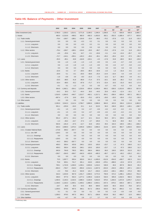# **Table H5: Balance of Payments – Other Investment**

million euros

|                               | 2002       | 2003       | 2004       | 2005       | 2006       | 2007             |                |          | 2007           |                | 2008            |
|-------------------------------|------------|------------|------------|------------|------------|------------------|----------------|----------|----------------|----------------|-----------------|
|                               |            |            |            |            |            |                  | Q <sub>1</sub> | Q2       | Q <sub>3</sub> | Q <sub>4</sub> | Q1 <sup>a</sup> |
| Other investment (net)        | 2,795.0    | 1,326.3    | 1,614.1    | 3,771.8    | 3,198.3    | 1.346.4          | 1,266.6        | 71.0     | $-926.9$       | 935.8          | 1,685.7         |
| 1. Assets                     | 460.0      | $-2,216.9$ | $-498.3$   | 982.0      | $-692.3$   | $-1,653.5$       | 362.1          | $-352.5$ | $-1,085.4$     | $-577.7$       | 603.8           |
| 1.1. Trade credits            | $-79.4$    | $-169.7$   | $-188.1$   | $-134.8$   | $-33.4$    | $-99.5$          | $-70.2$        | $-37.8$  | $-3.3$         | 11.8           | $-33.3$         |
| 1.1.1. General government     | 0.0        | 0.0        | 0.0        | $-0.3$     | 0.2        | 0.1              | 0.0            | 0.0      | 0.0            | 0.0            | 0.0             |
| 1.1.1.1. Long-term            | 0.0        | 0.0        | 0.0        | $-0.3$     | 0.2        | 0.1              | 0.0            | 0.0      | 0.0            | 0.0            | 0.0             |
| 1.1.1.2. Short-term           | 0.0        | 0.0        | 0.0        | 0.0        | 0.0        | 0.0              | 0.0            | 0.0      | 0.0            | 0.0            | 0.0             |
| 1.1.2. Other sectors          | $-79.4$    | $-169.7$   | $-188.1$   | $-134.6$   | $-33.5$    | $-99.7$          | $-70.3$        | $-37.8$  | $-3.4$         | 11.8           | $-33.3$         |
| 1.1.2.1. Long-term            | $-6.6$     | $-25.6$    | 18.1       | 10.7       | $-5.1$     | $-63.6$          | $-5.1$         | $-9.4$   | $-13.4$        | $-35.7$        | 4.8             |
| 1.1.2.2. Short-term           | $-72.7$    | $-144.1$   | $-206.1$   | $-145.3$   | $-28.4$    | $-36.1$          | $-65.2$        | $-28.4$  | 10.0           | 47.5           | $-38.2$         |
| 1.2. Loans                    | $-55.5$    | $-85.1$    | 43.8       | $-116.8$   | $-153.1$   | $-4.5$           | $-17.8$        | 15.8     | $-68.5$        | 66.0           | $-20.8$         |
| 1.2.1. General government     | 0.6        | $-1.0$     | $-1.8$     | $-1.5$     | $-1.3$     | $-9.5$           | 0.5            | $-4.4$   | $-0.7$         | $-5.0$         | $-1.6$          |
| 1.2.1.1. Long-term            | 0.6        | $-1.0$     | $-1.8$     | $-1.5$     | $-1.3$     | $-9.5$           | 0.5            | $-4.4$   | $-0.7$         | $-5.0$         | $-1.6$          |
| 1.2.1.2. Short-term           | 0.0        | 0.0        | 0.0        | 0.0        | 0.0        | 0.0              | 0.0            | 0.0      | 0.0            | 0.0            | 0.0             |
| 1.2.2. Banks                  | $-22.6$    | 4.3        | 3.7        | $-28.5$    | $-80.4$    | $-32.6$          | $-2.2$         | 1.3      | $-31.6$        | $-0.1$         | $-1.8$          |
| 1.2.2.1. Long-term            | $-20.9$    | 5.1        | $-0.1$     | $-20.5$    | $-58.9$    | $-25.4$          | $-14.4$        | $-10.4$  | 4.4            | $-4.9$         | $-1.7$          |
| 1.2.2.2. Short-term           | $-1.6$     | $-0.8$     | 3.9        | $-8.0$     | $-21.5$    | $-7.3$           | 12.2           | 11.7     | $-36.0$        | 4.9            | $-0.1$          |
| 1.2.3. Other sectors          | $-33.5$    | $-88.5$    | 41.8       | $-86.8$    | $-71.4$    | 37.5             | $-16.1$        | 18.8     | $-36.2$        | 71.0           | $-17.4$         |
| 1.2.3.1. Long-term            | $-33.4$    | $-88.5$    | 43.2       | $-87.8$    | $-71.7$    | 37.5             | $-15.4$        | 19.3     | $-31.0$        | 64.5           | $-17.4$         |
| 1.2.3.2. Short-term           | $-0.1$     | 0.1        | $-1.3$     | 1.0        | 0.3        | 0.0              | $-0.7$         | $-0.5$   | $-5.2$         | 6.5            | 0.0             |
| 1.3. Currency and deposits    | 594.9      | $-1,962.1$ | $-354.1$   | 1,233.6    | $-505.8$   | $-1,549.4$       | 450.2          | $-330.5$ | $-1,013.6$     | $-655.5$       | 657.9           |
| 1.3.1. General government     | $-24.2$    | 30.3       | 72.7       | $-44.4$    | 26.5       | $-44.5$          | 25.0           | $-42.0$  | $-12.4$        | $-15.1$        | 6.7             |
| 1.3.2. Banks                  | 1.516.5    | $-1,964.5$ | $-446.7$   | 1,313.7    | $-462.1$   | $-1,317.1$       | 454.1          | $-268.4$ | $-935.6$       | $-567.2$       | 681.3           |
| 1.3.3. Other sectors          | $-897.4$   | $-27.9$    | 19.8       | $-35.6$    | $-70.2$    | $-187.8$         | $-29.0$        | $-20.0$  | $-65.6$        | $-73.2$        | $-30.0$         |
| 1.4. Other assets             | 0.0        | 0.0        | 0.0        | 0.0        | 0.0        | 0.0              | 0.0            | 0.0      | 0.0            | 0.0            | 0.0             |
| 2. Liabilities                | 2,335.0    | 3,543.3    | 2,112.4    | 2,789.7    | 3,890.6    | 2,999.9          | 904.5          | 423.5    | 158.4          | 1,513.4        | 1,082.0         |
|                               |            |            |            |            |            |                  |                |          |                |                |                 |
| 2.1. Trade credits            | 501.1      | $-225.6$   | $-54.5$    | 15.1       | 11.4       | 313.5            | 56.3           | 246.9    | 159.3          | $-149.1$       | $-158.7$        |
| 2.1.1. General government     | $-0.1$     | 1.5        | $-0.3$     | 0.4        | $-0.7$     | $-0.6$           | $-0.2$         | $-0.2$   | $-0.2$         | $-0.1$         | 0.0             |
| 2.1.1.1. Long-term            | $-0.1$     | 1.5        | $-0.3$     | 0.4        | $-0.7$     | $-0.6$           | $-0.2$         | $-0.2$   | $-0.2$         | $-0.1$         | 0.0             |
| 2.1.1.2. Short-term           | 0.0        | 0.0        | 0.0        | 0.0        | 0.0        | 0.0              | 0.0            | 0.0      | 0.0            | 0.0            | 0.0             |
| 2.1.2. Other sectors          | 501.2      | $-227.1$   | $-54.2$    | 14.7       | 12.1       | 314.2            | 56.5           | 247.1    | 159.5          | $-148.9$       | $-158.7$        |
| 2.1.2.1. Long-term            | $-1.4$     | $-46.2$    | $-16.7$    | 27.4       | $-3.7$     | 165.0            | 7.1            | 82.8     | 29.0           | 46.2           | 9.5             |
| 2.1.2.2. Short-term           | 502.6      | $-181.0$   | $-37.5$    | $-12.7$    | 15.8       | 149.2            | 49.4           | 164.3    | 130.5          | $-195.1$       | $-168.2$        |
| 2.2. Loans                    | 625.3      | 2,890.0    | 1,676.4    | 2,405.8    | 3,059.2    | 2,890.3          | 214.6          | 119.5    | 902.7          | 1,653.5        | 833.8           |
| 2.2.1. Croatian National Bank | $-173.8$   | 358.2      | $-367.7$   | 0.0        | 0.0        | 0.0              | 0.0            | 0.0      | 0.0            | 0.0            | 0.0             |
| 2.2.1.1. o/w: IMF             | $-129.5$   | 0.0        | 0.0        | 0.0        | 0.0        | 0.0              | 0.0            | 0.0      | 0.0            | 0.0            | 0.0             |
| 2.2.1.1.1. Drawings           | 0.0        | 0.0        | 0.0        | 0.0        | 0.0        | 0.0              | 0.0            | 0.0      | 0.0            | 0.0            | 0.0             |
| 2.2.1.1.2. Repayments         | $-129.5$   | 0.0        | 0.0        | 0.0        | 0.0        | 0.0              | 0.0            | 0.0      | 0.0            | 0.0            | 0.0             |
| 2.2.1.2. Short-term           | $-44.3$    | 358.2      | $-367.7$   | 0.0        | 0.0        | 0.0              | 0.0            | 0.0      | 0.0            | 0.0            | 0.0             |
| 2.2.2. General government     | 409.3      | 500.4      | 425.8      | 248.1      | 133.5      | 183.0            | $-23.7$        | 1.3      | 47.3           | 158.0          | 11.2            |
| 2.2.2.1. Long-term            | 409.3      | 500.4      | 425.8      | 248.1      | 133.5      | 183.0            | $-23.7$        | 1.3      | 47.3           | 158.0          | 11.2            |
| 2.2.2.1.1. Drawings           | 645.9      | 764.8      | 795.5      | 590.1      | 560.4      | 668.3            | 66.0           | 158.5    | 130.5          | 313.3          | 92.2            |
| 2.2.2.1.2. Repayments         | $-236.7$   | $-264.5$   | $-369.7$   | $-342.0$   | $-426.9$   | $-485.3$         | $-89.7$        | $-157.2$ | $-83.2$        | $-155.2$       | $-81.1$         |
| 2.2.2.2. Short-term           | 0.0        | 0.0        | 0.0        | 0.0        | 0.0        | 0.0              | 0.0            | 0.0      | 0.0            | 0.0            | $0.0\,$         |
| 2.2.3. Banks                  | 73.5       | 1,007.7    | 650.4      | 826.0      |            | $541.2 -1,065.0$ | $-512.6$       | $-554.0$ | $-430.7$       | 432.3          | 31.6            |
| 2.2.3.1. Long-term            | 75.8       | 929.1      | 741.7      | 281.1      | 419.5      | $-630.8$         | $-378.1$       | $-388.0$ | $-22.6$        | 157.8          | $-57.0$         |
| 2.2.3.1.1. Drawings           | 739.1      | 1,722.8    | 1,260.0    | 1,236.1    | 2,833.6    | 1,216.2          | 536.9          | 46.6     | 267.9          | 364.9          | 45.3            |
| 2.2.3.1.2. Repayments         | $-663.3$   | $-793.7$   | $-518.3$   | $-955.0$   | $-2,414.1$ | $-1,847.0$       | $-915.0$       | $-434.5$ | $-290.4$       | $-207.1$       | $-102.3$        |
| 2.2.3.2. Short-term           | $-2.3$     | 78.6       | $-91.2$    | 544.9      | 121.7      | $-434.2$         | $-134.4$       | $-166.1$ | $-408.2$       | 274.4          | 88.6            |
| 2.2.4. Other sectors          | 316.3      | 1,023.9    | 967.9      | 1,331.7    | 2,384.5    | 3,772.4          | 750.9          | 672.2    | 1,286.1        | 1,063.2        | 791.0           |
| 2.2.4.1. Long-term            | 336.0      | 977.0      | 932.4      | 1,277.2    | 2,295.6    | 3,162.9          | 532.0          | 605.8    | 1,032.5        | 992.5          | 623.8           |
| 2.2.4.1.1. Drawings           | 1,494.5    | 2,140.3    | 2,232.5    | 2,686.4    | 4,183.9    | 5,816.0          | 979.4          | 1,284.0  | 1,672.9        | 1,879.7        | 1,211.6         |
| 2.2.4.1.2. Repayments         | $-1,158.5$ | $-1,163.3$ | $-1,300.1$ | $-1,409.2$ | $-1,888.3$ | $-2,653.1$       | $-447.4$       | $-678.2$ | $-640.4$       | $-887.1$       | $-587.8$        |
| 2.2.4.2. Short-term           | $-19.7$    | 46.9       | 35.5       | 54.5       | 88.9       | 609.5            | 218.9          | 66.5     | 253.6          | 70.6           | 167.2           |
| 2.3. Currency and deposits    | 1,209.5    | 879.6      | 487.5      | 366.1      | 817.2      | $-206.6$         | 633.0          | 56.3     | $-904.2$       | 8.2            | 406.1           |
| 2.3.1. General government     | 0.1        | 0.1        | 0.0        | 0.0        | 0.1        | 0.0              | 9.2            | $-1.9$   | $-3.5$         | $-3.8$         | $-0.6$          |
| 2.3.2. Banks                  | 1,209.3    | 879.5      | 487.5      | 366.1      | 817.1      | $-206.6$         | 623.8          | 58.2     | $-900.7$       | 12.0           | 406.6           |
| 2.4. Other liabilities        | $-0.9$     | $-0.7$     | 3.0        | 2.8        | 2.7        | 2.7              | 0.5            | 0.7      | 0.6            | 0.8            | 0.8             |

a Preliminary data.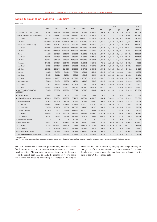# **Table H6: Balance of Payments – Summary**

million kuna

|                                                   | 2002         | 2003                                          | 2004        | 2005                      | 2006                                         | 2007         |                | 2007           |                |                | 2008            |
|---------------------------------------------------|--------------|-----------------------------------------------|-------------|---------------------------|----------------------------------------------|--------------|----------------|----------------|----------------|----------------|-----------------|
|                                                   |              |                                               |             |                           |                                              |              | Q <sub>1</sub> | Q <sub>2</sub> | Q <sub>3</sub> | Q <sub>4</sub> | Q1 <sup>a</sup> |
| A. CURRENT ACCOUNT (1+6)                          | $-15,744.2$  | $-14,637.6$                                   | $-11,167.9$ | $-14,828.6$               | $-19,912.8$                                  | $-23,846.2$  | $-14,894.8$    | $-10,141.8$    | 15,224.9       | $-14,034.5$    | $-18,120.8$     |
| 1. Goods, services, and income (2+5)              | $-24,275.5$  | $-24,051.3$                                   | $-20,094.6$ | $-23,586.7$               | $-28,021.9$                                  | $-31,497.2$  | $-16,718.2$    | $-12,125.1$    | 13,301.9       | $-15,955.8$    | $-19,751.2$     |
| 1.1. Credit                                       | 85,611.4     | 102,483.3                                     | 111,525.2   | 117,995.0                 | 130,801.0                                    | 144,037.5    | 23,043.3       | 35,628.2       | 56,410.7       | 28,955.3       | 24,753.2        |
| 1.2. Debit                                        | $-109,886.9$ | $-126,534.6 -131,619.8 -141,581.7 -158,822.9$ |             |                           |                                              | $-175,534.7$ | $-39,761.5$    | $-47,753.3$    | $-43,108.7$    | $-44,911.1$    | $-44,504.4$     |
| 2. Goods and services (3+4)                       | $-19,986.2$  | $-15,671.7$                                   | $-15,083.2$ | $-16,508.1$               | $-19,478.8$                                  | $-23,037.8$  | $-15,171.5$    | $-7,383.3$     | 14,724.2       | $-15,207.2$    | $-17,864.7$     |
| 2.1. Credit                                       | 82,206.3     | 99,192.2                                      | 106,225.6   | 112,693.7                 | 124,269.8                                    | 134,572.1    | 20,745.7       | 33,195.4       | 54,106.3       | 26,524.7       | 22,342.9        |
| 2.2. Debit                                        |              | $-102,192.6 -114,863.9 -121,308.8$            |             | $-129,201.8$ $-143,748.6$ |                                              | $-157,609.9$ | $-35,917.2$    | $-40,578.7$    | $-39,382.1$    | $-41,731.9$    | $-40,207.6$     |
| 3. Goods                                          | $-44, 117.7$ | $-52,759.8$                                   | $-50,327.5$ | $-55,568.1$               | $-61,083.9$                                  | $-69,218.6$  | $-15,897.7$    | $-18,589.6$    | $-16,884.4$    | $-17,846.9$    | $-18,595.9$     |
| 3.1. Credit                                       | 39,216.5     | 42,190.2                                      | 49,507.8    | 53,397.7                  | 61,988.6                                     | 67,424.8     | 15,065.4       | 16,972.5       | 17,243.2       | 18,143.9       | 16,210.2        |
| 3.2. Debit                                        | $-83,334.1$  | $-94,949.9$                                   |             |                           | $-99,835.3 -108,965.8 -123,072.5 -136,643.4$ |              | $-30,963.0$    | $-35,562.1$    | $-34,127.6$    | $-35,990.8$    | $-34,806.1$     |
| 4. Services                                       | 24,131.4     | 37,088.0                                      | 35,244.3    | 39,060.0                  | 41,605.1                                     | 46,180.8     | 726.1          | 11,206.3       | 31,608.6       | 2,639.7        | 731.2           |
| 4.1. Credit                                       | 42,989.9     | 57,002.0                                      | 56,717.8    | 59,296.0                  | 62,281.2                                     | 67,147.3     | 5,680.4        | 16,222.9       | 36,863.2       | 8,380.8        | 6,132.7         |
| 4.2. Debit                                        | $-18,858.5$  | $-19,914.0$                                   | $-21,473.5$ | $-20,236.0$               | $-20,676.1$                                  | $-20,966.5$  | $-4,954.2$     | $-5,016.6$     | $-5,254.5$     | $-5,741.1$     | $-5,401.5$      |
| 5. Income                                         | $-4,289.2$   | $-8,379.5$                                    | $-5,011.4$  | $-7,078.6$                | $-8,543.1$                                   | $-8,459.4$   | $-1,546.6$     | $-4,741.8$     | $-1,422.3$     | $-748.6$       | $-1,886.5$      |
| 5.1. Credit                                       | 3,405.1      | 3,291.2                                       | 5,299.6     | 5,301.3                   | 6,531.2                                      | 9,465.4      | 2,297.6        | 2,432.8        | 2,304.3        | 2,430.6        | 2,410.3         |
| 5.2. Debit                                        | $-7,694.3$   | $-11,670.7$                                   | $-10,311.0$ | $-12,379.9$               | $-15,074.3$                                  | $-17,924.7$  | $-3,844.2$     | $-7,174.6$     | $-3,726.6$     | $-3,179.3$     | $-4,296.8$      |
| 6. Current transfers                              | 8,531.3      | 9,413.6                                       | 8,926.8     | 8,758.1                   | 8,109.0                                      | 7,650.9      | 1,823.3        | 1,983.3        | 1,923.0        | 1,921.3        | 1,630.4         |
| 6.1. Credit                                       | 10,761.2     | 11,639.9                                      | 11,872.9    | 12,047.2                  | 12,005.6                                     | 11,562.1     | 2,637.5        | 2,964.0        | 2,833.8        | 3,126.7        | 2,548.1         |
| 6.2. Debit                                        | $-2,229.9$   | $-2,226.3$                                    | $-2,946.1$  | $-3,289.1$                | $-3,896.5$                                   | $-3,911.1$   | $-814.2$       | $-980.7$       | $-910.8$       | $-1,205.4$     | $-917.7$        |
| <b>B. CAPITAL AND FINANCIAL</b><br><b>ACCOUNT</b> | 18,920.4     | 20,752.3                                      | 18,727.4    | 22,064.2                  | 26,984.6                                     | 29,900.1     | 9,984.0        | 10,222.9       | 591.6          | 9,101.5        | 17,165.2        |
| B1. Capital account                               | 3,847.2      | 771.3                                         | 235.5       | 396.8                     | $-980.5$                                     | 253.4        | 51.7           | 67.0           | 93.9           | 40.8           | 35.2            |
| B2. Financial account, excl. reserves             | 20,561.8     | 29,333.4                                      | 18,828.5    | 27,742.8                  | 38,278.4                                     | 34,961.8     | 15,884.4       | 7,694.1        | $-1,777.9$     | 13,161.1       | 22,189.4        |
| 1. Direct investment                              | 4,183.5      | 12,706.4                                      | 4,452.8     | 9,093.0                   | 18,830.9                                     | 25,103.8     | 9,405.6        | 6,918.9        | 3,648.4        | 5,131.0        | 6,083.8         |
| 1.1. Abroad                                       | $-4,486.9$   | $-801.9$                                      | $-2,077.2$  | $-1,415.4$                | $-1,277.5$                                   | $-1,326.0$   | $-625.7$       | $-355.0$       | $-277.1$       | $-68.2$        | 1,083.0         |
| 1.2. In Croatia                                   | 8,670.4      | 13,508.3                                      | 6,530.0     | 10,508.5                  | 20,108.3                                     | 26,429.8     | 10,031.3       | 7,273.8        | 3,925.5        | 5,199.2        | 5,000.8         |
| 2. Portfolio investment                           | $-3,260.4$   | 6,593.2                                       | 2,097.8     | $-8,725.0$                | $-4,021.0$                                   | $-50.1$      | $-2,848.1$     | 261.2          | 1,355.6        | 1,181.2        | 3,482.9         |
| 2.1. Assets                                       | $-4,839.6$   | 938.6                                         | $-5,563.8$  | $-4,195.8$                | $-3,483.1$                                   | $-3,046.0$   | $-2,315.4$     | $-2,420.8$     | 504.3          | 1,186.0        | 4,341.5         |
| 2.2. Liabilities                                  | 1,579.2      | 5,654.5                                       | 7,661.6     | $-4,529.2$                | $-537.9$                                     | 2,995.9      | $-532.6$       | 2,682.0        | 851.3          | $-4.8$         | $-858.6$        |
| 3. Financial derivatives                          | 0.0          | 0.0                                           | 0.0         | $-659.4$                  | 0.0                                          | 0.0          | 0.0            | 0.0            | 0.0            | 0.0            | 0.0             |
| 4. Other investment                               | 19,638.7     | 10,033.7                                      | 12,277.9    | 28,034.2                  | 23,468.6                                     | 9,908.0      | 9,326.9        | 514.0          | $-6,781.9$     | 6,848.9        | 12,622.7        |
| 4.1. Assets                                       | 3,322.5      | $-16,854.7$                                   | $-3,680.4$  | 7,419.8                   | $-5,121.7$                                   | $-12,079.9$  | 2,666.5        | $-2,578.9$     | $-7,936.2$     | $-4,231.3$     | 4,628.4         |
| 4.2. Liabilities                                  | 16,316.1     | 26,888.4                                      | 15,958.3    | 20,614.4                  | 28,590.3                                     | 21,987.9     | 6,660.5        | 3,092.9        | 1,154.3        | 11,080.2       | 7,994.3         |
| B3. Reserve assets (CNB)                          | $-5,488.5$   | $-9,352.4$                                    | $-336.5$    | $-6,075.4$                | $-10,313.4$                                  | $-5,315.1$   | $-5,952.1$     | 2,461.8        | 2,275.7        | $-4,100.5$     | $-5,059.4$      |
| C. NET ERRORS AND OMISSIONS                       | $-3,176.2$   | $-6, 114.7$                                   | $-7,559.5$  | $-7,235.6$                | $-7,071.7$                                   | $-6,053.9$   | 4,910.8        | $-81.1$        | $-15,816.5$    | 4,933.0        | 955.6           |
| a Preliminary data.                               |              |                                               |             |                           |                                              |              |                |                |                |                |                 |

Note: The item net errors and omissions also comprises the counter-entry of a part of revenues from travel services which relates to such revenues not stated in the banks' records.

Bank for International Settlement quarterly data, while data in the fourth quarter of 2001 and in the first two quarters of 2002 relate to the effect of the EMU countries' currencies changeover to the euro.

In the period from 1993 to 1998, the estimate of reserve assets transactions was made by converting the changes in the original

currencies into the US dollars by applying the average monthly exchange rate of the currencies contained in the reserves. Since 1999, the changes in reserve assets balance have been calculated on the basis of the CNB accounting data.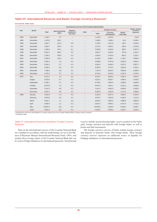## **Table H7: International Reserves and Banks' Foreign Currency Reservesa**

end of period, million euros

|      |              |              |                                  |                          |                          | International reserves of the Croatian National Bank |                          |                           |                            |
|------|--------------|--------------|----------------------------------|--------------------------|--------------------------|------------------------------------------------------|--------------------------|---------------------------|----------------------------|
| Year | <b>Month</b> |              |                                  | Reserve                  |                          |                                                      | <b>Foreign currency</b>  |                           | Banks' foreign<br>currency |
|      |              | <b>Total</b> | <b>Special drawing</b><br>rights | position in<br>the Fund  | Gold                     | Total                                                | Currency<br>and deposits | <b>Bonds</b><br>and notes | reserves                   |
| 1994 | December     | 1,145.7      | 3.7                              | $\qquad \qquad -$        | -                        | 1,142.0                                              | 1,142.0                  |                           | 716.6                      |
| 1995 | December     | 1.479.0      | 109.1                            | $\overline{\phantom{m}}$ |                          | 1,369.9                                              | 1.288.4                  | 81.4                      | 1,038.1                    |
| 1996 | December     | 1,867.7      | 101.3                            | 0.0                      | $\overline{\phantom{0}}$ | 1,766.3                                              | 1,627.6                  | 138.7                     | 1,549.2                    |
| 1997 | December     | 2,303.7      | 133.4                            | 0.1                      | -                        | 2,170.2                                              | 1,825.2                  | 345.0                     | 2,078.9                    |
| 1998 | December     | 2,400.2      | 197.1                            | 0.1                      | $\qquad \qquad -$        | 2,203.0                                              | 1,642.6                  | 560.4                     | 1,607.0                    |
| 1999 | December     | 3,012.7      | 188.7                            | 0.2                      | $\overline{\phantom{0}}$ | 2,823.7                                              | 2,449.8                  | 373.9                     | 1,344.7                    |
| 2000 | December     | 3,783.2      | 158.5                            | 0.2                      | -                        | 3,624.5                                              | 2,763.0                  | 861.5                     | 2,310.7                    |
| 2001 | December     | 5,333.6      | 122.9                            | 0.2                      | $\qquad \qquad -$        | 5,210.5                                              | 3,469.7                  | 1,740.7                   | 4,056.0                    |
| 2002 | December     | 5,651.3      | 2.3                              | 0.2                      |                          | 5,648.8                                              | 3,787.8                  | 1,861.0                   | 2,581.6                    |
| 2003 | December     | 6,554.1      | 0.7                              | 0.2                      | -                        | 6,553.2                                              | 3,346.0                  | 3,207.2                   | 3,927.1                    |
| 2004 | December     | 6,436.2      | 0.6                              | 0.2                      | -                        | 6,435.4                                              | 3,173.3                  | 3,262.0                   | 4,220.1                    |
| 2005 | December     | 7,438.4      | 0.9                              | 0.2                      | $\qquad \qquad -$        | 7,437.3                                              | 3,834.5                  | 3,602.8                   | 2,938.4                    |
| 2006 | December     | 8,725.3      | 0.7                              | 0.2                      | $\qquad \qquad -$        | 8,724.4                                              | 4,526.9                  | 4,197.5                   | 3,315.0                    |
| 2007 | July         | 9,412.1      | 1.3                              | 0.2                      | $\overline{\phantom{m}}$ | 9,410.7                                              | 5,055.3                  | 4,355.4                   | 3,025.1                    |
|      | August       | 9,223.0      | 0.7                              | 0.2                      | $\qquad \qquad -$        | 9,222.1                                              | 4,823.7                  | 4,398.4                   | 3,418.5                    |
|      | September    | 8,795.1      | 0.7                              | 0.2                      | $\qquad \qquad -$        | 8,794.2                                              | 4,404.6                  | 4,389.6                   | 3,839.8                    |
|      | October      | 8,973.8      | 1.3                              | 0.2                      | $\qquad \qquad -$        | 8,972.3                                              | 4,361.1                  | 4,611.2                   | 3,946.8                    |
|      | November     | 9,112.3      | 0.8                              | 0.2                      | $\overline{\phantom{0}}$ | 9,111.3                                              | 4,462.5                  | 4,648.8                   | 4,180.6                    |
|      | December     | 9,307.4      | 0.8                              | 0.2                      | $\qquad \qquad -$        | 9,306.5                                              | 4,533.9                  | 4,772.5                   | 4,388.9                    |
| 2008 | Januray      | 9,332.8      | 1.0                              | 0.2                      | $\overline{\phantom{0}}$ | 9,331.6                                              | 4,527.3                  | 4,804.2                   | 4,316.4                    |
|      | February     | 9,676.9      | 0.6                              | 0.2                      | -                        | 9,676.1                                              | 4,510.9                  | 5,165.2                   | 4,112.5                    |
|      | March        | 9,841.7      | 1.1                              | 0.2                      | $\qquad \qquad -$        | 9,840.4                                              | 4,954.5                  | 4,885.9                   | 3,904.5                    |
|      | April        | 9,928.5      | 1.1                              | 0.2                      |                          | 9,927.2                                              | 4,955.3                  | 4,971.9                   | 3,711.8                    |
|      | May          | 10,051.2     | 0.8                              | 0.2                      | $\overline{\phantom{0}}$ | 10,050.2                                             | 4,432.0                  | 5,618.2                   | 3,485.7                    |
|      | Juneb        | 9,941.2      | 0.8                              | 0.2                      | -                        | 9,940.2                                              | 3,509.5                  | 6,430.7                   | 3,542.5                    |

International reserves of the Republic of Croatia consist only of the Croatian National Bank's foreign currency reserves.

**b** Preliminary data.

## Table H7: International Reserves and Banks' Foreign Currency Reserves

Data on the international reserves of the Croatian National Bank are compiled in accordance with the methodology set out in the Balance of Payments Manual (International Monetary Fund, 1993), and include those foreign claims of the Croatian National Bank that can be used to bridge imbalances in international payments. International

reserves include special drawing rights, reserve position in the Fund, gold, foreign currency and deposits with foreign banks, as well as bonds and debt instruments.

The foreign currency reserves of banks include foreign currency and deposits of domestic banks with foreign banks. These foreign currency reserves represent an additional source of liquidity for bridging imbalances in international payments.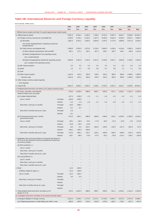# **Table H8: International Reserves and Foreign Currency Liquidity**

end of period, million euros

|                                                                                                                                                | 2002               | 2003                     | 2004                              | 2005                                 | 2006                     | 2007                     |                          | 2008                     |            |
|------------------------------------------------------------------------------------------------------------------------------------------------|--------------------|--------------------------|-----------------------------------|--------------------------------------|--------------------------|--------------------------|--------------------------|--------------------------|------------|
|                                                                                                                                                | Dec.               | Dec.                     | Dec.                              | Dec.                                 | Dec.                     | Dec.                     | Mar.                     | Apr.                     | May        |
| I. Official reserve assets and other f/c assets (approximate market value)                                                                     |                    |                          |                                   |                                      |                          |                          |                          |                          |            |
| A. Official reserve assets                                                                                                                     | 5,651.3            | 6,554.1                  | 6,436.2                           | 7,438.4                              | 8,725.3                  | 9,307.4                  | 9,841.7                  | 9,928.5                  | 10,051.2   |
| (1) Foreign currency reserves (in convertible f/c)                                                                                             | 4,246.9            | 5,740.1                  | 6,235.4                           | 7,337.3                              | 8,162.8                  | 8,911.0                  | 9,040.4                  | 8,927.2                  | 9,050.2    |
| (a) Securities                                                                                                                                 | 1,861.0            | 3.207.2                  | 3,262.0                           | 3,602.8                              | 4,197.5                  | 4,772.5                  | 4,885.9                  | 4,971.9                  | 5,618.2    |
| o/w: Issuer headquartered in reporting country but<br>located abroad                                                                           |                    |                          |                                   |                                      |                          |                          |                          |                          |            |
| (b) Total currency and deposits with:                                                                                                          | 2,385.9            | 2,532.9                  | 2,973.3                           | 3,734.5                              | 3,965.3                  | 4,138.4                  | 4,154.5                  | 3,955.3                  | 3,432.0    |
| (i) Other national central banks, BIS and IMF                                                                                                  | 325.1              | 271.1                    | 233.1                             | 407.3                                | 198.7                    | 190.7                    | 199.7                    | 186.9                    | 1,112.9    |
| (ii) Banks headquartered in the reporting country                                                                                              |                    |                          |                                   |                                      |                          |                          |                          |                          |            |
| o/w: Located abroad                                                                                                                            |                    |                          |                                   |                                      |                          |                          | -                        |                          |            |
| (iii) Banks headquartered outside the reporting country                                                                                        | 2,060.8            | 2,261.8                  | 2,740.3                           | 3,327.2                              | 3,766.6                  | 3,947.7                  | 3,954.9                  | 3,768.4                  | 2.319.2    |
| o/w: Located in the reporting country                                                                                                          |                    |                          |                                   |                                      |                          |                          |                          |                          |            |
| (2) IMF reserve position                                                                                                                       | 0.2                | 0.2                      | 0.2                               | 0.2                                  | 0.2                      | 0.2                      | 0.2                      | 0.2                      | 0.2        |
| $(3)$ SDRs                                                                                                                                     | 2.3                | 0.7                      | 0.6                               | 0.9                                  | 0.7                      | 0.8                      | 1.1                      | 1.1                      | 0.8        |
| $(4)$ Gold                                                                                                                                     | $\qquad \qquad -$  | $\equiv$                 | $\overline{\phantom{0}}$          | $\overline{\phantom{0}}$             | $\overline{\phantom{0}}$ | $\overline{\phantom{0}}$ | $\overline{\phantom{0}}$ | $\overline{\phantom{a}}$ |            |
| (5) Other reserve assets                                                                                                                       | 1,401.9            | 813.1                    | 200.0                             | 100.0                                | 561.6                    | 395.5                    | 800.0                    | 1,000.0                  | 1,000.0    |
| - Reverse repo                                                                                                                                 | 1,401.9            | 813.1                    | 200.0                             | 100.0                                | 561.6                    | 395.5                    | 800.0                    | 1,000.0                  | 1,000.0    |
| B. Other foreign currency assets (specify)                                                                                                     |                    |                          |                                   |                                      |                          | $\qquad \qquad -$        | -                        |                          |            |
| - Time deposits                                                                                                                                |                    |                          |                                   |                                      |                          |                          |                          |                          |            |
| $C.$ Total $(A+B)$                                                                                                                             | 5,651.3            | 6,554.1                  | 6,436.2                           | 7,438.4                              | 8,725.3                  | 9,307.4                  | 9.841.7                  | 9,928.5                  | 10,051.2   |
| II. Predetermined short-term net drains on f/c assets (nominal value)                                                                          |                    |                          |                                   |                                      |                          |                          |                          |                          |            |
| 1. F/c loans, securities, and deposits<br>(total net drains up to one year)                                                                    | $-740.9$           | $-1,538.0$               | $-988.6$                          | $-899.7$                             | $-650.5$                 | $-521.1$                 | $-1,032.1$               | $-1,011.6$               | $-1,020.8$ |
| (a) Croatian National Bank                                                                                                                     | $-167.4$           | $-646.9$                 | $-1.8$                            | $-1.1$                               | $-1.6$                   | $-2.0$                   | $-1.8$                   | $-2.1$                   | $-1.6$     |
| Principal<br>Up to 1 month                                                                                                                     | $-136.9$           | $-355.9$                 | $\overbrace{\phantom{123221111}}$ | $\overline{\phantom{0}}$             | $\overline{\phantom{0}}$ | $\overline{\phantom{a}}$ | $\overline{\phantom{0}}$ | $\overline{\phantom{a}}$ |            |
| Interest                                                                                                                                       | $-2.2$             | $-1.9$                   | $-1.8$                            | $-1.1$                               | $-1.6$                   | $-2.0$                   | $-1.8$                   | $-2.1$                   | $-1.6$     |
| More than 1 and up to 3 months<br>Principal                                                                                                    | $-26.5$            | $-288.3$                 |                                   |                                      |                          |                          |                          |                          |            |
| Interest                                                                                                                                       | $-0.1$             | $-0.7$                   | $\overline{\phantom{0}}$          | $\overline{\phantom{0}}$             |                          |                          |                          |                          |            |
| More than 3 months and up to 1 year<br>Principal                                                                                               | $-1.6$             | $\overline{\phantom{0}}$ |                                   |                                      |                          |                          |                          |                          |            |
| Interest<br>(b) Central government (excl. central                                                                                              | $-0.1$<br>$-573.5$ | $-891.1$                 | $-986.8$                          | $\overline{\phantom{0}}$<br>$-898.6$ | $-648.9$                 | $-519.1$                 | $-1,030.3$               | $-1,009.5$               | $-1,019.2$ |
| government funds)                                                                                                                              |                    |                          |                                   |                                      |                          |                          |                          |                          |            |
| Up to 1 month<br>Principal                                                                                                                     | $-98.1$            | $-85.9$                  | $-76.5$                           | $-77.9$                              | $-48.3$                  | $-47.6$                  | $-13.0$                  | $-2.6$                   | $-174.9$   |
| Interest                                                                                                                                       | $-42.8$            | $-34.4$                  | $-13.8$                           |                                      | $\overline{\phantom{0}}$ |                          |                          |                          |            |
| More than 1 and up to 3 months<br>Principal                                                                                                    | $-8.6$             | $-9.3$                   | $-510.1$                          | $-603.0$                             | $-138.4$                 | $-133.2$                 | $-227.4$                 | $-252.5$                 | $-97.5$    |
| Interest                                                                                                                                       | $-148.1$           | $-168.3$                 | $-169.0$                          | $\qquad \qquad -$                    | -                        | -                        | -                        | $\qquad \qquad -$        |            |
| More than 3 months and up to 1 year<br>Principal                                                                                               | $-176.2$           | $-495.2$                 | $-143.7$                          | $-160.2$                             | $-399.8$                 | $-284.5$                 | $-648.6$                 | $-614.3$                 | $-615.9$   |
| Interest<br>2. Aggregate short and long positions in forwards and futures in<br>f/c vis-a-vis the domestic currency (including the forward leg | $-99.7$            | $-98.0$                  | $-73.8$                           | $-57.5$                              | $-62.3$                  | $-53.8$                  | $-141.3$                 | $-140.1$                 | $-130.9$   |
| of currency swaps)                                                                                                                             |                    |                          |                                   |                                      |                          |                          |                          |                          |            |
| (a) Short positions (-)                                                                                                                        |                    |                          |                                   |                                      |                          |                          |                          |                          |            |
| Up to 1 month                                                                                                                                  |                    |                          |                                   |                                      |                          |                          |                          |                          |            |
| More than 1 and up to 3 months                                                                                                                 |                    |                          |                                   |                                      |                          |                          |                          |                          |            |
| More than 3 months and up to 1 year                                                                                                            |                    |                          |                                   |                                      |                          |                          |                          |                          |            |
| (b) Long positions (+)                                                                                                                         |                    |                          |                                   |                                      |                          |                          |                          |                          |            |
| Up to 1 month                                                                                                                                  |                    |                          |                                   |                                      |                          |                          |                          |                          |            |
| More than 1 and up to 3 months                                                                                                                 |                    |                          |                                   |                                      |                          |                          |                          |                          |            |
| More than 3 months and up to 1 year                                                                                                            |                    |                          |                                   |                                      |                          |                          |                          |                          |            |
| 3. Other                                                                                                                                       | $-21.5$<br>$-21.5$ | $-363.5$<br>$-363.5$     |                                   |                                      |                          |                          |                          |                          |            |
| - Outflows related to repos $(-)$<br>Up to 1 month                                                                                             | $-21.5$            | $-363.1$                 |                                   |                                      |                          |                          |                          |                          |            |
| Principal                                                                                                                                      | 0.0                | $-0.4$                   |                                   |                                      |                          |                          |                          |                          |            |
| Interest<br>More than 1 and up to 3 months<br>Principal                                                                                        |                    |                          |                                   |                                      |                          |                          |                          |                          |            |
| Interest                                                                                                                                       |                    |                          |                                   |                                      |                          |                          |                          |                          |            |
|                                                                                                                                                |                    |                          |                                   |                                      |                          |                          |                          |                          |            |
| More than 3 months and up to 1 year<br>Principal<br>Interest                                                                                   |                    |                          |                                   |                                      |                          |                          |                          |                          |            |
| 4. Total predetermined short-term net drains on f/c<br>assets $(1+2+3)$                                                                        | $-762.4$           | $-1,901.5$               | $-988.6$                          | $-899.7$                             | $-650.5$                 | $-521.1$                 | $-1,032.1$               | $-1,011.6$               | $-1,020.8$ |
| III. Contingent short-term net drains on f/c assets (nominal value)                                                                            |                    |                          |                                   |                                      |                          |                          |                          |                          |            |
| 1. Contingent liabilities in foreign currency                                                                                                  | $-1,631.0$         | $-1,300.4$               | $-1,772.9$                        | $-2,273.1$                           | $-2,734.9$               | $-2,607.4$               | $-3,071.0$               | $-2,974.9$               | $-2,988.1$ |
| (a) Collateral guarantees on debt falling due within 1 year                                                                                    | $-685.9$           | $-426.8$                 | $-370.9$                          | $-443.8$                             | $-478.9$                 | $-662.1$                 | $-729.1$                 | $-567.3$                 | $-567.5$   |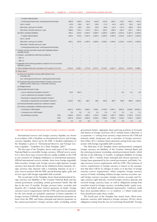| - Croatian National Bank                                                                                             |                       |            |            |            |            |            |            |            |            |
|----------------------------------------------------------------------------------------------------------------------|-----------------------|------------|------------|------------|------------|------------|------------|------------|------------|
| - Central government (excl. central government funds)                                                                | $-685.9$              | $-426.8$   | $-370.9$   | $-443.8$   | $-478.9$   | $-662.1$   | $-729.1$   | $-567.3$   | $-567.5$   |
| Up to 1 month                                                                                                        | $-52.3$               | $-55.8$    | $-62.7$    | $-59.6$    | $-71.9$    | $-54.3$    | $-187.2$   | $-29.4$    | $-39.2$    |
| More than 1 and up to 3 months                                                                                       | $-35.2$               | $-94.9$    | $-33.9$    | $-53.0$    | $-84.8$    | $-42.4$    | $-117.2$   | $-130.8$   | $-94.0$    |
| More than 3 months and up to 1 year                                                                                  | $-598.3$              | $-276.1$   | $-274.4$   | $-331.2$   | $-322.2$   | $-565.3$   | $-424.7$   | $-407.1$   | $-434.3$   |
| (b) Other contingent liabilities                                                                                     | $-945.1$              | $-873.6$   | $-1,402.0$ | $-1,829.3$ | $-2,256.0$ | $-1,945.3$ | $-2,341.9$ | $-2,407.5$ | $-2,420.6$ |
| - Croatian National Bank                                                                                             | $-945.1$              | $-873.6$   | $-1,402.0$ | $-1,829.3$ | $-2,256.0$ | $-1,945.3$ | $-2,341.9$ | $-2,407.5$ | $-2,420.6$ |
| Up to 1 month                                                                                                        |                       |            |            |            |            |            |            |            |            |
| More than 1 and up to 3 months                                                                                       | $-945.1$              | $-873.6$   | $-1,402.0$ | $-1,829.3$ | $-2,256.0$ | $-1,945.3$ | $-2,341.9$ | $-2,407.5$ | $-2,420.6$ |
| More than 3 months and up to 1 year                                                                                  |                       |            |            |            |            |            |            |            |            |
| - Central government (excl. central government funds)                                                                |                       |            |            |            |            |            |            |            |            |
| 2. Foreign currency securities issued with embedded options<br>(puttable bonds)                                      |                       |            |            |            |            |            |            |            |            |
| 3. Undrawn, unconditional credit lines provided by:                                                                  |                       |            |            |            |            |            |            |            |            |
| – BIS (+)                                                                                                            |                       |            |            |            |            |            |            |            |            |
| – IMF (+)                                                                                                            |                       |            |            |            |            |            |            |            |            |
| 4. Aggregate short and long positions of options in f/c vis-a-vis the<br>domestic currency                           |                       |            |            |            |            |            |            |            |            |
| 5. Total contingent short-term net drains on f/c assets (1+2+3+4)                                                    | $-1,631.0$            | $-1,300.4$ | $-1,772.9$ | $-2,273.1$ | $-2,734.9$ | $-2,607.4$ | $-3,071.0$ | $-2,974.9$ | $-2,988.1$ |
| IV. Memo items                                                                                                       |                       |            |            |            |            |            |            |            |            |
| (a) Short-term domestic currency debt indexed to the<br>exchange rate                                                |                       |            |            |            |            |            |            |            |            |
| o/w: Central government (excl. central government funds)                                                             |                       |            |            |            |            |            |            |            |            |
| (b) Financial instruments denominated in foreign currency and<br>settled by other means (e.g., in domestic currency) |                       |            |            |            |            |            |            |            |            |
| (c) Pledged assets                                                                                                   |                       |            |            |            |            |            |            |            |            |
| (d) Securities lent and on repo                                                                                      |                       |            |            |            |            |            |            |            |            |
| - Lent or repoed and included in Section I                                                                           | $-20.0$               | $-351.0$   |            |            |            |            | $-0.2$     | $-3.1$     | $-3.0$     |
| - Lent or repoed but not included in Section I                                                                       |                       |            |            |            |            |            |            |            |            |
| - Borrowed or acquired and included in Section I                                                                     |                       |            |            |            |            |            |            |            |            |
| - Borrowed or acquired but not included in Section I                                                                 | 1,330.3               | 785.1      | 180.7      | 88.5       | 559.5      | 389.7      | 788.9      | 996.9      | 1,004.3    |
| (e) Financial derivative assets (net, marked to market)                                                              |                       |            |            |            |            |            |            |            |            |
| (f) Currency composition of official reserves assets                                                                 |                       |            |            |            |            |            |            |            |            |
| - Currencies in SDR basket                                                                                           | 5,651.3               | 6,554.1    | 6,436.2    | 7,438.1    | 8,725.0    | 9,307.1    | 9,841.6    | 9,928.4    | 10,051.2   |
| - Currencies not in SDR basket                                                                                       | 0.0                   | 0.0        | 0.0        | 0.3        | 0.3        | 0.3        | 0.1        | 0.1        | 0.1        |
| - By individual currencies                                                                                           | <b>USD</b><br>1,600.8 | 1,937.6    | 1,609.1    | 1,104.5    | 1,266.0    | 1,357.2    | 2,680.3    | 2,725.0    | 2,724.1    |
|                                                                                                                      | <b>EUR</b><br>4,047.9 | 4,615.6    | 4,826.3    | 6,332.5    | 7,458.0    | 7,944.2    | 7,159.4    | 7,201.5    | 7,325.9    |
|                                                                                                                      | Other<br>2.6          | 0.9        | 0.8        | 1.3        | 1.3        | 6.0        | 2.0        | 2.0        | 1.3        |

#### Table H8: International Reserves and Foreign Currency Liquidity

International reserves and foreign currency liquidity are shown in accordance with a Template on international reserves and foreign currency liquidity, drawn up by the IMF. A detailed explanation of the Template is given in "International Reserves and Foreign Currency Liquidity – Guidelines for a Data Template, 2001".

The first part of the Template shows total assets of the Croatian National Bank in convertible foreign currency. Official reserve assets (I.A.) show those types of assets that are readily available to the CNB at any moment for bridging imbalances in international payments. Official international reserves include: short-term foreign negotiable debt securities, foreign cash, foreign currency sight deposits, foreign currency time deposits which can be withdrawn before maturity, foreign currency time deposits with a remaining maturity of up to 1 year, reserve position with the IMF, special drawing rights, gold, and reverse repos with foreign negotiable debt securities.

The second part of the Template shows fixed predetermined foreign currency net liabilities of the Croatian National Bank and the central government (excluding central government funds) that fall due in the next 12 months. Foreign currency loans, securities and deposits (II.1.) include future interest payments on banks' foreign currency reserve requirements with the CNB (only interest payments for the next month are included), payments of future maturities of foreign currency CNB bills, future principal and interest payments on loans from the IMF, and future principal and interest payments on the central government's foreign currency debts (excluding central

government funds). Aggregate short and long positions in forwards and futures in foreign currencies (II.2.) include future collections () or payments (–) arising from currency swaps between the CNB and domestic banks (temporary sale or purchase of foreign currency). Item Other (II.3.) includes future payments arising from repo transactions with foreign negotiable debt securities.

The third part of the Template shows predetermined contingent foreign currency net liabilities of the Croatian National Bank and the central government (excluding central government funds), which fall due in the following 12 months. Contingent liabilities in foreign currency (III.1.) include future principal and interest payments on foreign loans guaranteed by the central government, and banks' foreign currency reserve requirements with the CNB. (The inclusion of reserve requirements in foreign currency is based on the assumption that there will be no changes in ratios or in the base of foreign currency reserve requirements, which comprises foreign currency sources of funds, including ordinary foreign currency accounts, special foreign currency accounts, foreign currency accounts and foreign currency sight deposits, received foreign currency deposits and received foreign currency loans, as well as obligations arising from securities issued in foreign currency (excluding banks' equity securities) and hybrid and subordinated instruments). Undrawn credit lines show potential inflows (+) or outflows (–) which would arise from drawdowns under these credits.

The fourth part of the Template lists memo items. Short-term, domestic currency debt indexed to foreign currency (IV.(a)) shows obligations arising from the Act on Converting Households' Foreign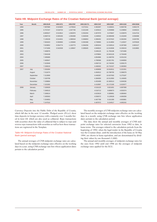|  | Table H9: Midpoint Exchange Rates of the Croatian National Bank (period average) |  |
|--|----------------------------------------------------------------------------------|--|
|  |                                                                                  |  |

| Year | Month     | <b>HRK/EUR</b> | <b>HRK/ATS</b> | <b>HRK/FRF</b> | <b>HRK/100 ITL</b> | <b>HRK/CHF</b> | HRK/GBP   | <b>HRK/USD</b> | <b>HRK/DEM</b> |
|------|-----------|----------------|----------------|----------------|--------------------|----------------|-----------|----------------|----------------|
| 1994 |           | 7.087680       | 0.524825       | 1.079616       | 0.371511           | 4.381907       | 9.166621  | 5.994736       | 3.692176       |
| 1995 |           | 6.757247       | 0.518724       | 1.047746       | 0.321349           | 4.425013       | 8.250868  | 5.229850       | 3.649215       |
| 1996 |           | 6.805527       | 0.513812       | 1.062870       | 0.352204           | 4.407070       | 8.476847  | 5.433979       | 3.614716       |
| 1997 |           | 6.960719       | 0.505335       | 1.056368       | 0.362049           | 4.248502       | 10.089408 | 6.161849       | 3.556098       |
| 1998 |           | 7.139159       | 0.514631       | 1.080018       | 0.366853           | 4.396452       | 10.537622 | 6.362284       | 3.620795       |
| 1999 |           | 7.581823       | 0.550993       | 1.155840       | 0.391568           | 4.739965       | 11.514804 | 7.122027       | 3.876528       |
| 2000 |           | 7.633852       | 0.554774       | 1.163773       | 0.394256           | 4.903244       | 12.530514 | 8.287369       | 3.903127       |
| 2001 |           | 7.471006       | 0.542939       | 1.138947       | 0.385845           | 4.946810       | 12.010936 | 8.339153       | 3.819865       |
| 2002 |           | 7.406976       |                |                |                    | 5.049125       | 11.793108 | 7.872490       |                |
| 2003 |           | 7.564248       |                |                |                    | 4.978864       | 10.943126 | 6.704449       |                |
| 2004 |           | 7.495680       |                |                |                    | 4.854986       | 11.048755 | 6.031216       |                |
| 2005 |           | 7.400047       |                |                |                    | 4.780586       | 10.821781 | 5.949959       |                |
| 2006 |           | 7.322849       |                |                |                    | 4.656710       | 10.740292 | 5.839170       |                |
| 2007 |           | 7.336019       |                |                |                    | 4.468302       | 10.731537 | 5.365993       |                |
| 2007 | July      | 7.291804       |                |                |                    | 4.400808       | 10.816511 | 5.321551       |                |
|      | August    | 7.311674       |                |                |                    | 4.464012       | 10.788705 | 5.366679       |                |
|      | September | 7.313069       |                |                |                    | 4.440287       | 10.637593 | 5.275187       |                |
|      | October   | 7.320799       |                |                |                    | 4.384000       | 10.512950 | 5.149405       |                |
|      | November  | 7.339884       |                |                |                    | 4.453499       | 10.365513 | 5.004536       |                |
|      | December  | 7.315282       |                |                |                    | 4.410997       | 10.172190 | 5.022677       |                |
| 2008 | January   | 7.326929       |                |                |                    | 4.516125       | 9.821601  | 4.987008       |                |
|      | February  | 7.266515       |                |                |                    | 4.516712       | 9.689673  | 4.933374       |                |
|      | March     | 7.266614       |                |                |                    | 4.623619       | 9.389891  | 4.689464       |                |
|      | April     | 7.265563       |                |                |                    | 4.558372       | 9.128528  | 4.606358       |                |
|      | May       | 7.254953       |                |                |                    | 4.467798       | 9.161309  | 4.663891       |                |
|      | June      | 7.247010       |                |                |                    | 4.487972       | 9.154517  | 4.665242       |                |

Currency Deposits into the Public Debt of the Republic of Croatia, which fall due in the next 12 months. Pledged assets (IV.(c)) show time deposits in foreign currency with a maturity over 3 months listed in item I.B. which are also used as collateral. Repo transactions with securities show the value of collateral that is subject to repo and reverse repo transactions with securities as well as how these transactions are registered in the Template.

#### Table H9: Midpoint Exchange Rates of the Croatian National Bank (period average)

The annual averages of CNB midpoint exchange rates are calculated based on the midpoint exchange rates effective on the working days in a year, using CNB exchange rate lists whose application dates pertain to the calculation period.

The monthly averages of CNB midpoint exchange rates are calculated based on the midpoint exchange rates effective on the working days in a month, using CNB exchange rate lists whose application dates pertain to the calculation period.

The data show the annual and monthly averages of CNB midpoint exchange rates for selected currencies from 1992 to date, in kuna terms. The averages related to the calculation periods from the beginning of 1992, when the legal tender in the Republic of Croatia was the Croatian dinar, until the introduction of the kuna on 30 May 1994, are shown in kuna equivalent, and are denominated by dividing their values by one thousand (1,000).

The annual and monthly averages of midpoint exchange rates for the euro from 1992 until end 1998 are the averages of midpoint exchange rates applied for the ECU.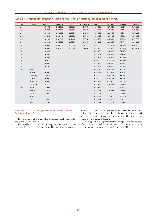## **Table H10: Midpoint Exchange Rates of the Croatian National Bank (end of period)**

| Year | <b>Month</b> | <b>HRK/EUR</b> | <b>HRK/ATS</b> | <b>HRK/FRF</b> | <b>HRK/100 ITL</b> | <b>HRK/CHF</b> | <b>HRK/GBP</b> | <b>HRK/USD</b> | <b>HRK/DEM</b> |
|------|--------------|----------------|----------------|----------------|--------------------|----------------|----------------|----------------|----------------|
| 1994 |              | 6.902400       | 0.516285       | 1.052510       | 0.346500           | 4.288893       | 8.784200       | 5.628700       | 3.632100       |
| 1995 |              | 6.812200       | 0.526742       | 1.085365       | 0.335800           | 4.618693       | 8.234500       | 5.316100       | 3.705900       |
| 1996 |              | 6.863600       | 0.506253       | 1.055662       | 0.362600           | 4.098835       | 9.359000       | 5.539600       | 3.562200       |
| 1997 |              | 6.947200       | 0.499445       | 1.050510       | 0.357700           | 4.332003       | 10.475600      | 6.303100       | 3.514000       |
| 1998 |              | 7.329100       | 0.531546       | 1.114954       | 0.377700           | 4.567584       | 10.451000      | 6.247500       | 3.739700       |
| 1999 |              | 7.679009       | 0.558055       | 1.170657       | 0.396588           | 4.784268       | 12.340257      | 7.647654       | 3.926215       |
| 2000 |              | 7.598334       | 0.552192       | 1.158359       | 0.392421           | 4.989712       | 12.176817      | 8.155344       | 3.884966       |
| 2001 |              | 7.370030       | 0.535601       | 1.123554       | 0.380630           | 4.977396       | 12.101856      | 8.356043       | 3.768237       |
| 2002 |              | 7.442292       |                |                |                    | 5.120256       | 11.451442      | 7.145744       |                |
| 2003 |              | 7.646909       |                |                |                    | 4.901551       | 10.860544      | 6.118506       |                |
| 2004 |              | 7.671234       |                |                |                    | 4.971314       | 10.824374      | 5.636883       |                |
| 2005 |              | 7.375626       |                |                |                    | 4.744388       | 10.753209      | 6.233626       |                |
| 2006 |              | 7.345081       |                |                |                    | 4.571248       | 10.943208      | 5.578401       |                |
| 2007 |              | 7.325131       |                |                |                    | 4.412464       | 9.963453       | 4.985456       |                |
| 2007 | July         | 7.297330       |                |                |                    | 4.435528       | 10.817269      | 5.337427       |                |
|      | August       | 7.319403       |                |                |                    | 4.458972       | 10.787624      | 5.372433       |                |
|      | September    | 7.281634       |                |                |                    | 4.388906       | 10.418707      | 5.136955       |                |
|      | October      | 7.350060       |                |                |                    | 4.380250       | 10.543767      | 5.106691       |                |
|      | November     | 7.313666       |                |                |                    | 4.435482       | 10.227473      | 4.962455       |                |
|      | December     | 7.325131       |                |                |                    | 4.412464       | 9.963453       | 4.985456       |                |
| 2008 | January      | 7.249864       |                |                |                    | 4.492696       | 9.752306       | 4.896241       |                |
|      | February     | 7.277476       |                |                |                    | 4.536797       | 9.547987       | 4.823034       |                |
|      | March        | 7.256652       |                |                |                    | 4.612377       | 9.160126       | 4.593981       |                |
|      | April        | 7.263753       |                |                |                    | 4.498794       | 9.241416       | 4.665224       |                |
|      | May          | 7.250440       |                |                |                    | 4.453861       | 9.231525       | 4.677703       |                |
|      | June         | 7.246264       |                |                |                    | 4.509187       | 9.127427       | 4.594968       |                |

### Table H10: Midpoint Exchange Rates of the Croatian National Bank (end of period)

The table shows CNB midpoint exchange rates applied on the last day of the observed period.

The data show CNB midpoint exchange rates for selected currencies from 1992 to date, in kuna terms. The end of period midpoint exchange rates related to the periods from the beginning of the time series in 1992 until the introduction of the kuna on 30 May 1994 are shown in kuna equivalent and are denominated by dividing their values by one thousand (1,000).

The midpoint exchange rates for the euro applied on the last days of the observed periods from 1992 until end 1998 are the end of period midpoint exchange rates applied for the ECU.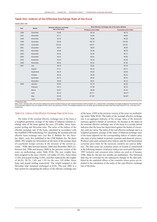## **Table H11: Indices of the Effective Exchange Rate of the Kuna**

indices 2001=100

| Year | Month     | Nominal effective exchange | Real effective exchange rate of the kuna; deflator |                      |  |  |  |  |  |
|------|-----------|----------------------------|----------------------------------------------------|----------------------|--|--|--|--|--|
|      |           | rate of the kuna           | Producer price index                               | Consumer price index |  |  |  |  |  |
| 1996 | December  | 83.88                      | 90.19                                              | 96.70                |  |  |  |  |  |
| 1997 | December  | 87.77                      | 93.06                                              | 98.84                |  |  |  |  |  |
| 1998 | December  | 91.09                      | 95.99                                              | 95.39                |  |  |  |  |  |
| 1999 | December  | 99.25                      | 102.78                                             | 102.09               |  |  |  |  |  |
| 2000 | December  | 101.63                     | 100.07                                             | 101.91               |  |  |  |  |  |
| 2001 | December  | 99.07                      | 98.63                                              | 98.89                |  |  |  |  |  |
| 2002 | December  | 95.99                      | 95.65                                              | 96.26                |  |  |  |  |  |
| 2003 | December  | 94.18                      | 94.55                                              | 94.71                |  |  |  |  |  |
| 2004 | December  | 90.42                      | 90.61                                              | 90.85                |  |  |  |  |  |
| 2005 | December  | 91.52                      | 94.33                                              | 90.99                |  |  |  |  |  |
| 2006 | December  | 88.42                      | 92.51                                              | 87.96                |  |  |  |  |  |
| 2007 | July      | 86.79                      | 90.81                                              | 86.78                |  |  |  |  |  |
|      | August    | 87.17                      | 90.16                                              | 86.71                |  |  |  |  |  |
|      | September | 86.75                      | 89.62                                              | 85.58                |  |  |  |  |  |
|      | October   | 86.23                      | 89.29                                              | 85.16                |  |  |  |  |  |
|      | November  | 85.72                      | 89.52                                              | 84.31                |  |  |  |  |  |
|      | December  | 85.58                      | 88.97                                              | 83.10                |  |  |  |  |  |
| 2008 | January   | 85.50                      | 87.75                                              | 82.55                |  |  |  |  |  |
|      | February  | 84.74                      | 87.30                                              | 82.25                |  |  |  |  |  |
|      | March     | 83.57                      | 86.68                                              | 81.32                |  |  |  |  |  |
|      | April     | 83.12                      | 86.77 <sup>a</sup>                                 | 80.57 <sup>a</sup>   |  |  |  |  |  |
|      | May       | 83.30                      | 87.35 <sup>a</sup>                                 | 80.50 <sup>a</sup>   |  |  |  |  |  |
|      | June      | 83.25                      |                                                    |                      |  |  |  |  |  |

a Preliminary data

Note: From 1 January 2001, the eurozone related price series includes Greece as well. Slovenia became an EMU member on 1 January 2007. Accordingly, the weight assigned to the Slovenian tolar (0.2%) has been added to the euro weight (70.6%), which now amounts to 70.8%. The weights assigned to the US dollar, pound sterling and Swiss franc have been kept at 27.2%, 1.0% and 1.0% respectively.

#### Table H11: Indices of the Effective Exchange Rate of the Kuna

The index of the nominal effective exchange rate of the kuna is a weighted geometric average of the index of bilateral nominal exchange rates of the kuna against the euro, US dollar, Swiss franc, pound sterling and Slovenian tolar. The series of the indices of the effective exchange rate of the kuna, calculated in accordance with the modified CNB methodology for calculating the nominal and real effective kuna exchange rates (see Box 2, Bulletin No. 64, October 2001), were first published in the CNB Bulletin No. 94 (June 2004). The weights are determined on the basis of the average share of a particular foreign currency in the structure of the current account – ITRS data between January 2000 and December 2003 (i.e. between July 1996 and January 2000 in the previous version of the notes on methodology under Table H10). The new weights have been assigned to the euro (70.6%), US dollar (27.2%), Swiss franc (1.0%) and pound sterling (1.0%), and thus replaced the old weights of 66.2%, 30.7%, 1.6% and 1.2% for the euro, US dollar, Swiss franc and pound sterling respectively. The weight assigned to the Slovenian tolar remained unchanged at 0.2%. The year 2001 is a base period for calculating the indices of the effective exchange rate of the kuna (1995 in the previous version of the notes on methodology under Table H10). The index of the nominal effective exchange rate is an aggregate indicator of the average value of the domestic currency against a basket of currencies. An increase in the index of the nominal effective exchange rate of the kuna in a certain period indicates that the kuna has depreciated against the basket of currencies, and vice versa. The index of the real effective exchange rate is a weighted geometric average of the index of bilateral exchange rates of the kuna adjusted for the corresponding indices of relative price (the ratio of price indices in partner countries and domestic prices). Producer price and consumer price indices, and the total harmonised consumer price index for the eurozone countries are used as deflators. The time series for consumer prices in Croatia is constructed in the following manner: retail price indices are used until December 1997 inclusive, and consumer price indices are used as of January 1998. Data for the last two months are preliminary. The historical data may be corrected for the subsequent changes in the data published by the statistical offices of the countries whose prices are included in the calculation of the index of the real effective exchange rate of the kuna.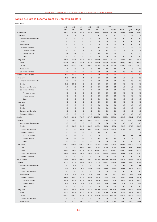# **Table H12: Gross External Debt by Domestic Sectors**

| million euros             |         |         |         |         |          |                   |          |          |          |          |
|---------------------------|---------|---------|---------|---------|----------|-------------------|----------|----------|----------|----------|
|                           | 2002    | 2003    | 2004    | 2005    | 2006     |                   | 2007     |          | 2008     |          |
|                           | Dec.    | Dec.    | Dec.    | Dec.    | Dec.     | Dec. <sup>a</sup> | Dec.b*   | Mar.*    | Apr.*    | $May*$   |
| 1. Government             | 5,884.9 | 6,570.7 | 7,257.3 | 7,047.3 | 6,667.7  | 6,663.0           | 6,723.5  | 6,599.5  | 6,409.1  | 6,579.2  |
| Short-term                | 1.3     | 1.3     | 2.7     | 2.0     | 1.3      | 5.3               | 3.3      | 7.2      | 4.8      | 7.8      |
| Money market instruments  | 0.0     | 0.0     | 0.0     | 0.0     | 0.0      | 0.0               | 0.0      | 0.0      | 0.0      | 0.0      |
| Credits                   | 0.0     | 0.0     | 0.0     | 0.0     | 0.0      | 0.0               | 0.0      | 0.0      | 0.0      | 0.0      |
| <b>Trade credits</b>      | 0.0     | 0.0     | 0.0     | 0.0     | 0.0      | 0.0               | 0.0      | 0.0      | 0.0      | 0.0      |
| Other debt liabilities    | 1.3     | 1.3     | 2.7     | 2.0     | 1.3      | 5.3               | 3.3      | 7.2      | 4.8      | 7.8      |
| Principal arrears         | 0.9     | 0.9     | 2.4     | 1.8     | 0.0      | 1.1               | 0.3      | 1.5      | 1.5      | 1.5      |
| Interest arrears          | 0.4     | 0.4     | 0.3     | 0.2     | 1.2      | 4.2               | 2.9      | 5.7      | 3.3      | 6.3      |
| Other                     | 0.0     | 0.0     | 0.0     | 0.0     | 0.0      | 0.0               | 0.0      | 0.0      | 0.0      | 0.0      |
| Long-term                 | 5,883.6 | 6,569.4 | 7,254.6 | 7,045.3 | 6,666.5  | 6,657.7           | 6,720.2  | 6,592.4  | 6,404.2  | 6,571.4  |
| <b>Bonds</b>              | 3,950.4 | 4,306.6 | 4,662.4 | 4,052.1 | 3,640.5  | 3,563.6           | 3,591.2  | 3,498.8  | 3,481.8  | 3,495.3  |
| Credits                   | 1,932.1 | 2,260.5 | 2,590.2 | 2,990.6 | 3,024.1  | 3,093.0           | 3,127.8  | 3,092.6  | 2,921.5  | 3,075.3  |
| <b>Trade credits</b>      | 1.1     | 2.3     | 2.1     | 2.6     | 1.9      | 1.2               | 1.2      | 1.1      | 1.0      | 0.9      |
| Other debt liabilities    | 0.0     | 0.0     | 0.0     | 0.0     | 0.0      | 0.0               | 0.0      | 0.0      | 0.0      | 0.0      |
| 2. Croatian National Bank | 23.2    | 365.9   | 2.4     | 2.6     | 2.6      | 2.3               | 2.3      | 1.7      | 1.6      | 2.3      |
| Short-term                | 23.2    | 365.9   | 2.4     | 2.6     | 2.6      | 2.3               | 2.3      | 1.7      | 1.6      | 2.3      |
| Money market instruments  | 0.0     | 0.0     | 0.0     | 0.0     | 0.0      | 0.0               | 0.0      | 0.0      | 0.0      | 0.0      |
| Credits                   | 21.5    | 363.3   | 0.0     | 0.0     | 0.0      | 0.0               | 0.0      | 0.0      | 0.0      | 0.0      |
| Currency and deposits     | 1.7     | 2.6     | 2.4     | 2.6     | 2.6      | 2.3               | 2.3      | 1.7      | 1.6      | 2.3      |
| Other debt liabilities    | 0.0     | 0.0     | 0.0     | 0.0     | 0.0      | 0.0               | 0.0      | 0.0      | 0.0      | 0.0      |
| Principal arrears         | 0.0     | 0.0     | 0.0     | 0.0     | 0.0      | 0.0               | 0.0      | 0.0      | 0.0      | 0.0      |
| Interest arrears          | 0.0     | 0.0     | 0.0     | 0.0     | 0.0      | 0.0               | 0.0      | 0.0      | 0.0      | 0.0      |
| Other                     | 0.0     | 0.0     | 0.0     | 0.0     | 0.0      | 0.0               | 0.0      | 0.0      | 0.0      | 0.0      |
| Long-term                 | 0.0     | 0.0     | 0.0     | 0.0     | 0.0      | 0.0               | 0.0      | 0.0      | 0.0      | 0.0      |
| <b>Bonds</b>              | 0.0     | 0.0     | 0.0     | 0.0     | 0.0      | 0.0               | 0.0      | 0.0      | 0.0      | 0.0      |
| Credits                   | 0.0     | 0.0     | 0.0     | 0.0     | 0.0      | 0.0               | 0.0      | 0.0      | 0.0      | 0.0      |
| Currency and deposits     | 0.0     | 0.0     | 0.0     | 0.0     | 0.0      | 0.0               | 0.0      | 0.0      | 0.0      | 0.0      |
| Other debt liabilities    | 0.0     | 0.0     | 0.0     | 0.0     | 0.0      | 0.0               | 0.0      | 0.0      | 0.0      | 0.0      |
| 3. Banks                  | 3,798.7 | 6,140.1 | 7,731.7 | 8,978.7 | 10,222.6 | 8,879.1           | 8,884.3  | 9,421.2  | 9,240.1  | 8,876.5  |
| Short-term                | 1.2     | 605.5   | 1,969.2 | 2,505.2 | 3,362.7  | 2,361.2           | 2,358.3  | 2,932.8  | 3,057.8  | 2,864.1  |
| Money market instruments  | 0.0     | 0.0     | 0.0     | 0.0     | 0.0      | 0.0               | 0.0      | 0.0      | 0.0      | 0.0      |
| Credits                   | 0.3     | 604.6   | 519.9   | 1,064.8 | 1,150.4  | 710.8             | 708.2    | 801.6    | 1,075.0  | 1,004.2  |
| Currency and deposits     | 0.0     | 0.0     | 1,448.4 | 1,438.6 | 2,211.1  | 1,648.8           | 1,648.8  | 2,129.4  | 1,981.3  | 1,858.5  |
| Other debt liabilities    | 0.8     | 0.9     | 0.9     | 1.7     | 1.2      | 1.7               | 1.3      | 1.8      | 1.5      | 1.4      |
| Principal arrears         | 0.5     | 0.2     | 0.0     | 0.0     | 0.0      | 0.1               | 0.1      | 0.1      | 0.1      | 0.1      |
| Interest arrears          | 0.4     | 0.7     | 0.9     | 1.7     | 1.2      | 1.5               | 1.2      | 1.7      | 1.4      | 1.3      |
| Other                     | 0.0     | 0.0     | 0.0     | 0.0     | 0.0      | 0.0               | 0.0      | 0.0      | 0.0      | 0.0      |
| Long-term                 | 3,797.5 | 5,534.7 | 5,762.5 | 6,473.6 | 6,859.9  | 6,517.9           | 6,526.0  | 6,488.4  | 6,182.3  | 6,012.4  |
| <b>Bonds</b>              | 0.0     | 0.0     | 453.2   | 456.6   | 457.9    | 459.0             | 459.0    | 463.7    | 465.3    | 466.9    |
| Credits                   | 1,900.6 | 2,798.5 | 3,517.4 | 3,822.7 | 4,217.3  | 3,565.1           | 3,573.1  | 3,535.0  | 3,400.5  | 3,372.5  |
| Currency and deposits     | 1,896.9 | 2,736.2 | 1,791.9 | 2,194.3 | 2,184.7  | 2,493.9           | 2,493.9  | 2,489.7  | 2,316.5  | 2,173.0  |
| Other debt liabilities    | 0.0     | 0.0     | 0.0     | 0.0     | 0.0      | 0.0               | 0.0      | 0.0      | 0.0      | 0.0      |
| 4. Other sectors          | 4,030.9 | 4,945.7 | 5,895.6 | 7,264.0 | 9,502.5  | 13,451.9          | 13,725.9 | 14,551.8 | 14,828.9 | 15,141.8 |
| Short-term                | 472.6   | 512.9   | 535.2   | 707.7   | 700.9    | 1,478.2           | 1,015.4  | 1,269.7  | 1,363.6  | 1,473.3  |
| Money market instruments  | 0.0     | 33.7    | 0.0     | 0.0     | 0.0      | 0.0               | 0.0      | 0.9      | 0.6      | 0.1      |
| Credits                   | 25.4    | 68.1    | 98.5    | 140.2   | 155.0    | 681.0             | 629.0    | 829.1    | 882.2    | 913.4    |
| Currency and deposits     | 0.0     | 0.0     | 0.0     | 0.0     | 0.0      | 0.0               | 0.0      | 0.0      | 0.0      | 0.0      |
| Trade credits             | 47.5    | 22.2    | 23.2    | 27.8    | 35.9     | 31.1              | 34.1     | 33.2     | 35.6     | 38.1     |
| Other debt liabilities    | 399.7   | 389.0   | 413.5   | 539.8   | 510.0    | 766.0             | 352.2    | 406.4    | 445.1    | 521.7    |
| Principal arrears         | 366.5   | 356.3   | 377.1   | 496.3   | 460.6    | 683.4             | 280.5    | 335.3    | 367.6    | 444.9    |
| Interest arrears          | 33.2    | 32.7    | 36.3    | 43.5    | 49.4     | 82.6              | 71.8     | 71.1     | 77.5     | 76.8     |
| Other                     | 0.0     | 0.0     | 0.0     | 0.0     | 0.0      | 0.0               | 0.0      | 0.0      | 0.0      | 0.0      |
| Long-term                 | 3,558.2 | 4,432.8 | 5,360.4 | 6,556.2 | 8,801.6  | 11,973.7          | 12,710.5 | 13,282.1 | 13,465.4 | 13,668.5 |
| <b>Bonds</b>              | 171.9   | 344.8   | 377.9   | 375.3   | 306.4    | 401.6             | 405.5    | 415.8    | 397.6    | 401.2    |
| Credits                   | 3,174.9 | 3,933.0 | 4,852.7 | 6,017.1 | 8,349.8  | 11,282.3          | 12,023.9 | 12,585.5 | 12,761.7 | 12,964.3 |
| Currency and deposits     | 0.0     | 0.0     | 0.0     | 0.0     | 0.0      | 0.0               | 0.0      | 0.0      | 0.0      | 0.0      |
| Trade credits             | 211.5   | 155.0   | 129.8   | 163.8   | 145.4    | 289.8             | 281.1    | 280.7    | 306.0    | 303.1    |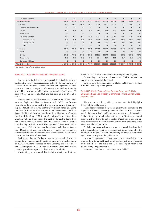|  |  |  |  |  |  |  | CNB BULLETIN • NUMBER 139 • STATISTICAL SURVEY • INTERNATIONAL ECONOMIC RELATIONS |
|--|--|--|--|--|--|--|-----------------------------------------------------------------------------------|
|--|--|--|--|--|--|--|-----------------------------------------------------------------------------------|

| Other debt liabilities   | 0.0      | 0.0      | 0.0      | 0.0      | 0.0      | 0.0      | 0.0      | 0.0      | 0.0      | 0.0      |
|--------------------------|----------|----------|----------|----------|----------|----------|----------|----------|----------|----------|
| 5. Direct investment     | 1,405.4  | 1,861.4  | 2,046.1  | 2,455.0  | 2,878.4  | 3,932.8  | 3,890.5  | 4,280.2  | 4,303.5  | 4,356.2  |
| Short-term               | 79.8     | 122.3    | 124.1    | 184.6    | 233.9    | 540.4    | 520.2    | 665.2    | 692.9    | 618.2    |
| Money market instruments | 0.0      | 0.0      | 0.0      | 0.0      | 0.0      | 0.0      | 0.0      | 0.0      | 0.0      | 0.0      |
| Credits                  | 29.9     | 38.7     | 33.0     | 36.5     | 51.2     | 216.8    | 349.1    | 462.5    | 479.3    | 397.1    |
| Trade credits            | 0.0      | 0.0      | 0.0      | 0.0      | 0.0      | 0.0      | 0.0      | 0.0      | 0.0      | 0.0      |
| Other debt liabilities   | 49.9     | 83.6     | 91.2     | 148.1    | 182.7    | 323.6    | 171.1    | 202.8    | 213.6    | 221.1    |
| Principal arrears        | 42.0     | 73.4     | 78.1     | 128.7    | 158.2    | 293.9    | 146.4    | 175.5    | 185.2    | 192.8    |
| Interest arrears         | 7.9      | 10.2     | 13.1     | 19.4     | 24.5     | 29.7     | 24.7     | 27.3     | 28.5     | 28.3     |
| Other                    | 0.0      | 0.0      | 0.0      | 0.0      | 0.0      | 0.0      | 0.0      | 0.0      | 0.0      | 0.0      |
| Long-term                | 1,325.7  | 1,739.1  | 1,921.9  | 2,270.4  | 2,644.5  | 3,392.5  | 3,370.3  | 3,615.0  | 3,610.6  | 3,738.0  |
| <b>Bonds</b>             | 0.0      | 0.0      | 0.0      | 0.0      | 0.0      | 0.0      | 0.0      | 0.0      | 0.0      | 0.0      |
| Credits                  | 1,291.6  | 1,707.6  | 1,892.2  | 2,236.8  | 2,618.1  | 3,374.5  | 3,358.1  | 3,603.6  | 3,599.3  | 3,727.0  |
| Trade credits            | 34.1     | 31.5     | 29.8     | 33.6     | 26.4     | 18.0     | 12.2     | 11.4     | 11.2     | 10.9     |
| Other debt liabilities   | 0.0      | 0.0      | 0.0      | 0.0      | 0.0      | 0.0      | 0.0      | 0.0      | 0.0      | 0.0      |
| Total $(1+2+3+4+5)$      | 15,143.1 | 19,883.8 | 22,933.0 | 25,747.7 | 29,273.9 | 32,929.2 | 33,226.5 | 34,854.4 | 34,783.1 | 34,956.1 |

a Old reporting system. b New reporting system.

#### Table H12: Gross External Debt by Domestic Sectors

External debt is defined as the external debt liabilities of residents on the basis of debt securities issued in the foreign markets (at face value), credits (repo agreements included) regardless of their contractual maturity, deposits of non-residents, and trade credits granted by non-residents with contractual maturity of more than 180 days (90 days up to 11 July 2001 and 150 days up to 31 December 2002).

External debt by domestic sectors is shown in the same manner as in the Capital and Financial Account of the BOP. Item Government shows the external debt of the general government, comprising the Republic of Croatia, central government funds (including the Croatian Bank for Reconstruction and Development, the State Agency for Deposit Insurance and Bank Rehabilitation, the Croatian Roads and the Croatian Motorways), and local government. Item Croatian National Bank shows the debt of the central bank. Item Banks shows the debt of banks. Item Other sectors shows the debt of other banking institutions, non-banking financial institutions, enterprises, non-profit institutions and households, including craftsmen. Item Direct investment shows borrower – lender transactions of other sectors that are interrelated by ownership (borrower or lender owns more than 10% of the other).

Each sector data are further shown by contractual (short-term or long-term) maturity and by debt instrument. From the beginning of 2004, instruments included in item Currency and deposits (3. Banks) are reported in accordance with their maturity. Data for the previous periods are reported only on a long-term basis.

Outstanding gross external debt includes principal and interest

arrears, as well as accrual interest and future principal payments. Outstanding debt data are shown at the CNB's midpoint ex-

change rate at the end of the period.

Data are considered preliminary until after publication of the final BOP data for the reporting quarter.

### Table H13: Public Sector Gross External Debt, and Publicly Guaranteed and Non-Publicly Guaranteed Private Sector Gross External Debt

The gross external debt position presented in this Table highlights the role of the public sector.

Public sector includes the general government (comprising the Republic of Croatia, central government funds and local government), the central bank, public enterprises and mixed enterprises. Public enterprises are defined as enterprises in 100% ownership of business entities from the public sector. Mixed enterprises are defined as enterprises in which business entities from the public sector have a share larger than 50%.

Publicly guaranteed private sector gross external debt is defined as the external debt liabilities of business entities not covered by the definition of the public sector, the servicing of which is guaranteed by a business entity from the public sector.

Non-publicly guaranteed private sector gross external debt is defined as the external debt liabilities of business entities not covered by the definition of the public sector, the servicing of which is not guaranteed by the public sector.

Items are valued in the same manner as in Table H12.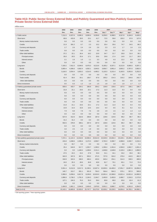## **Table H13: Public Sector Gross External Debt, and Publicly Guaranteed and Non-Publicly Guaranteed Private Sector Gross External Debt**

| million euros                             |          |                  |          |                                     |          |                   |          |          |          |                  |  |  |
|-------------------------------------------|----------|------------------|----------|-------------------------------------|----------|-------------------|----------|----------|----------|------------------|--|--|
|                                           | 2002     | 2003             | 2004     | 2005                                | 2006     |                   | 2007     |          | 2008     |                  |  |  |
|                                           | Dec.     | Dec.             | Dec.     | Dec.                                | Dec.     | Dec. <sup>a</sup> | Dec.b*   | Mar.*    | Apr.*    | May*             |  |  |
| 1. Public sector                          | 7,211.5  | 8,327.6<br>415.8 | 8,580.3  | 8,500.4                             | 8,256.8  | 9,259.5           | 9,398.5  | 9,317.8  | 9,184.9  | 9,426.5<br>127.6 |  |  |
| Short-term                                | 60.8     |                  | 29.5     | 23.1                                | 41.7     | 72.5              | 59.6     | 103.2    | 87.6     |                  |  |  |
| Money market instruments                  | 0.0      | 0.0              | 0.0      | 0.0                                 | 0.0      | 0.0               | 0.0      | 0.0      | 0.0      | 0.0              |  |  |
| Credits                                   | 21.9     | 391.2            | 0.7      | 2.3                                 | 15.2     | 35.4              | 35.6     | 74.7     | 54.5     | 86.2             |  |  |
| Currency and deposits                     | 1.7      | 2.6              | 2.4      | 2.6                                 | 2.6      | 2.3               | 2.3      | 1.7      | 1.6      | 2.3              |  |  |
| <b>Trade credits</b>                      | 0.0      | 0.0              | 0.0      | 0.0                                 | 0.0      | 0.0               | 0.0      | 0.0      | 0.0      | 0.0              |  |  |
| Other debt liabilities                    | 37.2     | 22.1             | 26.4     | 18.2                                | 23.9     | 34.7              | 21.7     | 26.8     | 31.6     | 39.1             |  |  |
| Principal arrears                         | 35.0     | 20.5             | 25.4     | 17.1                                | 20.6     | 29.9              | 17.4     | 14.6     | 21.7     | 28.5             |  |  |
| Interest arrears                          | 2.1      | 1.6              | 1.0      | 1.1                                 | 3.3      | 4.8               | 4.3      | 12.2     | 9.9      | 10.6             |  |  |
| Other                                     | 0.0      | 0.0              | 0.0      | 0.0                                 | 0.0      | 0.0               | 0.0      | 0.0      | 0.0      | 0.0              |  |  |
| Long-term                                 | 7,150.2  | 7,911.5          | 8,549.6  | 8,476.3                             | 8,213.6  | 9,185.2           | 9,337.1  | 9,212.8  | 9,095.6  | 9,297.1          |  |  |
| <b>Bonds</b>                              | 3,950.4  | 4,306.6          | 4,662.4  | 4,052.1                             | 3,640.5  | 3,859.7           | 3,891.4  | 3,803.2  | 3,787.6  | 3,802.5          |  |  |
| Credits                                   | 3,118.5  | 3,554.4          | 3,833.2  | 4,314.5                             | 4,485.2  | 5,120.3           | 5,231.4  | 5,193.5  | 5,053.8  | 5,252.0          |  |  |
| Currency and deposits                     | 0.0      | 0.0              | 0.0      | 0.0                                 | 0.0      | 0.0               | 0.0      | 0.0      | 9.6      | 0.0              |  |  |
| <b>Trade credits</b>                      | 81.4     | 50.6             | 54.1     | 109.7                               | 87.9     | 205.2             | 214.3    | 216.2    | 244.6    | 242.7            |  |  |
| Other debt liabilities                    | 0.0      | 0.0              | 0.0      | 0.0                                 | 0.0      | 0.0               | 0.0      | 0.0      | 0.0      | 0.0              |  |  |
| Direct investment                         | 0.5      | 0.3              | 1.2      | 1.0                                 | 1.5      | 1.8               | 1.8      | 1.8      | 1.7      | 1.7              |  |  |
| 2. Publicly guaranteed private sector     | 559.5    | 433.7            | 334.1    | 290.8                               | 204.2    | 139.9             | 135.6    | 107.5    | 108.1    | 108.7            |  |  |
| Short-term                                | 21.8     | 21.1             | 23.5     | 22.1                                | 17.2     | 11.3              | 11.0     | 9.3      | 9.4      | 9.5              |  |  |
| Money market instruments                  | 0.0      | 0.0              | 0.0      | 0.0                                 | 0.0      | 0.0               | 0.0      | 0.0      | 0.0      | 0.0              |  |  |
| Credits                                   | 0.0      | 0.0              | 0.0      | 0.0                                 | 0.0      | 0.0               | 0.0      | 0.0      | 0.0      | 0.0              |  |  |
| Currency and deposits                     | 0.0      | 0.0              | 0.0      | 0.0                                 | 0.0      | 0.0               | 0.0      | 0.0      | 0.0      | 0.0              |  |  |
| Trade credits                             | 0.0      | 0.0              | 0.0      | 0.0                                 | 0.0      | 0.0               | 0.0      | 0.0      | 0.0      | 0.0              |  |  |
| Other debt liabilities                    | 21.8     | 21.1             | 23.5     | 22.1                                | 17.2     | 11.3              | 11.0     | 9.3      | 9.4      | 9.5              |  |  |
| Principal arrears                         | 13.9     | 14.3             | 15.6     | 14.5                                | 14.4     | 9.4               | 9.5      | 8.1      | 8.2      | 8.2              |  |  |
| Interest arrears                          | 7.9      | 6.8              | 7.9      | 7.6                                 | 2.8      | 1.9               | 1.5      | 1.2      | 1.3      | 1.3              |  |  |
| Other                                     | 0.0      | 0.0              | 0.0      | 0.0                                 | 0.0      | 0.0               | 0.0      | 0.0      | 0.0      | 0.0              |  |  |
| Long-term                                 | 537.8    | 412.6            | 310.6    | 268.8                               | 187.0    | 128.6             | 124.6    | 98.2     | 98.7     | 99.2             |  |  |
| <b>Bonds</b>                              | 31.2     | 31.2             | 0.0      | 0.0                                 | 0.0      | 0.0               | 0.0      | 0.0      | 0.0      | 0.0              |  |  |
| Credits                                   | 502.5    | 378.9            | 309.1    | 267.0                               | 187.0    | 128.6             | 124.6    | 98.2     | 98.7     | 99.2             |  |  |
| Currency and deposits                     | 0.0      | 0.0              | 0.0      | 0.0                                 | 0.0      | 0.0               | 0.0      | 0.0      | 0.0      | 0.0              |  |  |
| <b>Trade credits</b>                      | 4.0      | 2.5              | 1.5      | 1.8                                 | 0.0      | 0.0               | 0.0      | 0.0      | 0.0      | 0.0              |  |  |
| Other debt liabilities                    | 0.0      | 0.0              | 0.0      | 0.0                                 | 0.0      | 0.0               | 0.0      | 0.0      | 0.0      | 0.0              |  |  |
| Direct investment                         | 0.0      | 0.0              | 0.0      | 0.0                                 | 0.0      | 0.0               | 0.0      | 0.0      | 0.0      | 0.0              |  |  |
| 3. Non-publicly guaranteed private sector | 7,372.1  | 11,122.4         | 14,018.6 | 16,956.4                            | 20,812.9 | 23,529.9          | 23,692.4 | 25,429.1 | 25,490.1 | 25,421.0         |  |  |
| Short-term                                | 415.8    | 1,048.6          | 2,456.4  | 3,172.3                             | 4,008.7  | 3,763.3           | 3,308.7  | 4,098.9  | 4,330.7  | 4,210.4          |  |  |
| Money market instruments                  | 0.0      | 33.7             | 0.0      | 0.0                                 | 0.0      | 0.0               | 0.0      | 0.9      | 0.6      | 0.1              |  |  |
| Credits                                   | 25.4     | 644.8            | 617.7    | 1,202.7                             | 1,290.2  | 1,356.4           | 1,301.6  | 1,556.0  | 1,902.7  | 1,831.4          |  |  |
| Currency and deposits                     | 0.0      | 0.0              | 1,448.4  | 1,438.6                             | 2,211.1  | 1,648.8           | 1,648.8  | 2,129.4  | 1,981.3  | 1,858.5          |  |  |
| Trade credits                             | 47.5     | 22.2             | 23.2     | 27.8                                | 35.9     | 31.1              | 34.1     | 33.2     | 35.6     | 38.1             |  |  |
| Other debt liabilities                    | 342.9    | 347.9            | 367.1    | 503.2                               | 471.5    | 727.0             | 324.2    | 379.4    | 410.5    | 482.3            |  |  |
| Principal arrears                         | 318.9    | 322.6            | 338.5    | 466.4                               | 425.6    | 645.4             | 254.1    | 314.3    | 339.5    | 409.9            |  |  |
| Interest arrears                          | 24.0     | 25.3             | 28.6     | 36.8                                | 45.8     | 81.7              | 70.1     | 65.1     | 71.0     | 72.4             |  |  |
| Other                                     | 0.0      | 0.0              | 0.0      | 0.0                                 | 0.0      | 0.0               | 0.0      | 0.0      | 0.0      | 0.0              |  |  |
| Long-term                                 | 5,551.4  | 8,212.8          | 9,517.3  | 11,330.1                            | 13,927.4 | 15,835.5          | 16,495.0 | 17,051.7 | 16,857.6 | 16,856.0         |  |  |
| <b>Bonds</b>                              | 140.7    | 313.7            | 831.1    | 831.8                               | 764.3    | 564.4             | 564.3    | 575.1    | 557.0    | 560.8            |  |  |
| Credits                                   | 3,386.6  | 5,058.6          | 6,817.9  | 8,249.0                             | 10,919.0 | 12,691.4          | 13,368.8 | 13,921.4 | 13,921.6 | 14,060.9         |  |  |
| Currency and deposits                     | 1,896.9  | 2,736.2          | 1,791.9  | 2,194.3                             | 2,184.7  | 2,493.9           | 2,493.9  | 2,489.7  | 2,316.5  | 2,173.0          |  |  |
| Trade credits                             | 127.1    | 104.3            | 76.3     | 55.0                                | 59.4     | 85.8              | 68.0     | 65.6     | 62.4     | 61.3             |  |  |
| Other debt liabilities                    | 0.0      | 0.0              | 0.0      | 0.0                                 | 0.0      | 0.0               | 0.0      | 0.0      | 0.0      | 0.0              |  |  |
| Direct investment                         | 1,404.9  | 1,861.1          | 2,044.9  | 2,454.0                             | 2,876.9  | 3,931.1           | 3,888.7  | 4,278.5  | 4,301.8  | 4,354.5          |  |  |
| Total $(1+2+3)$                           | 15,143.1 |                  |          | 19,883.8 22,933.0 25,747.7 29,273.9 |          | 32,929.2          | 33,226.5 | 34,854.4 | 34,783.1 | 34,956.1         |  |  |

a Old reporting system. **b** New reporting system.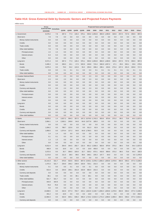# **Table H14: Gross External Debt by Domestic Sectors and Projected Future Payments**

|                                            | Gross                                |       |              |       |       |       |               |               |       | Projected future principal payments           |            |       |       |       |               |
|--------------------------------------------|--------------------------------------|-------|--------------|-------|-------|-------|---------------|---------------|-------|-----------------------------------------------|------------|-------|-------|-------|---------------|
|                                            | External Debt Immediate<br>31/5/2008 |       | Q2/08        | Q3/08 | Q4/08 | Q1/09 | 2008          | 2009          | 2010  | 2011                                          | 2012       | 2013  | 2014  | 2015  | Other         |
| 1. Government                              | 6,579.2                              | 7.8   | 287.3        | 77.3  | 140.4 | 576.1 | 505.0         | 1,053.8       | 860.0 | 1,490.9                                       | 320.6      | 257.0 | 727.6 | 359.5 | 997.0         |
| Short-term                                 | 7.8                                  | 7.8   | 0.0          | 0.0   | 0.0   | 0.0   | 0.0           | 0.0           | 0.0   | 0.0                                           | 0.0        | 0.0   | 0.0   | 0.0   | 0.0           |
| Money market instruments                   | 0.0                                  | 0.0   | 0.0          | 0.0   | 0.0   | 0.0   | 0.0           | 0.0           | 0.0   | 0.0                                           | 0.0        | 0.0   | 0.0   | 0.0   | 0.0           |
| Credits                                    | 0.0                                  | 0.0   | 0.0          | 0.0   | 0.0   | 0.0   | 0.0           | 0.0           | 0.0   | 0.0                                           | 0.0        | 0.0   | 0.0   | 0.0   | 0.0           |
| <b>Trade credits</b>                       | 0.0                                  | 0.0   | 0.0          | 0.0   | 0.0   | 0.0   | 0.0           | 0.0           | 0.0   | 0.0                                           | 0.0        | 0.0   | 0.0   | 0.0   | 0.0           |
| Other debt liabilities                     | 7.8                                  | 7.8   | 0.0          | 0.0   | 0.0   | 0.0   | 0.0           | 0.0           | 0.0   | 0.0                                           | 0.0        | 0.0   | 0.0   | 0.0   | 0.0           |
| Principal arrears                          | 1.5                                  | 1.5   | 0.0          | 0.0   | 0.0   | 0.0   | 0.0           | 0.0           | 0.0   | 0.0                                           | 0.0        | 0.0   | 0.0   | 0.0   | 0.0           |
| Interest arrears                           | 6.3                                  | 6.3   | 0.0          | 0.0   | 0.0   | 0.0   | 0.0           | 0.0           | 0.0   | 0.0                                           | 0.0        | 0.0   | 0.0   | 0.0   | 0.0           |
| Other                                      | 0.0                                  | 0.0   | 0.0          | 0.0   | 0.0   | 0.0   | 0.0           | 0.0           | 0.0   | 0.0                                           | 0.0        | 0.0   | 0.0   | 0.0   | 0.0           |
| Long-term                                  | 6,571.4                              | 0.0   | 287.3        | 77.3  | 140.4 | 576.1 | 505.0         | 1,053.8       |       | 860.0 1,490.9                                 | 320.6      | 257.0 | 727.6 | 359.5 | 997.0         |
| <b>Bonds</b>                               | 3,495.3                              | 0.0   | 208.3        | 24.1  | 17.5  | 520.9 | 249.8         | 715.4         |       | 560.8 1,057.2                                 | 47.1       | 29.6  | 526.1 | 29.6  | 279.6         |
| Credits                                    | 3,075.3                              | 0.0   | 79.0         | 53.2  | 122.8 | 55.2  | 255.0         | 338.4         | 299.1 | 433.6                                         | 273.4      | 227.3 | 201.5 | 329.8 | 717.3         |
| <b>Trade credits</b>                       | 0.9                                  | 0.0   | 0.1          | 0.1   | 0.1   | 0.0   | 0.3           | 0.1           | 0.1   | 0.1                                           | 0.1        | 0.1   | 0.1   | 0.1   | 0.1           |
| Other debt liabilities                     | 0.0                                  | 0.0   | 0.0          | 0.0   | 0.0   | 0.0   | 0.0           | 0.0           | 0.0   | 0.0                                           | 0.0        | 0.0   | 0.0   | 0.0   | 0.0           |
| 2. Croatian National Bank                  | 2.3                                  | 0.0   | 2.3          | 0.0   | 0.0   | 0.0   | 2.3           | 0.0           | 0.0   | 0.0                                           | 0.0        | 0.0   | 0.0   | 0.0   | 0.0           |
| Short-term                                 | 2.3                                  | 0.0   | 2.3          | 0.0   | 0.0   | 0.0   | 2.3           | 0.0           | 0.0   | 0.0                                           | 0.0        | 0.0   | 0.0   | 0.0   | 0.0           |
| Money market instruments                   | 0.0                                  | 0.0   | 0.0          | 0.0   | 0.0   | 0.0   | 0.0           | 0.0           | 0.0   | 0.0                                           | 0.0        | 0.0   | 0.0   | 0.0   | 0.0           |
| Credits                                    | 0.0                                  | 0.0   | 0.0          | 0.0   | 0.0   | 0.0   | 0.0           | 0.0           | 0.0   | 0.0                                           | 0.0        | 0.0   | 0.0   | 0.0   | 0.0           |
| Currency and deposits                      | 2.3                                  | 0.0   | 2.3          | 0.0   | 0.0   | 0.0   | 2.3           | 0.0           | 0.0   | 0.0                                           | 0.0        | 0.0   | 0.0   | 0.0   | 0.0           |
| Other debt liabilities                     | 0.0                                  | 0.0   | 0.0          | 0.0   | 0.0   | 0.0   | 0.0           | 0.0           | 0.0   | 0.0                                           | 0.0        | 0.0   | 0.0   | 0.0   | 0.0           |
| Principal arrears                          | 0.0                                  | 0.0   | 0.0          | 0.0   | 0.0   | 0.0   | 0.0           | 0.0           | 0.0   | 0.0                                           | 0.0        | 0.0   | 0.0   | 0.0   | 0.0           |
| Interest arrears                           | 0.0                                  | 0.0   | 0.0          | 0.0   | 0.0   | 0.0   | 0.0           | 0.0           | 0.0   | 0.0                                           | 0.0        | 0.0   | 0.0   | 0.0   | 0.0           |
| Other                                      | 0.0                                  | 0.0   | 0.0          | 0.0   | 0.0   | 0.0   | 0.0           | 0.0           | 0.0   | 0.0                                           | 0.0        | 0.0   | 0.0   | 0.0   | 0.0           |
| Long-term                                  | 0.0                                  | 0.0   | 0.0          | 0.0   | 0.0   | 0.0   | 0.0           | 0.0           | 0.0   | 0.0                                           | 0.0        | 0.0   | 0.0   | 0.0   | 0.0           |
| <b>Bonds</b>                               | 0.0                                  | 0.0   | 0.0          | 0.0   | 0.0   | 0.0   | 0.0           | 0.0           | 0.0   | 0.0                                           | 0.0        | 0.0   | 0.0   | 0.0   | 0.0           |
| Credits                                    | 0.0                                  | 0.0   | 0.0          | 0.0   | 0.0   | 0.0   | 0.0           | 0.0           | 0.0   | 0.0                                           | 0.0        | 0.0   | 0.0   | 0.0   | 0.0           |
| Currency and deposits                      | 0.0                                  | 0.0   | 0.0          | 0.0   | 0.0   | 0.0   | 0.0           | 0.0           | 0.0   | 0.0                                           | 0.0        | 0.0   | 0.0   | 0.0   | 0.0           |
| Other debt liabilities                     | 0.0                                  | 0.0   | 0.0          | 0.0   | 0.0   | 0.0   | 0.0           | 0.0           | 0.0   | 0.0                                           | 0.0        | 0.0   | 0.0   | 0.0   | 0.0           |
| 3. Banks                                   | 8,876.5                              | 1.4   | 2,627.2      | 594.3 | 357.5 |       | 197.2 3,579.0 | 1,743.3       | 563.6 | 870.6                                         | 373.2      | 89.5  | 73.8  |       | 44.4 1,537.8  |
| Short-term                                 | 2,864.1                              | 1.4   | 2,363.1      | 249.8 | 64.8  |       | 64.8 2,677.8  | 185.0         | 0.0   | 0.0                                           | 0.0        | 0.0   | 0.0   | 0.0   | 0.0           |
| Money market instruments                   | 0.0                                  | 0.0   | 0.0          | 0.0   | 0.0   | 0.0   | 0.0           | 0.0           | 0.0   | 0.0                                           | 0.0        | 0.0   | 0.0   | 0.0   | 0.0           |
| Credits                                    | 1,004.2                              | 0.0   | 788.7        | 122.6 | 0.0   | 0.0   | 911.3         | 92.9          | 0.0   | 0.0                                           | 0.0        | 0.0   | 0.0   | 0.0   | 0.0           |
| Currency and deposits                      | 1,858.5                              | 0.0   | 1,574.4      | 127.2 | 64.8  |       | 64.8 1,766.5  | 92.0          | 0.0   | 0.0                                           | 0.0        | 0.0   | 0.0   | 0.0   | 0.0           |
| Other debt liabilities                     | 1.4                                  | 1.4   | 0.0          | 0.0   | 0.0   | 0.0   | 0.0           | 0.0           | 0.0   | 0.0                                           | 0.0        | 0.0   | 0.0   | 0.0   | 0.0           |
| Principal arrears                          | 0.1                                  | 0.1   | 0.0          | 0.0   | 0.0   | 0.0   | 0.0           | 0.0           | 0.0   | 0.0                                           | 0.0        | 0.0   | 0.0   | 0.0   | 0.0           |
| Interest arrears                           | 1.3                                  | 1.3   | 0.0          | 0.0   | 0.0   | 0.0   | 0.0           | 0.0           | 0.0   | 0.0                                           | 0.0        | 0.0   | 0.0   | 0.0   | 0.0           |
| Other                                      | 0.0                                  | 0.0   | 0.0          | 0.0   | 0.0   | 0.0   | 0.0           | 0.0           | 0.0   | 0.0                                           | 0.0        | 0.0   | 0.0   | 0.0   | 0.0           |
| Long-term                                  | 6,012.4                              | 0.0   | 264.0        | 344.5 | 292.7 | 132.3 |               | 901.2 1,558.3 | 563.6 | 870.6                                         | 373.2      | 89.5  | 73.8  |       | 44.4 1,537.8  |
| <b>Bonds</b>                               | 466.9                                | 0.0   | 16.9         | 0.0   | 0.0   | 0.0   | 16.9          | 450.0         | 0.0   | 0.0                                           | 0.0        | 0.0   | 0.0   | 0.0   | 0.0           |
| Credits                                    | 3,372.5                              | 0.0   | 35.7         | 306.5 | 193.0 | 32.7  | 535.2         | 873.1         | 416.0 | 806.6                                         | 373.2      | 89.5  | 73.8  | 44.4  | 160.9         |
|                                            | 2,173.0                              | 0.0   | 211.5        | 38.0  | 99.6  | 99.6  | 349.1         | 235.3         | 147.7 | 64.0                                          | 0.0        | 0.0   | 0.0   |       | 0.0 1,376.9   |
| Currency and deposits                      | 0.0                                  | 0.0   | 0.0          | 0.0   | 0.0   | 0.0   | 0.0           | 0.0           | 0.0   | 0.0                                           | 0.0        | 0.0   | 0.0   | 0.0   | 0.0           |
| Other debt liabilities<br>4. Other sectors | 15,141.8                             | 521.7 | 676.0        | 923.5 | 943.6 |       |               |               |       | 607.0 2,543.1 2,378.2 1,830.2 1,803.6 1,470.6 |            | 464.9 | 546.2 |       | 477.4 3,106.0 |
| Short-term                                 |                                      | 521.7 | 234.0        | 246.2 | 239.9 | 163.9 | 720.1         | 231.5         | 0.0   | 0.0                                           |            | 0.0   | 0.0   | 0.0   | 0.0           |
| Money market instruments                   | 1,473.3<br>0.1                       |       | 0.0          | 0.1   | 0.0   | 0.0   | 0.1           | 0.0           | 0.0   | 0.0                                           | 0.0<br>0.0 | 0.0   | 0.0   | 0.0   | 0.0           |
|                                            |                                      | 0.0   |              | 246.1 |       |       |               |               |       | 0.0                                           | 0.0        |       | 0.0   | 0.0   |               |
| Credits                                    | 913.4                                | 0.0   | 234.0<br>0.0 |       | 201.8 | 163.9 | 682.0<br>0.0  | 231.5<br>0.0  | 0.0   |                                               |            | 0.0   |       | 0.0   | 0.0           |
| Currency and deposits                      | 0.0                                  | 0.0   |              | 0.0   | 0.0   | 0.0   |               |               | 0.0   | 0.0                                           | 0.0        | 0.0   | 0.0   |       | 0.0           |
| <b>Trade credits</b>                       | 38.1                                 | 0.0   | 0.0          | 0.0   | 38.1  | 0.0   | 38.1          | 0.0           | 0.0   | 0.0                                           | 0.0        | 0.0   | 0.0   | 0.0   | 0.0           |
| Other debt liabilities                     | 521.7                                | 521.7 | 0.0          | 0.0   | 0.0   | 0.0   | 0.0           | 0.0           | 0.0   | 0.0                                           | 0.0        | 0.0   | 0.0   | 0.0   | 0.0           |
| Principal arrears                          | 444.9                                | 444.9 | 0.0          | 0.0   | 0.0   | 0.0   | 0.0           | 0.0           | 0.0   | 0.0                                           | 0.0        | 0.0   | 0.0   | 0.0   | 0.0           |
| Interest arrears                           | 76.8                                 | 76.8  | 0.0          | 0.0   | 0.0   | 0.0   | 0.0           | 0.0           | 0.0   | 0.0                                           | 0.0        | 0.0   | 0.0   | 0.0   | 0.0           |
| Other                                      | 0.0                                  | 0.0   | 0.0          | 0.0   | 0.0   | 0.0   | 0.0           | 0.0           | 0.0   | 0.0                                           | 0.0        | 0.0   | 0.0   | 0.0   | 0.0           |
| Long-term                                  | 13,668.5                             | 0.0   | 442.0        | 677.3 | 703.7 |       |               |               |       | 443.1 1,822.9 2,146.7 1,830.2 1,803.6 1,470.6 |            | 464.9 | 546.2 |       | 477.4 3,106.0 |
| <b>Bonds</b>                               | 401.2                                | 0.0   | 16.9         | 0.0   | 0.0   | 0.0   | 16.9          | 0.0           | 0.0   | 91.3                                          | 0.0        | 0.0   | 0.0   | 0.0   | 292.9         |
| Credits                                    | 12,964.3                             | 0.0   | 422.0        | 645.1 | 648.2 |       |               |               |       | 406.4 1,715.2 2,010.3 1,772.2 1,696.0 1,469.4 |            | 464.5 | 546.2 |       | 477.4 2,813.1 |
| Currency and deposits                      | 0.0                                  | 0.0   | 0.0          | 0.0   | 0.0   | 0.0   | 0.0           | 0.0           | 0.0   | 0.0                                           | 0.0        | 0.0   | 0.0   | 0.0   | 0.0           |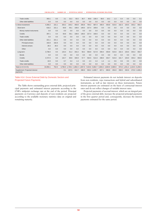|  |  |  |  |  |  | CNB BULLETIN • NUMBER 139 • STATISTICAL SURVEY • INTERNATIONAL ECONOMIC RELATIONS |
|--|--|--|--|--|--|-----------------------------------------------------------------------------------|
|--|--|--|--|--|--|-----------------------------------------------------------------------------------|

| <b>Trade credits</b>                       | 303.1    | 0.0   | 3.1     | 32.2    | 55.5    | 36.7  | 90.8  | 136.4         | 58.0                                            | 16.2  | 1.3   | 0.4   | 0.0   | 0.0   | 0.1                     |
|--------------------------------------------|----------|-------|---------|---------|---------|-------|-------|---------------|-------------------------------------------------|-------|-------|-------|-------|-------|-------------------------|
| Other debt liabilities                     | 0.0      | 0.0   | 0.0     | 0.0     | 0.0     | 0.0   | 0.0   | 0.0           | 0.0                                             | 0.0   | 0.0   | 0.0   | 0.0   | 0.0   | 0.0                     |
| 5. Direct investment                       | 4.356.2  | 221.1 | 203.2   | 140.2   | 450.8   | 206.8 | 794.2 | 687.4         | 439.4                                           | 435.8 | 515.6 | 162.3 | 103.5 | 343.2 | 653.7                   |
| Short-term                                 | 618.2    | 221.1 | 59.8    | 59.1    | 108.6   | 148.5 | 227.4 | 169.6         | 0.0                                             | 0.0   | 0.0   | 0.0   | 0.0   | 0.0   | 0.0                     |
| Money market instruments                   | 0.0      | 0.0   | 0.0     | 0.0     | 0.0     | 0.0   | 0.0   | 0.0           | 0.0                                             | 0.0   | 0.0   | 0.0   | 0.0   | 0.0   | 0.0                     |
| Credits                                    | 397.1    | 0.0   | 59.8    | 59.1    | 108.6   | 148.5 | 227.4 | 169.6         | 0.0                                             | 0.0   | 0.0   | 0.0   | 0.0   | 0.0   | 0.0                     |
| <b>Trade credits</b>                       | 0.0      | 0.0   | 0.0     | 0.0     | 0.0     | 0.0   | 0.0   | 0.0           | 0.0                                             | 0.0   | 0.0   | 0.0   | 0.0   | 0.0   | 0.0                     |
| Other debt liabilities                     | 221.1    | 221.1 | 0.0     | 0.0     | 0.0     | 0.0   | 0.0   | 0.0           | 0.0                                             | 0.0   | 0.0   | 0.0   | 0.0   | 0.0   | 0.0                     |
| Principal arrears                          | 192.8    | 192.8 | 0.0     | 0.0     | 0.0     | 0.0   | 0.0   | 0.0           | 0.0                                             | 0.0   | 0.0   | 0.0   | 0.0   | 0.0   | 0.0                     |
| Interest arrears                           | 28.3     | 28.3  | 0.0     | 0.0     | 0.0     | 0.0   | 0.0   | 0.0           | 0.0                                             | 0.0   | 0.0   | 0.0   | 0.0   | 0.0   | 0.0                     |
| Other                                      | 0.0      | 0.0   | 0.0     | 0.0     | 0.0     | 0.0   | 0.0   | 0.0           | 0.0                                             | 0.0   | 0.0   | 0.0   | 0.0   | 0.0   | 0.0                     |
| Long-term                                  | 3,738.0  | 0.0   | 143.4   | 81.2    | 342.2   | 58.2  | 566.8 | 517.8         | 439.4                                           | 435.8 | 515.6 | 162.3 | 103.5 | 343.2 | 653.7                   |
| <b>Bonds</b>                               | 0.0      | 0.0   | 0.0     | 0.0     | 0.0     | 0.0   | 0.0   | 0.0           | 0.0                                             | 0.0   | 0.0   | 0.0   | 0.0   | 0.0   | 0.0                     |
| Credits                                    | 3,727.0  | 0.0   | 142.7   | 80.8    | 340.9   | 57.7  | 564.5 | 513.3         | 438.0                                           | 434.7 | 515.0 | 161.7 | 103.0 | 343.2 | 653.6                   |
| <b>Trade credits</b>                       | 10.9     | 0.0   | 0.7     | 0.4     | 1.3     | 0.5   | 2.3   | 4.4           | 1.4                                             | 1.1   | 0.6   | 0.6   | 0.5   | 0.0   | 0.0                     |
| Other debt liabilities                     | 0.0      | 0.0   | 0.0     | 0.0     | 0.0     | 0.0   | 0.0   | 0.0           | 0.0                                             | 0.0   | 0.0   | 0.0   | 0.0   | 0.0   | 0.0                     |
| Total $(1+2+3+4+5)$                        | 34,956.1 | 752.0 | 3.796.0 | 1.735.4 | 1,892.3 |       |       |               | 1,587.0 7,423.6 5,862.7 3,693.2 4,600.9 2,680.0 |       |       | 973.6 |       |       | 1,451.2 1,224.5 6,294.5 |
| Supplement: Projected interest<br>payments |          |       | 0.1     | 237.5   | 312.7   | 288.9 |       | 550.4 1,039.7 | 827.1                                           | 690.8 | 454.0 | 359.5 | 332.6 |       | 273.0 1.026.4           |

#### Table H14: Gross External Debt by Domestic Sectors and Projected Future Payments

The Table shows outstanding gross external debt, projected principal payments and estimated interest payments according to the CNB's midpoint exchange rate at the end of the period. Principal payments on Currency and deposits of non-residents are projected according to the available monetary statistics data on original and remaining maturity.

Estimated interest payments do not include interest on deposits from non-residents, repo transactions and hybrid and subordinated instruments, as well as late interest on these instruments. Future interest payments are estimated on the basis of contractual interest rates and do not reflect changes of variable interest rates.

Projected payments of accrual interest, which are an integral part of the gross external debt, increase the projected principal payments in the first quarter period and, consequently, decrease the interest payments estimated for the same period.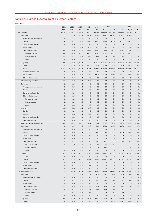# **Table H15: Gross External Debt by Other Sectors**

| million euros |  |  |  |
|---------------|--|--|--|
|               |  |  |  |

|                                         | 2002    | 2003    | 2004    | 2005    | 2006    |                   | 2007     |          |          |          |
|-----------------------------------------|---------|---------|---------|---------|---------|-------------------|----------|----------|----------|----------|
|                                         | Dec.    | Dec.    | Dec.    | Dec.    | Dec.    | Dec. <sup>a</sup> | Dec.b*   | Mar.*    | Apr.*    | May      |
| 1. Other sectors                        | 4,030.9 | 4,945.7 | 5,895.6 | 7,264.0 | 9,502.5 | 13,451.9          | 13,725.9 | 14,551.8 | 14,828.9 | 15,141.8 |
| Short-term                              | 472.6   | 512.9   | 535.2   | 707.7   | 700.9   | 1,478.2           | 1,015.4  | 1,269.7  | 1,363.6  | 1,473.3  |
| Money market instruments                | 0.0     | 33.7    | 0.0     | 0.0     | 0.0     | 0.0               | 0.0      | 0.9      | 0.6      | 0.1      |
| Credits                                 | 25.4    | 68.1    | 98.5    | 140.2   | 155.0   | 681.0             | 629.0    | 829.1    | 882.2    | 913.4    |
| Currency and deposits                   | 0.0     | 0.0     | 0.0     | 0.0     | 0.0     | 0.0               | 0.0      | 0.0      | 0.0      | 0.0      |
| Trade credits                           | 47.5    | 22.2    | 23.2    | 27.8    | 35.9    | 31.1              | 34.1     | 33.2     | 35.6     | 38.1     |
| Other debt liabilities                  | 399.7   | 389.0   | 413.5   | 539.8   | 510.0   | 766.0             | 352.2    | 406.4    | 445.1    | 521.7    |
| Principal arrears                       | 366.5   | 356.3   | 377.1   | 496.3   | 460.6   | 683.4             | 280.4    | 335.3    | 367.6    | 444.9    |
| Interest arrears                        | 33.2    | 32.7    | 36.3    | 43.5    | 49.4    | 82.6              | 71.8     | 71.1     | 77.5     | 76.8     |
| Other                                   | 0.0     | 0.0     | 0.0     | 0.0     | 0.0     | 0.0               | 0.0      | 0.0      | 0.0      | 0.0      |
| Long-term                               | 3,558.2 | 4,432.8 | 5,360.4 | 6,556.2 | 8,801.6 | 11,973.7          | 12,710.5 | 13,282.1 | 13,465.3 | 13,668.6 |
|                                         |         |         |         |         |         |                   |          |          |          |          |
| <b>Bonds</b>                            | 171.9   | 344.8   | 377.9   | 375.3   | 306.4   | 401.6             | 405.5    | 415.8    | 397.6    | 401.2    |
| Credits                                 | 3,174.9 | 3,933.0 | 4,852.7 | 6,017.1 | 8,349.8 | 11,282.3          | 12,023.9 | 12,585.5 | 12,761.7 | 12,964.3 |
| Currency and deposits                   | 0.0     | 0.0     | 0.0     | 0.0     | 0.0     | 0.0               | 0.0      | 0.0      | 0.0      | 0.0      |
| Trade credits                           | 211.5   | 155.0   | 129.8   | 163.8   | 145.4   | 289.8             | 281.2    | 280.7    | 306.0    | 303.1    |
| Other debt liabilities                  | 0.0     | 0.0     | 0.0     | 0.0     | 0.0     | 0.0               | 0.0      | 0.0      | 0.0      | 0.0      |
| 1.1. Other banking institutions         | 17.5    | 26.3    | 25.4    | 25.7    | 0.0     | 0.0               | 0.0      | 0.0      | 0.0      | 0.0      |
| Short-term                              | 1.1     | 1.0     | 0.0     | 0.0     | 0.0     | 0.0               | 0.0      | 0.0      | 0.0      | 0.0      |
| Money market instruments                | 0.0     | 0.0     | 0.0     | 0.0     | 0.0     | 0.0               | 0.0      | 0.0      | 0.0      | 0.0      |
| Credits                                 | 0.0     | 0.0     | 0.0     | 0.0     | 0.0     | 0.0               | 0.0      | 0.0      | 0.0      | 0.0      |
| Currency and deposits                   | 0.0     | 0.0     | 0.0     | 0.0     | 0.0     | 0.0               | 0.0      | 0.0      | 0.0      | 0.0      |
| Other debt liabilities                  | 1.1     | 1.0     | 0.0     | 0.0     | 0.0     | 0.0               | 0.0      | 0.0      | 0.0      | 0.0      |
| Principal arrears                       | 0.0     | 0.0     | 0.0     | 0.0     | 0.0     | 0.0               | 0.0      | 0.0      | 0.0      | 0.0      |
| Interest arrears                        | 1.1     | 1.0     | 0.0     | 0.0     | 0.0     | 0.0               | 0.0      | 0.0      | 0.0      | 0.0      |
| Other                                   | 0.0     | 0.0     | 0.0     | 0.0     | 0.0     | 0.0               | 0.0      | 0.0      | 0.0      | 0.0      |
| Long-term                               | 16.5    | 25.3    | 25.4    | 25.7    | 0.0     | 0.0               | 0.0      | 0.0      | 0.0      | 0.0      |
| <b>Bonds</b>                            | 0.0     | 0.0     | 0.0     | 0.0     | 0.0     | 0.0               | 0.0      | 0.0      | 0.0      | 0.0      |
| Credits                                 | 16.5    | 25.3    | 25.4    | 25.7    | 0.0     | 0.0               | 0.0      | 0.0      | 0.0      | 0.0      |
| Currency and deposits                   | 0.0     | 0.0     | 0.0     | 0.0     | 0.0     | 0.0               | 0.0      | 0.0      | 0.0      | 0.0      |
| Other debt liabilities                  | 0.0     | 0.0     | 0.0     | 0.0     | 0.0     | 0.0               | 0.0      | 0.0      | 0.0      | 0.0      |
| 1.2. Non-banking financial institutions | 304.9   | 685.1   | 981.2   | 1,249.1 | 1,873.7 | 2,630.7           | 2,720.5  | 2,922.9  | 2,971.9  | 3,033.7  |
| Short-term                              | 3.1     | 2.7     | 9.5     | 19.6    | 60.1    | 201.6             | 210.2    | 213.2    | 244.6    | 267.1    |
| Money market instruments                | 0.0     | 0.0     | 0.0     | 0.0     | 0.0     | 0.0               | 0.0      | 0.9      | 0.6      | 0.1      |
| Credits                                 | 0.0     | 0.0     | 5.4     | 14.3    | 46.5    | 184.5             | 180.2    | 200.8    | 220.8    | 233.8    |
| Currency and deposits                   | 0.0     | 0.0     | 0.0     | 0.0     | 0.0     | 0.0               | 0.0      | 0.0      | 0.0      | 0.0      |
| <b>Trade credits</b>                    | 0.0     | 0.0     | 0.0     | 0.0     | 0.0     | 0.0               | 0.0      | 0.0      | 0.0      | 0.0      |
| Other debt liabilities                  | 3.1     | 2.7     | 4.0     | 5.3     | 13.6    | 17.1              | 30.1     | 11.5     | 23.2     | 33.3     |
| Principal arrears                       | 2.1     | 1.5     | 1.5     | 2.9     | 6.4     | 2.9               | 14.7     | 5.2      | 15.5     | 26.6     |
| Interest arrears                        | 1.1     | 1.2     | 2.5     | 2.4     | 7.2     | 14.2              | 15.3     | 6.3      | 7.7      | 6.7      |
| Other                                   | 0.0     | 0.0     | 0.0     | 0.0     | 0.0     | 0.0               | 0.0      | 0.0      | 0.0      | 0.0      |
|                                         |         |         |         |         |         |                   |          |          |          |          |
| Long-term                               | 301.8   | 682.5   | 971.7   | 1,229.5 | 1,813.7 | 2,429.2           | 2,510.3  | 2,709.7  | 2,727.2  | 2,766.5  |
| <b>Bonds</b>                            | 0.0     | 0.0     | 0.0     | 0.0     | 0.0     | 0.0               | 0.0      | 0.0      | 0.0      | 0.0      |
| Credits                                 | 301.8   | 681.8   | 971.7   | 1,229.3 | 1,813.6 | 2,429.1           | 2,510.3  | 2,709.2  | 2,726.7  | 2,766.0  |
| Currency and deposits                   | 0.0     | 0.0     | 0.0     | 0.0     | 0.0     | 0.0               | 0.0      | 0.0      | 0.0      | 0.0      |
| Trade credits                           | 0.0     | 0.7     | 0.0     | 0.2     | 0.0     | 0.0               | 0.0      | 0.5      | 0.5      | 0.5      |
| Other debt liabilities                  | 0.0     | 0.0     | 0.0     | 0.0     | 0.0     | 0.0               | 0.0      | 0.0      | 0.0      | 0.0      |
| 1.3. Public enterprises                 | 822.0   | 1,005.9 | 972.4   | 1,120.8 | 1,168.5 | 1,997.4           | 2,082.8  | 2,158.0  | 2,208.2  | 2,275.4  |
| Short-term                              | 31.6    | 41.8    | 20.6    | 13.3    | 31.6    | 48.3              | 52.6     | 90.0     | 69.9     | 100.4    |
| Money market instruments                | 0.0     | 0.0     | 0.0     | 0.0     | 0.0     | 0.0               | 0.0      | 0.0      | 0.0      | 0.0      |
| Credits                                 | 0.4     | 25.7    | 0.0     | 0.0     | 15.2    | 35.4              | 35.6     | 74.7     | 54.5     | 86.2     |
| Trade credits                           | 0.0     | 0.0     | 0.0     | 0.0     | 0.0     | 0.0               | 0.0      | 0.0      | 0.0      | 0.0      |
| Other debt liabilities                  | 31.2    | 16.2    | 20.6    | 13.3    | 16.4    | 12.9              | 16.9     | 15.3     | 15.5     | 14.2     |
| Principal arrears                       | 29.8    | 15.5    | 20.0    | 12.5    | 14.5    | 12.5              | 15.9     | 11.7     | 11.7     | 11.8     |
| Interest arrears                        | 1.4     | 0.7     | 0.6     | 0.8     | 1.9     | 0.5               | 1.1      | 3.6      | 3.7      | 2.5      |
| Other                                   | 0.0     | 0.0     | 0.0     | 0.0     | 0.0     | 0.0               | 0.0      | 0.0      | 0.0      | 0.0      |
| Long-term                               | 790.4   | 964.0   | 951.9   | 1,107.6 | 1,136.9 | 1,949.0           | 2,030.3  | 2,068.0  | 2,138.3  | 2,175.0  |
| <b>Bonds</b>                            | 0.0     | 0.0     | 0.0     | 0.0     | 0.0     | 296.2             | 300.2    | 304.4    | 305.8    | 307.2    |
|                                         |         |         |         |         |         |                   |          |          |          |          |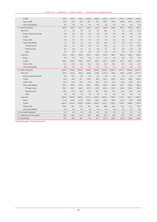| CNB BULLETIN • NUMBER 139 • STATISTICAL SURVEY • INTERNATIONAL ECONOMIC RELATIONS |  |  |  |  |  |  |
|-----------------------------------------------------------------------------------|--|--|--|--|--|--|
|-----------------------------------------------------------------------------------|--|--|--|--|--|--|

| Credits                         | 726.3   | 929.6   | 919.4   | 1,026.8 | 1,066.8 | 1,470.2 | 1,547.3 | 1,573.4 | 1,609.8 | 1.644.2 |
|---------------------------------|---------|---------|---------|---------|---------|---------|---------|---------|---------|---------|
| <b>Trade credits</b>            | 64.1    | 34.4    | 32.5    | 80.7    | 70.1    | 182.7   | 182.8   | 190.2   | 222.7   | 223.7   |
| Other debt liabilities          | 0.0     | 0.0     | 0.0     | 0.0     | 0.0     | 0.0     | 0.0     | 0.0     | 0.0     | 0.0     |
| 1.4. Mixed enterprises          | 480.9   | 384.9   | 347.1   | 328.7   | 416.5   | 594.9   | 588.1   | 556.7   | 564.4   | 567.7   |
| Short-term                      | 4.7     | 6.8     | 3.9     | 5.3     | 6.3     | 16.5    | 1.5     | 4.3     | 11.3    | 17.1    |
| Money market instruments        | 0.0     | 0.0     | 0.0     | 0.0     | 0.0     | 0.0     | 0.0     | 0.0     | 0.0     | 0.0     |
| Credits                         | 0.0     | 2.2     | 0.7     | 2.3     | 0.0     | 0.0     | 0.0     | 0.0     | 0.0     | 0.0     |
| <b>Trade credits</b>            | 0.0     | 0.0     | 0.0     | 0.0     | 0.0     | 0.0     | 0.0     | 0.0     | 0.0     | 0.0     |
| Other debt liabilities          | 4.7     | 4.6     | 3.2     | 3.0     | 6.3     | 16.5    | 1.5     | 4.3     | 11.3    | 17.1    |
| Principal arrears               | 4.4     | 4.1     | 3.0     | 2.9     | 6.1     | 16.4    | 1.2     | 1.4     | 8.4     | 15.2    |
| Interest arrears                | 0.3     | 0.6     | 0.1     | 0.1     | 0.2     | 0.1     | 0.3     | 2.8     | 2.9     | 1.9     |
| Other                           | 0.0     | 0.0     | 0.0     | 0.0     | 0.0     | 0.0     | 0.0     | 0.0     | 0.0     | 0.0     |
| Long-term                       | 476.3   | 378.1   | 343.2   | 323.4   | 410.2   | 578.4   | 586.7   | 552.4   | 553.1   | 550.6   |
| <b>Bonds</b>                    | 0.0     | 0.0     | 0.0     | 0.0     | 0.0     | 0.0     | 0.0     | 0.0     | 0.0     | 0.0     |
| Credits                         | 460.1   | 364.3   | 323.6   | 297.0   | 394.3   | 557.1   | 556.4   | 527.5   | 532.1   | 532.5   |
| <b>Trade credits</b>            | 16.2    | 13.8    | 19.6    | 26.4    | 15.9    | 21.3    | 30.3    | 24.9    | 21.0    | 18.1    |
| Other debt liabilities          | 0.0     | 0.0     | 0.0     | 0.0     | 0.0     | 0.0     | 0.0     | 0.0     | 0.0     | 0.0     |
| 1.5. Other enterprises          | 2,335.3 | 2,763.8 | 3,473.2 | 4,428.1 | 5,929.1 | 8,062.2 | 8,092.1 | 8,677.1 | 8,843.4 | 9.016.1 |
| Short-term                      | 426.7   | 454.3   | 482.9   | 654.8   | 578.8   | 1,174.3 | 738.6   | 949.6   | 1,026.1 | 1,077.0 |
| Money market instruments        | 0.0     | 33.7    | 0.0     | 0.0     | 0.0     | 0.0     | 0.0     | 0.0     | 0.0     | 0.0     |
| Credits                         | 24.2    | 39.8    | 81.7    | 122.0   | 86.9    | 451.2   | 401.6   | 541.6   | 596.0   | 582.6   |
| <b>Trade credits</b>            | 47.5    | 22.2    | 23.2    | 27.8    | 35.9    | 31.1    | 34.1    | 33.2    | 35.6    | 38.1    |
| Other debt liabilities          | 355.1   | 358.6   | 378.1   | 505.1   | 456.0   | 692.0   | 302.9   | 374.7   | 394.4   | 456.4   |
| Principal arrears               | 326.7   | 330.7   | 346.8   | 467.5   | 420.3   | 630.2   | 247.8   | 316.3   | 331.3   | 390.6   |
| Interest arrears                | 28.4    | 27.9    | 31.3    | 37.5    | 35.7    | 61.8    | 55.1    | 58.4    | 63.1    | 65.7    |
| Other                           | 0.0     | 0.0     | 0.0     | 0.0     | 0.0     | 0.0     | 0.0     | 0.0     | 0.0     | 0.0     |
| Long-term                       | 1,908.6 | 2,309.6 | 2,990.2 | 3,773.3 | 5,350.3 | 6,887.9 | 7,353.4 | 7,727.5 | 7,817.4 | 7.939.0 |
| <b>Bonds</b>                    | 171.9   | 344.8   | 377.9   | 375.3   | 306.4   | 105.4   | 105.3   | 111.4   | 91.8    | 93.9    |
| Credits                         | 1,627.0 | 1,874.6 | 2,545.3 | 3,348.9 | 4,989.1 | 6,701.7 | 7,185.1 | 7,555.4 | 7,668.0 | 7,788.4 |
| <b>Trade credits</b>            | 109.7   | 90.1    | 67.1    | 49.1    | 54.8    | 80.8    | 63.0    | 60.7    | 57.7    | 56.7    |
| Other debt liabilities          | 0.0     | 0.0     | 0.0     | 0.0     | 0.0     | 0.0     | 0.0     | 0.0     | 0.0     | 0.0     |
| 1.6. Non-profit institutions    | 3.3     | 2.8     | 4.0     | 4.9     | 5.3     | 5.4     | 3.3     | 3.2     | 3.2     | 3.2     |
| 1.7. Craftsmen and sole traders | 40.9    | 50.0    | 42.7    | 35.2    | 26.8    | 24.1    | 23.9    | 21.3    | 21.4    | 20.7    |
| 1.8. Households                 | 26.1    | 26.9    | 49.7    | 71.5    | 82.7    | 137.2   | 215.2   | 212.5   | 216.4   | 224.9   |

a Old reporting system. **b** New reporting system.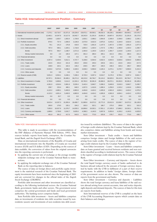### **Table H16: International Investment Position – Summary**

million euros

|                                            | 2002 <sup>a</sup> | 2003 <sup>a</sup> | 2004<br>2005            |             | 2007<br>2006 |             |                | 2008        |                |                |                 |
|--------------------------------------------|-------------------|-------------------|-------------------------|-------------|--------------|-------------|----------------|-------------|----------------|----------------|-----------------|
|                                            |                   |                   |                         |             |              |             | Q <sub>1</sub> | Q2          | Q <sub>3</sub> | Q <sub>4</sub> | Q1 <sup>a</sup> |
| 1. International investment position (net) | $-7,275.1$        |                   | $-10,716.7$ $-15,371.6$ | $-20,229.0$ | $-29,972.1$  | $-39,593.1$ | $-36,032.3$    | $-39,228.1$ | $-38,869.4$    | $-39,593.1$    | $-37,579.7$     |
| 2. Assets                                  | 12.492.1          | 14.347.6          | 15,117.6                | 16,042.7    | 18,242.9     | 21,201.6    | 19,091.9       | 19,697.4    | 20,253.2       | 21,201.6       | 20,173.5        |
| 2.1. Direct investment abroad              | 1,606.8           | 1,626.7           | 1,563.4                 | 1,729.8     | 1,833.1      | 2,368.2     | 2,064.8        | 2,340.4     | 2,336.6        | 2,368.2        | 2,235.1         |
| 2.2. Portfolio investment                  | 876.5             | 737.4             | 1.506.0                 | 2.136.8     | 2.575.9      | 3.022.0     | 2.875.0        | 3,243.2     | 3.194.9        | 3.022.0        | 2,416.1         |
| 2.2.1. Equity securities                   | 79.1              | 141.3             | 176.8                   | 418.0       | 720.4        | 1.601.6     | 1.147.5        | 1.457.0     | 1.728.0        | 1.601.6        | 1.077.4         |
| 2.2.2. Debt securities                     | 797.4             | 596.1             | 1,329.1                 | 1,718.8     | 1,855.4      | 1,420.4     | 1,727.5        | 1,786.2     | 1,466.8        | 1,420.4        | 1,338.7         |
| <b>Bonds</b>                               | 787.5             | 593.7             | 1,168.7                 | 1,571.6     | 1,464.0      | 1,140.0     | 1.322.4        | 1,364.7     | 1,210.8        | 1,140.0        | 1,117.3         |
| Money market instruments                   | 9.9               | 2.4               | 160.4                   | 147.1       | 391.4        | 280.4       | 405.1          | 421.5       | 256.1          | 280.4          | 221.4           |
| 2.3. Financial derivatives                 | 0.0               | 0.0               | 0.0                     | 0.0         | 0.0          | 0.0         | 0.0            | 0.0         | 0.0            | 0.0            | 0.0             |
| 2.4. Other investment                      | 4.357.4           | 5,429.5           | 5,612.1                 | 4,737.7     | 5.108.6      | 6,504.0     | 4,632.5        | 4,943.5     | 5.926.6        | 6,504.0        | 5,680.6         |
| 2.4.1. Trade credits                       | 222.5             | 253.4             | 221.6                   | 263.0       | 230.6        | 249.4       | 220.6          | 222.1       | 222.6          | 249.4          | 217.5           |
| 2.4.2. Loans                               | 108.9             | 102.1             | 102.2                   | 146.2       | 239.5        | 295.7       | 246.5          | 248.3       | 325.3          | 295.7          | 309.9           |
| 2.4.3. Currency and deposits               | 4.026.0           | 5.074.0           | 5.288.2                 | 4.328.5     | 4.638.3      | 5.958.9     | 4.165.4        | 4.473.1     | 5.378.7        | 5.958.9        | 5.153.3         |
| 2.4.4. Other assets                        | 0.0               | 0.0               | 0.0                     | 0.0         | 0.4          | 0.0         | 0.0            | 0.0         | 0.0            | 0.0            | 0.0             |
| 2.5. Reserve assets (CNB)                  | 5,651.3           | 6,554.1           | 6,436.1                 | 7,438.4     | 8,725.3      | 9,307.4     | 9,519.7        | 9,170.3     | 8,795.1        | 9,307.4        | 9,841.7         |
| 3. Liabilities                             | 19,767.1          | 25,064.3          | 30,489.1                | 36,271.6    | 48,215.0     | 60,794.7    | 55,124.2       | 58,925.5    | 59.122.5       | 60,794.7       | 57,753.2        |
| 3.1. Direct investment in Croatia          | 5.790.8           | 6.808.6           | 9,114.2                 | 12.332.4    | 20,782.0     | 30,381.8    | 26,966.5       | 30,072.1    | 30,263.5       | 30,381.8       | 26,185.6        |
| 3.2. Portfolio investment                  | 4,361.0           | 4,918.4           | 5,981.6                 | 5,530.4     | 5,442.4      | 5,840.7     | 5,386.3        | 5,840.8     | 5,919.3        | 5,840.7        | 5,438.7         |
| 3.2.1. Equity securities                   | 238.7             | 233.4             | 488.1                   | 646.5       | 1,037.5      | 1,416.6     | 1,080.4        | 1,259.0     | 1,315.2        | 1,416.6        | 1,059.5         |
| 3.2.2. Debt securities                     | 4.122.2           | 4.685.1           | 5.493.5                 | 4.883.9     | 4.404.8      | 4,424.2     | 4,305.8        | 4,581.8     | 4.604.1        | 4,424.2        | 4,379.2         |
| <b>Bonds</b>                               | 4.122.2           | 4.651.4           | 5.493.5                 | 4.883.9     | 4.404.8      | 4.424.2     | 4.305.8        | 4.581.8     | 4.604.1        | 4.424.2        | 4,378.3         |
| Money market instruments                   | 0.0               | 33.7              | 0.0                     | 0.0         | 0.0          | 0.0         | 0.0            | 0.0         | 0.0            | 0.0            | 0.9             |
| 3.3. Financial derivatives                 | 0.0               | 0.0               | 0.0                     | 0.0         | 0.0          | 0.0         | 0.0            | 0.0         | 0.0            | 0.0            | 0.0             |
| 3.4. Other investment                      | 9.615.4           | 13,337.3          | 15,393.4                | 18,408.7    | 21,990.6     | 24,572.2    | 22,771.5       | 23,012.6    | 22,939.7       | 24,572.2       | 26,128.9        |
| 3.4.1. Trade credits                       | 260.0             | 179.5             | 155.1                   | 194.2       | 183.3        | 322.1       | 186.7          | 275.0       | 289.8          | 322.1          | 315.3           |
| 3.4.2. Loans                               | 7,055.0           | 10,027.9          | 11,578.7                | 14,035.5    | 16,896.6     | 19,332.1    | 17,051.1       | 17,105.9    | 17,868.2       | 19,332.1       | 20,753.1        |
| 3.4.3. Currency and deposits               | 1,898.6           | 2,738.8           | 3,242.7                 | 3,635.6     | 4,398.3      | 4,145.0     | 5,007.8        | 5,053.0     | 4,150.2        | 4,145.0        | 4,620.8         |
| 3.4.4. Other assets                        | 401.8             | 391.2             | 417.0                   | 543.5       | 512.5        | 773.0       | 525.8          | 578.7       | 631.5          | 773.0          | 439.7           |

a Preliminary data

#### Table H16: International Investment Position

This table is made in accordance with the recommendations of the IMF (Balance of Payments Manual, Fifth Edition, 1993). Data sources include: reports from banks, enterprises, the Croatian National Bank, and the Zagreb Stock Exchange (ZSE).

Data on international investments of the Republic of Croatia and international investments into the Republic of Croatia are recorded in euros (EUR) and US dollars (USD). Depending on the sources of data available, the conversion of values from the original currencies into the reporting currencies is performed:

- by applying the current rate of exchange or the average monthly midpoint exchange rate of the Croatian National Bank to transactions;
- by applying the midpoint exchange rate of the Croatian National Bank on the reporting date to balances.

The source of data on foreign direct and portfolio equity investment is the statistical research of the Croatian National Bank. The equity investments have been monitored since the beginning of 2001 and are corrected for changes in the official index of the Zagreb Stock Exchange (CROBEX).

Portfolio debt investment and other investment are classified according to the following institutional sectors: the Croatian National Bank, government, banks and other sectors. The government sector comprises the central government and funds and local government authorities. The banking sector comprises banks.

Item Portfolio debt investment – Assets and liabilities comprises data on investments of residents into debt securities issued by nonresidents (assets) and investments of non-residents into debt securities issued by residents (liabilities). The source of data is the register of foreign credit relations kept by the Croatian National Bank, which also comprises claims and liabilities arising from bonds and money market instruments.

Item Other investment – Trade credits – Assets and liabilities comprises foreign claims and foreign liabilities of the said sectors arising from trade credits. The source of data is the register of foreign credit relations kept by the Croatian National Bank.

Item Other investment – Loans – Assets and liabilities comprises data on loans granted and received between residents and non-residents classified according to institutional sectors. The source of data is the register of foreign credit relations kept by the Croatian National Bank.

Item Other investment – Currency and deposits – Assets shows the total liquid foreign currency assets of banks authorised to do business abroad reduced by the amount of foreign currency deposited by banks with the CNB in fulfilment of a part of their reserve requirements. In addition to banks' foreign claims, foreign claims of the government sector are also shown. The sources of data are reports from the government and banks.

Item Other investment – Currency and deposits – Liabilities shows the total foreign currency and kuna liabilities of the said sectors abroad arising from current accounts, time and notice deposits, sight deposits and demand deposits. The sources of data for this item are reports from banks.

Item International reserves of the CNB is compiled on the basis of the CNB Accounting Department reports which contain data on their balances and changes.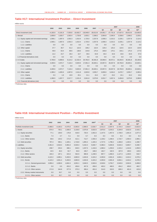# **Table H17: International Investment Position – Direct Investment**

million euros

|                                             | 2002       | 2003       | 2004       | 2005        | 2006        | 2007     |                         | 2008        |             |                |                 |
|---------------------------------------------|------------|------------|------------|-------------|-------------|----------|-------------------------|-------------|-------------|----------------|-----------------|
|                                             |            |            |            |             |             |          | Q <sub>1</sub>          | Q2          | Q3          | Q <sub>4</sub> | Q1 <sup>a</sup> |
| Direct investment (net)                     | $-4,183.9$ | $-5,181.9$ | $-7,550.8$ | $-10,602.7$ | $-18,948.9$ |          | $-28,013.6$ $-24,901.7$ | $-27,731.8$ | $-27,927.0$ | $-28,013.6$    | $-23,950.5$     |
| 1. Abroad                                   | 1,606.8    | 1,626.7    | 1,563.4    | 1,729.8     | 1,833.1     | 2,368.2  | 2,064.8                 | 2,340.4     | 2,336.6     | 2,368.2        | 2,235.1         |
| 1.1. Equity capital and reinvested earnings | 1,569.1    | 1,587.0    | 1,502.3    | 1,610.4     | 1,725.0     | 2,257.8  | 1,938.3                 | 2,215.2     | 2,226.1     | 2,257.8        | 2,114.2         |
| 1.1.1. Claims                               | 1,569.1    | 1,587.0    | 1,502.3    | 1,610.4     | 1,725.0     | 2,257.8  | 1,938.3                 | 2,215.2     | 2,226.1     | 2,257.8        | 2,114.2         |
| 1.1.2. Liabilities                          | 0.0        | 0.0        | 0.0        | 0.0         | 0.0         | 0.0      | 0.0                     | 0.0         | 0.0         | 0.0            | 0.0             |
| 1.2. Other capital                          | 37.7       | 39.7       | 61.2       | 119.3       | 108.2       | 110.4    | 126.4                   | 125.2       | 110.5       | 110.4          | 120.9           |
| 1.1.1. Claims                               | 49.9       | 63.4       | 89.6       | 138.0       | 144.8       | 175.4    | 166.8                   | 170.1       | 154.1       | 175.4          | 177.9           |
| 1.2.2. Liabilities                          | 12.2       | 23.7       | 28.4       | 18.7        | 36.6        | 64.9     | 40.4                    | 44.9        | 43.6        | 64.9           | 57.0            |
| 1.3 Financial derivatives (net)             | 0.0        | 0.0        | 0.0        | 0.0         | 0.0         | 0.0      | 0.0                     | 0.0         | 0.0         | 0.0            | 0.0             |
| 2. In Croatia                               | 5.790.8    | 6.808.6    | 9.114.2    | 12.332.4    | 20.782.0    | 30.381.8 | 26.966.5                | 30.072.1    | 30.263.5    | 30.381.8       | 26,185.6        |
| 2.1. Equity capital and reinvested earnings | 4,400.6    | 4,972.7    | 7,116.4    | 9,920.6     | 17,961.3    | 26,826.1 | 23,957.5                | 26,637.9    | 26,792.8    | 26,826.1       | 22,820.1        |
| 2.1.1. Claims                               | 0.0        | 0.0        | 0.0        | 0.0         | 0.0         | 0.0      | 0.0                     | 0.0         | 0.0         | 0.0            | 0.0             |
| 2.1.2. Liabilities                          | 4,400.6    | 4,972.7    | 7.116.4    | 9,920.6     | 17,961.3    | 26,826.1 | 23,957.5                | 26,637.9    | 26,792.8    | 26,826.1       | 22,820.1        |
| 2.2. Other capital                          | 1,390.2    | 1,835.9    | 1,997.8    | 2,411.8     | 2,820.8     | 3,555.7  | 3,009.0                 | 3,434.2     | 3.470.7     | 3,555.7        | 3,365.4         |
| 2.2.1. Claims                               | 0.3        | 1.8        | 19.9       | 20.1        | 21.1        | 24.2     | 22.7                    | 23.2        | 24.1        | 24.2           | 24.4            |
| 2.2.2. Liabilities                          | 1,390.5    | 1.837.7    | 2,017.7    | 2,431.9     | 2,841.8     | 3,579.9  | 3.031.7                 | 3,457.4     | 3.494.8     | 3,579.9        | 3,389.9         |
| 2.3. Financial derivatives (net)            | 0.0        | 0.0        | 0.0        | 0.0         | 0.0         | 0.0      | 0.0                     | 0.0         | 0.0         | 0.0            | 0.0             |

a Preliminary data.

## **Table H18: International Investment Position – Portfolio Investment**

million euros

|                                 |            |            |            |            |            |                   |                | 2008       |                |                |                 |
|---------------------------------|------------|------------|------------|------------|------------|-------------------|----------------|------------|----------------|----------------|-----------------|
|                                 | 2002       | 2003       | 2004       | 2005       | 2006       | 2007 <sup>a</sup> | Q <sub>1</sub> | Q2         | Q <sub>3</sub> | Q <sub>4</sub> | Q1 <sup>a</sup> |
| Portfolio investment (net)      | $-3,486.5$ | $-4,183.3$ | $-4,475.6$ | $-3,393.6$ | $-2,866.5$ | $-2,818.7$        | $-2,511.3$     | $-2,597.6$ | $-2,724.4$     | $-2,818.7$     | $-3,022.6$      |
| 1. Assets                       | 874.4      | 735.1      | 1,506.0    | 2.136.8    | 2,575.9    | 3.022.0           | 2.875.0        | 3,243.2    | 3.194.9        | 3,022.0        | 2,416.1         |
| 1.1. Equity securities          | 77.1       | 139.0      | 176.8      | 418.0      | 720.4      | 1,601.6           | 1,147.5        | 1,457.0    | 1,728.0        | 1,601.6        | 1,077.4         |
| 1.1.1. Banks                    | 7.4        | 4.7        | 5.1        | 5.9        | 6.7        | 8.3               | 8.3            | 8.6        | 8.3            | 8.3            | 8.3             |
| 1.1.2. Other sectors            | 69.6       | 134.2      | 171.8      | 412.1      | 713.7      | 1,593.3           | 1,139.2        | 1,448.4    | 1.719.7        | 1,593.3        | 1,069.1         |
| 1.2. Debt securities            | 797.4      | 596.1      | 1,329.1    | 1,718.8    | 1.855.4    | 1,420.4           | 1.727.5        | 1,786.2    | 1,466.8        | 1,420.4        | 1,338.7         |
| 2. Liabilities                  | 4,361.0    | 4.918.4    | 5,981.6    | 5,530.4    | 5,442.4    | 5,840.7           | 5,386.3        | 5,840.8    | 5,919.3        | 5,840.7        | 5,438.7         |
| 2.1. Equity securities          | 238.7      | 233.4      | 488.1      | 646.5      | 1.037.5    | 1.416.6           | 1.080.4        | 1.259.0    | 1.315.2        | 1.416.6        | 1.059.5         |
| 2.1.1. Banks                    | 44.5       | 46.3       | 64.7       | 84.0       | 156.7      | 168.0             | 182.7          | 192.5      | 187.9          | 168.0          | 140.9           |
| 2.1.2. Other sectors            | 194.3      | 187.1      | 423.4      | 562.6      | 880.8      | 1.248.5           | 897.7          | 1.066.5    | 1.127.3        | 1.248.5        | 918.7           |
| 2.2. Debt securities            | 4,122.2    | 4,685.1    | 5,493.5    | 4,883.9    | 4,404.8    | 4,424.2           | 4,305.8        | 4,581.8    | 4,604.1        | 4,424.2        | 4,379.2         |
| 2.2.1. Bonds                    | 4.122.2    | 4.651.4    | 5.493.5    | 4.883.9    | 4.404.8    | 4.424.2           | 4.305.8        | 4.581.8    | 4.604.1        | 4.424.2        | 4,378.3         |
| 2.2.1.1. General government     | 3,950.4    | 4.306.6    | 4.662.4    | 4,052.1    | 3,640.5    | 3,563.6           | 3.528.6        | 3.793.7    | 3.540.6        | 3,563.6        | 3,498.8         |
| 2.2.1.2. Banks                  | 0.0        | 0.0        | 453.2      | 456.6      | 457.9      | 459.0             | 463.2          | 468.5      | 454.2          | 459.0          | 463.7           |
| 2.2.1.3. Other sectors          | 171.9      | 344.8      | 377.9      | 375.3      | 306.4      | 401.6             | 314.0          | 319.5      | 609.3          | 401.6          | 415.8           |
| 2.2.2. Money market instruments | 0.0        | 33.7       | 0.0        | 0.0        | 0.0        | 0.0               | 0.0            | 0.0        | 0.0            | 0.0            | 0.9             |
| 2.2.2.1. Other sectors          | 0.0        | 33.7       | 0.0        | 0.0        | 0.0        | 0.0               | 0.0            | 0.0        | 0.0            | 0.0            | 0.9             |

a Preliminary data.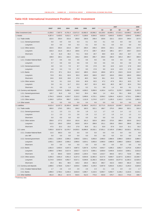# **Table H19: International Investment Position – Other Investment**

million euros

|                               | 2002 <sup>a</sup> | 2003       | 2004       | 2005        | 2006        | 2007        |                |             | 2007           |                | 2008            |
|-------------------------------|-------------------|------------|------------|-------------|-------------|-------------|----------------|-------------|----------------|----------------|-----------------|
|                               |                   |            |            |             |             |             | Q <sub>1</sub> | Q2          | Q <sub>3</sub> | Q <sub>4</sub> | Q1 <sup>a</sup> |
| Other investment (net)        | $-5,258.0$        | $-7.907.9$ | $-9,781.4$ | $-13,671.0$ | $-16,882.0$ | $-18.068.2$ | $-18,139.0$    | $-18,069.1$ | $-17,013.1$    | $-18,068.2$    | $-20,448.3$     |
| 1. Assets                     | 4,357.4           | 5,429.5    | 5,612.1    | 4,737.7     | 5,108.6     | 6,504.0     | 4,632.5        | 4,943.5     | 5,926.6        | 6,504.0        | 5,680.6         |
| 1.1. Trade credits            | 222.5             | 253.4      | 221.6      | 263.0       | 230.6       | 249.4       | 220.6          | 222.1       | 222.6          | 249.4          | 217.5           |
| 1.1.1. General government     | 0.0               | 0.0        | 0.0        | 0.3         | 0.1         | 0.0         | 0.1            | 0.0         | 0.0            | 0.0            | 0.0             |
| Long-term                     | 0.0               | 0.0        | 0.0        | 0.3         | 0.1         | 0.0         | 0.1            | 0.0         | 0.0            | 0.0            | 0.0             |
| 1.1.2. Other sectors          | 222.5             | 253.4      | 221.6      | 262.7       | 230.4       | 249.4       | 220.5          | 222.1       | 222.6          | 249.4          | 217.5           |
| Long-term                     | 216.3             | 211.5      | 181.4      | 190.6       | 177.4       | 228.7       | 181.6          | 190.1       | 197.7          | 228.7          | 214.9           |
| Short-term                    | 6.2               | 41.9       | 40.2       | 72.1        | 53.0        | 20.7        | 38.9           | 32.0        | 25.0           | 20.7           | 2.6             |
| 1.2. Loans                    | 108.9             | 102.1      | 102.2      | 146.2       | 239.5       | 295.7       | 246.5          | 248.3       | 325.3          | 295.7          | 309.9           |
| 1.2.1. Croatian National Bank | 0.7               | 0.6        | 0.6        | 0.6         | 0.6         | 0.6         | 0.6            | 0.6         | 0.6            | 0.6            | 0.5             |
| Long-term                     | 0.7               | 0.6        | 0.6        | 0.6         | 0.6         | 0.6         | 0.6            | 0.6         | 0.6            | 0.6            | 0.5             |
| 1.2.2. General government     | 4.8               | 5.3        | 7.0        | 8.7         | 9.5         | 17.8        | 9.0            | 12.6        | 12.9           | 17.8           | 19.0            |
| Long-term                     | 4.8               | 5.3        | 7.0        | 8.7         | 9.5         | 17.8        | 9.0            | 12.6        | 12.9           | 17.8           | 19.0            |
| 1.2.3. Banks                  | 97.5              | 87.1       | 81.6       | 113.2       | 188.5       | 214.8       | 189.8          | 187.3       | 216.5          | 214.8          | 213.7           |
| Long-term                     | 72.9              | 63.1       | 62.6       | 85.3        | 140.0       | 160.0       | 153.7          | 163.0       | 156.6          | 160.0          | 159.8           |
| Short-term                    | 24.6              | 23.9       | 19.0       | 27.9        | 48.5        | 54.8        | 36.1           | 24.3        | 59.9           | 54.8           | 53.9            |
| 1.2.4. Other sectors          | 5.9               | 9.1        | 13.0       | 23.6        | 40.9        | 62.5        | 47.2           | 47.9        | 95.3           | 62.5           | 76.7            |
| Long-term                     | 5.8               | 9.1        | 11.7       | 23.3        | 40.7        | 62.4        | 46.3           | 46.5        | 88.7           | 62.4           | 76.6            |
| Short-term                    | 0.1               | 0.0        | 1.3        | 0.3         | 0.2         | 0.1         | 0.9            | 1.4         | 6.6            | 0.1            | 0.1             |
| 1.3. Currency and deposits    | 4,026.0           | 5.074.0    | 5,288.2    | 4,328.5     | 4,638.3     | 5,958.9     | 4,165.4        | 4,473.1     | 5,378.7        | 5,958.9        | 5.153.3         |
| 1.3.1. General government     | 115.7             | 81.9       | 8.9        | 54.2        | 26.4        | 69.8        | 1.4            | 43.4        | 55.1           | 69.8           | 62.9            |
| 1.3.2. Banks                  | 2.754.3           | 3.916.8    | 4,319.7    | 3,112.2     | 3,499.9     | 4.715.1     | 3,036.2        | 3,294.4     | 4.181.5        | 4,715.1        | 3,998.3         |
| 1.3.3. Other sectors          | 1.156.0           | 1,075.4    | 959.7      | 1,162.1     | 1,111.9     | 1,174.0     | 1,127.7        | 1,135.3     | 1,142.2        | 1,174.0        | 1,092.0         |
| 1.4. Other assets             | 0.0               | 0.0        | 0.0        | 0.0         | 0.4         | 0.0         | 0.0            | 0.0         | 0.0            | 0.0            | 0.0             |
| 2. Liabilities                | 9,615.4           | 13,337.3   | 15,393.4   | 18,408.7    | 21,990.6    | 24,572.2    | 22,771.5       | 23,012.6    | 22,939.7       | 24,572.2       | 26.128.9        |
| 2.1. Trade credits            | 260.0             | 179.5      | 155.1      | 194.2       | 183.3       | 322.1       | 186.7          | 275.0       | 289.8          | 322.1          | 315.3           |
| 2.1.1. General government     | 1.1               | 2.3        | 2.1        | 2.6         | 1.9         | 1.2         | 1.7            | 1.5         | 1.4            | 1.2            | 1.1             |
| Long-term                     | 1.1               | 2.3        | 2.1        | 2.6         | 1.9         | 1.2         | 1.7            | 1.5         | 1.4            | 1.2            | 1.1             |
| Short-term                    | 0.0               | 0.0        | 0.0        | 0.0         | 0.0         | 0.0         | 0.0            | 0.0         | 0.0            | 0.0            | 0.0             |
| 2.1.2. Other sectors          | 259.0             | 177.2      | 153.0      | 191.6       | 181.3       | 320.9       | 185.0          | 273.5       | 288.4          | 320.9          | 314.2           |
| Long-term                     | 211.5             | 155.0      | 129.8      | 163.8       | 145.4       | 289.8       | 151.1          | 235.6       | 256.6          | 289.8          | 281.0           |
| Short-term                    | 47.5              | 22.2       | 23.2       | 27.8        | 35.9        | 31.1        | 33.9           | 37.9        | 31.8           | 31.1           | 33.2            |
| 2.2. Loans                    | 7,055.0           | 10.027.9   | 11,578.7   | 14,035.5    | 16.896.6    | 19,332.1    | 17,051.1       | 17,105.9    | 17.868.2       | 19,332.1       | 20.753.1        |
| 2.2.1. Croatian National Bank | 21.5              | 363.3      | 0.0        | 0.0         | 0.0         | 0.0         | 0.0            | 0.0         | 0.0            | 0.0            | 0.0             |
| o/w: IMF                      | 0.0               | 0.0        | 0.0        | 0.0         | 0.0         | 0.0         | 0.0            | 0.0         | 0.0            | 0.0            | 0.0             |
| 2.2.2. General government     | 1,932.1           | 2,260.5    | 2.590.2    | 2,990.6     | 3,024.1     | 3,093.0     | 2,990.0        | 2,980.9     | 2,988.0        | 3,093.0        | 3,086.5         |
| Long-term                     | 1,932.1           | 2.260.5    | 2,590.2    | 2,990.6     | 3,024.1     | 3,093.0     | 2,990.0        | 2,980.9     | 2,988.0        | 3,093.0        | 3,086.5         |
| Short-term                    | 0.0               | 0.0        | 0.0        | 0.0         | 0.0         | 0.0         | 0.0            | 0.0         | 0.0            | 0.0            | 0.0             |
| 2.2.3. Banks                  | 1,901.0           | 3,403.0    | 4,037.3    | 4,887.5     | 5,367.8     | 4,275.8     | 4,843.7        | 4,285.2     | 3,852.7        | 4,275.8        | 4,335.9         |
| Long-term                     | 1,900.6           | 2,798.5    | 3,517.4    | 3,822.7     | 4,217.3     | 3,565.1     | 3,830.0        | 3,440.6     | 3,415.6        | 3,565.1        | 3,531.8         |
| Short-term                    | 0.3               | 604.6      | 519.9      | 1,064.8     | 1,150.4     | 710.8       | 1,013.7        | 844.6       | 437.2          | 710.8          | 804.1           |
| 2.2.4. Other sectors          | 3,200.3           | 4,001.0    | 4,951.3    | 6,157.3     | 8,504.8     | 11,963.3    | 9,217.5        | 9,839.7     | 11,027.5       | 11,963.3       | 13,330.7        |
| Long-term                     | 3,174.9           | 3,933.0    | 4,852.7    | 6,017.1     | 8,349.8     | 11,282.3    | 8,851.8        | 9,429.5     | 10,377.6       | 11,282.3       | 12,520.4        |
| Short-term                    | 25.4              | 68.1       | 98.5       | 140.2       | 155.0       | 681.0       | 365.7          | 410.3       | 649.9          | 681.0          | 810.3           |
| 2.3. Currency and deposits    | 1,898.6           | 2,738.8    | 3,242.7    | 3,635.6     | 4,398.3     | 4,145.0     | 5,007.8        | 5,053.0     | 4,150.2        | 4,145.0        | 4,620.8         |
| 2.3.1. Croatian National Bank | 1.7               | 2.6        | 2.4        | 2.6         | 2.6         | 2.3         | 2.1            | 2.3         | 2.0            | 2.3            | 1.7             |
| 2.3.2. Banks                  | 1,896.9           | 2,736.2    | 3,240.3    | 3,632.9     | 4,395.7     | 4,142.6     | 5,005.7        | 5,050.7     | 4,148.2        | 4,142.6        | 4,619.1         |
| 2.4. Other liabilities        | 401.8             | 391.2      | 417.0      | 543.5       | 512.5       | 773.0       | 525.8          | 578.7       | 631.5          | 773.0          | 439.7           |

a Preliminary data.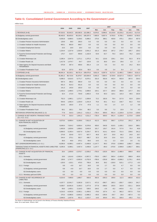# **Table I1: Consolidated Central Government According to the Government Level**

|                                                                                     | 2004       | 2005       |            | 2006<br>2007 |            | 2007     | 2008     |            |            |          |
|-------------------------------------------------------------------------------------|------------|------------|------------|--------------|------------|----------|----------|------------|------------|----------|
|                                                                                     |            |            |            |              | Mar.       | Jun.     | Sep.     | Dec.       | Jan.       | Feb.     |
| 1. REVENUE (A+B)                                                                    | 87.019.3   | 92,642.5   | 100,392.6  | 113,386.2    | 8,076.5    | 8,996.5  | 10,133.8 | 10,233.2   | 10,143.3   | 9,172.5  |
| A) Budgetary central government                                                     | 80,463.5   | 85,653.0   | 95,234.1   | 108,297.0    | 7,800.9    | 8,607.4  | 9,703.0  | 9,758.1    | 9,849.9    | 8,765.5  |
| B) Extrabudgetary users                                                             | 6,555.8    | 6,989.5    | 5,158.5    | 5,089.2      | 275.6      | 389.1    | 430.8    | 475.1      | 293.4      | 407.0    |
| 1. Croatian Pension Insurance Administration                                        | 129.9      | 38.0       | 293.5      | 0.0          | 0.0        | 0.0      | 0.0      | 0.0        | 0.0        | 0.0      |
| 2. Croatian Institute for Health Insurance                                          | 663.1      | 863.9      | 848.7      | 0.0          | 0.0        | 0.0      | 0.0      | 0.0        | 0.0        | 0.0      |
| 3. Croatian Employment Service                                                      | 15.5       | 18.9       | 18.4       | 0.0          | 0.0        | 0.0      | 0.0      | 0.0        | 0.0        | 0.0      |
| 4. Croatian Waters                                                                  | 1,224.4    | 1,227.8    | 1,526.9    | 2,041.2      | 161.3      | 156.5    | 187.2    | 279.7      | 105.7      | 126.2    |
| 5. Fund for Environmental Protection and Energy<br>Efficiency                       | 170.7      | 214.7      | 659.8      | 1.102.9      | 53.9       | 62.7     | 79.3     | 119.3      | 76.2       | 119.3    |
| 6. Croatian Motorways Ltd.                                                          | 2,295.4    | 2,547.0    | 1.271.1    | 1,375.3      | 54.1       | 123.6    | 139.1    | 33.6       | 82.3       | 87.9     |
| 7. Croatian Roads Ltd.                                                              | 1,417.8    | 1,474.7    | 64.7       | 119.9        | 3.3        | 36.0     | 16.4     | 29.6       | 3.3        | 2.7      |
| 8. State Agency for Deposit Insurance and Bank<br>Rehabilitation                    | 575.9      | 367.4      | 409.6      | 391.4        | 2.4        | 5.5      | 5.4      | 4.6        | 24.2       | 65.4     |
| 9. Croatian Privatisation Fund                                                      | 62.9       | 237.0      | 65.9       | 58.3         | 0.6        | 4.8      | 3.4      | 8.4        | 1.7        | 5.5      |
| 2. EXPENSE (A+B)                                                                    | 86,941.4   | 92,332.1   | 98,751.4   | 109,075.0    | 8,811.9    | 8,387.0  | 9,172.4  | 11,460.1   | 7,969.4    | 9,311.3  |
| A) Budgetary central government                                                     | 81,861.2   | 86,715.6   | 91,979.7   | 103,004.9    | 8,481.0    | 7,884.4  | 8,729.9  | 10,527.3   | 7,601.9    | 8,977.0  |
| B) Extrabudgetary users                                                             | 5,080.3    | 5,616.5    | 6,771.7    | 6,070.1      | 331.0      | 502.6    | 442.4    | 932.8      | 367.5      | 334.3    |
| 1. Croatian Pension Insurance Administration                                        | 587.4      | 382.2      | 565.9      | 0.0          | 0.0        | 0.0      | 0.0      | 0.0        | 0.0        | 0.0      |
| 2. Croatian Institute for Health Insurance                                          | 831.3      | 914.3      | 931.6      | 0.0          | 0.0        | 0.0      | 0.0      | 0.0        | 0.0        | 0.0      |
| 3. Croatian Employment Service                                                      | 141.3      | 145.9      | 155.0      | 0.0          | 0.0        | 0.0      | 0.0      | 0.0        | 0.0        | 0.0      |
| 4. Croatian Waters                                                                  | 1,426.3    | 1,489.5    | 1,779.1    | 2,099.0      | 104.1      | 157.7    | 184.0    | 369.6      | 137.7      | 28.2     |
| 5. Fund for Environmental Protection and Energy<br>Efficiency                       | 32.4       | 172.0      | 734.8      | 1,083.3      | 72.9       | 60.3     | 110.1    | 115.3      | 46.5       | 102.6    |
| 6. Croatian Motorways Ltd.                                                          | 752.3      | 1,085.1    | 1,272.7    | 1,509.8      | 72.2       | 182.6    | 78.4     | 217.0      | 92.9       | 128.4    |
| 7. Croatian Roads Ltd.                                                              | 934.6      | 1,062.4    | 1,226.9    | 1,241.9      | 75.6       | 83.1     | 61.2     | 218.7      | 82.2       | 70.0     |
| 8. State Agency for Deposit Insurance and Bank<br>Rehabilitation                    | 314.5      | 183.0      | 27.4       | 47.8         | 1.1        | 9.3      | 1.4      | 1.4        | 1.2        | 0.8      |
| 9. Croatian Privatisation Fund                                                      | 60.1       | 182.1      | 78.4       | 88.2         | 5.0        | 9.6      | 7.3      | 10.9       | 7.0        | 4.3      |
| NET/GROSS OPERATING BALANCE (1-2)                                                   | 77.8       | 310.3      | 1,641.2    | 4,311.2      | $-735.4$   | 609.5    | 961.4    | $-1,226.9$ | 2,173.9    | $-138.8$ |
| 3. CHANGE IN NET WORTH: TRANSACTIONS<br>$(3.1. + 3.2. - 3.3.)$                      | 77.8       | 310.3      | 1,641.2    | 4,311.2      | $-735.4$   | 609.5    | 961.4    | $-1,226.9$ | 2,173.9    | $-138.8$ |
| 3.1. CHANGE IN NET ACQUISITION OF<br>NON-FINANCIAL ASSETS                           | 8,373.5    | 6,699.4    | 6,108.6    | 7,811.0      | 412.3      | 520.2    | 590.7    | 1,373.0    | 291.2      | 367.4    |
| Acquisition                                                                         | 8,648.4    | 7,024.2    | 6,836.4    | 8,378.6      | 459.0      | 540.8    | 616.5    | 1,439.1    | 316.0      | 388.1    |
| A) Budgetary central government                                                     | 1,663.9    | 1,828.8    | 1,908.5    | 3,043.9      | 101.7      | 126.7    | 191.6    | 717.6      | 76.4       | 46.8     |
| B) Extrabudgetary users                                                             | 6,984.5    | 5,195.4    | 4,927.9    | 5,334.7      | 357.3      | 414.1    | 424.9    | 721.5      | 239.6      | 341.2    |
| <b>Disposals</b>                                                                    | 274.9      | 324.8      | 727.7      | 567.7        | 46.8       | 20.7     | 25.9     | 66.2       | 24.9       | 20.7     |
| A) Budgetary central government                                                     | 244.4      | 275.1      | 352.7      | 498.7        | 32.3       | 20.5     | 23.6     | 52.5       | 22.2       | 20.6     |
| B) Extrabudgetary users                                                             | 30.5       | 49.6       | 375.1      | 69.0         | 14.5       | 0.1      | 2.3      | 13.6       | 2.6        | 0.1      |
| NET LENDING/BORROWING (1-2-3.1.)                                                    | $-8,295.6$ | $-6,389.1$ | $-4,467.4$ | $-3,499.8$   | $-1,147.7$ | 89.3     | 370.8    | $-2,599.8$ | 1,882.7    | 506.1    |
| TRANSACTIONS IN FINANCIAL ASSETS AND LIABILITIES 8,295.6<br>(FINANCING) (3.3.–3.2.) |            | 6,389.1    | 4,467.4    | 3,499.8      | 1,147.7    | $-89.3$  | $-370.8$ | 2,599.8    | $-1,882.7$ | 506.1    |
| 3.2. CHANGE IN NET ACQUISITION OF FINANCIAL<br><b>ASSETS</b>                        | 28.4       | 1,609.8    | $-2,576.7$ | $-2,939.2$   | $-755.0$   | $-193.9$ | 560.4    | $-2,488.4$ | 998.9      | $-90.9$  |
| 3.2.1. Domestic                                                                     | 18.6       | 1,614.6    | $-2,593.4$ | $-2,957.2$   | $-755.0$   | $-196.7$ | 560.4    | $-2,493.0$ | 998.9      | $-90.9$  |
| A) Budgetary central government                                                     | 138.6      | 1,747.7    | $-3,063.9$ | $-3,752.8$   | $-785.6$   | $-235.8$ | 690.4    | $-3,008.2$ | 1,176.1    | $-84.8$  |
| B) Extrabudgetary users                                                             | $-120.0$   | $-133.1$   | 470.5      | 795.6        | 30.6       | 39.2     | $-130.0$ | 515.1      | $-177.2$   | $-6.0$   |
| 3.2.2. Foreign                                                                      | 9.8        | $-4.9$     | 16.7       | 18.0         | 0.0        | 2.7      | 0.0      | 4.7        | 0.0        | 0.0      |
| A) Budgetary central government                                                     | 9.8        | $-4.9$     | 16.7       | 18.0         | 0.0        | 2.7      | 0.0      | 4.7        | 0.0        | 0.0      |
| B) Extrabudgetary users                                                             | 0.0        | 0.0        | 0.0        | 0.0          | 0.0        | 0.0      | 0.0      | 0.0        | 0.0        | 0.0      |
| 3.2.3. Monetary gold and SDRs                                                       | 0.0        | 0.0        | 0.0        | 0.0          | 0.0        | 0.0      | 0.0      | 0.0        | 0.0        | 0.0      |
| 3.3. CHANGE IN NET INCURRENCE OF<br><b>LIABILITIES</b>                              | 8,324.0    | 7,998.8    | 1,890.7    | 560.6        | 392.6      | $-283.3$ | 189.6    | 111.5      | $-883.8$   | 415.3    |
| 3.3.1. Domestic                                                                     | 4,107.7    | 12,041.7   | 5,282.8    | 2,017.1      | 472.3      | $-390.7$ | 185.3    | $-250.7$   | $-326.3$   | 341.7    |
| A) Budgetary central government                                                     | 4,038.7    | 10,591.6   | 3,166.3    | 1,477.6      | 277.8      | $-388.0$ | 193.5    | 192.9      | $-321.1$   | 343.6    |
| B) Extrabudgetary users                                                             | 69.0       | 1,450.1    | 2,116.5    | 539.5        | 194.5      | $-2.6$   | $-8.2$   | $-443.6$   | $-5.1$     | $-1.9$   |
| 3.3.2. Foreign                                                                      | 4,216.3    | $-4,042.8$ | $-3,392.1$ | $-1,456.5$   | $-79.6$    | 107.4    | 4.3      | 362.2      | $-557.5$   | 73.6     |
| A) Budgetary central government                                                     | 270.3      | $-5,080.6$ | $-3,943.2$ | $-2,980.2$   | $-93.6$    | $-195.6$ | $-30.7$  | 26.6       | $-467.4$   | 0.3      |
| B) Extrabudgetary users                                                             | 3,946.0    | 1,037.8    | 551.2      | 1,523.7      | 14.0       | 303.0    | 35.1     | 335.5      | $-90.2$    | 73.3     |

The Notes on Methodology can be found in the Ministry of Finance Monthly Statistical Review. Note: On a cash basis. Source: MoF.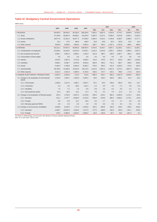## **Table I2: Budgetary Central Government Operations**

million kuna

|                                                           |            |            | 2006       | 2007       |          | 2007     |         |            |          | 2008     |  |  |
|-----------------------------------------------------------|------------|------------|------------|------------|----------|----------|---------|------------|----------|----------|--|--|
|                                                           | 2004       | 2005       |            |            | Mar.     | Jun.     | Sep.    | Dec.       | Jan.     | Feb.     |  |  |
| 1. REVENUE                                                | 80,463.5   | 85,653.0   | 95,235.6   | 108,320.6  | 7,803.2  | 8,607.4  | 9,702.8 | 9,770.1    | 9,849.9  | 8,765.5  |  |  |
| 1.1. Taxes                                                | 47,149.9   | 50.687.6   | 58.469.1   | 64,234.5   | 4,502.2  | 5,157.1  | 5,256.5 | 4,675.8    | 5,940.1  | 5,181.6  |  |  |
| 1.2. Social contributions                                 | 29,477.6   | 31,301.3   | 33.877.1   | 37,203.5   | 2,929.4  | 3.116.4  | 3,149.9 | 3.209.7    | 3,385.9  | 3,177.7  |  |  |
| 1.3. Grants                                               | 10.1       | 27.5       | 196.0      | 428.0      | 10.8     | 40.8     | 29.3    | 102.8      | 33.4     | 16.4     |  |  |
| 1.4. Other revenue                                        | 3,825.9    | 3,636.6    | 2,693.3    | 6,454.5    | 360.7    | 293.1    | 1,267.1 | 1,781.8    | 490.5    | 389.8    |  |  |
| 2. EXPENSE                                                | 83,131.1   | 87,857.5   | 95,950.0   | 108,007.6  | 8,703.5  | 8,150.7  | 9,007.1 | 12,328.1   | 7,831.1  | 9,168.1  |  |  |
| 2.1. Compensation of employees                            | 22,268.3   | 23,182.6   | 24,313.9   | 27,545.1   | 2,152.2  | 2,224.9  | 2,250.1 | 2,555.0    | 2,406.9  | 2,367.2  |  |  |
| 2.2. Use of goods and services                            | 4,358.7    | 4.951.9    | 6.069.1    | 7.162.4    | 521.9    | 486.7    | 546.0   | 1.087.7    | 382.2    | 449.8    |  |  |
| 2.3. Consumption of fixed capital                         | 0.0        | 0.0        | 0.0        | 0.0        | 0.0      | 0.0      | 0.0     | 0.0        | 0.0      | 0.0      |  |  |
| 2.4. Interest                                             | 3,972.5    | 4.387.0    | 4.713.6    | 4,535.0    | 715.5    | 370.6    | 373.7   | 319.4      | 289.1    | 1.105.8  |  |  |
| 2.5. Subsidies                                            | 4,968.1    | 5,248.7    | 5,670.8    | 6,492.0    | 582.6    | 349.2    | 731.3   | 662.7      | 359.5    | 636.6    |  |  |
| 2.6. Grants                                               | 3,420.3    | 3,796.8    | 6,653.0    | 8,363.2    | 379.6    | 495.2    | 511.4   | 2,429.2    | 374.5    | 343.5    |  |  |
| 2.7. Social benefits                                      | 39,730.9   | 41,358.5   | 43,444.6   | 48,176.0   | 4,013.5  | 3,851.3  | 4,251.6 | 4,474.2    | 3,847.0  | 3,941.1  |  |  |
| 2.8. Other expense                                        | 4,412.4    | 4,931.9    | 5,085.0    | 5,733.9    | 338.2    | 372.7    | 343.1   | 799.8      | 171.9    | 324.0    |  |  |
| 3. CHANGE IN NET WORTH: TRANSACTIONS                      | $-2,667.6$ | $-2,204.5$ | $-714.4$   | 313.0      | $-900.3$ | 456.7    | 695.6   | $-2,557.9$ | 2.018.8  | $-402.5$ |  |  |
| 3.1. Change in net acquisition of non-financial<br>assets | 1,419.5    | 1,553.7    | 1,555.8    | 2,545.2    | 69.5     | 106.2    | 168.0   | 665.1      | 54.2     | 26.2     |  |  |
| 3.1.1. Fixed assets                                       | 1.384.6    | 1,517.0    | 1,595.1    | 2,625.7    | 62.1     | 99.3     | 159.8   | 650.4      | 53.0     | 24.7     |  |  |
| 3.1.2. Inventories                                        | 0.0        | 0.0        | $-80.2$    | $-161.4$   | $-1.3$   | 0.0      | 0.0     | $-7.2$     | 0.0      | $-0.2$   |  |  |
| 3.1.3. Valuables                                          | 7.5        | 7.2        | 7.8        | 9.6        | 0.9      | 2.6      | 0.3     | 0.6        | 0.1      | 1.2      |  |  |
| 3.1.4. Non-produced assets                                | 27.3       | 29.5       | 33.1       | 71.3       | 7.8      | 4.3      | 7.9     | 21.2       | 1.0      | 0.5      |  |  |
| 3.2. Change in net acquisition of financial assets        | 222.0      | 1,752.8    | $-3,047.2$ | $-3,734.8$ | $-785.6$ | $-233.1$ | 690.4   | $-3,003.5$ | 1,176.1  | $-84.8$  |  |  |
| 3.2.1. Domestic                                           | 212.2      | 1,757.7    | $-3,063.9$ | $-3,752.8$ | $-785.6$ | $-235.8$ | 690.4   | $-3,008.2$ | 1,176.1  | $-84.8$  |  |  |
| 3.2.2. Foreign                                            | 9.8        | $-4.9$     | 16.7       | 18.0       | 0.0      | 2.7      | 0.0     | 4.7        | 0.0      | 0.0      |  |  |
| 3.2.3. Monetary gold and SDRs                             | 0.0        | 0.0        | 0.0        | 0.0        | 0.0      | 0.0      | 0.0     | 0.0        | 0.0      | 0.0      |  |  |
| 3.3. Change in net incurrence of liabilities              | 4,309.0    | 5,510.9    | $-777.0$   | $-1,502.6$ | 184.2    | $-583.6$ | 162.8   | 219.5      | $-788.5$ | 343.9    |  |  |
| 3.3.1. Domestic                                           | 4.038.7    | 10,591.6   | 3.166.3    | 1.477.6    | 277.8    | $-388.0$ | 193.5   | 192.9      | $-321.1$ | 343.6    |  |  |
| 3.3.2. Foreign                                            | 270.3      | $-5,080.6$ | $-3.943.2$ | $-2,980.2$ | $-93.6$  | $-195.6$ | $-30.7$ | 26.6       | $-467.4$ | 0.3      |  |  |

The Notes on Methodology can be found in the Ministry of Finance Monthly Statistical Review. Note: On a cash basis. Source: MoF.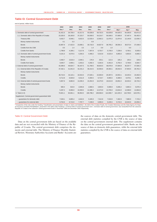## **Table I3: Central Government Debt**

end of period, million kuna

|                                                | 2002              | 2003     | 2004                     | 2005      | 2006      | 2007      |                   | 2008      |           |
|------------------------------------------------|-------------------|----------|--------------------------|-----------|-----------|-----------|-------------------|-----------|-----------|
|                                                | Dec. <sup>a</sup> | Dec.     | Dec.                     | Dec.      | Dec.      | Dec.*     | Mar.*             | Apr.*     | May       |
| 1. Domestic debt of central government         | 31,421.5          | 34,736.4 | 41,517.0                 | 55,028.8  | 59,732.5  | 63,029.8  | 64,525.5          | 64,350.9  | 63,071.8  |
| 1.1. Domestic debt of the Republic of Croatia  | 23,320.0          | 28,160.8 | 37,223.7                 | 50,559.5  | 54,216.7  | 56,506.5  | 57,669.9          | 57,497.4  | 56,402.5  |
| <b>Treasury bills</b>                          | 5,632.7           | 6,548.1  | 9,022.5                  | 12,533.4  | 12,662.2  | 11,975.3  | 11,874.6          | 12,140.9  | 12,030.3  |
| Money market instruments                       | 0.1               | 0.3      | $\overline{\phantom{m}}$ | 0.9       |           |           |                   |           |           |
| <b>Bonds</b>                                   | 15,887.9          | 17,422.0 | 23,080.1                 | 30,716.0  | 34,827.9  | 38,795.2  | 38,556.3          | 38,573.4  | 37,436.6  |
| Credits from the CNB                           | 0.5               | 1.4      | 3.3                      | 1.4       | 0.9       | 1.0       | $\qquad \qquad -$ | 0.0       |           |
| Credits from banks                             | 1,798.8           | 4,189.1  | 5,117.8                  | 7,307.8   | 6,725.7   | 5,735.0   | 7,239.0           | 6,783.1   | 6.935.6   |
| 1.2. Domestic debt of central government funds | 8,101.5           | 6,575.5  | 4,293.3                  | 4,469.2   | 5,515.8   | 6,523.4   | 6,855.6           | 6,853.5   | 6,669.3   |
| Money market instruments                       |                   |          |                          |           |           |           |                   |           |           |
| <b>Bonds</b>                                   | 4,460.7           | 3,616.4  | 2,040.1                  | 176.9     | 253.1     | 121.5     | 105.2             | 105.4     | 104.6     |
| Credits from banks                             | 3,640.7           | 2,959.1  | 2,253.2                  | 4,292.3   | 5,262.6   | 6,401.8   | 6,750.4           | 6,748.0   | 6,564.7   |
| 2. External debt of central government         | 43,399.6          | 49,924.7 | 55,437.5                 | 51,769.5  | 48,833.5  | 48,976.9  | 47,694.8          | 46,357.7  | 47,506.3  |
| 2.1. External debt of the Republic of Croatia  | 37,432.1          | 41,041.9 | 42,231.2                 | 36,414.5  | 32,556.6  | 29,363.1  | 28,042.6          | 27,903.5  | 28,762.2  |
| Money market instruments                       | $\qquad \qquad -$ |          | $\overline{\phantom{0}}$ |           |           |           |                   |           |           |
| <b>Bonds</b>                                   | 28,719.3          | 32,115.1 | 32,919.3                 | 27,020.1  | 22,836.9  | 20,397.5  | 19,553.1          | 19,425.4  | 19,462.9  |
| Credits                                        | 8,712.8           | 8,926.8  | 9,311.9                  | 9,394.5   | 9,719.7   | 8,965.5   | 8,489.5           | 8,478.1   | 9,299.3   |
| 2.2. External debt of central government funds | 5,967.6           | 8,882.8  | 13,206.3                 | 15,354.9  | 16,276.9  | 19,613.9  | 19,652.2          | 18,454.2  | 18,744.2  |
| Money market instruments                       |                   |          |                          |           |           |           |                   |           |           |
| <b>Bonds</b>                                   | 680.4             | 816.9    | 2,846.8                  | 2,866.5   | 3,903.0   | 5,908.9   | 5,836.2           | 5,865.3   | 5,879.3   |
| Credits                                        | 5,287.2           | 8,066.0  | 10,359.5                 | 12,488.4  | 12,373.9  | 13,705.0  | 13,816.0          | 12,588.9  | 12,864.8  |
| 3. Total $(1+2)$                               | 74,821.1          | 84,661.1 | 96,954.5                 | 106,798.2 | 108,566.0 | 112,006.7 | 112,220.3         | 110,708.5 | 110,578.1 |
| Supplement: Central government guaranteed debt |                   |          |                          |           |           |           |                   |           |           |
| - quarantees for domestic debt                 | 7,528.1           | 6,895.4  | 4,642.0                  | 5,345.9   | 7,312.8   | 7,919.9   | 7,402.9           | 7,880.9   | 7,723.2   |
| - quarantees for external debt                 | 8,764.6           | 8,713.0  | 7,787.7                  | 7,248.8   | 6,965.0   | 9,435.5   | 9,715.5           | 10,043.9  | 10,050.4  |

<sup>a</sup> Irrespective of the note under the heading "Classification and presentation of data on claims and liabilities", the debt of the Croatian Roads, the Croatian Motorways and the State Agency for Depo-<br>sit Insurance and Ba

#### Table I3: Central Government Debt

Data on the central government debt are based on the available data and are not reconciled with the Ministry of Finance of the Republic of Croatia. The central government debt comprises the domestic and external debt. The Ministry of Finance Monthly Statistical Review, Monetary Authorities Accounts and Banks' Accounts are the sources of data on the domestic central government debt. The external debt statistics compiled by the CNB is the source of data on the central government external debt. The supplement contains the data on the central government guaranteed debt. Banks are the source of data on domestic debt guarantees, while the external debt statistics compiled by the CNB is the source of data on external debt guarantees.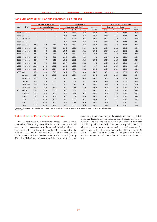#### **Table J1: Consumer Price and Producer Price Indices**

|      |           |          | <b>Chain indices</b><br>Basic indices, 2005 = 100 |                 |       |                                     |                 |          |              |                                     | Monthly year-on-year indices |          |
|------|-----------|----------|---------------------------------------------------|-----------------|-------|-------------------------------------|-----------------|----------|--------------|-------------------------------------|------------------------------|----------|
| Year | Month     |          | <b>Consumer price indices</b>                     |                 |       | Consumer price indices <sup>a</sup> |                 | Producer |              | Consumer price indices <sup>b</sup> |                              | Producer |
|      |           | Total    | Goods                                             | <b>Services</b> | Total | Goods                               | <b>Services</b> | prices   | <b>Total</b> | Goods                               | <b>Services</b>              | prices   |
| 1994 | December  | $\cdots$ | $\cdots$                                          |                 | 100.2 | 100.1                               | 100.8           | 100.2    | 97.0         | 95.0                                | 108.1                        | 94.5     |
| 1995 | December  |          |                                                   |                 | 100.2 | 100.2                               | 99.8            | 100.5    | 103.7        | 102.4                               | 109.3                        | 101.6    |
| 1996 | December  |          |                                                   |                 | 100.0 | 100.2                               | 99.5            | 100.3    | 103.4        | 102.3                               | 108.7                        | 101.5    |
| 1997 | December  | $\cdots$ |                                                   | $\cdots$        | 100.7 | 100.3                               | 102.3           | 99.9     | 103.8        | 102.7                               | 108.2                        | 101.6    |
| 1998 | December  | 82.1     | 84.6                                              | 73.7            | 100.3 | 100.4                               | 100.0           | 100.0    | 105.4        | 104.3                               | 109.2                        | 97.9     |
| 1999 | December  | 85.3     | 87.2                                              | 78.5            | 100.6 | 100.8                               | 100.0           | 100.3    | 103.9        | 103.1                               | 106.5                        | 105.9    |
| 2000 | December  | 90.0     | 92.0                                              | 82.8            | 100.4 | 100.4                               | 100.1           | 100.2    | 105.5        | 105.5                               | 105.5                        | 111.2    |
| 2001 | December  | 92.1     | 93.2                                              | 88.5            | 100.4 | 100.4                               | 100.5           | 99.0     | 102.4        | 101.3                               | 106.8                        | 96.9     |
| 2002 | December  | 93.8     | 94.2                                              | 92.6            | 100.4 | 100.6                               | 99.6            | 99.9     | 101.8        | 101.1                               | 104.6                        | 102.3    |
| 2003 | December  | 95.4     | 95.7                                              | 94.6            | 100.3 | 100.2                               | 100.5           | 100.0    | 101.7        | 101.6                               | 102.2                        | 101.0    |
| 2004 | December  | 98.0     | 98.0                                              | 98.0            | 100.7 | 100.9                               | 100.2           | 99.3     | 102.7        | 102.5                               | 103.6                        | 104.8    |
| 2005 | December  | 101.6    | 101.4                                             | 102.0           | 100.5 | 100.5                               | 100.5           | 99.7     | 103.6        | 103.5                               | 104.1                        | 102.7    |
| 2006 | December  | 103.7    | 102.8                                             | 106.4           | 100.0 | 100.0                               | 100.2           | 100.0    | 102.0        | 101.4                               | 104.2                        | 101.9    |
| 2007 | July      | 105.1    | 103.8                                             | 109.3           | 99.4  | 98.9                                | 100.8           | 100.2    | 102.1        | 101.9                               | 102.8                        | 103.0    |
|      | August    | 105.7    | 104.4                                             | 109.9           | 100.6 | 100.6                               | 100.5           | 100.8    | 102.6        | 102.6                               | 102.6                        | 103.6    |
|      | September | 107.0    | 106.4                                             | 108.7           | 101.2 | 101.9                               | 98.9            | 100.6    | 103.9        | 104.3                               | 102.2                        | 104.5    |
|      | October   | 107.3    | 107.0                                             | 108.3           | 100.3 | 100.5                               | 99.7            | 100.4    | 104.3        | 104.8                               | 102.3                        | 104.9    |
|      | November  | 108.4    | 108.3                                             | 108.6           | 101.0 | 101.2                               | 100.2           | 100.6    | 104.6        | 105.3                               | 102.4                        | 105.4    |
|      | December  | 109.7    | 109.5                                             | 110.0           | 101.2 | 101.2                               | 101.3           | 100.4    | 105.8        | 106.6                               | 103.4                        | 105.8    |
| 2008 | January   | 110.4    | 109.9                                             | 111.9           | 100.7 | 100.4                               | 101.7           | 102.3    | 106.2        | 107.0                               | 103.7                        | 107.4    |
|      | February  | 110.3    | 109.5                                             | 112.6           | 99.9  | 99.6                                | 100.7           | 100.3    | 105.8        | 106.4                               | 103.8                        | 107.5    |
|      | March     | 110.9    | 110.4                                             | 112.4           | 100.6 | 100.8                               | 99.8            | 100.8    | 105.7        | 106.4                               | 103.5                        | 107.6    |
|      | April     | 111.7    | 111.4                                             | 112.5           | 100.7 | 100.9                               | 100.1           | 100.4    | 105.7        | 106.2                               | 104.0                        | 107.7    |
|      | May       | 113.0    | 113.0                                             | 112.5           | 101.1 | 101.4                               | 100.0           | 101.3    | 106.4        | 107.1                               | 104.1                        | 108.7    |
|      | June      | 113.8    | 113.8                                             | 113.4           | 100.7 | 100.7                               | 100.8           | 101.3    | 107.6        | 108.5                               | 104.7                        | 109.6    |

a Data from January 1992 to December 1997 relate to the retail price index. **b** Data from January 1992 to December 1998 relate to the retail price index. Source: CBS.

#### Table J1: Consumer Price and Producer Price Indices

The Central Bureau of Statistics (CBS) introduced the consumer price index (CPI) in early 2004. This indicator of price movements was compiled in accordance with the methodological principles laid down by the ILO and Eurostat. In its First Release, issued on 17 February 2004, the CBS published the data on movements in the CPI in January 2004 and the time series for the CPI as of January 2001. The CBS subsequently constructed the time series for the consumer price index encompassing the period from January 1998 to December 2000. As expected following the introduction of the new index, the CBS ceased to publish the retail price index (RPI) and the cost of living index, whose calculation methodologies have not been adequately harmonised with internationally accepted standards. The main features of the CPI are described in the CNB Bulletin No. 91 (see Box 1). The data on the average year-on-year consumer price inflation rate are shown in the Bulletin table on Economic Indicators.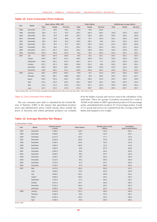| Year | Month     |              | Basic indices, $2005 = 100a$ |                 |              | <b>Chain indices</b> |                 | Monthly year-on-year indices |          |                 |  |
|------|-----------|--------------|------------------------------|-----------------|--------------|----------------------|-----------------|------------------------------|----------|-----------------|--|
|      |           | <b>Total</b> | Goods                        | <b>Services</b> | <b>Total</b> | Goods                | <b>Services</b> | <b>Total</b>                 | Goods    | <b>Services</b> |  |
| 1998 | December  | 87.3         | 88.6                         | 80.0            | 99.9         | 99.9                 | 100.0           | $\cdots$                     | $\cdots$ | .               |  |
| 1999 | December  | 89.8         | 91.1                         | 82.3            | 100.1        | 100.1                | 100.1           | 102.9                        | 102.9    | 103.0           |  |
| 2000 | December  | 92.8         | 93.9                         | 86.5            | 100.4        | 100.4                | 100.2           | 103.3                        | 103.0    | 105.0           |  |
| 2001 | December  | 93.9         | 94.6                         | 89.8            | 99.8         | 99.7                 | 100.3           | 101.2                        | 100.8    | 103.8           |  |
| 2002 | December  | 95.0         | 95.6                         | 91.9            | 100.0        | 100.1                | 99.4            | 101.2                        | 101.0    | 102.4           |  |
| 2003 | December  | 96.2         | 96.4                         | 94.7            | 100.2        | 100.1                | 101.0           | 101.2                        | 100.9    | 103.0           |  |
| 2004 | December  | 98.4         | 98.5                         | 97.4            | 100.1        | 100.1                | 100.4           | 102.3                        | 102.2    | 102.9           |  |
| 2005 | December  | 101.3        | 101.4                        | 101.0           | 100.1        | 100.0                | 100.5           | 103.0                        | 102.9    | 103.7           |  |
| 2006 | December  | 103.6        | 103.6                        | 103.6           | 99.8         | 99.7                 | 100.3           | 102.3                        | 102.2    | 102.5           |  |
| 2007 | July      | 105.0        | 104.3                        | 108.9           | 99.6         | 99.1                 | 102.1           | 102.4                        | 102.1    | 103.4           |  |
|      | August    | 105.6        | 104.7                        | 110.1           | 100.6        | 100.5                | 101.1           | 103.0                        | 102.8    | 104.1           |  |
|      | September | 106.3        | 106.1                        | 107.6           | 100.7        | 101.3                | 97.7            | 103.0                        | 102.9    | 103.3           |  |
|      | October   | 107.2        | 107.3                        | 106.4           | 100.8        | 101.1                | 98.9            | 103.4                        | 103.4    | 103.1           |  |
|      | November  | 108.0        | 108.2                        | 106.7           | 100.8        | 100.9                | 100.3           | 104.0                        | 104.2    | 103.4           |  |
|      | December  | 108.8        | 109.1                        | 107.2           | 100.8        | 100.8                | 100.4           | 105.0                        | 105.3    | 103.5           |  |
| 2008 | January   | 108.7        | 108.8                        | 108.2           | 99.9         | 99.7                 | 101.0           | 105.3                        | 105.6    | 103.8           |  |
|      | February  | 108.7        | 108.7                        | 108.8           | 100.0        | 99.9                 | 100.5           | 105.1                        | 105.3    | 103.7           |  |
|      | March     | 109.3        | 109.3                        | 109.1           | 100.5        | 100.6                | 100.3           | 105.1                        | 105.4    | 103.8           |  |
|      | April     | 110.1        | 110.3                        | 109.2           | 100.7        | 100.8                | 100.1           | 105.3                        | 105.5    | 104.0           |  |
|      | May       | 111.3        | 111.4                        | 110.3           | 101.0        | 101.1                | 101.0           | 105.6                        | 105.8    | 104.3           |  |
|      | June      | 112.4        | 112.2                        | 112.8           | 101.0        | 100.7                | 102.3           | 106.5                        | 106.7    | 105.7           |  |

## **Table J2: Core Consumer Price Indices**

a Since January 2007, the CPI has been calculated and published by the CBS on the new base 2005 = 100. Source: CBS.

#### Table J2: Core Consumer Price Indices

The core consumer price index is calculated by the Central Bureau of Statistics (CBS) in the manner that agricultural products prices and administrative prices (which among others include the prices of electricity and refined petroleum products) are excluded from the basket of goods and services used in the calculation of the total index. These two groups of products accounted for a total of 30.06% in the basket in 2005 (agricultural products 6.93 percentage points, and administrative products 23.13 percentage points). A total of 111 goods and services are excluded from the coverage of the CPI basket and assigned a zero weight.

#### **Table J3: Average Monthly Net Wages**

#### in current prices, in kuna

| Year | Month     | <b>Nominal amount</b><br>in kuna | <b>Chain indices</b> | Monthly year-on-year<br>indices | Cumulative<br>year-on-year indices |
|------|-----------|----------------------------------|----------------------|---------------------------------|------------------------------------|
| 1994 | December  | 1,646.0                          | 119.0                | 153.4                           | 233.2                              |
| 1995 | December  | 1,883.0                          | 99.4                 | 114.4                           | 145.7                              |
| 1996 | December  | 2,217.0                          | 104.4                | 117.7                           | 111.8                              |
| 1997 | December  | 2,544.0                          | 100.8                | 114.8                           | 116.9                              |
| 1998 | December  | 2,935.0                          | 104.6                | 115.4                           | 112.8                              |
| 1999 | December  | 3,262.0                          | 100.9                | 111.2                           | 114.0                              |
| 2000 | December  | 3,499.0                          | 99.9                 | 107.3                           | 108.9                              |
| 2001 | December  | 3,582.0                          | 96.6                 | 102.4                           | 106.5                              |
| 2002 | December  | 3,839.0                          | 98.0                 | 107.2                           | 105.0                              |
| 2003 | December  | 4,045.0                          | 99.8                 | 105.4                           | 105.9                              |
| 2004 | December  | 4,312.0                          | 99.1                 | 106.6                           | 105.9                              |
| 2005 | December  | 4,473.0                          | 97.3                 | 103.7                           | 104.9                              |
| 2006 | December  | 4,735.0                          | 97.0                 | 105.9                           | 105.2                              |
| 2007 | May       | 4,875.0                          | 102.6                | 104.0                           | 105.1                              |
|      | June      | 4,848.0                          | 99.5                 | 104.5                           | 105.0                              |
|      | July      | 4,855.0                          | 100.1                | 106.6                           | 105.2                              |
|      | August    | 4,869.0                          | 100.3                | 105.1                           | 105.2                              |
|      | September | 4,743.0                          | 97.4                 | 104.4                           | 105.1                              |
|      | October   | 4,871.0                          | 102.7                | 106.3                           | 105.2                              |
|      | November  | 5,131.0                          | 105.3                | 105.1                           | 105.2                              |
|      | December  | 4,958.0                          | 96.6                 | 104.7                           | 105.2                              |
| 2008 | January   | 5,019.0                          | 101.2                | 105.9                           | 105.9                              |
|      | February  | 4,993.0                          | 99.5                 | 107.4                           | 106.7                              |
|      | March     | 5.042.0                          | 101.0                | 105.3                           | 106.2                              |
|      | April     | 5.036.0                          | 99.9                 | 106.0                           | 106.2                              |

Source: CBS.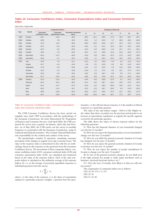#### **Table J4: Consumer Confidence Index, Consumer Expectations Index and Consumer Sentiment Index**

index points, original data

|      |           |                              | <b>Composite indices</b>       |                                    |         |         |         | Response indices (I) |      |         |         |
|------|-----------|------------------------------|--------------------------------|------------------------------------|---------|---------|---------|----------------------|------|---------|---------|
| Year | Month     | Consumer<br>confidence index | Consumer<br>expectations index | <b>Consumer sentiment</b><br>index | 11      | 12      | 13      | 4                    | 17   | 18      | 111     |
| 1999 | October   | $-33.7$                      | $-14.9$                        | $-46.3$                            | $-38.4$ | $-12.1$ | $-49.9$ | $-17.6$              | 35.5 | $-50.7$ | $-69.7$ |
| 2000 | October   | $-20.9$                      | 3.5                            | $-32.2$                            | $-26.2$ | 1.2     | $-22.0$ | 5.7                  | 26.9 | $-48.3$ | $-63.6$ |
| 2001 | October   | $-27.0$                      | $-11.4$                        | $-35.6$                            | $-29.6$ | $-10.0$ | $-35.9$ | $-12.7$              | 22.9 | $-41.3$ | $-62.3$ |
| 2002 | October   | $-25.2$                      | $-8.3$                         | $-29.3$                            | $-22.6$ | $-5.1$  | $-31.2$ | $-11.5$              | 20.1 | $-34.1$ | $-64.0$ |
| 2003 | October   | $-22.2$                      | $-4.5$                         | $-25.0$                            | $-21.5$ | $-2.6$  | $-26.5$ | $-6.4$               | 14.7 | $-27.1$ | $-65.2$ |
| 2004 | October   | $-23.9$                      | $-7.9$                         | $-22.0$                            | $-19.1$ | $-4.1$  | $-30.5$ | $-11.6$              | 22.5 | $-16.5$ | $-57.3$ |
| 2005 | December  | $-26.4$                      | $-13.7$                        | $-25.6$                            | $-16.4$ | $-5.9$  | $-34.4$ | $-21.5$              | 27.6 | $-25.9$ | $-50.6$ |
| 2006 | December  | $-18.9$                      | $-4.7$                         | $-15.4$                            | $-10.9$ | 1.1     | $-22.4$ | $-10.5$              | 16.9 | $-12.9$ | $-49.4$ |
| 2007 | July      | $-13.9$                      | 0.3                            | $-12.7$                            | $-12.3$ | 2.5     | $-13.8$ | $-2.0$               | 8.3  | $-11.9$ | $-47.8$ |
|      | August    | $-14.7$                      | $-1.6$                         | $-13.0$                            | $-9.9$  | 0.2     | $-15.9$ | $-3.4$               | 9.6  | $-13.2$ | $-45.8$ |
|      | September | $-17.9$                      | $-4.5$                         | $-18.6$                            | $-14.4$ | $-1.2$  | $-22.0$ | $-7.8$               | 14.4 | $-19.5$ | $-48.2$ |
|      | October   | $-15.3$                      | $-1.0$                         | $-15.8$                            | $-12.8$ | 1.3     | $-17.2$ | $-3.2$               | 12.1 | $-17.3$ | $-47.2$ |
|      | November  | $-15.3$                      | $-2.5$                         | $-16.3$                            | $-13.0$ | 0.9     | $-18.7$ | $-5.8$               | 6.9  | $-17.1$ | $-49.4$ |
|      | December  | $-24.7$                      | $-15.5$                        | $-24.5$                            | $-16.8$ | $-9.8$  | $-31.8$ | $-21.2$              | 12.8 | $-25.0$ | $-54.8$ |
| 2008 | January   | $-21.0$                      | $-12.4$                        | $-22.8$                            | $-15.5$ | $-6.9$  | $-29.8$ | $-17.9$              | 9.1  | $-23.1$ | $-50.0$ |
|      | February  | $-24.2$                      | $-16.1$                        | $-28.1$                            | $-21.1$ | $-8.0$  | $-35.7$ | $-24.2$              | 10.0 | $-27.5$ | $-54.4$ |
|      | March     | $-24.1$                      | $-13.7$                        | $-27.2$                            | $-21.9$ | $-6.4$  | $-38.4$ | $-20.9$              | 14.9 | $-21.2$ | $-54.2$ |
|      | April     | $-20.5$                      | $-11.4$                        | $-24.7$                            | $-21.5$ | $-6.3$  | $-30.7$ | $-16.4$              | 6.4  | $-21.8$ | $-53.0$ |
|      | May       | $-26.8$                      | $-18.9$                        | $-29.4$                            | $-22.5$ | $-10.7$ | $-40.6$ | $-27.0$              | 12.1 | $-25.1$ | $-57.3$ |
|      | June      | $-34.7$                      | $-32.0$                        | $-34.9$                            | $-28.6$ | $-23.8$ | $-49.4$ | $-40.1$              | 17.6 | $-26.7$ | $-57.4$ |

#### Table J4: Consumer Confidence Index, Consumer Expectations Index and Consumer Sentiment Index

The CNB Consumer Confidence Survey has been carried out regularly since April 1999 in accordance with the methodology of the European Commission, the Joint Harmonised EU Programme of Business and Consumer Surveys. Until April 2005, the CNB conducted the survey once a quarter (in January, April, July and October). As of May 2005, the CNB carries out the survey in monthly frequency in cooperation with the European Commission, using its technical and financial assistance. The Croatian National Bank bears sole responsibility for the creation and conduct of the survey.

The questionnaire contains 23 questions, examining consumer perception of the changes as regards every-day economic issues. The value of the response index is determined in line with the set methodology, based on the responses to the questions from the Consumer Confidence Survey. The movements of three composite indices, consumer confidence index (CCI), consumer sentiment index (CSI) and consumer expectations index (CEI), are calculated and monitored based on the value of the response indices. Each of the said composite indices is calculated as the arithmetic average of the response indices (I), i.e. as the average of previously quantified responses to individual questions from the survey:

$$
I_i = \sum_{z}^{k} r_i \cdot w
$$

where:  $r$  is the value of the response,  $w$  is the share of respondents opting for a particular response (weight), *i* question from the questionnaire, *z* is the offered/chosen response, *k* is the number of offered responses to a particular question.

The value of the said indices ranges  $-100 < I<sub>i</sub> < 100$ . Higher index values than those recorded over the previous period point to an increase in expectations (optimism) as regards the specific segment covered by the particular question.

The table shows the values of chosen response indices for the following questions:

I1: How has the financial situation of your household changed over the last 12 months?

I2: How do you expect the financial position of your household to change over the next 12 months?

I3: How do you think the general economic situation in Croatia has changed over the past 12 months?

I4: How do you expect the general economic situation in Croatia to develop over the next 12 months?

I7: How do you expect the number of people unemployed in Croatia to change over the next 12 months?

I8: In view of the general economic situation, do you think now is the right moment for people to make major purchases such as furniture, electrical/electronic devices, etc.?

I11: Over the next 12 months, how likely is it that you will save any money?

The components of composite indices are as follows: CCI: I2, I4, I7×(–1), I11

CEI: I2, I4

CSI: I1, I3, I8.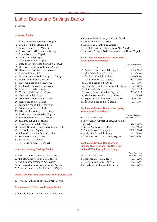## List of Banks and Savings Banks

1 July 2008

#### **Licensed Banks**

- 1. Banco Popolare Croatia d.d., Zagreb 2. Banka Brod d.d., Slavonski Brod 3. Banka Kovanica d.d., Varaždin 4. Banka Splitsko-Dalmatinska d.d., Split 5. Centar banka d.d., Zagreb 6. Credo banka d.d., Split 7. Croatia banka d.d., Zagreb 8. Erste & Steiermärkische Bank d.d., Rijeka 9. Hrvatska poštanska banka d.d., Zagreb 10. Hypo Alpe-Adria-Bank d.d., Zagreb 11. Imex banka d.d., Split 12. Istarska kreditna banka Umag d.d., Umag 13. Jadranska banka d.d., Šibenik 14. Karlovačka banka d.d., Karlovac 15. Kreditna banka Zagreb d.d., Zagreb 16. Kvarner banka d.d., Rijeka 17. Međimurska banka d.d., Čakovec 18. Nava banka d.d., Zagreb 19. OTP banka Hrvatska d.d., Zadar 20. Partner banka d.d., Zagreb 21. Podravska banka d.d., Koprivnica 22. Primorska banka d.d, Rijeka 23. Privredna banka Zagreb d.d., Zagreb
- 24. Raiffeisenbank Austria d.d., Zagreb
- 25. Samoborska banka d.d., Samobor
- 26. Slatinska banka d.d., Slatina
- 27. Slavonska banka d.d., Osijek
- 28. Société Générale Splitska banka d.d., Split
- 29. Štedbanka d.d., Zagreb
- 30. Vaba d.d. banka Varaždin, Varaždin
- 31. Veneto banka d.d., Zagreb
- 32. Volksbank d.d., Zagreb
- 33. Zagrebačka banka d.d., Zagreb

#### **Licensed Housing Savings Banks**

- 1. HPB Stambena štedionica d.d., Zagreb
- 2. PBZ Stambena štedionica d.d., Zagreb
- 3. Prva stambena štedionica d.d., Zagreb
- 4. Raiffeisen stambena štedionica d.d., Zagreb
- 5. Wüstenrot stambena štedionica d.d., Zagreb

#### **Other Licensed Institutions with Full Authorisation**

1. Hrvatska banka za obnovu i razvitak, Zagreb

#### **Representative Offices of Foreign Banks**

1. Bank für Kärnten und Steiermark AG, Zagreb

- 2. Commerzbank Aktiengesellschaft, Zagreb
- 3. Deutsche Bank AG, Zagreb
- 4. Komercijalna banka a.d., Zagreb
- 5. LHB Internationale Handelsbank AG, Zagreb
- 6. Union de Banques Arabes et Françaises UBAF, Zagreb

### **Banks and Savings Banks Undergoing Bankruptcy Proceedings**

| Name of bank/savings bank                  | Date of bankruptcy<br>proceedings initiation |
|--------------------------------------------|----------------------------------------------|
| 1. Agroobrtnička banka d.d., Zagreb        | 14/6/2000                                    |
| 2. Alpe Jadran banka d.d., Split           | 15/5/2002                                    |
| 3. Cibalae banka d.d., Vinkovci            | 20/10/2000                                   |
| 4. Glumina banka d.d., Zagreb              | 30/4/1999                                    |
| 5. Gradska banka d.d., Osijek              | 3/5/1999                                     |
| 6. Hrvatska gospodarska banka d.d., Zagreb | 19/4/2000                                    |
| 7. Ilirija banka d.d., Zagreb              | 6/4/1999                                     |
| 8. Komercijalna banka d.d., Zagreb         | 30/4/1999                                    |
| 9. Međimurska štedionica d.d., Čakovec     | 17/3/2004                                    |
| 10. Trgovačko-turistička banka d.d., Split | 8/9/2000                                     |
| 11. Županjska banka d.d., Županja          | 3/5/1999                                     |

### **Banks and Savings Banks Undergoing Winding-up Proceedings**

| Name of bank/savings bank                      | Date of winding-up<br>proceedings initiation |
|------------------------------------------------|----------------------------------------------|
| 1. Investicijsko-komercijalna štedionica d.d., |                                              |
| Zagreb                                         | 31/5/2000                                    |
| 2. Križevačka banka d.d., Križevci             | 3/1/2005                                     |
| 3. Primus banka d.d., Zagreb                   | 23/12/2004                                   |
| 4. Štedionica Dora d.d., Zagreb                | 1/1/2002                                     |
| 5. Štedionica Zlatni vrutak d.d., Zagreb       | 28/12/2001                                   |

### **Banks and Savings Banks whose License Was Revoked, but Have Not Initiated Winding-up Proceedings**

| Name of bank/savings bank             | Date of revoking<br>operating license |
|---------------------------------------|---------------------------------------|
| 1. Hibis štedionica d.d., Zagreb      | 7/3/2001                              |
| 2. Marvil štedionica d.d., Zagreb     | 8/6/2001                              |
| 3. Zagrebačka štedionica d.d., Zagreb | 22/3/2000                             |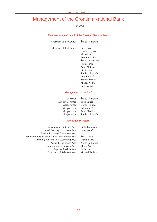## Management of the Croatian National Bank

1 July 2008

#### **Members of the Council of the Croatian National Bank**

| Chairman of the Council | Željko Rohatinski                                                                                                                                                                                                            |
|-------------------------|------------------------------------------------------------------------------------------------------------------------------------------------------------------------------------------------------------------------------|
| Members of the Council  | Boris Cota<br>Davor Holjevac<br>Vlado Leko<br>Branimir Lokin<br>Željko Lovrinčević<br>Relja Martić<br>Adolf Matejka<br>Silvije Orsag<br>Tomislav Presečan<br>Jure Šimović<br>Sandra Švaljek<br>Mladen Vedriš<br>Boris Vujčić |
|                         |                                                                                                                                                                                                                              |

#### **Management of the CNB**

 Deputy Governor Boris Vujčić Vicegovernor Relja Martić Vicegovernor Adolf Matejka

 Governor Željko Rohatinski Vicegovernor Davor Holjevac Vicegovernor Tomislav Presečan

#### **Executive Directors**

 Research and Statistics Area Ljubinko Jankov Central Banking Operations Area Irena Kovačec Foreign Exchange Operations Area Prudential Regulation and Bank Supervision Area Željko Jakuš Planning, Analysis and Accounting Area Diana Jakelić Payment Operations Area Neven Barbaroša Information Technology Area Mario Žgela Support Services Area International Relations Area Michael Faulend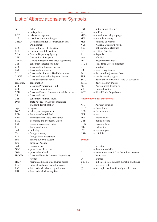# List of Abbreviations and Symbols

| bn           | - billion                                   | <b>IPO</b>         | $-$ initial public offering                       |
|--------------|---------------------------------------------|--------------------|---------------------------------------------------|
| b.p.         | - basis points                              | m                  | $-$ million                                       |
| BOP          | - balance of payments                       | <b>MIGs</b>        | - main industrial groupings                       |
| c.i.f.       | - cost, insurance and freight               | МM                 | - monthly maturity                                |
| <b>CBRD</b>  | - Croatian Bank for Reconstruction and      | MoF                | - Ministry of Finance                             |
|              | Development                                 | <b>NCS</b>         | - National Clearing System                        |
| CBS          | - Central Bureau of Statistics              | n.e.c.             | - not elsewhere classified                        |
| CCI          | - consumer confidence index                 | <b>OG</b>          | - Official Gazette                                |
| <b>CDA</b>   | - Central Depository Agency                 | R                  | $-$ Republic                                      |
| CEE          | - Central East European                     | O/W                | $-$ of which                                      |
| <b>CEFTA</b> | - Central European Free Trade Agreement     | PPI                | - producer price index                            |
| CEI          | - consumer expectations index               | <b>RTGS</b>        | - Real-Time Gross Settlement                      |
| CES          | - Croatian Employment Service               | Q                  | – quarterly                                       |
| СM           | - Croatian Motorways                        | RR                 | $-$ reserve requirement                           |
| CIHI         | - Croatian Institute for Health Insurance   | SAL                | - Structural Adjustment Loan                      |
| CLVPS        |                                             | <b>SDR</b>         | - special drawing rights                          |
|              | - Croatian Large Value Payment System       |                    |                                                   |
| CNB          | - Croatian National Bank                    | <b>SITC</b>        | - Standard International Trade Classification     |
| consump.     | $-$ consumption                             | ZMM                | - Zagreb Money Market                             |
| <b>CPF</b>   | - Croatian Privatisation Fund               | ZSE                | - Zagreb Stock Exchange                           |
| CPI          | - consumer price index                      | <b>VAT</b>         | - value added tax                                 |
| <b>CPIA</b>  | - Croatian Pension Insurance Administration | <b>WTO</b>         | - World Trade Organization                        |
| CR           | - Croatian Roads                            |                    |                                                   |
| CSI          | - consumer sentiment index                  |                    | <b>Abbreviations for currencies</b>               |
| DAB          | - State Agency for Deposit Insurance        |                    |                                                   |
|              | and Bank Rehabilitation                     | <b>ATS</b>         | - Austrian schilling                              |
| dep.         | $-\text{deposit}$                           | <b>CHF</b>         | - Swiss franc                                     |
| DVP          | - delivery versus payment                   | <b>DEM</b>         | - German mark                                     |
| ECB          | - European Central Bank                     | EUR                | $-$ euro                                          |
| EFTA         | - European Free Trade Association           | FRF                | - French franc                                    |
| EMU          | - Economic and Monetary Union               | GBP                | - pound sterling                                  |
| ESI          | - economic sentiment index                  | <b>HRK</b>         | - Croatian kuna                                   |
| EU           | - European Union                            | <b>ITL</b>         | - Italian lira                                    |
| excl.        | $-$ excluding                               | JPY                | - Japanese yen                                    |
| f/c          | - foreign currency                          | <b>USD</b>         | - US dollar                                       |
| FDI          | - foreign direct investment                 |                    |                                                   |
| Fed          | - Federal Reserve System                    | <b>Symbol</b>      |                                                   |
| Fina         | - Financial Agency                          |                    |                                                   |
| f.o.b.       | - free on board                             |                    | - no entry                                        |
| GDP          | - gross domestic product                    | .                  | - data not available                              |
| GVA          | - gross value added                         | 0                  | $-$ value is less than 0.5 of the unit of measure |
| <b>HANFA</b> | - Croatian Financial Services Supervisory   |                    | being used                                        |
|              | Agency                                      | Ø                  | $-$ average                                       |
| <b>HICP</b>  | - harmonised index of consumer prices       | $a, b, c, \ldots$  | - indicates a note beneath the table and figure   |
| IEMP         | - index of exchange market pressure         | *                  | - corrected data                                  |
| ILO          | - International Labour Organization         | $\left( \ \right)$ | - incomplete or insufficiently verified data      |
| IMF          | - International Monetary Fund               |                    |                                                   |